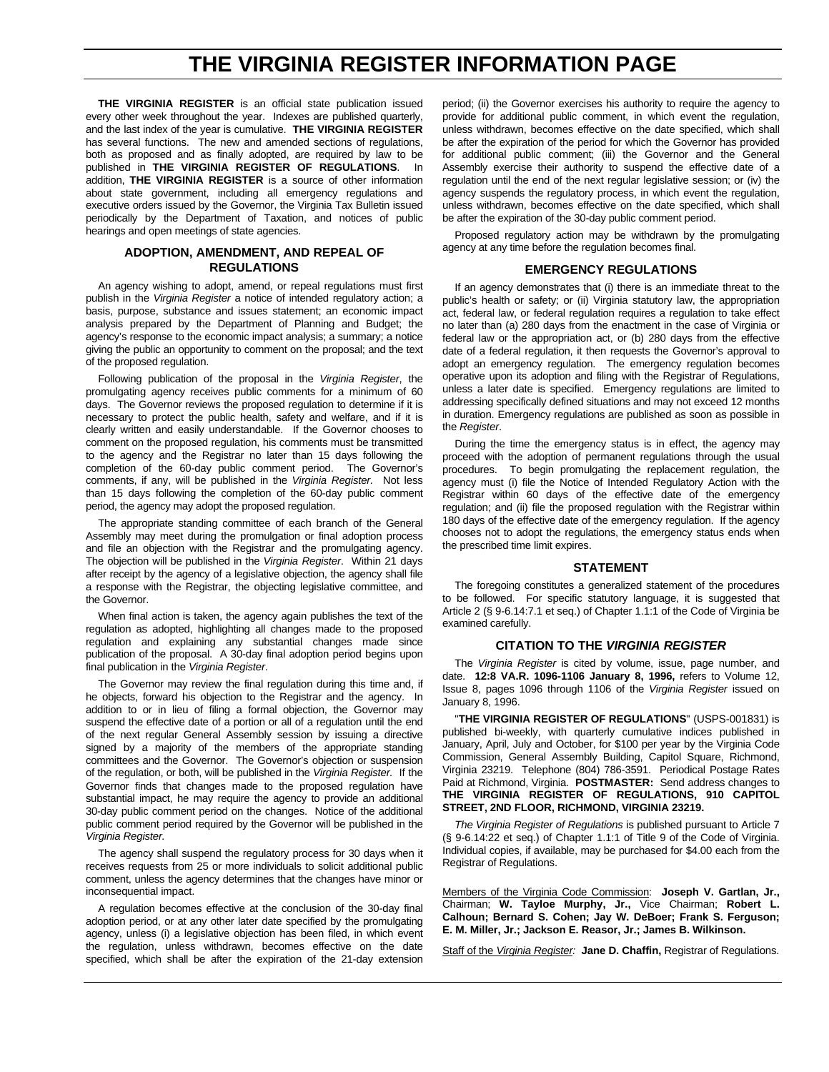## **THE VIRGINIA REGISTER INFORMATION PAGE**

**THE VIRGINIA REGISTER** is an official state publication issued every other week throughout the year. Indexes are published quarterly, and the last index of the year is cumulative. **THE VIRGINIA REGISTER** has several functions. The new and amended sections of regulations, both as proposed and as finally adopted, are required by law to be published in **THE VIRGINIA REGISTER OF REGULATIONS**. In addition, **THE VIRGINIA REGISTER** is a source of other information about state government, including all emergency regulations and executive orders issued by the Governor, the Virginia Tax Bulletin issued periodically by the Department of Taxation, and notices of public hearings and open meetings of state agencies.

#### **ADOPTION, AMENDMENT, AND REPEAL OF REGULATIONS**

An agency wishing to adopt, amend, or repeal regulations must first publish in the *Virginia Register* a notice of intended regulatory action; a basis, purpose, substance and issues statement; an economic impact analysis prepared by the Department of Planning and Budget; the agency's response to the economic impact analysis; a summary; a notice giving the public an opportunity to comment on the proposal; and the text of the proposed regulation.

Following publication of the proposal in the *Virginia Register*, the promulgating agency receives public comments for a minimum of 60 days. The Governor reviews the proposed regulation to determine if it is necessary to protect the public health, safety and welfare, and if it is clearly written and easily understandable. If the Governor chooses to comment on the proposed regulation, his comments must be transmitted to the agency and the Registrar no later than 15 days following the completion of the 60-day public comment period. The Governor's comments, if any, will be published in the *Virginia Register.* Not less than 15 days following the completion of the 60-day public comment period, the agency may adopt the proposed regulation.

The appropriate standing committee of each branch of the General Assembly may meet during the promulgation or final adoption process and file an objection with the Registrar and the promulgating agency. The objection will be published in the *Virginia Register*. Within 21 days after receipt by the agency of a legislative objection, the agency shall file a response with the Registrar, the objecting legislative committee, and the Governor.

When final action is taken, the agency again publishes the text of the regulation as adopted, highlighting all changes made to the proposed regulation and explaining any substantial changes made since publication of the proposal. A 30-day final adoption period begins upon final publication in the *Virginia Register*.

The Governor may review the final regulation during this time and, if he objects, forward his objection to the Registrar and the agency. In addition to or in lieu of filing a formal objection, the Governor may suspend the effective date of a portion or all of a regulation until the end of the next regular General Assembly session by issuing a directive signed by a majority of the members of the appropriate standing committees and the Governor. The Governor's objection or suspension of the regulation, or both, will be published in the *Virginia Register.* If the Governor finds that changes made to the proposed regulation have substantial impact, he may require the agency to provide an additional 30-day public comment period on the changes. Notice of the additional public comment period required by the Governor will be published in the *Virginia Register.*

The agency shall suspend the regulatory process for 30 days when it receives requests from 25 or more individuals to solicit additional public comment, unless the agency determines that the changes have minor or inconsequential impact.

A regulation becomes effective at the conclusion of the 30-day final adoption period, or at any other later date specified by the promulgating agency, unless (i) a legislative objection has been filed, in which event the regulation, unless withdrawn, becomes effective on the date specified, which shall be after the expiration of the 21-day extension

period; (ii) the Governor exercises his authority to require the agency to provide for additional public comment, in which event the regulation, unless withdrawn, becomes effective on the date specified, which shall be after the expiration of the period for which the Governor has provided for additional public comment; (iii) the Governor and the General Assembly exercise their authority to suspend the effective date of a regulation until the end of the next regular legislative session; or (iv) the agency suspends the regulatory process, in which event the regulation, unless withdrawn, becomes effective on the date specified, which shall be after the expiration of the 30-day public comment period.

Proposed regulatory action may be withdrawn by the promulgating agency at any time before the regulation becomes final.

#### **EMERGENCY REGULATIONS**

If an agency demonstrates that (i) there is an immediate threat to the public's health or safety; or (ii) Virginia statutory law, the appropriation act, federal law, or federal regulation requires a regulation to take effect no later than (a) 280 days from the enactment in the case of Virginia or federal law or the appropriation act, or (b) 280 days from the effective date of a federal regulation, it then requests the Governor's approval to adopt an emergency regulation. The emergency regulation becomes operative upon its adoption and filing with the Registrar of Regulations, unless a later date is specified. Emergency regulations are limited to addressing specifically defined situations and may not exceed 12 months in duration. Emergency regulations are published as soon as possible in the *Register*.

During the time the emergency status is in effect, the agency may proceed with the adoption of permanent regulations through the usual procedures. To begin promulgating the replacement regulation, the agency must (i) file the Notice of Intended Regulatory Action with the Registrar within 60 days of the effective date of the emergency regulation; and (ii) file the proposed regulation with the Registrar within 180 days of the effective date of the emergency regulation. If the agency chooses not to adopt the regulations, the emergency status ends when the prescribed time limit expires.

#### **STATEMENT**

The foregoing constitutes a generalized statement of the procedures to be followed. For specific statutory language, it is suggested that Article 2 (§ 9-6.14:7.1 et seq.) of Chapter 1.1:1 of the Code of Virginia be examined carefully.

#### **CITATION TO THE** *VIRGINIA REGISTER*

The *Virginia Register* is cited by volume, issue, page number, and date. **12:8 VA.R. 1096-1106 January 8, 1996,** refers to Volume 12, Issue 8, pages 1096 through 1106 of the *Virginia Register* issued on January 8, 1996.

"**THE VIRGINIA REGISTER OF REGULATIONS**" (USPS-001831) is published bi-weekly, with quarterly cumulative indices published in January, April, July and October, for \$100 per year by the Virginia Code Commission, General Assembly Building, Capitol Square, Richmond, Virginia 23219. Telephone (804) 786-3591. Periodical Postage Rates Paid at Richmond, Virginia. **POSTMASTER:** Send address changes to **THE VIRGINIA REGISTER OF REGULATIONS, 910 CAPITOL STREET, 2ND FLOOR, RICHMOND, VIRGINIA 23219.**

*The Virginia Register of Regulations* is published pursuant to Article 7 (§ 9-6.14:22 et seq.) of Chapter 1.1:1 of Title 9 of the Code of Virginia. Individual copies, if available, may be purchased for \$4.00 each from the Registrar of Regulations.

Members of the Virginia Code Commission: **Joseph V. Gartlan, Jr.,** Chairman; **W. Tayloe Murphy, Jr.,** Vice Chairman; **Robert L. Calhoun; Bernard S. Cohen; Jay W. DeBoer; Frank S. Ferguson; E. M. Miller, Jr.; Jackson E. Reasor, Jr.; James B. Wilkinson.**

Staff of the *Virginia Register:* **Jane D. Chaffin,** Registrar of Regulations.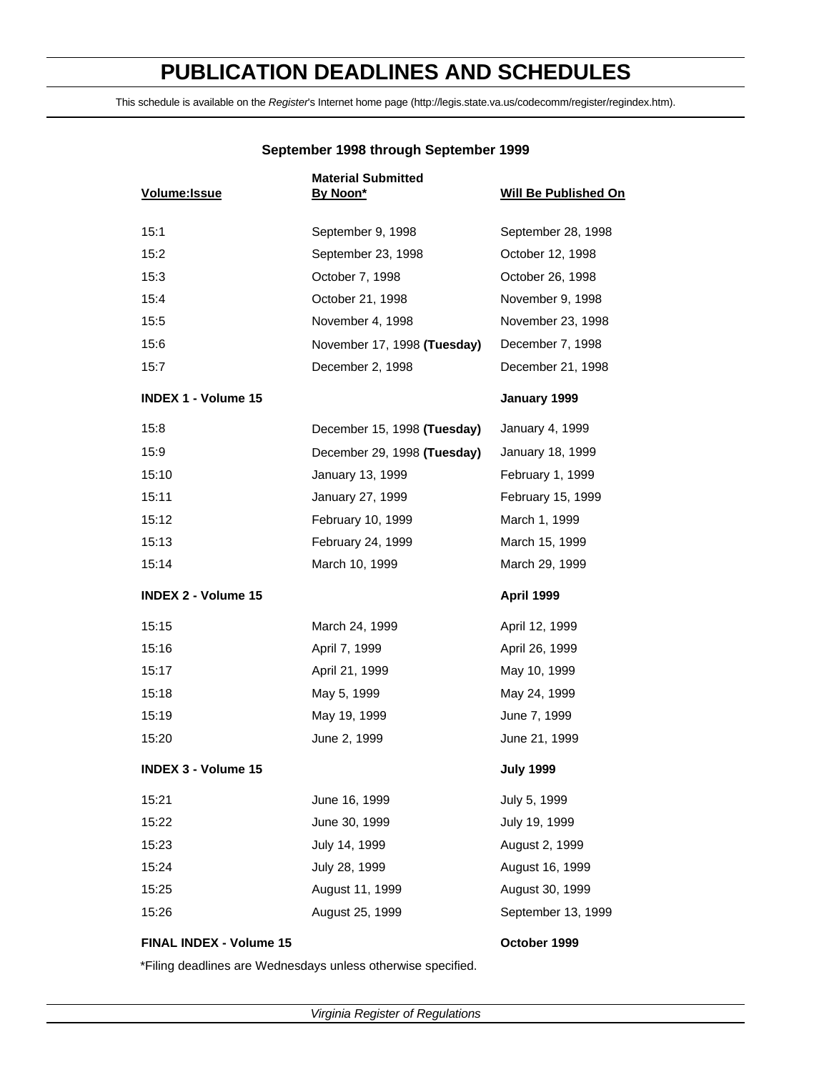## **PUBLICATION DEADLINES AND SCHEDULES**

This schedule is available on the *Register*'s Internet home page (http://legis.state.va.us/codecomm/register/regindex.htm).

| Volume: Issue              | <b>Material Submitted</b><br>By Noon* | <b>Will Be Published On</b> |
|----------------------------|---------------------------------------|-----------------------------|
| 15:1                       | September 9, 1998                     | September 28, 1998          |
| 15:2                       | September 23, 1998                    | October 12, 1998            |
| 15:3                       | October 7, 1998                       | October 26, 1998            |
| 15:4                       | October 21, 1998                      | November 9, 1998            |
| 15:5                       | November 4, 1998                      | November 23, 1998           |
| 15:6                       | November 17, 1998 (Tuesday)           | December 7, 1998            |
| 15:7                       | December 2, 1998                      | December 21, 1998           |
| <b>INDEX 1 - Volume 15</b> |                                       | January 1999                |
| 15:8                       | December 15, 1998 (Tuesday)           | January 4, 1999             |
| 15:9                       | December 29, 1998 (Tuesday)           | January 18, 1999            |
| 15:10                      | January 13, 1999                      | February 1, 1999            |
| 15:11                      | January 27, 1999                      | February 15, 1999           |
| 15:12                      | February 10, 1999                     | March 1, 1999               |
| 15:13                      | February 24, 1999                     | March 15, 1999              |
| 15:14                      | March 10, 1999                        | March 29, 1999              |
| <b>INDEX 2 - Volume 15</b> |                                       | April 1999                  |
| 15:15                      | March 24, 1999                        | April 12, 1999              |
| 15:16                      | April 7, 1999                         | April 26, 1999              |
| 15:17                      | April 21, 1999                        | May 10, 1999                |
| 15:18                      | May 5, 1999                           | May 24, 1999                |
| 15:19                      | May 19, 1999                          | June 7, 1999                |
| 15:20                      | June 2, 1999                          | June 21, 1999               |
| <b>INDEX 3 - Volume 15</b> |                                       | <b>July 1999</b>            |
| 15:21                      | June 16, 1999                         | July 5, 1999                |
| 15:22                      | June 30, 1999                         | July 19, 1999               |
| 15:23                      | July 14, 1999                         | August 2, 1999              |
| 15:24                      | July 28, 1999                         | August 16, 1999             |
| 15:25                      | August 11, 1999                       | August 30, 1999             |
| 15:26                      | August 25, 1999                       | September 13, 1999          |
| FINAL INDEX - Volume 15    |                                       | October 1999                |

## **September 1998 through September 1999**

\*Filing deadlines are Wednesdays unless otherwise specified.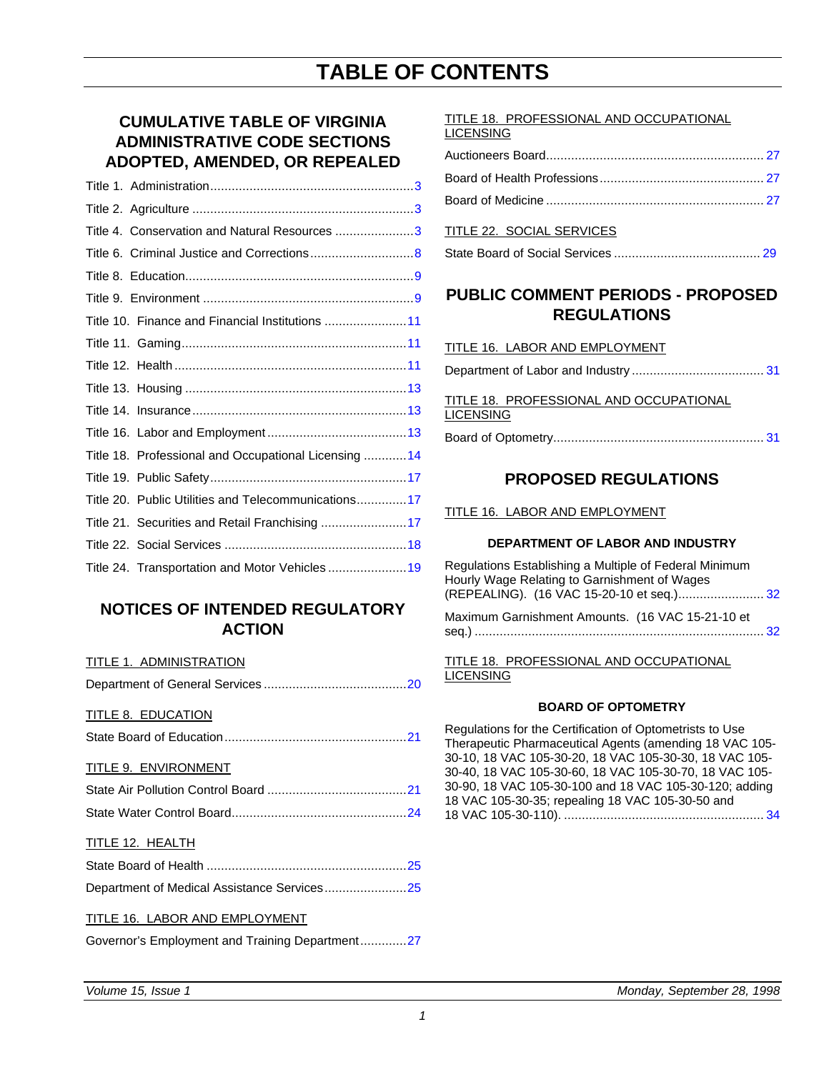## **CUMULATIVE TABLE OF VIRGINIA ADMINISTRATIVE CODE SECTIONS ADOPTED, AMENDED, OR REPEALED**

| Title 4. Conservation and Natural Resources 3         |
|-------------------------------------------------------|
|                                                       |
|                                                       |
|                                                       |
| Title 10. Finance and Financial Institutions 11       |
|                                                       |
|                                                       |
|                                                       |
|                                                       |
|                                                       |
| Title 18. Professional and Occupational Licensing  14 |
|                                                       |
| Title 20. Public Utilities and Telecommunications17   |
| Title 21. Securities and Retail Franchising 17        |
|                                                       |
| Title 24. Transportation and Motor Vehicles  19       |

## **NOTICES OF INTENDED REGULATORY ACTION**

#### TITLE 1. ADMINISTRATION

#### TITLE 8. EDUCATION

State Board of Education.............................................[......21](#page-22-0)

#### TITLE 9. ENVIRONMENT

## TITLE 12. HEALTH

| Department of Medical Assistance Services25 |  |
|---------------------------------------------|--|

## TITLE 16. LABOR AND EMPLOYMENT

|  | Governor's Employment and Training Department27 |
|--|-------------------------------------------------|
|--|-------------------------------------------------|

#### TITLE 18. PROFESSIONAL AND OCCUPATIONAL **LICENSING**

## TITLE 22. SOCIAL SERVICES

State Board of Social Services ......................................... [29](#page-30-0)

## **PUBLIC COMMENT PERIODS - PROPOSED REGULATIONS**

#### TITLE 16. LABOR AND EMPLOYMENT

Department of Labor and Industry .................................[....](#page-32-0) 31

TITLE 18. PROFESSIONAL AND OCCUPATIONAL **LICENSING** 

Board of Optometry........................................................... 31

## **PROPOSED REGULATIONS**

TITLE 16. LABOR AND EMPLOYMENT

## **DEPARTMENT OF LABOR AND INDUSTRY**

Regulations Establishing a Multiple of Federal Minimum Hourly Wage Relating to Garnishment of Wages (REPEALING). (16 VAC 15-20-10 et seq.)........................ 32

Maximum Garnishment Amounts. (16 VAC 15-21-10 et seq.) .............................................................................[....](#page-33-0) 32

TITLE 18. PROFESSIONAL AND OCCUPATIONAL LICENSING

## **BOARD OF OPTOMETRY**

Regulations for the Certification of Optometrists to Use Therapeutic Pharmaceutical Agents (amending 18 VAC 105- 30-10, 18 VAC 105-30-20, 18 VAC 105-30-30, 18 VAC 105- 30-40, 18 VAC 105-30-60, 18 VAC 105-30-70, 18 VAC 105- 30-90, 18 VAC 105-30-100 and 18 VAC 105-30-120; adding 18 VAC 105-30-35; repealing 18 VAC 105-30-50 and 18 VAC 105-30-110). ...................................................[.....](#page-35-0) 34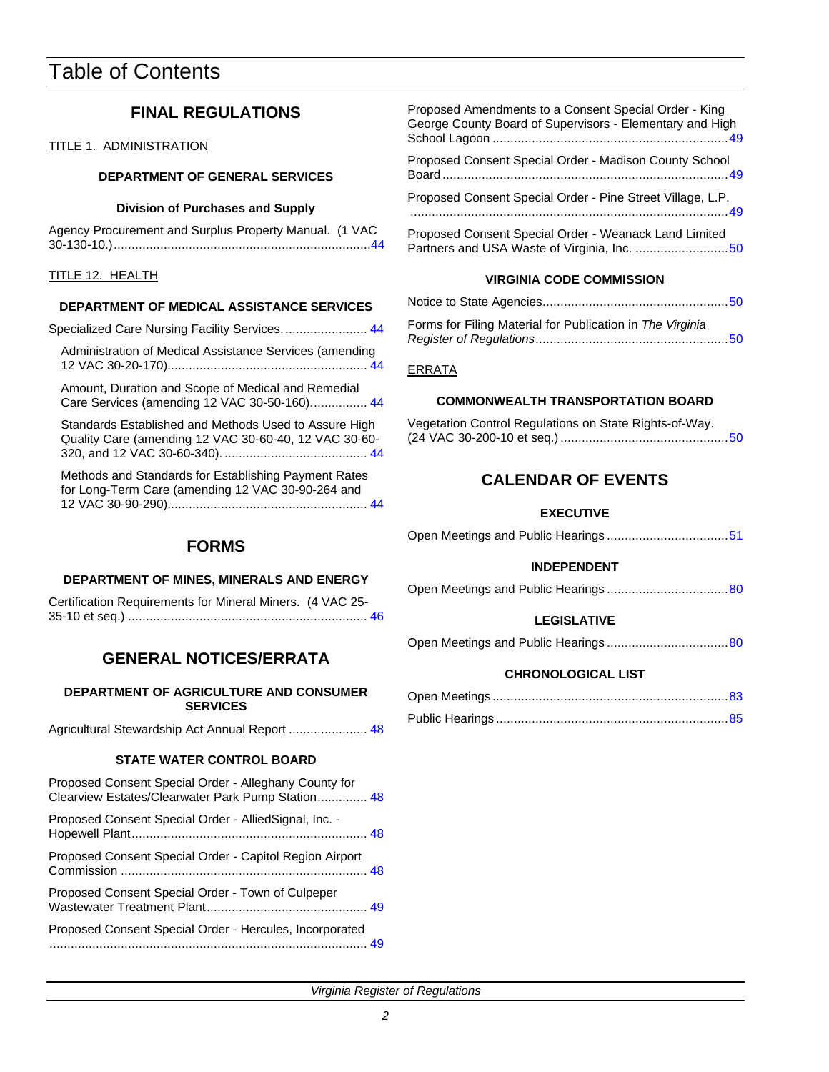## Table of Contents

## **FINAL REGULATIONS**

### TITLE 1. ADMINISTRATION

### **DEPARTMENT OF GENERAL SERVICES**

#### **Division of Purchases and Supply**

Agency Procurement and Surplus Property Manual. (1 VAC 30-130-10.).....................................................................[...44](#page-45-0)

### TITLE 12. HEALTH

### **DEPARTMENT OF MEDICAL ASSISTANCE SERVICES**

| Specialized Care Nursing Facility Services 44                                                      |
|----------------------------------------------------------------------------------------------------|
| Administration of Medical Assistance Services (amending                                            |
| Amount, Duration and Scope of Medical and Remedial<br>Care Services (amending 12 VAC 30-50-160) 44 |

Standards Established and Methods Used to Assure High Quality Care (amending 12 VAC 30-60-40, 12 VAC 30-60- 320, and 12 VAC 30-60-340). ........................................ 44

Methods and Standards for Establishing Payment Rates for Long-Term Care (amending 12 VAC 30-90-264 and 12 VAC 30-90-290)........................................................ 44

## Proposed Amendments to a Consent Special Order - King George County Board of Supervisors - Elementary and High School Lagoon ...............................................................[...49](#page-50-0) Proposed Consent Special Order - Madison County School Board ................................................................................49 Proposed Consent Special Order - Pine Street Village, L.P. .........................................................................................49 Proposed Consent Special Order - Weanack Land Limited Partners and USA Waste of Virginia, Inc. ..........................50

## **VIRGINIA CODE COMMISSION**

| Forms for Filing Material for Publication in The Virginia |  |  |
|-----------------------------------------------------------|--|--|
|                                                           |  |  |

### ERRATA

#### **COMMONWEALTH TRANSPORTATION BOARD**

| Vegetation Control Regulations on State Rights-of-Way. |  |
|--------------------------------------------------------|--|
|                                                        |  |

## **CALENDAR OF EVENTS**

### **EXECUTIVE**

|--|--|--|

## **INDEPENDENT**

|--|--|--|

## **LEGISLATIVE**

|--|--|--|--|--|

## **CHRONOLOGICAL LIST**

## **FORMS**

#### **DEPARTMENT OF MINES, MINERALS AND ENERGY**

| Certification Requirements for Mineral Miners. (4 VAC 25- |  |
|-----------------------------------------------------------|--|
|                                                           |  |

## **GENERAL NOTICES/ERRATA**

**DEPARTMENT OF AGRICULTURE AND CONSUMER SERVICES**

Agricultural Stewardship Act Annual Report ...................... 48

## **STATE WATER CONTROL BOARD**

Proposed Consent Special Order - Alleghany County for Clearview Estates/Clearwater Park Pump Station.............. 48

| Proposed Consent Special Order - AlliedSignal, Inc. - |  |
|-------------------------------------------------------|--|
|                                                       |  |
|                                                       |  |

Proposed Consent Special Order - Capitol Region Airport Commission ................................................................[.....](#page-49-0) 48 Proposed Consent Special Order - Town of Culpeper Wastewater Treatment Plant............................................. [49](#page-50-0)

| Proposed Consent Special Order - Hercules, Incorporated |  |
|---------------------------------------------------------|--|
|                                                         |  |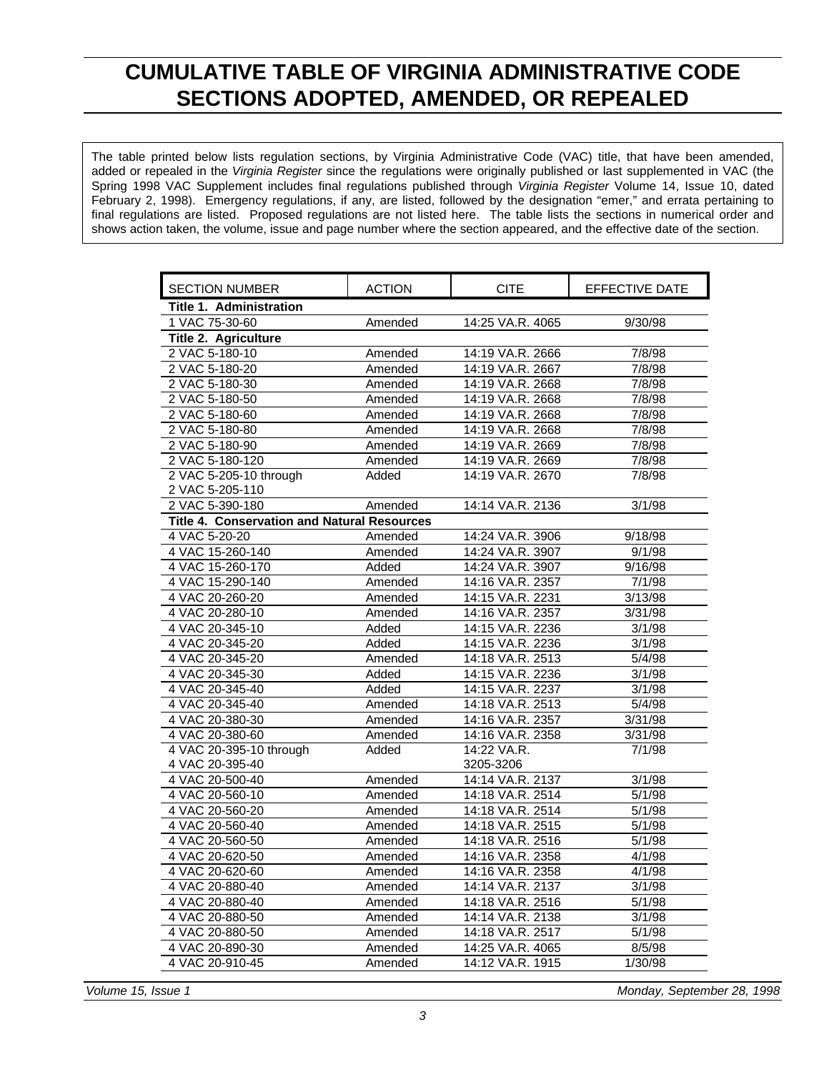## <span id="page-4-0"></span>**CUMULATIVE TABLE OF VIRGINIA ADMINISTRATIVE CODE SECTIONS ADOPTED, AMENDED, OR REPEALED**

The table printed below lists regulation sections, by Virginia Administrative Code (VAC) title, that have been amended, added or repealed in the *Virginia Register* since the regulations were originally published or last supplemented in VAC (the Spring 1998 VAC Supplement includes final regulations published through *Virginia Register* Volume 14, Issue 10, dated February 2, 1998). Emergency regulations, if any, are listed, followed by the designation "emer," and errata pertaining to final regulations are listed. Proposed regulations are not listed here. The table lists the sections in numerical order and shows action taken, the volume, issue and page number where the section appeared, and the effective date of the section.

| <b>SECTION NUMBER</b>                              | <b>ACTION</b> | <b>CITE</b>      | EFFECTIVE DATE |
|----------------------------------------------------|---------------|------------------|----------------|
| <b>Title 1. Administration</b>                     |               |                  |                |
| 1 VAC 75-30-60                                     | Amended       | 14:25 VA.R. 4065 | 9/30/98        |
| Title 2. Agriculture                               |               |                  |                |
| 2 VAC 5-180-10                                     | Amended       | 14:19 VA.R. 2666 | 7/8/98         |
| 2 VAC 5-180-20                                     | Amended       | 14:19 VA.R. 2667 | 7/8/98         |
| 2 VAC 5-180-30                                     | Amended       | 14:19 VA.R. 2668 | 7/8/98         |
| 2 VAC 5-180-50                                     | Amended       | 14:19 VA.R. 2668 | 7/8/98         |
| 2 VAC 5-180-60                                     | Amended       | 14:19 VA.R. 2668 | 7/8/98         |
| 2 VAC 5-180-80                                     | Amended       | 14:19 VA.R. 2668 | 7/8/98         |
| 2 VAC 5-180-90                                     | Amended       | 14:19 VA.R. 2669 | 7/8/98         |
| 2 VAC 5-180-120                                    | Amended       | 14:19 VA.R. 2669 | 7/8/98         |
| 2 VAC 5-205-10 through                             | Added         | 14:19 VA.R. 2670 | 7/8/98         |
| 2 VAC 5-205-110                                    |               |                  |                |
| 2 VAC 5-390-180                                    | Amended       | 14:14 VA.R. 2136 | 3/1/98         |
| <b>Title 4. Conservation and Natural Resources</b> |               |                  |                |
| 4 VAC 5-20-20                                      | Amended       | 14:24 VA.R. 3906 | 9/18/98        |
| 4 VAC 15-260-140                                   | Amended       | 14:24 VA.R. 3907 | 9/1/98         |
| 4 VAC 15-260-170                                   | Added         | 14:24 VA.R. 3907 | 9/16/98        |
| 4 VAC 15-290-140                                   | Amended       | 14:16 VA.R. 2357 | 7/1/98         |
| 4 VAC 20-260-20                                    | Amended       | 14:15 VA.R. 2231 | 3/13/98        |
| 4 VAC 20-280-10                                    | Amended       | 14:16 VA.R. 2357 | 3/31/98        |
| 4 VAC 20-345-10                                    | Added         | 14:15 VA.R. 2236 | 3/1/98         |
| 4 VAC 20-345-20                                    | Added         | 14:15 VA.R. 2236 | 3/1/98         |
| 4 VAC 20-345-20                                    | Amended       | 14:18 VA.R. 2513 | 5/4/98         |
| 4 VAC 20-345-30                                    | Added         | 14:15 VA.R. 2236 | 3/1/98         |
| 4 VAC 20-345-40                                    | Added         | 14:15 VA.R. 2237 | 3/1/98         |
| 4 VAC 20-345-40                                    | Amended       | 14:18 VA.R. 2513 | 5/4/98         |
| 4 VAC 20-380-30                                    | Amended       | 14:16 VA.R. 2357 | 3/31/98        |
| 4 VAC 20-380-60                                    | Amended       | 14:16 VA.R. 2358 | 3/31/98        |
| 4 VAC 20-395-10 through                            | Added         | 14:22 VA.R.      | 7/1/98         |
| 4 VAC 20-395-40                                    |               | 3205-3206        |                |
| 4 VAC 20-500-40                                    | Amended       | 14:14 VA.R. 2137 | 3/1/98         |
| 4 VAC 20-560-10                                    | Amended       | 14:18 VA.R. 2514 | 5/1/98         |
| 4 VAC 20-560-20                                    | Amended       | 14:18 VA.R. 2514 | 5/1/98         |
| 4 VAC 20-560-40                                    | Amended       | 14:18 VA.R. 2515 | 5/1/98         |
| 4 VAC 20-560-50                                    | Amended       | 14:18 VA.R. 2516 | 5/1/98         |
| 4 VAC 20-620-50                                    | Amended       | 14:16 VA.R. 2358 | 4/1/98         |
| 4 VAC 20-620-60                                    | Amended       | 14:16 VA.R. 2358 | 4/1/98         |
| 4 VAC 20-880-40                                    | Amended       | 14:14 VA.R. 2137 | 3/1/98         |
| 4 VAC 20-880-40                                    | Amended       | 14:18 VA.R. 2516 | 5/1/98         |
| 4 VAC 20-880-50                                    | Amended       | 14:14 VA.R. 2138 | 3/1/98         |
| 4 VAC 20-880-50                                    | Amended       | 14:18 VA.R. 2517 | 5/1/98         |
| 4 VAC 20-890-30                                    | Amended       | 14:25 VA.R. 4065 | 8/5/98         |
| 4 VAC 20-910-45                                    | Amended       | 14:12 VA.R. 1915 | 1/30/98        |
|                                                    |               |                  |                |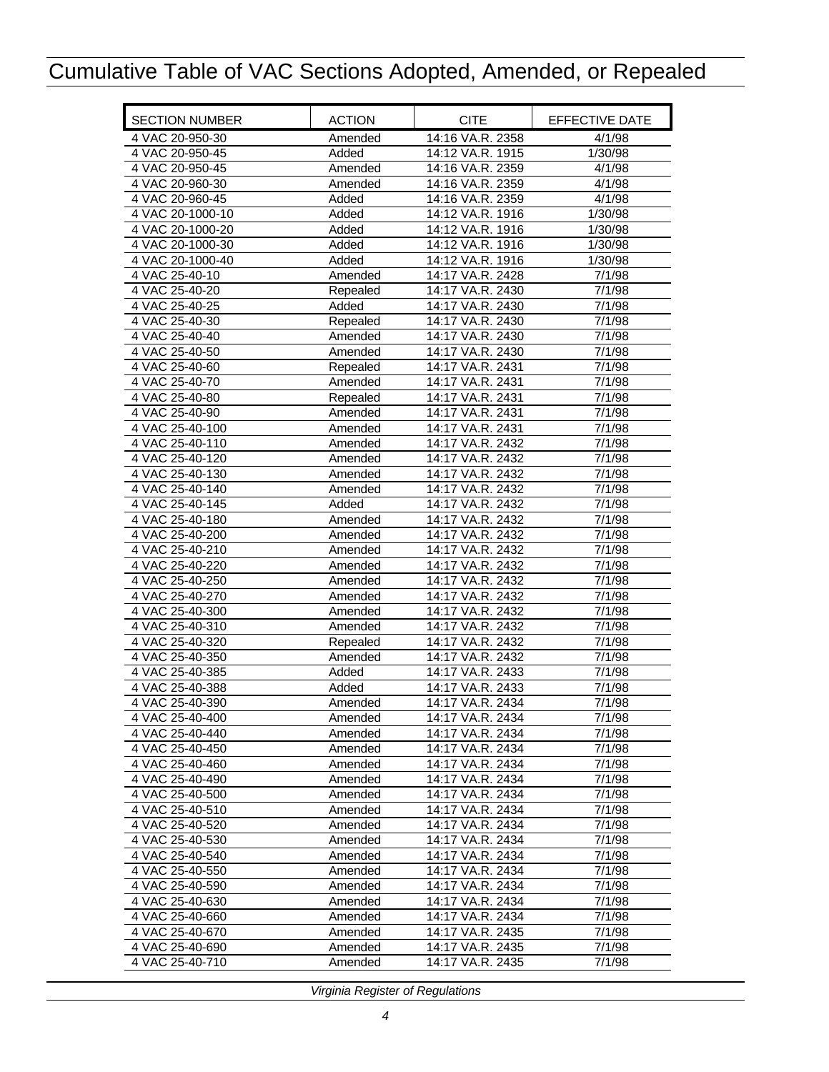| <b>SECTION NUMBER</b> | <b>ACTION</b> | <b>CITE</b>      | EFFECTIVE DATE |
|-----------------------|---------------|------------------|----------------|
| 4 VAC 20-950-30       | Amended       | 14:16 VA.R. 2358 | 4/1/98         |
| 4 VAC 20-950-45       | Added         | 14:12 VA.R. 1915 | 1/30/98        |
| 4 VAC 20-950-45       | Amended       | 14:16 VA.R. 2359 | 4/1/98         |
| 4 VAC 20-960-30       | Amended       | 14:16 VA.R. 2359 | 4/1/98         |
| 4 VAC 20-960-45       | Added         | 14:16 VA.R. 2359 | 4/1/98         |
| 4 VAC 20-1000-10      | Added         | 14:12 VA.R. 1916 | 1/30/98        |
| 4 VAC 20-1000-20      | Added         | 14:12 VA.R. 1916 | 1/30/98        |
| 4 VAC 20-1000-30      | Added         | 14:12 VA.R. 1916 | 1/30/98        |
| 4 VAC 20-1000-40      | Added         | 14:12 VA.R. 1916 | 1/30/98        |
| 4 VAC 25-40-10        | Amended       | 14:17 VA.R. 2428 | 7/1/98         |
| 4 VAC 25-40-20        | Repealed      | 14:17 VA.R. 2430 | 7/1/98         |
| 4 VAC 25-40-25        | Added         | 14:17 VA.R. 2430 | 7/1/98         |
| 4 VAC 25-40-30        | Repealed      | 14:17 VA.R. 2430 | 7/1/98         |
| 4 VAC 25-40-40        | Amended       | 14:17 VA.R. 2430 | 7/1/98         |
| 4 VAC 25-40-50        | Amended       | 14:17 VA.R. 2430 | 7/1/98         |
| 4 VAC 25-40-60        | Repealed      | 14:17 VA.R. 2431 | 7/1/98         |
| 4 VAC 25-40-70        | Amended       | 14:17 VA.R. 2431 | 7/1/98         |
| 4 VAC 25-40-80        | Repealed      | 14:17 VA.R. 2431 | 7/1/98         |
| 4 VAC 25-40-90        | Amended       | 14:17 VA.R. 2431 | 7/1/98         |
| 4 VAC 25-40-100       | Amended       | 14:17 VA.R. 2431 | 7/1/98         |
| 4 VAC 25-40-110       | Amended       | 14:17 VA.R. 2432 | 7/1/98         |
| 4 VAC 25-40-120       | Amended       | 14:17 VA.R. 2432 | 7/1/98         |
| 4 VAC 25-40-130       | Amended       | 14:17 VA.R. 2432 | 7/1/98         |
| 4 VAC 25-40-140       | Amended       | 14:17 VA.R. 2432 | 7/1/98         |
| 4 VAC 25-40-145       | Added         | 14:17 VA.R. 2432 | 7/1/98         |
| 4 VAC 25-40-180       | Amended       | 14:17 VA.R. 2432 | 7/1/98         |
| 4 VAC 25-40-200       | Amended       | 14:17 VA.R. 2432 | 7/1/98         |
| 4 VAC 25-40-210       | Amended       | 14:17 VA.R. 2432 | 7/1/98         |
| 4 VAC 25-40-220       | Amended       | 14:17 VA.R. 2432 | 7/1/98         |
| 4 VAC 25-40-250       | Amended       | 14:17 VA.R. 2432 | 7/1/98         |
| 4 VAC 25-40-270       | Amended       | 14:17 VA.R. 2432 | 7/1/98         |
| 4 VAC 25-40-300       | Amended       | 14:17 VA.R. 2432 | 7/1/98         |
| 4 VAC 25-40-310       | Amended       | 14:17 VA.R. 2432 | 7/1/98         |
| 4 VAC 25-40-320       | Repealed      | 14:17 VA.R. 2432 | 7/1/98         |
| 4 VAC 25-40-350       | Amended       | 14:17 VA.R. 2432 | 7/1/98         |
| 4 VAC 25-40-385       | Added         | 14:17 VA.R. 2433 | 7/1/98         |
| 4 VAC 25-40-388       | Added         | 14:17 VA.R. 2433 | 7/1/98         |
| 4 VAC 25-40-390       | Amended       | 14:17 VA.R. 2434 | 7/1/98         |
| 4 VAC 25-40-400       | Amended       | 14:17 VA.R. 2434 | 7/1/98         |
| 4 VAC 25-40-440       | Amended       | 14:17 VA.R. 2434 | 7/1/98         |
| 4 VAC 25-40-450       | Amended       | 14:17 VA.R. 2434 | 7/1/98         |
| 4 VAC 25-40-460       | Amended       | 14:17 VA.R. 2434 | 7/1/98         |
| 4 VAC 25-40-490       | Amended       | 14:17 VA.R. 2434 | 7/1/98         |
| 4 VAC 25-40-500       | Amended       | 14:17 VA.R. 2434 | 7/1/98         |
| 4 VAC 25-40-510       | Amended       | 14:17 VA.R. 2434 | 7/1/98         |
| 4 VAC 25-40-520       | Amended       | 14:17 VA.R. 2434 | 7/1/98         |
| 4 VAC 25-40-530       | Amended       | 14:17 VA.R. 2434 | 7/1/98         |
| 4 VAC 25-40-540       | Amended       | 14:17 VA.R. 2434 | 7/1/98         |
| 4 VAC 25-40-550       | Amended       | 14:17 VA.R. 2434 | 7/1/98         |
| 4 VAC 25-40-590       | Amended       | 14:17 VA.R. 2434 | 7/1/98         |
| 4 VAC 25-40-630       | Amended       | 14:17 VA.R. 2434 | 7/1/98         |
| 4 VAC 25-40-660       | Amended       | 14:17 VA.R. 2434 | 7/1/98         |
| 4 VAC 25-40-670       | Amended       | 14:17 VA.R. 2435 | 7/1/98         |
| 4 VAC 25-40-690       | Amended       | 14:17 VA.R. 2435 | 7/1/98         |
| 4 VAC 25-40-710       | Amended       | 14:17 VA.R. 2435 | 7/1/98         |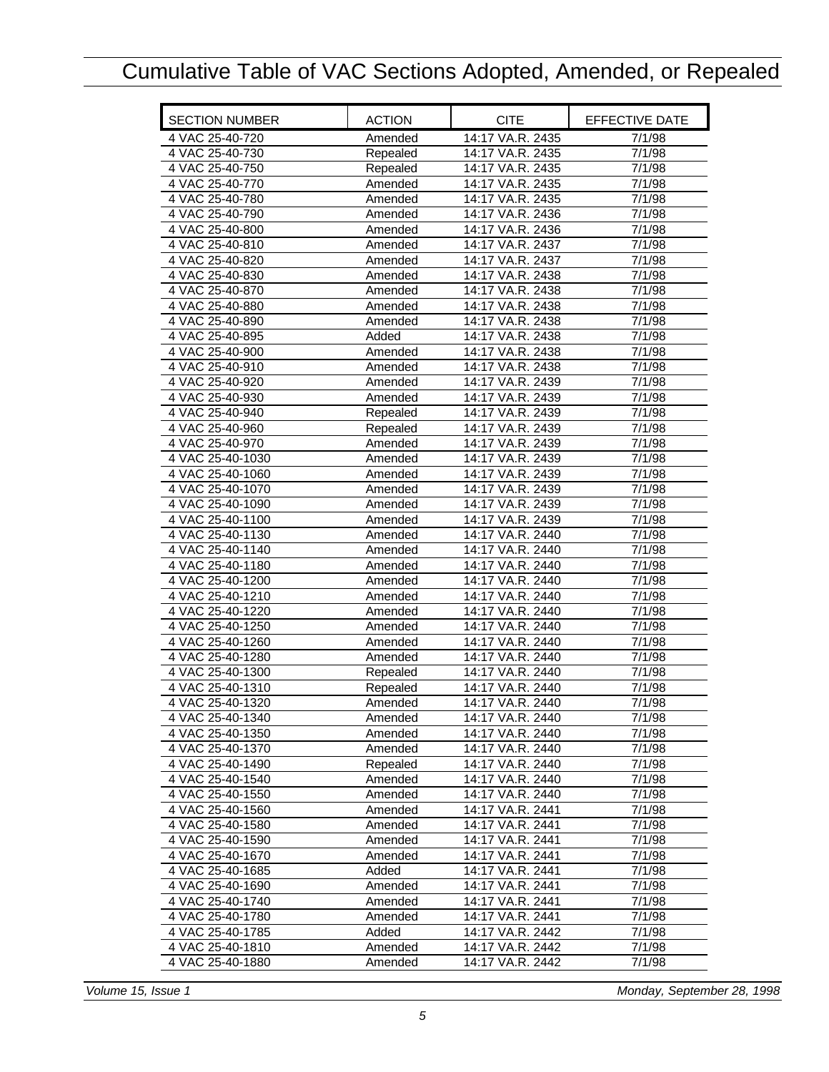| <b>SECTION NUMBER</b>                | <b>ACTION</b>       | <b>CITE</b>                          | EFFECTIVE DATE      |
|--------------------------------------|---------------------|--------------------------------------|---------------------|
| 4 VAC 25-40-720                      | Amended             | 14:17 VA.R. 2435                     | 7/1/98              |
| 4 VAC 25-40-730                      | Repealed            | 14:17 VA.R. 2435                     | 7/1/98              |
| 4 VAC 25-40-750                      | Repealed            | 14:17 VA.R. 2435                     | 7/1/98              |
| 4 VAC 25-40-770                      | Amended             | 14:17 VA.R. 2435                     | 7/1/98              |
| 4 VAC 25-40-780                      | Amended             | 14:17 VA.R. 2435                     | 7/1/98              |
| 4 VAC 25-40-790                      | Amended             | 14:17 VA.R. 2436                     | 7/1/98              |
| 4 VAC 25-40-800                      | Amended             | 14:17 VA.R. 2436                     | 7/1/98              |
| 4 VAC 25-40-810                      | Amended             | 14:17 VA.R. 2437                     | 7/1/98              |
| 4 VAC 25-40-820                      | Amended             | 14:17 VA.R. 2437                     | 7/1/98              |
| 4 VAC 25-40-830                      | Amended             | 14:17 VA.R. 2438                     | 7/1/98              |
| 4 VAC 25-40-870                      | Amended             | 14:17 VA.R. 2438                     | 7/1/98              |
| 4 VAC 25-40-880                      | Amended             | 14:17 VA.R. 2438                     | 7/1/98              |
| 4 VAC 25-40-890                      | Amended             | 14:17 VA.R. 2438                     | 7/1/98              |
| 4 VAC 25-40-895                      | Added               | 14:17 VA.R. 2438                     | 7/1/98              |
| 4 VAC 25-40-900                      | Amended             | 14:17 VA.R. 2438                     | 7/1/98              |
| 4 VAC 25-40-910                      | Amended             | 14:17 VA.R. 2438                     | 7/1/98              |
| 4 VAC 25-40-920                      | Amended             | 14:17 VA.R. 2439                     | 7/1/98              |
| 4 VAC 25-40-930                      | Amended             | 14:17 VA.R. 2439                     | 7/1/98              |
| 4 VAC 25-40-940                      | Repealed            | 14:17 VA.R. 2439                     | 7/1/98              |
| 4 VAC 25-40-960                      | Repealed            | 14:17 VA.R. 2439                     | 7/1/98              |
| 4 VAC 25-40-970                      | Amended             | 14:17 VA.R. 2439                     | 7/1/98              |
| 4 VAC 25-40-1030                     | Amended             | 14:17 VA.R. 2439                     | 7/1/98              |
| 4 VAC 25-40-1060                     | Amended             | 14:17 VA.R. 2439                     | 7/1/98              |
| 4 VAC 25-40-1070                     | Amended             | 14:17 VA.R. 2439                     | 7/1/98              |
| 4 VAC 25-40-1090                     | Amended             | 14:17 VA.R. 2439                     | 7/1/98              |
| 4 VAC 25-40-1100                     | Amended             | 14:17 VA.R. 2439                     | 7/1/98              |
| 4 VAC 25-40-1130                     | Amended             | 14:17 VA.R. 2440                     | 7/1/98              |
| 4 VAC 25-40-1140                     | Amended             | 14:17 VA.R. 2440                     | 7/1/98              |
| 4 VAC 25-40-1180                     | Amended             | 14:17 VA.R. 2440                     | 7/1/98              |
| 4 VAC 25-40-1200                     | Amended             | 14:17 VA.R. 2440                     | 7/1/98              |
| 4 VAC 25-40-1210                     | Amended             | 14:17 VA.R. 2440                     | 7/1/98              |
| 4 VAC 25-40-1220                     | Amended             | 14:17 VA.R. 2440                     | 7/1/98              |
| 4 VAC 25-40-1250                     | Amended             | 14:17 VA.R. 2440                     | $\frac{1}{7}{1/98}$ |
| 4 VAC 25-40-1260                     | Amended             | 14:17 VA.R. 2440                     | 7/1/98              |
| 4 VAC 25-40-1280<br>4 VAC 25-40-1300 | Amended             | 14:17 VA.R. 2440<br>14:17 VA.R. 2440 | 7/1/98<br>7/1/98    |
| 4 VAC 25-40-1310                     | Repealed            | 14:17 VA.R. 2440                     | 7/1/98              |
| 4 VAC 25-40-1320                     | Repealed<br>Amended | 14:17 VA.R. 2440                     | 7/1/98              |
| 4 VAC 25-40-1340                     | Amended             | 14:17 VA.R. 2440                     | 7/1/98              |
| 4 VAC 25-40-1350                     | Amended             | 14:17 VA.R. 2440                     | 7/1/98              |
| 4 VAC 25-40-1370                     | Amended             | 14:17 VA.R. 2440                     | 7/1/98              |
| 4 VAC 25-40-1490                     | Repealed            | 14:17 VA.R. 2440                     | 7/1/98              |
| 4 VAC 25-40-1540                     | Amended             | 14:17 VA.R. 2440                     | 7/1/98              |
| 4 VAC 25-40-1550                     | Amended             | 14:17 VA.R. 2440                     | 7/1/98              |
| 4 VAC 25-40-1560                     | Amended             | 14:17 VA.R. 2441                     | 7/1/98              |
| 4 VAC 25-40-1580                     | Amended             | 14:17 VA.R. 2441                     | 7/1/98              |
| 4 VAC 25-40-1590                     | Amended             | 14:17 VA.R. 2441                     | 7/1/98              |
| 4 VAC 25-40-1670                     | Amended             | 14:17 VA.R. 2441                     | 7/1/98              |
| 4 VAC 25-40-1685                     | Added               | 14:17 VA.R. 2441                     | 7/1/98              |
| 4 VAC 25-40-1690                     | Amended             | 14:17 VA.R. 2441                     | 7/1/98              |
| 4 VAC 25-40-1740                     | Amended             | 14:17 VA.R. 2441                     | 7/1/98              |
| 4 VAC 25-40-1780                     | Amended             | 14:17 VA.R. 2441                     | 7/1/98              |
| 4 VAC 25-40-1785                     | Added               | 14:17 VA.R. 2442                     | 7/1/98              |
| 4 VAC 25-40-1810                     | Amended             | 14:17 VA.R. 2442                     | 7/1/98              |
| 4 VAC 25-40-1880                     | Amended             | 14:17 VA.R. 2442                     | 7/1/98              |
|                                      |                     |                                      |                     |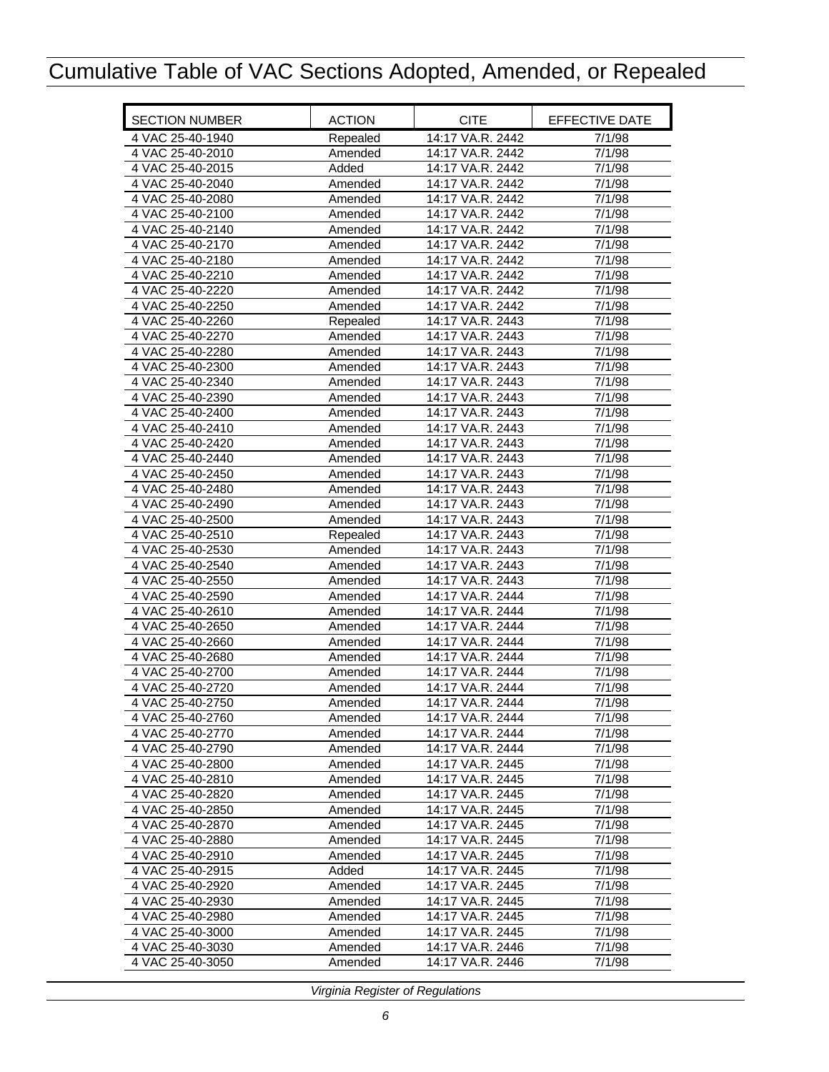| <b>SECTION NUMBER</b> | <b>ACTION</b> | <b>CITE</b>      | EFFECTIVE DATE      |
|-----------------------|---------------|------------------|---------------------|
| 4 VAC 25-40-1940      | Repealed      | 14:17 VA.R. 2442 | 7/1/98              |
| 4 VAC 25-40-2010      | Amended       | 14:17 VA.R. 2442 | 7/1/98              |
| 4 VAC 25-40-2015      | Added         | 14:17 VA.R. 2442 | 7/1/98              |
| 4 VAC 25-40-2040      | Amended       | 14:17 VA.R. 2442 | 7/1/98              |
| 4 VAC 25-40-2080      | Amended       | 14:17 VA.R. 2442 | 7/1/98              |
| 4 VAC 25-40-2100      | Amended       | 14:17 VA.R. 2442 | 7/1/98              |
| 4 VAC 25-40-2140      | Amended       | 14:17 VA.R. 2442 | 7/1/98              |
| 4 VAC 25-40-2170      | Amended       | 14:17 VA.R. 2442 | $\frac{1}{7}$ /1/98 |
| 4 VAC 25-40-2180      | Amended       | 14:17 VA.R. 2442 | 7/1/98              |
| 4 VAC 25-40-2210      | Amended       | 14:17 VA.R. 2442 | 7/1/98              |
| 4 VAC 25-40-2220      | Amended       | 14:17 VA.R. 2442 | 7/1/98              |
| 4 VAC 25-40-2250      | Amended       | 14:17 VA.R. 2442 | 7/1/98              |
| 4 VAC 25-40-2260      | Repealed      | 14:17 VA.R. 2443 | 7/1/98              |
| 4 VAC 25-40-2270      | Amended       | 14:17 VA.R. 2443 | 7/1/98              |
| 4 VAC 25-40-2280      | Amended       | 14:17 VA.R. 2443 | 7/1/98              |
| 4 VAC 25-40-2300      | Amended       | 14:17 VA.R. 2443 | 7/1/98              |
| 4 VAC 25-40-2340      | Amended       | 14:17 VA.R. 2443 | 7/1/98              |
| 4 VAC 25-40-2390      | Amended       | 14:17 VA.R. 2443 | 7/1/98              |
| 4 VAC 25-40-2400      | Amended       | 14:17 VA.R. 2443 | 7/1/98              |
| 4 VAC 25-40-2410      | Amended       | 14:17 VA.R. 2443 | 7/1/98              |
| 4 VAC 25-40-2420      | Amended       | 14:17 VA.R. 2443 | 7/1/98              |
| 4 VAC 25-40-2440      | Amended       | 14:17 VA.R. 2443 | 7/1/98              |
| 4 VAC 25-40-2450      | Amended       | 14:17 VA.R. 2443 | 7/1/98              |
| 4 VAC 25-40-2480      | Amended       | 14:17 VA.R. 2443 | 7/1/98              |
| 4 VAC 25-40-2490      | Amended       | 14:17 VA.R. 2443 | 7/1/98              |
| 4 VAC 25-40-2500      | Amended       | 14:17 VA.R. 2443 | 7/1/98              |
| 4 VAC 25-40-2510      | Repealed      | 14:17 VA.R. 2443 | 7/1/98              |
| 4 VAC 25-40-2530      | Amended       | 14:17 VA.R. 2443 | 7/1/98              |
| 4 VAC 25-40-2540      | Amended       | 14:17 VA.R. 2443 | 7/1/98              |
| 4 VAC 25-40-2550      | Amended       | 14:17 VA.R. 2443 | 7/1/98              |
| 4 VAC 25-40-2590      | Amended       | 14:17 VA.R. 2444 | 7/1/98              |
| 4 VAC 25-40-2610      | Amended       | 14:17 VA.R. 2444 | 7/1/98              |
| 4 VAC 25-40-2650      | Amended       | 14:17 VA.R. 2444 | 7/1/98              |
| 4 VAC 25-40-2660      | Amended       | 14:17 VA.R. 2444 | 7/1/98              |
| 4 VAC 25-40-2680      | Amended       | 14:17 VA.R. 2444 | 7/1/98              |
| 4 VAC 25-40-2700      | Amended       | 14:17 VA.R. 2444 | 7/1/98              |
| 4 VAC 25-40-2720      | Amended       | 14:17 VA.R. 2444 | 7/1/98              |
| 4 VAC 25-40-2750      | Amended       | 14:17 VA.R. 2444 | 7/1/98              |
| 4 VAC 25-40-2760      | Amended       | 14:17 VA.R. 2444 | 7/1/98              |
| 4 VAC 25-40-2770      | Amended       | 14:17 VA.R. 2444 | 7/1/98              |
| 4 VAC 25-40-2790      | Amended       | 14:17 VA.R. 2444 | 7/1/98              |
| 4 VAC 25-40-2800      | Amended       | 14:17 VA.R. 2445 | 7/1/98              |
| 4 VAC 25-40-2810      | Amended       | 14:17 VA.R. 2445 | 7/1/98              |
| 4 VAC 25-40-2820      | Amended       | 14:17 VA.R. 2445 | 7/1/98              |
| 4 VAC 25-40-2850      | Amended       | 14:17 VA.R. 2445 | 7/1/98              |
| 4 VAC 25-40-2870      | Amended       | 14:17 VA.R. 2445 | 7/1/98              |
| 4 VAC 25-40-2880      | Amended       | 14:17 VA.R. 2445 | 7/1/98              |
| 4 VAC 25-40-2910      | Amended       | 14:17 VA.R. 2445 | 7/1/98              |
| 4 VAC 25-40-2915      | Added         | 14:17 VA.R. 2445 | 7/1/98              |
| 4 VAC 25-40-2920      | Amended       | 14:17 VA.R. 2445 | 7/1/98              |
| 4 VAC 25-40-2930      | Amended       | 14:17 VA.R. 2445 | 7/1/98              |
| 4 VAC 25-40-2980      | Amended       | 14:17 VA.R. 2445 | 7/1/98              |
| 4 VAC 25-40-3000      | Amended       | 14:17 VA.R. 2445 | 7/1/98              |
| 4 VAC 25-40-3030      | Amended       | 14:17 VA.R. 2446 | 7/1/98              |
| 4 VAC 25-40-3050      | Amended       | 14:17 VA.R. 2446 | 7/1/98              |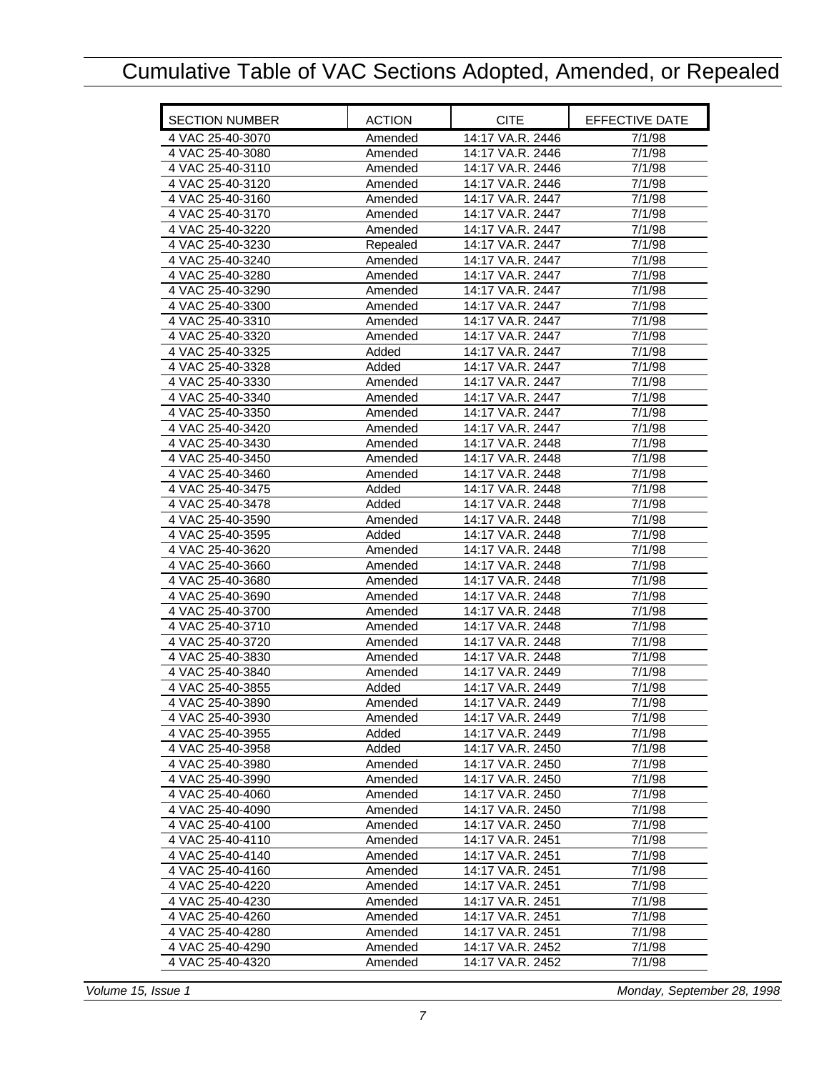| <b>SECTION NUMBER</b> | <b>ACTION</b> | <b>CITE</b>      | EFFECTIVE DATE      |
|-----------------------|---------------|------------------|---------------------|
| 4 VAC 25-40-3070      | Amended       | 14:17 VA.R. 2446 | 7/1/98              |
| 4 VAC 25-40-3080      | Amended       | 14:17 VA.R. 2446 | 7/1/98              |
| 4 VAC 25-40-3110      | Amended       | 14:17 VA.R. 2446 | 7/1/98              |
| 4 VAC 25-40-3120      | Amended       | 14:17 VA.R. 2446 | 7/1/98              |
| 4 VAC 25-40-3160      | Amended       | 14:17 VA.R. 2447 | 7/1/98              |
| 4 VAC 25-40-3170      | Amended       | 14:17 VA.R. 2447 | 7/1/98              |
| 4 VAC 25-40-3220      | Amended       | 14:17 VA.R. 2447 | 7/1/98              |
| 4 VAC 25-40-3230      | Repealed      | 14:17 VA.R. 2447 | 7/1/98              |
| 4 VAC 25-40-3240      | Amended       | 14:17 VA.R. 2447 | 7/1/98              |
| 4 VAC 25-40-3280      | Amended       | 14:17 VA.R. 2447 | 7/1/98              |
| 4 VAC 25-40-3290      | Amended       | 14:17 VA.R. 2447 | 7/1/98              |
| 4 VAC 25-40-3300      | Amended       | 14:17 VA.R. 2447 | 7/1/98              |
| 4 VAC 25-40-3310      | Amended       | 14:17 VA.R. 2447 | 7/1/98              |
| 4 VAC 25-40-3320      | Amended       | 14:17 VA.R. 2447 | 7/1/98              |
| 4 VAC 25-40-3325      | Added         | 14:17 VA.R. 2447 | 7/1/98              |
| 4 VAC 25-40-3328      | Added         | 14:17 VA.R. 2447 | $\frac{1}{7}$ /1/98 |
| 4 VAC 25-40-3330      | Amended       | 14:17 VA.R. 2447 | 7/1/98              |
| 4 VAC 25-40-3340      | Amended       | 14:17 VA.R. 2447 | 7/1/98              |
| 4 VAC 25-40-3350      | Amended       | 14:17 VA.R. 2447 | 7/1/98              |
| 4 VAC 25-40-3420      | Amended       | 14:17 VA.R. 2447 | 7/1/98              |
| 4 VAC 25-40-3430      | Amended       | 14:17 VA.R. 2448 | 7/1/98              |
| 4 VAC 25-40-3450      | Amended       | 14:17 VA.R. 2448 | 7/1/98              |
| 4 VAC 25-40-3460      | Amended       | 14:17 VA.R. 2448 | 7/1/98              |
| 4 VAC 25-40-3475      | Added         | 14:17 VA.R. 2448 | 7/1/98              |
| 4 VAC 25-40-3478      | Added         | 14:17 VA.R. 2448 | 7/1/98              |
| 4 VAC 25-40-3590      | Amended       | 14:17 VA.R. 2448 | 7/1/98              |
| 4 VAC 25-40-3595      | Added         | 14:17 VA.R. 2448 | 7/1/98              |
| 4 VAC 25-40-3620      | Amended       | 14:17 VA.R. 2448 | 7/1/98              |
| 4 VAC 25-40-3660      | Amended       | 14:17 VA.R. 2448 | 7/1/98              |
| 4 VAC 25-40-3680      | Amended       | 14:17 VA.R. 2448 | 7/1/98              |
| 4 VAC 25-40-3690      | Amended       | 14:17 VA.R. 2448 | 7/1/98              |
| 4 VAC 25-40-3700      | Amended       | 14:17 VA.R. 2448 | 7/1/98              |
| 4 VAC 25-40-3710      | Amended       | 14:17 VA.R. 2448 | 7/1/98              |
| 4 VAC 25-40-3720      | Amended       | 14:17 VA.R. 2448 | 7/1/98              |
| 4 VAC 25-40-3830      | Amended       | 14:17 VA.R. 2448 | 7/1/98              |
| 4 VAC 25-40-3840      | Amended       | 14:17 VA.R. 2449 | 7/1/98              |
| 4 VAC 25-40-3855      | Added         | 14:17 VA.R. 2449 | 7/1/98              |
| 4 VAC 25-40-3890      | Amended       | 14:17 VA.R. 2449 | 7/1/98              |
| 4 VAC 25-40-3930      | Amended       | 14:17 VA.R. 2449 | 7/1/98              |
| 4 VAC 25-40-3955      | Added         | 14:17 VA.R. 2449 | 7/1/98              |
| 4 VAC 25-40-3958      | Added         | 14:17 VA.R. 2450 | 7/1/98              |
| 4 VAC 25-40-3980      | Amended       | 14:17 VA.R. 2450 | 7/1/98              |
| 4 VAC 25-40-3990      | Amended       | 14:17 VA.R. 2450 | 7/1/98              |
| 4 VAC 25-40-4060      | Amended       | 14:17 VA.R. 2450 | 7/1/98              |
| 4 VAC 25-40-4090      | Amended       | 14:17 VA.R. 2450 | 7/1/98              |
| 4 VAC 25-40-4100      | Amended       | 14:17 VA.R. 2450 | 7/1/98              |
| 4 VAC 25-40-4110      | Amended       | 14:17 VA.R. 2451 | 7/1/98              |
| 4 VAC 25-40-4140      | Amended       | 14:17 VA.R. 2451 | 7/1/98              |
| 4 VAC 25-40-4160      | Amended       | 14:17 VA.R. 2451 | 7/1/98              |
| 4 VAC 25-40-4220      | Amended       | 14:17 VA.R. 2451 | 7/1/98              |
| 4 VAC 25-40-4230      | Amended       | 14:17 VA.R. 2451 | 7/1/98              |
| 4 VAC 25-40-4260      | Amended       | 14:17 VA.R. 2451 | 7/1/98              |
| 4 VAC 25-40-4280      | Amended       | 14:17 VA.R. 2451 | 7/1/98              |
| 4 VAC 25-40-4290      | Amended       | 14:17 VA.R. 2452 | 7/1/98              |
| 4 VAC 25-40-4320      | Amended       | 14:17 VA.R. 2452 | 7/1/98              |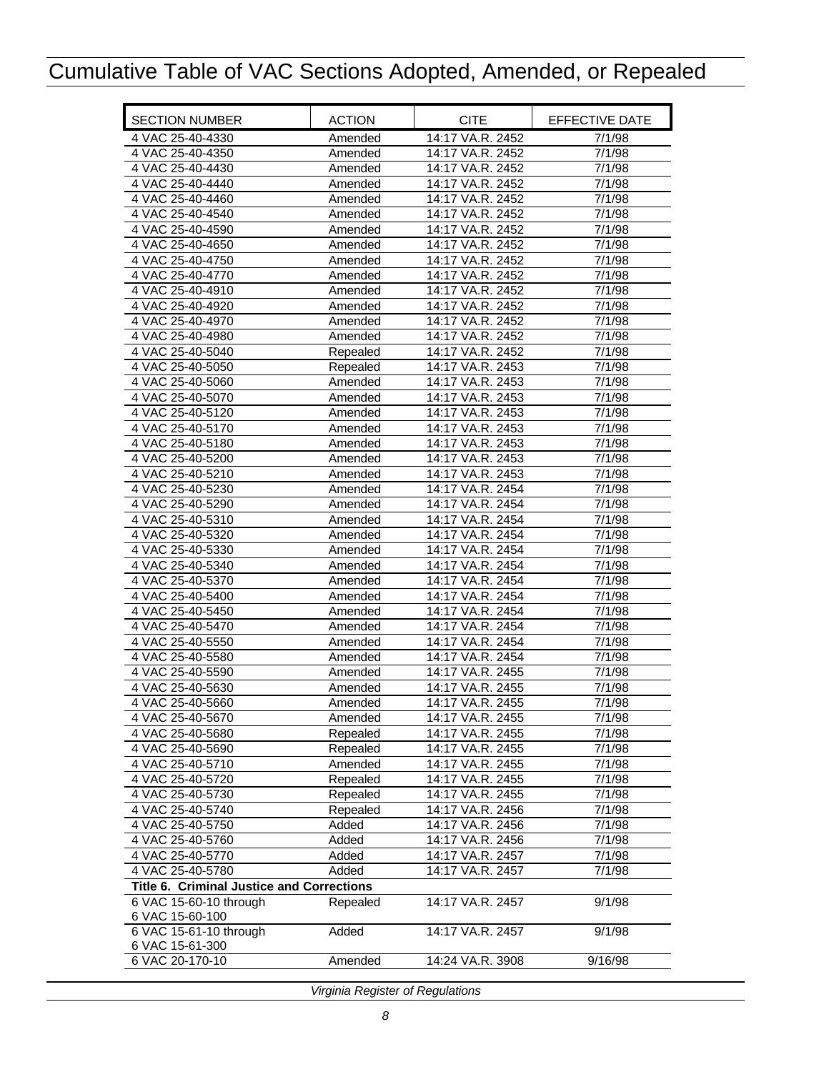<span id="page-9-0"></span>

| <b>SECTION NUMBER</b>                                               | <b>ACTION</b> | <b>CITE</b>      | <b>EFFECTIVE DATE</b> |
|---------------------------------------------------------------------|---------------|------------------|-----------------------|
| 4 VAC 25-40-4330                                                    | Amended       | 14:17 VA.R. 2452 | 7/1/98                |
| 4 VAC 25-40-4350                                                    | Amended       | 14:17 VA.R. 2452 | 7/1/98                |
| 4 VAC 25-40-4430                                                    | Amended       | 14:17 VA.R. 2452 | 7/1/98                |
| 4 VAC 25-40-4440                                                    | Amended       | 14:17 VA.R. 2452 | 7/1/98                |
| 4 VAC 25-40-4460                                                    | Amended       | 14:17 VA.R. 2452 | 7/1/98                |
| 4 VAC 25-40-4540                                                    | Amended       | 14:17 VA.R. 2452 | 7/1/98                |
| 4 VAC 25-40-4590                                                    | Amended       | 14:17 VA.R. 2452 | 7/1/98                |
| 4 VAC 25-40-4650                                                    | Amended       | 14:17 VA.R. 2452 | 7/1/98                |
| 4 VAC 25-40-4750                                                    | Amended       | 14:17 VA.R. 2452 | 7/1/98                |
| 4 VAC 25-40-4770                                                    | Amended       | 14:17 VA.R. 2452 | 7/1/98                |
| 4 VAC 25-40-4910                                                    | Amended       | 14:17 VA.R. 2452 | 7/1/98                |
| 4 VAC 25-40-4920                                                    | Amended       | 14:17 VA.R. 2452 | 7/1/98                |
| 4 VAC 25-40-4970                                                    | Amended       | 14:17 VA.R. 2452 | 7/1/98                |
| 4 VAC 25-40-4980                                                    | Amended       | 14:17 VA.R. 2452 | 7/1/98                |
| 4 VAC 25-40-5040                                                    | Repealed      | 14:17 VA.R. 2452 | 7/1/98                |
| 4 VAC 25-40-5050                                                    | Repealed      | 14:17 VA.R. 2453 | 7/1/98                |
| 4 VAC 25-40-5060                                                    | Amended       | 14:17 VA.R. 2453 | 7/1/98                |
| 4 VAC 25-40-5070                                                    | Amended       | 14:17 VA.R. 2453 | 7/1/98                |
| 4 VAC 25-40-5120                                                    | Amended       | 14:17 VA.R. 2453 | 7/1/98                |
| 4 VAC 25-40-5170                                                    | Amended       | 14:17 VA.R. 2453 | 7/1/98                |
| 4 VAC 25-40-5180                                                    | Amended       | 14:17 VA.R. 2453 | 7/1/98                |
| 4 VAC 25-40-5200                                                    | Amended       | 14:17 VA.R. 2453 | 7/1/98                |
| 4 VAC 25-40-5210                                                    | Amended       | 14:17 VA.R. 2453 | 7/1/98                |
| 4 VAC 25-40-5230                                                    | Amended       | 14:17 VA.R. 2454 | 7/1/98                |
| 4 VAC 25-40-5290                                                    | Amended       | 14:17 VA.R. 2454 | 7/1/98                |
| 4 VAC 25-40-5310                                                    | Amended       | 14:17 VA.R. 2454 | 7/1/98                |
| 4 VAC 25-40-5320                                                    | Amended       | 14:17 VA.R. 2454 | 7/1/98                |
| 4 VAC 25-40-5330                                                    | Amended       | 14:17 VA.R. 2454 | 7/1/98                |
| 4 VAC 25-40-5340                                                    | Amended       | 14:17 VA.R. 2454 | 7/1/98                |
| 4 VAC 25-40-5370                                                    | Amended       | 14:17 VA.R. 2454 | 7/1/98                |
| 4 VAC 25-40-5400                                                    | Amended       | 14:17 VA.R. 2454 | 7/1/98                |
| 4 VAC 25-40-5450                                                    | Amended       | 14:17 VA.R. 2454 | 7/1/98                |
| 4 VAC 25-40-5470                                                    | Amended       | 14:17 VA.R. 2454 | 7/1/98                |
| 4 VAC 25-40-5550                                                    | Amended       | 14:17 VA.R. 2454 | 7/1/98                |
| 4 VAC 25-40-5580                                                    | Amended       | 14:17 VA.R. 2454 | 7/1/98                |
| 4 VAC 25-40-5590                                                    | Amended       | 14:17 VA.R. 2455 | 7/1/98                |
| 4 VAC 25-40-5630                                                    | Amended       | 14:17 VA.R. 2455 | 7/1/98                |
| 4 VAC 25-40-5660                                                    | Amended       | 14:17 VA.R. 2455 | 7/1/98                |
| 4 VAC 25-40-5670                                                    | Amended       | 14:17 VA.R. 2455 | 7/1/98                |
| 4 VAC 25-40-5680                                                    | Repealed      | 14:17 VA.R. 2455 | 7/1/98                |
| 4 VAC 25-40-5690                                                    | Repealed      | 14:17 VA.R. 2455 | 7/1/98                |
| 4 VAC 25-40-5710                                                    | Amended       | 14:17 VA.R. 2455 | 7/1/98                |
| 4 VAC 25-40-5720                                                    | Repealed      | 14:17 VA.R. 2455 | 7/1/98                |
| 4 VAC 25-40-5730                                                    | Repealed      | 14:17 VA.R. 2455 | 7/1/98                |
| 4 VAC 25-40-5740                                                    | Repealed      | 14:17 VA.R. 2456 | 7/1/98                |
| 4 VAC 25-40-5750                                                    | Added         | 14:17 VA.R. 2456 | 7/1/98                |
| 4 VAC 25-40-5760                                                    | Added         | 14:17 VA.R. 2456 | 7/1/98                |
| 4 VAC 25-40-5770                                                    | Added         | 14:17 VA.R. 2457 | 7/1/98                |
| 4 VAC 25-40-5780                                                    | Added         | 14:17 VA.R. 2457 | 7/1/98                |
| Title 6. Criminal Justice and Corrections<br>6 VAC 15-60-10 through | Repealed      | 14:17 VA.R. 2457 | 9/1/98                |
| 6 VAC 15-60-100                                                     |               |                  |                       |
| 6 VAC 15-61-10 through                                              | Added         | 14:17 VA.R. 2457 | 9/1/98                |
| 6 VAC 15-61-300<br>6 VAC 20-170-10                                  | Amended       | 14:24 VA.R. 3908 | 9/16/98               |
|                                                                     |               |                  |                       |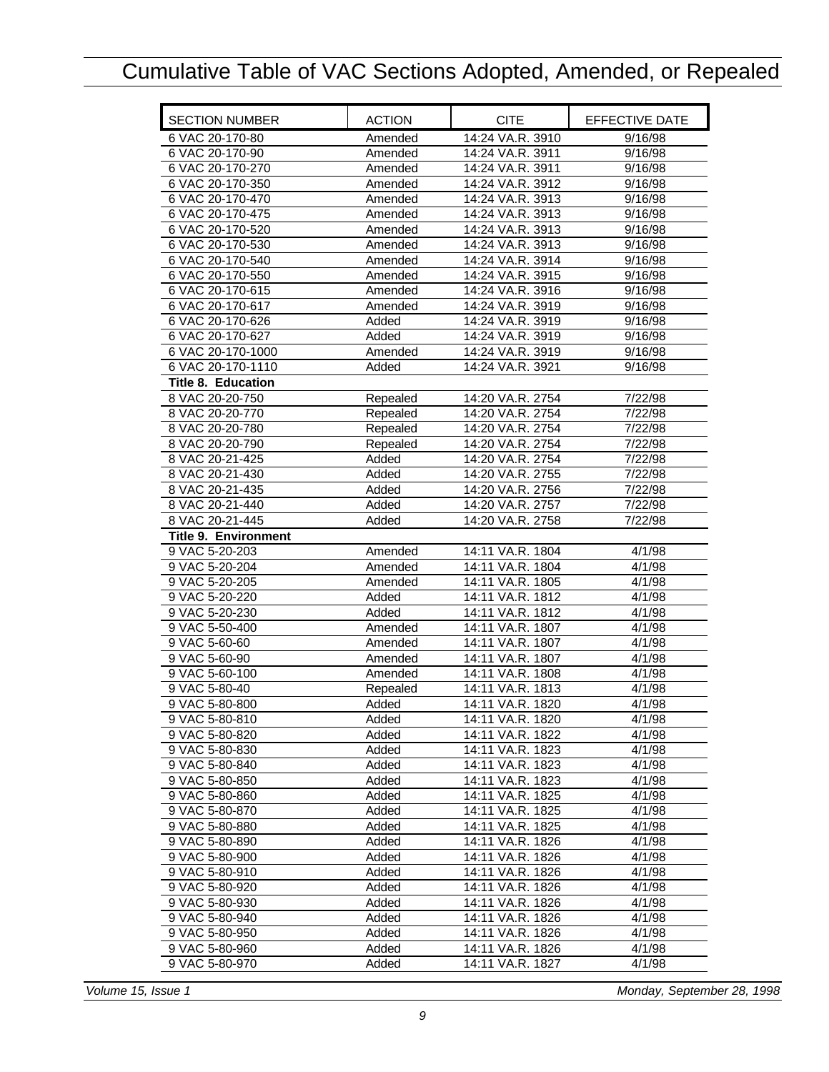<span id="page-10-0"></span>

| <b>SECTION NUMBER</b>       | <b>ACTION</b> | <b>CITE</b>      | EFFECTIVE DATE |
|-----------------------------|---------------|------------------|----------------|
| 6 VAC 20-170-80             | Amended       | 14:24 VA.R. 3910 | 9/16/98        |
| 6 VAC 20-170-90             | Amended       | 14:24 VA.R. 3911 | 9/16/98        |
| 6 VAC 20-170-270            | Amended       | 14:24 VA.R. 3911 | 9/16/98        |
| 6 VAC 20-170-350            | Amended       | 14:24 VA.R. 3912 | 9/16/98        |
| 6 VAC 20-170-470            | Amended       | 14:24 VA.R. 3913 | 9/16/98        |
| 6 VAC 20-170-475            | Amended       | 14:24 VA.R. 3913 | 9/16/98        |
| 6 VAC 20-170-520            | Amended       | 14:24 VA.R. 3913 | 9/16/98        |
| 6 VAC 20-170-530            | Amended       | 14:24 VA.R. 3913 | 9/16/98        |
| 6 VAC 20-170-540            | Amended       | 14:24 VA.R. 3914 | 9/16/98        |
| 6 VAC 20-170-550            | Amended       | 14:24 VA.R. 3915 | 9/16/98        |
| 6 VAC 20-170-615            | Amended       | 14:24 VA.R. 3916 | 9/16/98        |
| 6 VAC 20-170-617            | Amended       | 14:24 VA.R. 3919 | 9/16/98        |
| 6 VAC 20-170-626            | Added         | 14:24 VA.R. 3919 | 9/16/98        |
| 6 VAC 20-170-627            | Added         | 14:24 VA.R. 3919 | 9/16/98        |
| 6 VAC 20-170-1000           | Amended       | 14:24 VA.R. 3919 | 9/16/98        |
| 6 VAC 20-170-1110           | Added         | 14:24 VA.R. 3921 | 9/16/98        |
| <b>Title 8. Education</b>   |               |                  |                |
| 8 VAC 20-20-750             | Repealed      | 14:20 VA.R. 2754 | 7/22/98        |
| 8 VAC 20-20-770             | Repealed      | 14:20 VA.R. 2754 | 7/22/98        |
| 8 VAC 20-20-780             | Repealed      | 14:20 VA.R. 2754 | 7/22/98        |
| 8 VAC 20-20-790             | Repealed      | 14:20 VA.R. 2754 | 7/22/98        |
| 8 VAC 20-21-425             | Added         | 14:20 VA.R. 2754 | 7/22/98        |
| 8 VAC 20-21-430             | Added         | 14:20 VA.R. 2755 | 7/22/98        |
| 8 VAC 20-21-435             | Added         | 14:20 VA.R. 2756 | 7/22/98        |
| 8 VAC 20-21-440             | Added         | 14:20 VA.R. 2757 | 7/22/98        |
| 8 VAC 20-21-445             | Added         | 14:20 VA.R. 2758 | 7/22/98        |
| <b>Title 9. Environment</b> |               |                  |                |
| 9 VAC 5-20-203              | Amended       | 14:11 VA.R. 1804 | 4/1/98         |
| 9 VAC 5-20-204              | Amended       | 14:11 VA.R. 1804 | 4/1/98         |
| 9 VAC 5-20-205              | Amended       | 14:11 VA.R. 1805 | 4/1/98         |
| 9 VAC 5-20-220              | Added         | 14:11 VA.R. 1812 | 4/1/98         |
| 9 VAC 5-20-230              | Added         | 14:11 VA.R. 1812 | 4/1/98         |
| 9 VAC 5-50-400              | Amended       | 14:11 VA.R. 1807 | 4/1/98         |
| 9 VAC 5-60-60               | Amended       | 14:11 VA.R. 1807 | 4/1/98         |
| 9 VAC 5-60-90               | Amended       | 14:11 VA.R. 1807 | 4/1/98         |
| 9 VAC 5-60-100              | Amended       | 14:11 VA.R. 1808 | 4/1/98         |
| 9 VAC 5-80-40               | Repealed      | 14:11 VA.R. 1813 | 4/1/98         |
| 9 VAC 5-80-800              | Added         | 14:11 VA.R. 1820 | 4/1/98         |
| 9 VAC 5-80-810              | Added         | 14:11 VA.R. 1820 | 4/1/98         |
| 9 VAC 5-80-820              | Added         | 14:11 VA.R. 1822 | 4/1/98         |
| 9 VAC 5-80-830              | Added         | 14:11 VA.R. 1823 | 4/1/98         |
| 9 VAC 5-80-840              | Added         | 14:11 VA.R. 1823 | 4/1/98         |
| 9 VAC 5-80-850              | Added         | 14:11 VA.R. 1823 | 4/1/98         |
| 9 VAC 5-80-860              | Added         | 14:11 VA.R. 1825 | 4/1/98         |
| 9 VAC 5-80-870              | Added         | 14:11 VA.R. 1825 | 4/1/98         |
| 9 VAC 5-80-880              | Added         | 14:11 VA.R. 1825 | 4/1/98         |
| 9 VAC 5-80-890              | Added         | 14:11 VA.R. 1826 | 4/1/98         |
| 9 VAC 5-80-900              | Added         | 14:11 VA.R. 1826 | 4/1/98         |
| 9 VAC 5-80-910              | Added         | 14:11 VA.R. 1826 | 4/1/98         |
| 9 VAC 5-80-920              | Added         | 14:11 VA.R. 1826 | 4/1/98         |
| 9 VAC 5-80-930              | Added         | 14:11 VA.R. 1826 | 4/1/98         |
| 9 VAC 5-80-940              | Added         | 14:11 VA.R. 1826 | 4/1/98         |
| 9 VAC 5-80-950              | Added         | 14:11 VA.R. 1826 | 4/1/98         |
| 9 VAC 5-80-960              | Added         | 14:11 VA.R. 1826 | 4/1/98         |
| 9 VAC 5-80-970              | Added         | 14:11 VA.R. 1827 | 4/1/98         |
|                             |               |                  |                |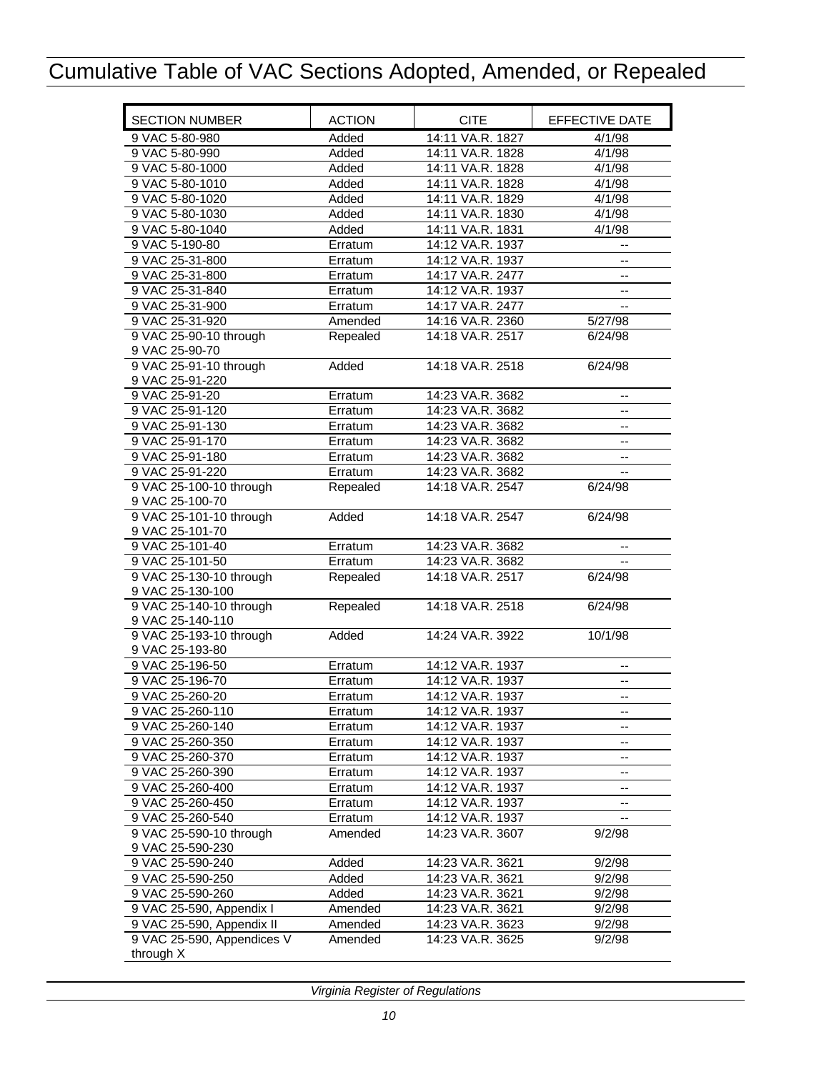| <b>SECTION NUMBER</b>                     | <b>ACTION</b> | <b>CITE</b>      | EFFECTIVE DATE           |
|-------------------------------------------|---------------|------------------|--------------------------|
| 9 VAC 5-80-980                            | Added         | 14:11 VA.R. 1827 | 4/1/98                   |
| 9 VAC 5-80-990                            | Added         | 14:11 VA.R. 1828 | 4/1/98                   |
| 9 VAC 5-80-1000                           | Added         | 14:11 VA.R. 1828 | 4/1/98                   |
| 9 VAC 5-80-1010                           | Added         | 14:11 VA.R. 1828 | 4/1/98                   |
| 9 VAC 5-80-1020                           | Added         | 14:11 VA.R. 1829 | 4/1/98                   |
| 9 VAC 5-80-1030                           | Added         | 14:11 VA.R. 1830 | 4/1/98                   |
| 9 VAC 5-80-1040                           | Added         | 14:11 VA.R. 1831 | 4/1/98                   |
| 9 VAC 5-190-80                            | Erratum       | 14:12 VA.R. 1937 | -−                       |
| 9 VAC 25-31-800                           | Erratum       | 14:12 VA.R. 1937 | --                       |
| 9 VAC 25-31-800                           | Erratum       | 14:17 VA.R. 2477 | --                       |
| 9 VAC 25-31-840                           | Erratum       | 14:12 VA.R. 1937 | --                       |
| 9 VAC 25-31-900                           | Erratum       | 14:17 VA.R. 2477 | --                       |
| 9 VAC 25-31-920                           | Amended       | 14:16 VA.R. 2360 | 5/27/98                  |
| 9 VAC 25-90-10 through                    | Repealed      | 14:18 VA.R. 2517 | 6/24/98                  |
| 9 VAC 25-90-70                            |               |                  |                          |
| 9 VAC 25-91-10 through<br>9 VAC 25-91-220 | Added         | 14:18 VA.R. 2518 | 6/24/98                  |
| 9 VAC 25-91-20                            | Erratum       | 14:23 VA.R. 3682 | $-$                      |
| 9 VAC 25-91-120                           | Erratum       | 14:23 VA.R. 3682 |                          |
| 9 VAC 25-91-130                           | Erratum       | 14:23 VA.R. 3682 | $-$                      |
| 9 VAC 25-91-170                           | Erratum       | 14:23 VA.R. 3682 |                          |
| 9 VAC 25-91-180                           | Erratum       | 14:23 VA.R. 3682 | --                       |
| 9 VAC 25-91-220                           | Erratum       | 14:23 VA.R. 3682 | --                       |
| 9 VAC 25-100-10 through                   | Repealed      | 14:18 VA.R. 2547 | --<br>6/24/98            |
| 9 VAC 25-100-70                           |               |                  |                          |
| 9 VAC 25-101-10 through                   | Added         | 14:18 VA.R. 2547 | 6/24/98                  |
| 9 VAC 25-101-70                           |               |                  |                          |
| 9 VAC 25-101-40                           | Erratum       | 14:23 VA.R. 3682 | $\overline{\phantom{a}}$ |
| 9 VAC 25-101-50                           | Erratum       | 14:23 VA.R. 3682 |                          |
| 9 VAC 25-130-10 through                   | Repealed      | 14:18 VA.R. 2517 | 6/24/98                  |
| 9 VAC 25-130-100                          |               |                  |                          |
| 9 VAC 25-140-10 through                   | Repealed      | 14:18 VA.R. 2518 | 6/24/98                  |
| 9 VAC 25-140-110                          |               |                  |                          |
| 9 VAC 25-193-10 through                   | Added         | 14:24 VA.R. 3922 | 10/1/98                  |
| 9 VAC 25-193-80                           |               |                  |                          |
| 9 VAC 25-196-50                           | Erratum       | 14:12 VA.R. 1937 | --                       |
| 9 VAC 25-196-70                           | Erratum       | 14:12 VA.R. 1937 | --                       |
| 9 VAC 25-260-20                           | Erratum       | 14:12 VA.R. 1937 | $\qquad \qquad -$        |
| 9 VAC 25-260-110                          | Erratum       | 14:12 VA.R. 1937 |                          |
| 9 VAC 25-260-140                          | Erratum       | 14:12 VA.R. 1937 |                          |
| 9 VAC 25-260-350                          | Erratum       | 14:12 VA.R. 1937 | --                       |
| 9 VAC 25-260-370                          | Erratum       | 14:12 VA.R. 1937 | --                       |
| 9 VAC 25-260-390                          | Erratum       | 14:12 VA.R. 1937 | --                       |
| 9 VAC 25-260-400                          | Erratum       | 14:12 VA.R. 1937 | --                       |
| 9 VAC 25-260-450                          | Erratum       | 14:12 VA.R. 1937 |                          |
| 9 VAC 25-260-540                          | Erratum       | 14:12 VA.R. 1937 |                          |
| 9 VAC 25-590-10 through                   | Amended       | 14:23 VA.R. 3607 | 9/2/98                   |
| 9 VAC 25-590-230                          |               |                  |                          |
| 9 VAC 25-590-240                          | Added         | 14:23 VA.R. 3621 | 9/2/98                   |
| 9 VAC 25-590-250                          | Added         | 14:23 VA.R. 3621 | 9/2/98                   |
| 9 VAC 25-590-260                          | Added         | 14:23 VA.R. 3621 | 9/2/98                   |
| 9 VAC 25-590, Appendix I                  | Amended       | 14:23 VA.R. 3621 | 9/2/98                   |
| 9 VAC 25-590, Appendix II                 | Amended       | 14:23 VA.R. 3623 | 9/2/98                   |
| 9 VAC 25-590, Appendices V                | Amended       | 14:23 VA.R. 3625 | 9/2/98                   |
| through X                                 |               |                  |                          |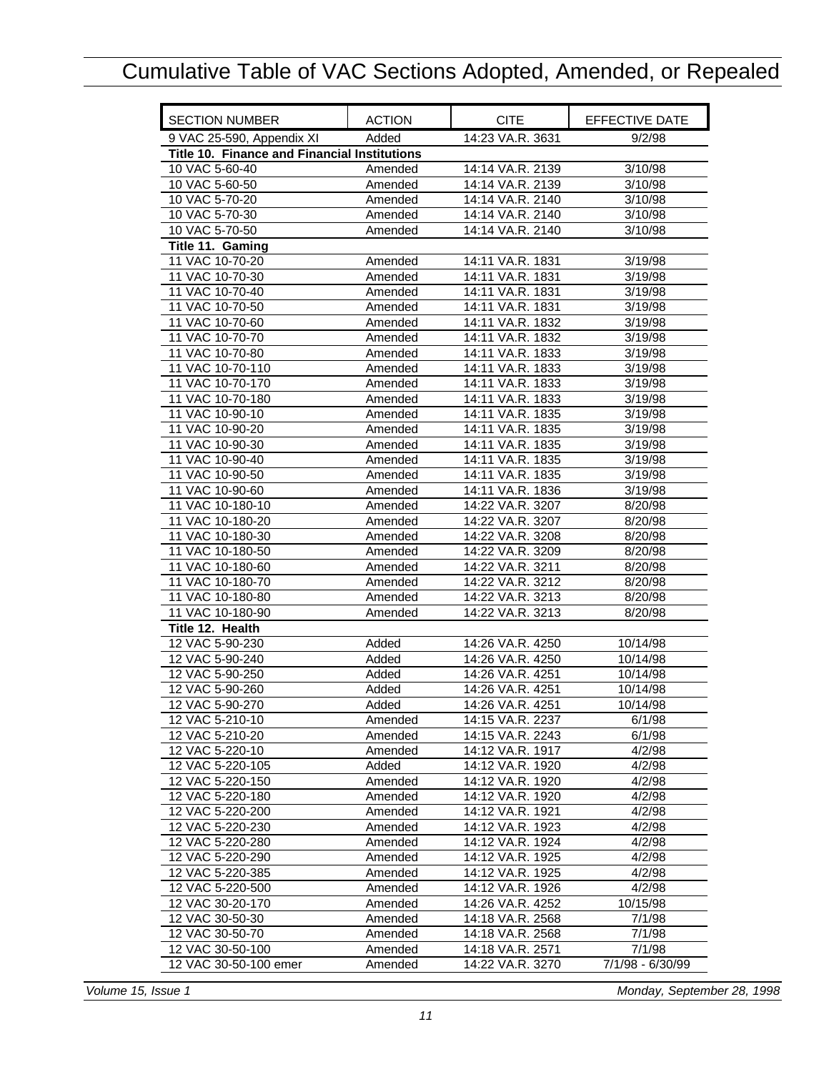<span id="page-12-0"></span>

| <b>SECTION NUMBER</b>                               | <b>ACTION</b> | <b>CITE</b>      | <b>EFFECTIVE DATE</b> |
|-----------------------------------------------------|---------------|------------------|-----------------------|
| 9 VAC 25-590, Appendix XI                           | Added         | 14:23 VA.R. 3631 | 9/2/98                |
| <b>Title 10. Finance and Financial Institutions</b> |               |                  |                       |
| 10 VAC 5-60-40                                      | Amended       | 14:14 VA.R. 2139 | 3/10/98               |
| 10 VAC 5-60-50                                      | Amended       | 14:14 VA.R. 2139 | 3/10/98               |
| 10 VAC 5-70-20                                      | Amended       | 14:14 VA.R. 2140 | 3/10/98               |
| 10 VAC 5-70-30                                      | Amended       | 14:14 VA.R. 2140 | 3/10/98               |
| 10 VAC 5-70-50                                      | Amended       | 14:14 VA.R. 2140 | 3/10/98               |
| Title 11. Gaming                                    |               |                  |                       |
| 11 VAC 10-70-20                                     | Amended       | 14:11 VA.R. 1831 | 3/19/98               |
| 11 VAC 10-70-30                                     | Amended       | 14:11 VA.R. 1831 | 3/19/98               |
| 11 VAC 10-70-40                                     | Amended       | 14:11 VA.R. 1831 | 3/19/98               |
| 11 VAC 10-70-50                                     | Amended       | 14:11 VA.R. 1831 | 3/19/98               |
| 11 VAC 10-70-60                                     | Amended       | 14:11 VA.R. 1832 | 3/19/98               |
| 11 VAC 10-70-70                                     | Amended       | 14:11 VA.R. 1832 | 3/19/98               |
| 11 VAC 10-70-80                                     | Amended       | 14:11 VA.R. 1833 | 3/19/98               |
| 11 VAC 10-70-110                                    | Amended       | 14:11 VA.R. 1833 | 3/19/98               |
| 11 VAC 10-70-170                                    | Amended       | 14:11 VA.R. 1833 | 3/19/98               |
| 11 VAC 10-70-180                                    | Amended       | 14:11 VA.R. 1833 | 3/19/98               |
| 11 VAC 10-90-10                                     | Amended       | 14:11 VA.R. 1835 | 3/19/98               |
| 11 VAC 10-90-20                                     | Amended       | 14:11 VA.R. 1835 | 3/19/98               |
| 11 VAC 10-90-30                                     | Amended       | 14:11 VA.R. 1835 | 3/19/98               |
| 11 VAC 10-90-40                                     | Amended       | 14:11 VA.R. 1835 | 3/19/98               |
| 11 VAC 10-90-50                                     | Amended       | 14:11 VA.R. 1835 | 3/19/98               |
| 11 VAC 10-90-60                                     | Amended       | 14:11 VA.R. 1836 | 3/19/98               |
| 11 VAC 10-180-10                                    | Amended       | 14:22 VA.R. 3207 | 8/20/98               |
| 11 VAC 10-180-20                                    | Amended       | 14:22 VA.R. 3207 | 8/20/98               |
| 11 VAC 10-180-30                                    | Amended       | 14:22 VA.R. 3208 | 8/20/98               |
| 11 VAC 10-180-50                                    | Amended       | 14:22 VA.R. 3209 | 8/20/98               |
| 11 VAC 10-180-60                                    | Amended       | 14:22 VA.R. 3211 | 8/20/98               |
| 11 VAC 10-180-70                                    | Amended       | 14:22 VA.R. 3212 | 8/20/98               |
| 11 VAC 10-180-80                                    | Amended       | 14:22 VA.R. 3213 | 8/20/98               |
| 11 VAC 10-180-90                                    | Amended       | 14:22 VA.R. 3213 | 8/20/98               |
| Title 12. Health                                    |               |                  |                       |
| 12 VAC 5-90-230                                     | Added         | 14:26 VA.R. 4250 | 10/14/98              |
| 12 VAC 5-90-240                                     | Added         | 14:26 VA.R. 4250 | 10/14/98              |
| 12 VAC 5-90-250                                     | Added         | 14:26 VA.R. 4251 | 10/14/98              |
| 12 VAC 5-90-260                                     | Added         | 14:26 VA.R. 4251 | 10/14/98              |
| 12 VAC 5-90-270                                     | Added         | 14:26 VA.R. 4251 | 10/14/98              |
| 12 VAC 5-210-10                                     | Amended       | 14:15 VA.R. 2237 | 6/1/98                |
| 12 VAC 5-210-20                                     | Amended       | 14:15 VA.R. 2243 | 6/1/98                |
| 12 VAC 5-220-10                                     | Amended       | 14:12 VA.R. 1917 | 4/2/98                |
| 12 VAC 5-220-105                                    | Added         | 14:12 VA.R. 1920 | 4/2/98                |
| 12 VAC 5-220-150                                    | Amended       | 14:12 VA.R. 1920 | 4/2/98                |
| 12 VAC 5-220-180                                    | Amended       | 14:12 VA.R. 1920 | 4/2/98                |
| 12 VAC 5-220-200                                    | Amended       | 14:12 VA.R. 1921 | 4/2/98                |
| 12 VAC 5-220-230                                    | Amended       | 14:12 VA.R. 1923 | 4/2/98                |
| 12 VAC 5-220-280                                    | Amended       | 14:12 VA.R. 1924 | 4/2/98                |
| 12 VAC 5-220-290                                    | Amended       | 14:12 VA.R. 1925 | 4/2/98                |
| 12 VAC 5-220-385                                    | Amended       | 14:12 VA.R. 1925 | 4/2/98                |
| 12 VAC 5-220-500                                    | Amended       | 14:12 VA.R. 1926 | 4/2/98                |
| 12 VAC 30-20-170                                    | Amended       | 14:26 VA.R. 4252 | 10/15/98              |
| 12 VAC 30-50-30                                     | Amended       | 14:18 VA.R. 2568 | 7/1/98                |
| 12 VAC 30-50-70                                     | Amended       | 14:18 VA.R. 2568 | 7/1/98                |
| 12 VAC 30-50-100                                    | Amended       | 14:18 VA.R. 2571 | 7/1/98                |
| 12 VAC 30-50-100 emer                               | Amended       | 14:22 VA.R. 3270 | 7/1/98 - 6/30/99      |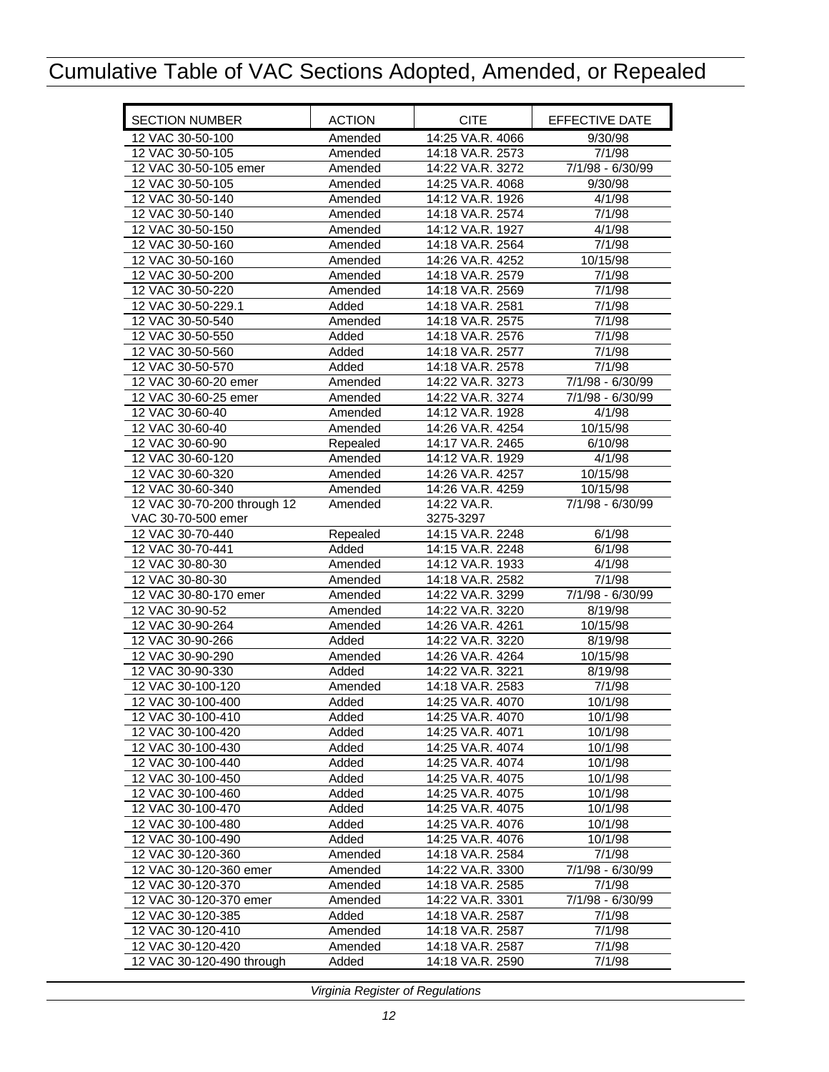| <b>SECTION NUMBER</b>       | <b>ACTION</b> | <b>CITE</b>      | EFFECTIVE DATE   |
|-----------------------------|---------------|------------------|------------------|
| 12 VAC 30-50-100            | Amended       | 14:25 VA.R. 4066 | 9/30/98          |
| 12 VAC 30-50-105            | Amended       | 14:18 VA.R. 2573 | 7/1/98           |
| 12 VAC 30-50-105 emer       | Amended       | 14:22 VA.R. 3272 | 7/1/98 - 6/30/99 |
| 12 VAC 30-50-105            | Amended       | 14:25 VA.R. 4068 | 9/30/98          |
| 12 VAC 30-50-140            | Amended       | 14:12 VA.R. 1926 | 4/1/98           |
| 12 VAC 30-50-140            | Amended       | 14:18 VA.R. 2574 | 7/1/98           |
| 12 VAC 30-50-150            | Amended       | 14:12 VA.R. 1927 | 4/1/98           |
| 12 VAC 30-50-160            | Amended       | 14:18 VA.R. 2564 | 7/1/98           |
| 12 VAC 30-50-160            | Amended       | 14:26 VA.R. 4252 | 10/15/98         |
| 12 VAC 30-50-200            | Amended       | 14:18 VA.R. 2579 | 7/1/98           |
| 12 VAC 30-50-220            | Amended       | 14:18 VA.R. 2569 | 7/1/98           |
| 12 VAC 30-50-229.1          | Added         | 14:18 VA.R. 2581 | 7/1/98           |
| 12 VAC 30-50-540            | Amended       | 14:18 VA.R. 2575 | 7/1/98           |
| 12 VAC 30-50-550            | Added         | 14:18 VA.R. 2576 | 7/1/98           |
| 12 VAC 30-50-560            | Added         | 14:18 VA.R. 2577 | 7/1/98           |
| 12 VAC 30-50-570            | Added         | 14:18 VA.R. 2578 | 7/1/98           |
| 12 VAC 30-60-20 emer        | Amended       | 14:22 VA.R. 3273 | 7/1/98 - 6/30/99 |
| 12 VAC 30-60-25 emer        | Amended       | 14:22 VA.R. 3274 | 7/1/98 - 6/30/99 |
| 12 VAC 30-60-40             | Amended       | 14:12 VA.R. 1928 | 4/1/98           |
| 12 VAC 30-60-40             | Amended       | 14:26 VA.R. 4254 | 10/15/98         |
| 12 VAC 30-60-90             | Repealed      | 14:17 VA.R. 2465 | 6/10/98          |
| 12 VAC 30-60-120            | Amended       | 14:12 VA.R. 1929 | 4/1/98           |
| 12 VAC 30-60-320            | Amended       | 14:26 VA.R. 4257 | 10/15/98         |
| 12 VAC 30-60-340            | Amended       | 14:26 VA.R. 4259 | 10/15/98         |
| 12 VAC 30-70-200 through 12 | Amended       | 14:22 VA.R.      | 7/1/98 - 6/30/99 |
| VAC 30-70-500 emer          |               | 3275-3297        |                  |
| 12 VAC 30-70-440            | Repealed      | 14:15 VA.R. 2248 | 6/1/98           |
| 12 VAC 30-70-441            | Added         | 14:15 VA.R. 2248 | 6/1/98           |
| 12 VAC 30-80-30             | Amended       | 14:12 VA.R. 1933 | 4/1/98           |
| 12 VAC 30-80-30             | Amended       | 14:18 VA.R. 2582 | 7/1/98           |
| 12 VAC 30-80-170 emer       | Amended       | 14:22 VA.R. 3299 | 7/1/98 - 6/30/99 |
| 12 VAC 30-90-52             | Amended       | 14:22 VA.R. 3220 | 8/19/98          |
| 12 VAC 30-90-264            | Amended       | 14:26 VA.R. 4261 | 10/15/98         |
| 12 VAC 30-90-266            | Added         | 14:22 VA.R. 3220 | 8/19/98          |
| 12 VAC 30-90-290            | Amended       | 14:26 VA.R. 4264 | 10/15/98         |
| 12 VAC 30-90-330            | Added         | 14:22 VA.R. 3221 | 8/19/98          |
| 12 VAC 30-100-120           | Amended       | 14:18 VA.R. 2583 | 7/1/98           |
| 12 VAC 30-100-400           | Added         | 14:25 VA.R. 4070 | 10/1/98          |
| 12 VAC 30-100-410           | Added         | 14:25 VA.R. 4070 | 10/1/98          |
| 12 VAC 30-100-420           | Added         | 14:25 VA.R. 4071 | 10/1/98          |
| 12 VAC 30-100-430           | Added         | 14:25 VA.R. 4074 | 10/1/98          |
| 12 VAC 30-100-440           | Added         | 14:25 VA.R. 4074 | 10/1/98          |
| 12 VAC 30-100-450           | Added         | 14:25 VA.R. 4075 | 10/1/98          |
| 12 VAC 30-100-460           | Added         | 14:25 VA.R. 4075 | 10/1/98          |
| 12 VAC 30-100-470           | Added         | 14:25 VA.R. 4075 | 10/1/98          |
| 12 VAC 30-100-480           | Added         | 14:25 VA.R. 4076 | 10/1/98          |
| 12 VAC 30-100-490           | Added         | 14:25 VA.R. 4076 | 10/1/98          |
| 12 VAC 30-120-360           | Amended       | 14:18 VA.R. 2584 | 7/1/98           |
| 12 VAC 30-120-360 emer      | Amended       | 14:22 VA.R. 3300 | 7/1/98 - 6/30/99 |
| 12 VAC 30-120-370           | Amended       | 14:18 VA.R. 2585 | 7/1/98           |
| 12 VAC 30-120-370 emer      | Amended       | 14:22 VA.R. 3301 | 7/1/98 - 6/30/99 |
| 12 VAC 30-120-385           | Added         | 14:18 VA.R. 2587 | 7/1/98           |
| 12 VAC 30-120-410           | Amended       | 14:18 VA.R. 2587 | 7/1/98           |
| 12 VAC 30-120-420           | Amended       | 14:18 VA.R. 2587 | 7/1/98           |
| 12 VAC 30-120-490 through   | Added         | 14:18 VA.R. 2590 | 7/1/98           |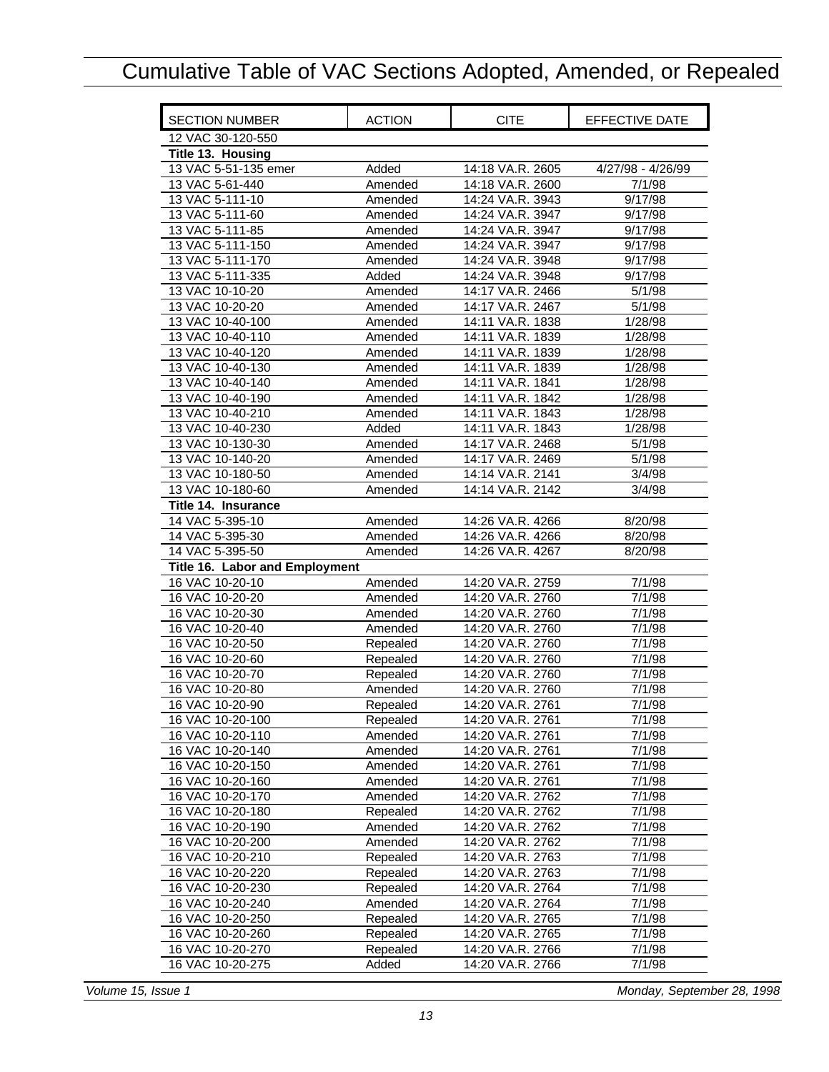<span id="page-14-0"></span>

| <b>SECTION NUMBER</b>          | <b>ACTION</b> | <b>CITE</b>      | EFFECTIVE DATE    |
|--------------------------------|---------------|------------------|-------------------|
| 12 VAC 30-120-550              |               |                  |                   |
| Title 13. Housing              |               |                  |                   |
| 13 VAC 5-51-135 emer           | Added         | 14:18 VA.R. 2605 | 4/27/98 - 4/26/99 |
| 13 VAC 5-61-440                | Amended       | 14:18 VA.R. 2600 | 7/1/98            |
| 13 VAC 5-111-10                | Amended       | 14:24 VA.R. 3943 | 9/17/98           |
| 13 VAC 5-111-60                | Amended       | 14:24 VA.R. 3947 | 9/17/98           |
| 13 VAC 5-111-85                | Amended       | 14:24 VA.R. 3947 | 9/17/98           |
| 13 VAC 5-111-150               | Amended       | 14:24 VA.R. 3947 | 9/17/98           |
| 13 VAC 5-111-170               | Amended       | 14:24 VA.R. 3948 | 9/17/98           |
| 13 VAC 5-111-335               | Added         | 14:24 VA.R. 3948 | 9/17/98           |
| 13 VAC 10-10-20                | Amended       | 14:17 VA.R. 2466 | 5/1/98            |
| 13 VAC 10-20-20                | Amended       | 14:17 VA.R. 2467 | 5/1/98            |
| 13 VAC 10-40-100               | Amended       | 14:11 VA.R. 1838 | 1/28/98           |
| 13 VAC 10-40-110               | Amended       | 14:11 VA.R. 1839 | 1/28/98           |
| 13 VAC 10-40-120               | Amended       | 14:11 VA.R. 1839 | 1/28/98           |
| 13 VAC 10-40-130               | Amended       | 14:11 VA.R. 1839 | 1/28/98           |
| 13 VAC 10-40-140               | Amended       | 14:11 VA.R. 1841 | 1/28/98           |
| 13 VAC 10-40-190               | Amended       | 14:11 VA.R. 1842 | 1/28/98           |
| 13 VAC 10-40-210               | Amended       | 14:11 VA.R. 1843 | 1/28/98           |
| 13 VAC 10-40-230               | Added         | 14:11 VA.R. 1843 | 1/28/98           |
| 13 VAC 10-130-30               | Amended       | 14:17 VA.R. 2468 | 5/1/98            |
| 13 VAC 10-140-20               | Amended       | 14:17 VA.R. 2469 | 5/1/98            |
| 13 VAC 10-180-50               | Amended       | 14:14 VA.R. 2141 | 3/4/98            |
| 13 VAC 10-180-60               | Amended       | 14:14 VA.R. 2142 | 3/4/98            |
| Title 14. Insurance            |               |                  |                   |
| 14 VAC 5-395-10                | Amended       | 14:26 VA.R. 4266 | 8/20/98           |
| 14 VAC 5-395-30                | Amended       | 14:26 VA.R. 4266 | 8/20/98           |
| 14 VAC 5-395-50                | Amended       | 14:26 VA.R. 4267 | 8/20/98           |
| Title 16. Labor and Employment |               |                  |                   |
| 16 VAC 10-20-10                | Amended       | 14:20 VA.R. 2759 | 7/1/98            |
| 16 VAC 10-20-20                | Amended       | 14:20 VA.R. 2760 | 7/1/98            |
| 16 VAC 10-20-30                | Amended       | 14:20 VA.R. 2760 | 7/1/98            |
| 16 VAC 10-20-40                | Amended       | 14:20 VA.R. 2760 | 7/1/98            |
| 16 VAC 10-20-50                | Repealed      | 14:20 VA.R. 2760 | 7/1/98            |
| 16 VAC 10-20-60                | Repealed      | 14:20 VA.R. 2760 | 7/1/98            |
| 16 VAC 10-20-70                | Repealed      | 14:20 VA.R. 2760 | 7/1/98            |
| 16 VAC 10-20-80                | Amended       | 14:20 VA.R. 2760 | 7/1/98            |
| 16 VAC 10-20-90                | Repealed      | 14:20 VA.R. 2761 | 7/1/98            |
| 16 VAC 10-20-100               | Repealed      | 14:20 VA.R. 2761 | 7/1/98            |
| 16 VAC 10-20-110               | Amended       | 14:20 VA.R. 2761 | 7/1/98            |
| 16 VAC 10-20-140               | Amended       | 14:20 VA.R. 2761 | 7/1/98            |
| 16 VAC 10-20-150               | Amended       | 14:20 VA.R. 2761 | 7/1/98            |
| 16 VAC 10-20-160               | Amended       | 14:20 VA.R. 2761 | 7/1/98            |
| 16 VAC 10-20-170               | Amended       | 14:20 VA.R. 2762 | 7/1/98            |
| 16 VAC 10-20-180               | Repealed      | 14:20 VA.R. 2762 | 7/1/98            |
| 16 VAC 10-20-190               | Amended       | 14:20 VA.R. 2762 | 7/1/98            |
| 16 VAC 10-20-200               | Amended       | 14:20 VA.R. 2762 | 7/1/98            |
| 16 VAC 10-20-210               | Repealed      | 14:20 VA.R. 2763 | 7/1/98            |
| 16 VAC 10-20-220               | Repealed      | 14:20 VA.R. 2763 | 7/1/98            |
| 16 VAC 10-20-230               | Repealed      | 14:20 VA.R. 2764 | 7/1/98            |
| 16 VAC 10-20-240               | Amended       | 14:20 VA.R. 2764 | 7/1/98            |
| 16 VAC 10-20-250               | Repealed      | 14:20 VA.R. 2765 | 7/1/98            |
| 16 VAC 10-20-260               | Repealed      | 14:20 VA.R. 2765 | 7/1/98            |
| 16 VAC 10-20-270               | Repealed      | 14:20 VA.R. 2766 | 7/1/98            |
| 16 VAC 10-20-275               | Added         | 14:20 VA.R. 2766 | 7/1/98            |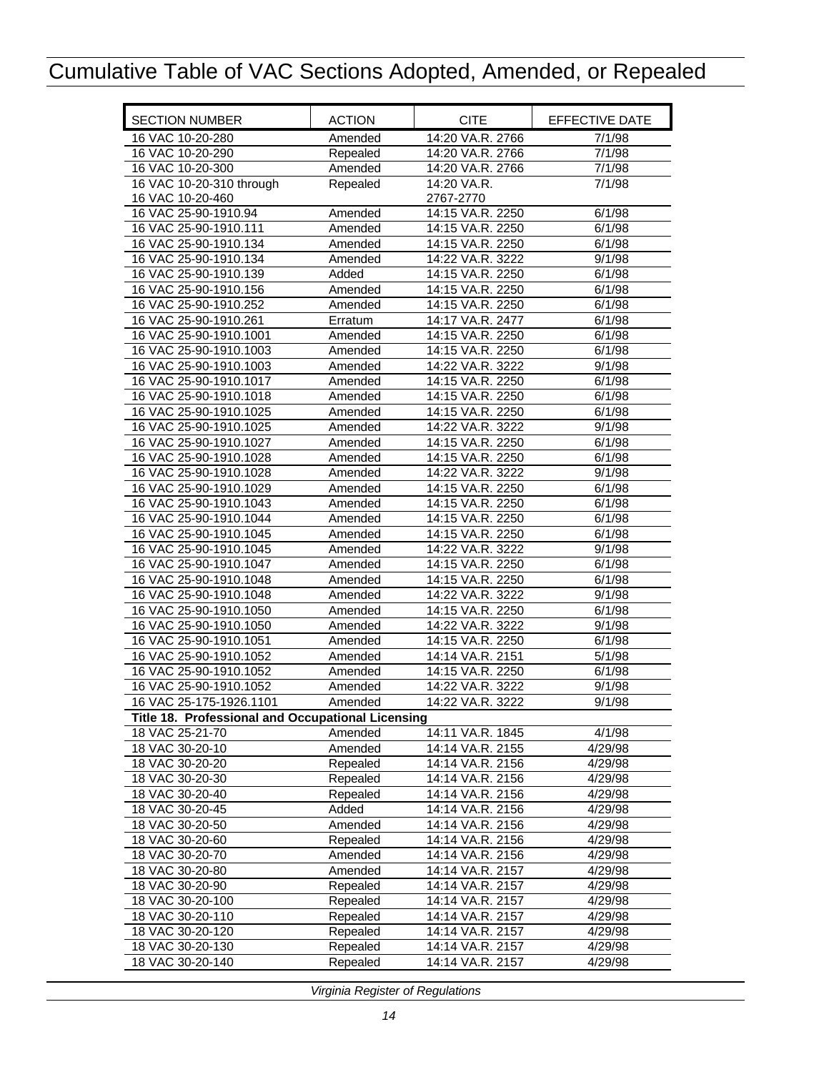<span id="page-15-0"></span>

| <b>SECTION NUMBER</b>                             | <b>ACTION</b> | <b>CITE</b>      | EFFECTIVE DATE |
|---------------------------------------------------|---------------|------------------|----------------|
| 16 VAC 10-20-280                                  | Amended       | 14:20 VA.R. 2766 | 7/1/98         |
| 16 VAC 10-20-290                                  | Repealed      | 14:20 VA.R. 2766 | 7/1/98         |
| 16 VAC 10-20-300                                  | Amended       | 14:20 VA.R. 2766 | 7/1/98         |
| 16 VAC 10-20-310 through                          | Repealed      | 14:20 VA.R.      | 7/1/98         |
| 16 VAC 10-20-460                                  |               | 2767-2770        |                |
| 16 VAC 25-90-1910.94                              | Amended       | 14:15 VA.R. 2250 | 6/1/98         |
| 16 VAC 25-90-1910.111                             | Amended       | 14:15 VA.R. 2250 | 6/1/98         |
| 16 VAC 25-90-1910.134                             | Amended       | 14:15 VA.R. 2250 | 6/1/98         |
| 16 VAC 25-90-1910.134                             | Amended       | 14:22 VA.R. 3222 | 9/1/98         |
| 16 VAC 25-90-1910.139                             | Added         | 14:15 VA.R. 2250 | 6/1/98         |
| 16 VAC 25-90-1910.156                             | Amended       | 14:15 VA.R. 2250 | 6/1/98         |
| 16 VAC 25-90-1910.252                             | Amended       | 14:15 VA.R. 2250 | 6/1/98         |
| 16 VAC 25-90-1910.261                             | Erratum       | 14:17 VA.R. 2477 | 6/1/98         |
| 16 VAC 25-90-1910.1001                            | Amended       | 14:15 VA.R. 2250 | 6/1/98         |
| 16 VAC 25-90-1910.1003                            | Amended       | 14:15 VA.R. 2250 | 6/1/98         |
| 16 VAC 25-90-1910.1003                            | Amended       | 14:22 VA.R. 3222 | 9/1/98         |
| 16 VAC 25-90-1910.1017                            | Amended       | 14:15 VA.R. 2250 | 6/1/98         |
| 16 VAC 25-90-1910.1018                            | Amended       | 14:15 VA.R. 2250 | 6/1/98         |
| 16 VAC 25-90-1910.1025                            | Amended       | 14:15 VA.R. 2250 | 6/1/98         |
| 16 VAC 25-90-1910.1025                            | Amended       | 14:22 VA.R. 3222 | 9/1/98         |
| 16 VAC 25-90-1910.1027                            | Amended       | 14:15 VA.R. 2250 | 6/1/98         |
| 16 VAC 25-90-1910.1028                            | Amended       | 14:15 VA.R. 2250 | 6/1/98         |
| 16 VAC 25-90-1910.1028                            | Amended       | 14:22 VA.R. 3222 | 9/1/98         |
| 16 VAC 25-90-1910.1029                            | Amended       | 14:15 VA.R. 2250 | 6/1/98         |
| 16 VAC 25-90-1910.1043                            | Amended       | 14:15 VA.R. 2250 | 6/1/98         |
| 16 VAC 25-90-1910.1044                            | Amended       | 14:15 VA.R. 2250 | 6/1/98         |
| 16 VAC 25-90-1910.1045                            | Amended       | 14:15 VA.R. 2250 | 6/1/98         |
| 16 VAC 25-90-1910.1045                            | Amended       | 14:22 VA.R. 3222 | 9/1/98         |
| 16 VAC 25-90-1910.1047                            | Amended       | 14:15 VA.R. 2250 | 6/1/98         |
| 16 VAC 25-90-1910.1048                            | Amended       | 14:15 VA.R. 2250 | 6/1/98         |
| 16 VAC 25-90-1910.1048                            | Amended       | 14:22 VA.R. 3222 | 9/1/98         |
| 16 VAC 25-90-1910.1050                            | Amended       | 14:15 VA.R. 2250 | 6/1/98         |
| 16 VAC 25-90-1910.1050                            | Amended       | 14:22 VA.R. 3222 | 9/1/98         |
| 16 VAC 25-90-1910.1051                            | Amended       | 14:15 VA.R. 2250 | 6/1/98         |
| 16 VAC 25-90-1910.1052                            | Amended       | 14:14 VA.R. 2151 | 5/1/98         |
| 16 VAC 25-90-1910.1052                            | Amended       | 14:15 VA.R. 2250 | 6/1/98         |
| 16 VAC 25-90-1910.1052                            | Amended       | 14:22 VA.R. 3222 | 9/1/98         |
| 16 VAC 25-175-1926.1101                           | Amended       | 14:22 VA.R. 3222 | 9/1/98         |
| Title 18. Professional and Occupational Licensing |               |                  |                |
| 18 VAC 25-21-70                                   | Amended       | 14:11 VA.R. 1845 | 4/1/98         |
| 18 VAC 30-20-10                                   | Amended       | 14:14 VA.R. 2155 | 4/29/98        |
| 18 VAC 30-20-20                                   | Repealed      | 14:14 VA.R. 2156 | 4/29/98        |
| 18 VAC 30-20-30                                   | Repealed      | 14:14 VA.R. 2156 | 4/29/98        |
| 18 VAC 30-20-40                                   | Repealed      | 14:14 VA.R. 2156 | 4/29/98        |
| 18 VAC 30-20-45                                   | Added         | 14:14 VA.R. 2156 | 4/29/98        |
| 18 VAC 30-20-50                                   | Amended       | 14:14 VA.R. 2156 | 4/29/98        |
| 18 VAC 30-20-60                                   | Repealed      | 14:14 VA.R. 2156 | 4/29/98        |
| 18 VAC 30-20-70                                   | Amended       | 14:14 VA.R. 2156 | 4/29/98        |
| 18 VAC 30-20-80                                   | Amended       | 14:14 VA.R. 2157 | 4/29/98        |
| 18 VAC 30-20-90                                   | Repealed      | 14:14 VA.R. 2157 | 4/29/98        |
| 18 VAC 30-20-100                                  | Repealed      | 14:14 VA.R. 2157 | 4/29/98        |
| 18 VAC 30-20-110                                  | Repealed      | 14:14 VA.R. 2157 | 4/29/98        |
| 18 VAC 30-20-120                                  | Repealed      | 14:14 VA.R. 2157 | 4/29/98        |
| 18 VAC 30-20-130                                  | Repealed      | 14:14 VA.R. 2157 | 4/29/98        |
| 18 VAC 30-20-140                                  |               |                  |                |
|                                                   | Repealed      | 14:14 VA.R. 2157 | 4/29/98        |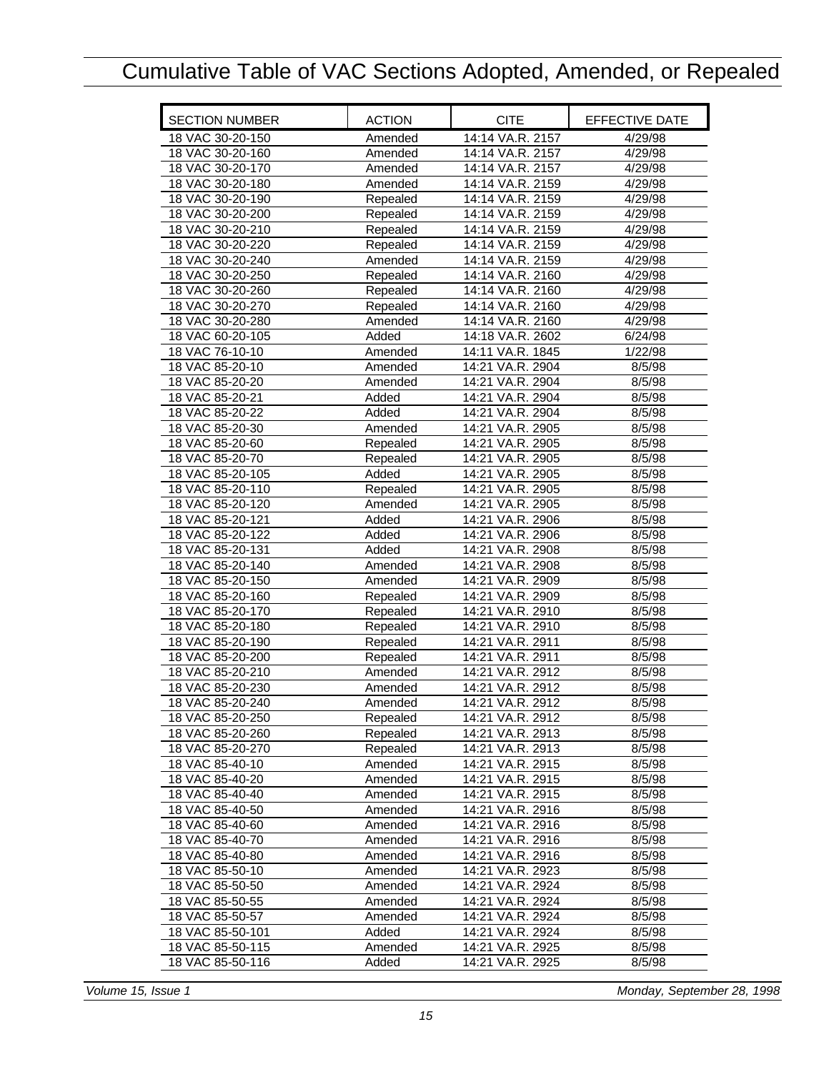| <b>SECTION NUMBER</b> | <b>ACTION</b> | <b>CITE</b>      | EFFECTIVE DATE |
|-----------------------|---------------|------------------|----------------|
| 18 VAC 30-20-150      | Amended       | 14:14 VA.R. 2157 | 4/29/98        |
| 18 VAC 30-20-160      | Amended       | 14:14 VA.R. 2157 | 4/29/98        |
| 18 VAC 30-20-170      | Amended       | 14:14 VA.R. 2157 | 4/29/98        |
| 18 VAC 30-20-180      | Amended       | 14:14 VA.R. 2159 | 4/29/98        |
| 18 VAC 30-20-190      | Repealed      | 14:14 VA.R. 2159 | 4/29/98        |
| 18 VAC 30-20-200      | Repealed      | 14:14 VA.R. 2159 | 4/29/98        |
| 18 VAC 30-20-210      | Repealed      | 14:14 VA.R. 2159 | 4/29/98        |
| 18 VAC 30-20-220      | Repealed      | 14:14 VA.R. 2159 | 4/29/98        |
| 18 VAC 30-20-240      | Amended       | 14:14 VA.R. 2159 | 4/29/98        |
| 18 VAC 30-20-250      | Repealed      | 14:14 VA.R. 2160 | 4/29/98        |
| 18 VAC 30-20-260      | Repealed      | 14:14 VA.R. 2160 | 4/29/98        |
| 18 VAC 30-20-270      | Repealed      | 14:14 VA.R. 2160 | 4/29/98        |
| 18 VAC 30-20-280      | Amended       | 14:14 VA.R. 2160 | 4/29/98        |
| 18 VAC 60-20-105      | Added         | 14:18 VA.R. 2602 | 6/24/98        |
| 18 VAC 76-10-10       | Amended       | 14:11 VA.R. 1845 | 1/22/98        |
| 18 VAC 85-20-10       | Amended       | 14:21 VA.R. 2904 | 8/5/98         |
| 18 VAC 85-20-20       | Amended       | 14:21 VA.R. 2904 | 8/5/98         |
| 18 VAC 85-20-21       | Added         | 14:21 VA.R. 2904 | 8/5/98         |
| 18 VAC 85-20-22       | Added         | 14:21 VA.R. 2904 | 8/5/98         |
| 18 VAC 85-20-30       | Amended       | 14:21 VA.R. 2905 | 8/5/98         |
| 18 VAC 85-20-60       | Repealed      | 14:21 VA.R. 2905 | 8/5/98         |
| 18 VAC 85-20-70       | Repealed      | 14:21 VA.R. 2905 | 8/5/98         |
| 18 VAC 85-20-105      | Added         | 14:21 VA.R. 2905 | 8/5/98         |
| 18 VAC 85-20-110      | Repealed      | 14:21 VA.R. 2905 | 8/5/98         |
| 18 VAC 85-20-120      | Amended       | 14:21 VA.R. 2905 | 8/5/98         |
| 18 VAC 85-20-121      | Added         | 14:21 VA.R. 2906 | 8/5/98         |
| 18 VAC 85-20-122      | Added         | 14:21 VA.R. 2906 | 8/5/98         |
| 18 VAC 85-20-131      | Added         | 14:21 VA.R. 2908 | 8/5/98         |
| 18 VAC 85-20-140      | Amended       | 14:21 VA.R. 2908 | 8/5/98         |
| 18 VAC 85-20-150      | Amended       | 14:21 VA.R. 2909 | 8/5/98         |
| 18 VAC 85-20-160      | Repealed      | 14:21 VA.R. 2909 | 8/5/98         |
| 18 VAC 85-20-170      | Repealed      | 14:21 VA.R. 2910 | 8/5/98         |
| 18 VAC 85-20-180      | Repealed      | 14:21 VA.R. 2910 | 8/5/98         |
| 18 VAC 85-20-190      | Repealed      | 14:21 VA.R. 2911 | 8/5/98         |
| 18 VAC 85-20-200      | Repealed      | 14:21 VA.R. 2911 | 8/5/98         |
| 18 VAC 85-20-210      | Amended       | 14:21 VA.R. 2912 | 8/5/98         |
| 18 VAC 85-20-230      | Amended       | 14:21 VA.R. 2912 | 8/5/98         |
| 18 VAC 85-20-240      | Amended       | 14:21 VA.R. 2912 | 8/5/98         |
| 18 VAC 85-20-250      | Repealed      | 14:21 VA.R. 2912 | 8/5/98         |
| 18 VAC 85-20-260      | Repealed      | 14:21 VA.R. 2913 | 8/5/98         |
| 18 VAC 85-20-270      | Repealed      | 14:21 VA.R. 2913 | 8/5/98         |
| 18 VAC 85-40-10       | Amended       | 14:21 VA.R. 2915 | 8/5/98         |
| 18 VAC 85-40-20       | Amended       | 14:21 VA.R. 2915 | 8/5/98         |
| 18 VAC 85-40-40       | Amended       | 14:21 VA.R. 2915 | 8/5/98         |
| 18 VAC 85-40-50       | Amended       | 14:21 VA.R. 2916 | 8/5/98         |
| 18 VAC 85-40-60       | Amended       | 14:21 VA.R. 2916 | 8/5/98         |
| 18 VAC 85-40-70       | Amended       | 14:21 VA.R. 2916 | 8/5/98         |
| 18 VAC 85-40-80       | Amended       | 14:21 VA.R. 2916 | 8/5/98         |
| 18 VAC 85-50-10       | Amended       | 14:21 VA.R. 2923 | 8/5/98         |
| 18 VAC 85-50-50       | Amended       | 14:21 VA.R. 2924 | 8/5/98         |
| 18 VAC 85-50-55       | Amended       | 14:21 VA.R. 2924 | 8/5/98         |
| 18 VAC 85-50-57       | Amended       | 14:21 VA.R. 2924 | 8/5/98         |
| 18 VAC 85-50-101      | Added         | 14:21 VA.R. 2924 | 8/5/98         |
| 18 VAC 85-50-115      | Amended       | 14:21 VA.R. 2925 | 8/5/98         |
| 18 VAC 85-50-116      | Added         | 14:21 VA.R. 2925 | 8/5/98         |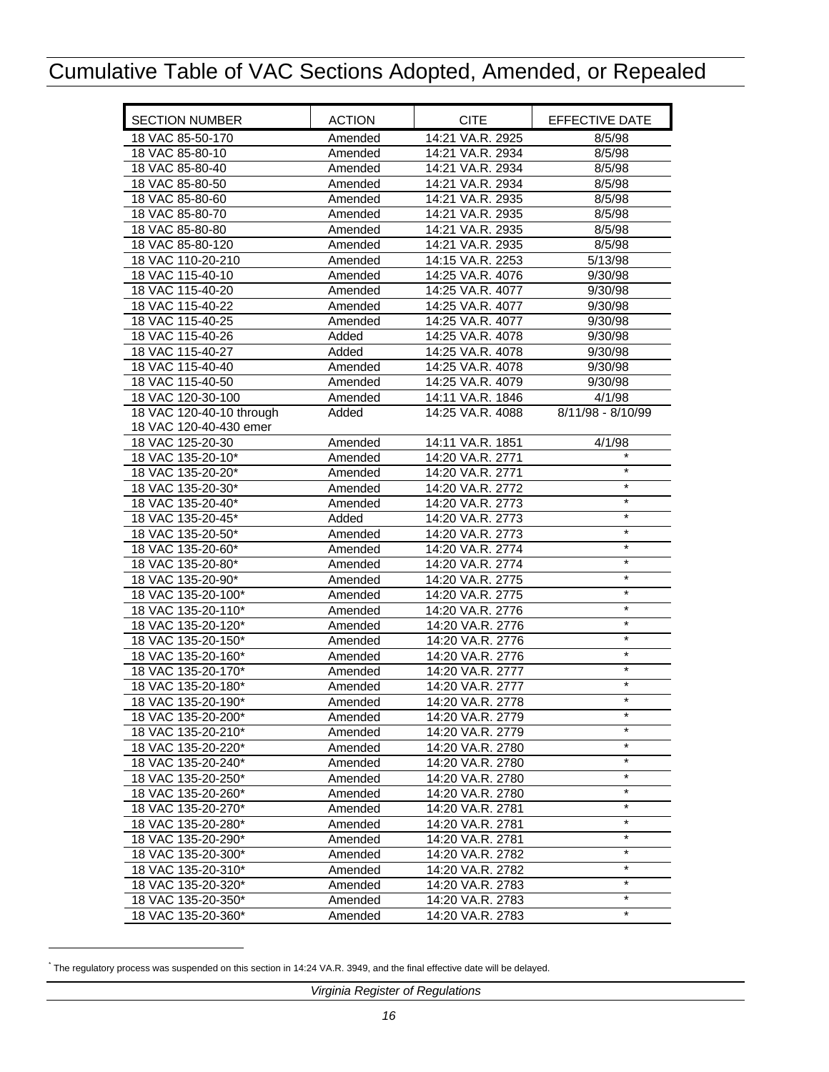| <b>SECTION NUMBER</b>    | <b>ACTION</b> | <b>CITE</b>      | EFFECTIVE DATE     |
|--------------------------|---------------|------------------|--------------------|
| 18 VAC 85-50-170         | Amended       | 14:21 VA.R. 2925 | 8/5/98             |
| 18 VAC 85-80-10          | Amended       | 14:21 VA.R. 2934 | 8/5/98             |
| 18 VAC 85-80-40          | Amended       | 14:21 VA.R. 2934 | 8/5/98             |
| 18 VAC 85-80-50          | Amended       | 14:21 VA.R. 2934 | 8/5/98             |
| 18 VAC 85-80-60          | Amended       | 14:21 VA.R. 2935 | 8/5/98             |
| 18 VAC 85-80-70          | Amended       | 14:21 VA.R. 2935 | 8/5/98             |
| 18 VAC 85-80-80          | Amended       | 14:21 VA.R. 2935 | 8/5/98             |
| 18 VAC 85-80-120         | Amended       | 14:21 VA.R. 2935 | 8/5/98             |
| 18 VAC 110-20-210        | Amended       | 14:15 VA.R. 2253 | 5/13/98            |
| 18 VAC 115-40-10         | Amended       | 14:25 VA.R. 4076 | 9/30/98            |
| 18 VAC 115-40-20         | Amended       | 14:25 VA.R. 4077 | 9/30/98            |
| 18 VAC 115-40-22         | Amended       | 14:25 VA.R. 4077 | 9/30/98            |
| 18 VAC 115-40-25         | Amended       | 14:25 VA.R. 4077 | 9/30/98            |
| 18 VAC 115-40-26         | Added         | 14:25 VA.R. 4078 | 9/30/98            |
| 18 VAC 115-40-27         | Added         | 14:25 VA.R. 4078 | 9/30/98            |
| 18 VAC 115-40-40         | Amended       | 14:25 VA.R. 4078 | 9/30/98            |
| 18 VAC 115-40-50         | Amended       | 14:25 VA.R. 4079 | 9/30/98            |
| 18 VAC 120-30-100        | Amended       | 14:11 VA.R. 1846 | 4/1/98             |
| 18 VAC 120-40-10 through | Added         | 14:25 VA.R. 4088 | 8/11/98 - 8/10/99  |
| 18 VAC 120-40-430 emer   |               |                  |                    |
| 18 VAC 125-20-30         | Amended       | 14:11 VA.R. 1851 | 4/1/98             |
| 18 VAC 135-20-10*        | Amended       | 14:20 VA.R. 2771 | $\star$            |
| 18 VAC 135-20-20*        | Amended       | 14:20 VA.R. 2771 | $\star$            |
| 18 VAC 135-20-30*        | Amended       | 14:20 VA.R. 2772 | $\star$            |
| 18 VAC 135-20-40*        | Amended       | 14:20 VA.R. 2773 | $\star$<br>$\star$ |
| 18 VAC 135-20-45*        | Added         | 14:20 VA.R. 2773 | $\star$            |
| 18 VAC 135-20-50*        | Amended       | 14:20 VA.R. 2773 |                    |
| 18 VAC 135-20-60*        | Amended       | 14:20 VA.R. 2774 | $\star$            |
| 18 VAC 135-20-80*        | Amended       | 14:20 VA.R. 2774 | $\star$<br>$\star$ |
| 18 VAC 135-20-90*        | Amended       | 14:20 VA.R. 2775 | $\star$            |
| 18 VAC 135-20-100*       | Amended       | 14:20 VA.R. 2775 | $\star$            |
| 18 VAC 135-20-110*       | Amended       | 14:20 VA.R. 2776 | $\star$            |
| 18 VAC 135-20-120*       | Amended       | 14:20 VA.R. 2776 | $\star$            |
| 18 VAC 135-20-150*       | Amended       | 14:20 VA.R. 2776 | $\star$            |
| 18 VAC 135-20-160*       | Amended       | 14:20 VA.R. 2776 | $\star$            |
| 18 VAC 135-20-170*       | Amended       | 14:20 VA.R. 2777 | $\star$            |
| 18 VAC 135-20-180*       | Amended       | 14:20 VA.R. 2777 | $\star$            |
| 18 VAC 135-20-190*       | Amended       | 14:20 VA.R. 2778 |                    |
| 18 VAC 135-20-200*       | Amended       | 14:20 VA.R. 2779 | $\star$            |
| 18 VAC 135-20-210*       | Amended       | 14:20 VA.R. 2779 | $\star$            |
| 18 VAC 135-20-220*       | Amended       | 14:20 VA.R. 2780 | $\star$            |
| 18 VAC 135-20-240*       | Amended       | 14:20 VA.R. 2780 | $\star$            |
| 18 VAC 135-20-250*       | Amended       | 14:20 VA.R. 2780 | $\star$            |
| 18 VAC 135-20-260*       | Amended       | 14:20 VA.R. 2780 | $\star$            |
| 18 VAC 135-20-270*       | Amended       | 14:20 VA.R. 2781 | $\star$            |
| 18 VAC 135-20-280*       | Amended       | 14:20 VA.R. 2781 | $\star$            |
| 18 VAC 135-20-290*       | Amended       | 14:20 VA.R. 2781 | $^\star$           |
| 18 VAC 135-20-300*       | Amended       | 14:20 VA.R. 2782 | $\ast$             |
| 18 VAC 135-20-310*       | Amended       | 14:20 VA.R. 2782 | $^\star$           |
| 18 VAC 135-20-320*       | Amended       | 14:20 VA.R. 2783 | $\star$            |
| 18 VAC 135-20-350*       | Amended       | 14:20 VA.R. 2783 | $\star$            |
| 18 VAC 135-20-360*       | Amended       | 14:20 VA.R. 2783 |                    |

<sup>\*</sup> The regulatory process was suspended on this section in 14:24 VA.R. 3949, and the final effective date will be delayed.

 $\overline{a}$ 

*Virginia Register of Regulations*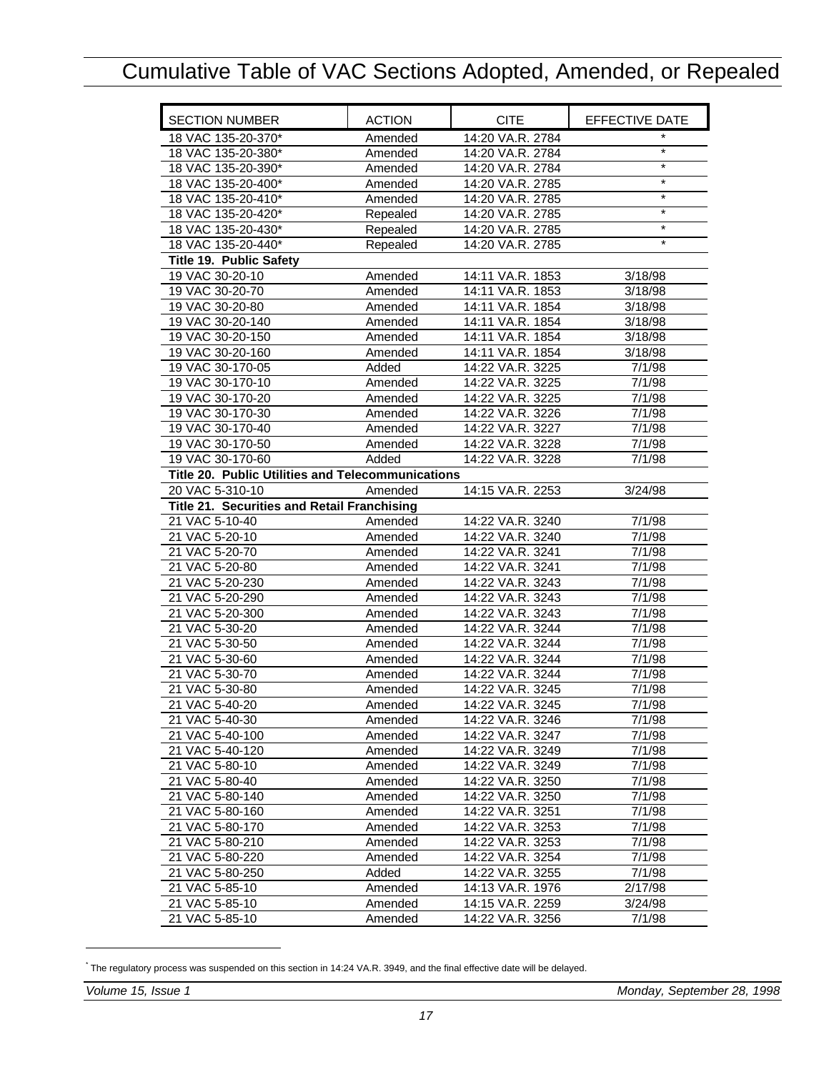<span id="page-18-0"></span>

| <b>SECTION NUMBER</b>                             | <b>ACTION</b> | <b>CITE</b>      | EFFECTIVE DATE |
|---------------------------------------------------|---------------|------------------|----------------|
| 18 VAC 135-20-370*                                | Amended       | 14:20 VA.R. 2784 |                |
| 18 VAC 135-20-380*                                | Amended       | 14:20 VA.R. 2784 | $\star$        |
| 18 VAC 135-20-390*                                | Amended       | 14:20 VA.R. 2784 | $\star$        |
| 18 VAC 135-20-400*                                | Amended       | 14:20 VA.R. 2785 | $\star$        |
| 18 VAC 135-20-410*                                | Amended       | 14:20 VA.R. 2785 | $\star$        |
| 18 VAC 135-20-420*                                | Repealed      | 14:20 VA.R. 2785 | $\star$        |
| 18 VAC 135-20-430*                                | Repealed      | 14:20 VA.R. 2785 | $\star$        |
| 18 VAC 135-20-440*                                | Repealed      | 14:20 VA.R. 2785 | $\star$        |
| Title 19. Public Safety                           |               |                  |                |
| 19 VAC 30-20-10                                   | Amended       | 14:11 VA.R. 1853 | 3/18/98        |
| 19 VAC 30-20-70                                   | Amended       | 14:11 VA.R. 1853 | 3/18/98        |
| 19 VAC 30-20-80                                   | Amended       | 14:11 VA.R. 1854 | 3/18/98        |
| 19 VAC 30-20-140                                  | Amended       | 14:11 VA.R. 1854 | 3/18/98        |
| 19 VAC 30-20-150                                  | Amended       | 14:11 VA.R. 1854 | 3/18/98        |
| 19 VAC 30-20-160                                  | Amended       | 14:11 VA.R. 1854 | 3/18/98        |
| 19 VAC 30-170-05                                  | Added         | 14:22 VA.R. 3225 | 7/1/98         |
| 19 VAC 30-170-10                                  | Amended       | 14:22 VA.R. 3225 | 7/1/98         |
| 19 VAC 30-170-20                                  | Amended       | 14:22 VA.R. 3225 | 7/1/98         |
| 19 VAC 30-170-30                                  | Amended       | 14:22 VA.R. 3226 | 7/1/98         |
| 19 VAC 30-170-40                                  | Amended       | 14:22 VA.R. 3227 | 7/1/98         |
| 19 VAC 30-170-50                                  | Amended       | 14:22 VA.R. 3228 | 7/1/98         |
| 19 VAC 30-170-60                                  | Added         | 14:22 VA.R. 3228 | 7/1/98         |
| Title 20. Public Utilities and Telecommunications |               |                  |                |
| 20 VAC 5-310-10                                   | Amended       | 14:15 VA.R. 2253 | 3/24/98        |
| Title 21. Securities and Retail Franchising       |               |                  |                |
| 21 VAC 5-10-40                                    | Amended       | 14:22 VA.R. 3240 | 7/1/98         |
| 21 VAC 5-20-10                                    | Amended       | 14:22 VA.R. 3240 | 7/1/98         |
| 21 VAC 5-20-70                                    | Amended       | 14:22 VA.R. 3241 | 7/1/98         |
| 21 VAC 5-20-80                                    | Amended       | 14:22 VA.R. 3241 | 7/1/98         |
| 21 VAC 5-20-230                                   | Amended       | 14:22 VA.R. 3243 | 7/1/98         |
| 21 VAC 5-20-290                                   | Amended       | 14:22 VA.R. 3243 | 7/1/98         |
| 21 VAC 5-20-300                                   | Amended       | 14:22 VA.R. 3243 | 7/1/98         |
| 21 VAC 5-30-20                                    | Amended       | 14:22 VA.R. 3244 | 7/1/98         |
| 21 VAC 5-30-50                                    | Amended       | 14:22 VA.R. 3244 | 7/1/98         |
| 21 VAC 5-30-60                                    | Amended       | 14:22 VA.R. 3244 | 7/1/98         |
| 21 VAC 5-30-70                                    | Amended       | 14:22 VA.R. 3244 | 7/1/98         |
| 21 VAC 5-30-80                                    | Amended       | 14:22 VA.R. 3245 | 7/1/98         |
| 21 VAC 5-40-20                                    | Amended       | 14:22 VA.R. 3245 | 7/1/98         |
| 21 VAC 5-40-30                                    | Amended       | 14:22 VA.R. 3246 | 7/1/98         |
| 21 VAC 5-40-100                                   | Amended       | 14:22 VA.R. 3247 | 7/1/98         |
| 21 VAC 5-40-120                                   | Amended       | 14:22 VA.R. 3249 | 7/1/98         |
| 21 VAC 5-80-10                                    | Amended       | 14:22 VA.R. 3249 | 7/1/98         |
| 21 VAC 5-80-40                                    | Amended       | 14:22 VA.R. 3250 | 7/1/98         |
| 21 VAC 5-80-140                                   | Amended       | 14:22 VA.R. 3250 | 7/1/98         |
| 21 VAC 5-80-160                                   | Amended       | 14:22 VA.R. 3251 | 7/1/98         |
| 21 VAC 5-80-170                                   | Amended       | 14:22 VA.R. 3253 | 7/1/98         |
| 21 VAC 5-80-210                                   | Amended       | 14:22 VA.R. 3253 | 7/1/98         |
| 21 VAC 5-80-220                                   | Amended       | 14:22 VA.R. 3254 | 7/1/98         |
| 21 VAC 5-80-250                                   | Added         | 14:22 VA.R. 3255 | 7/1/98         |
| 21 VAC 5-85-10                                    | Amended       | 14:13 VA.R. 1976 | 2/17/98        |
| 21 VAC 5-85-10                                    | Amended       | 14:15 VA.R. 2259 | 3/24/98        |
| 21 VAC 5-85-10                                    | Amended       | 14:22 VA.R. 3256 | 7/1/98         |

<sup>\*</sup> The regulatory process was suspended on this section in 14:24 VA.R. 3949, and the final effective date will be delayed.

-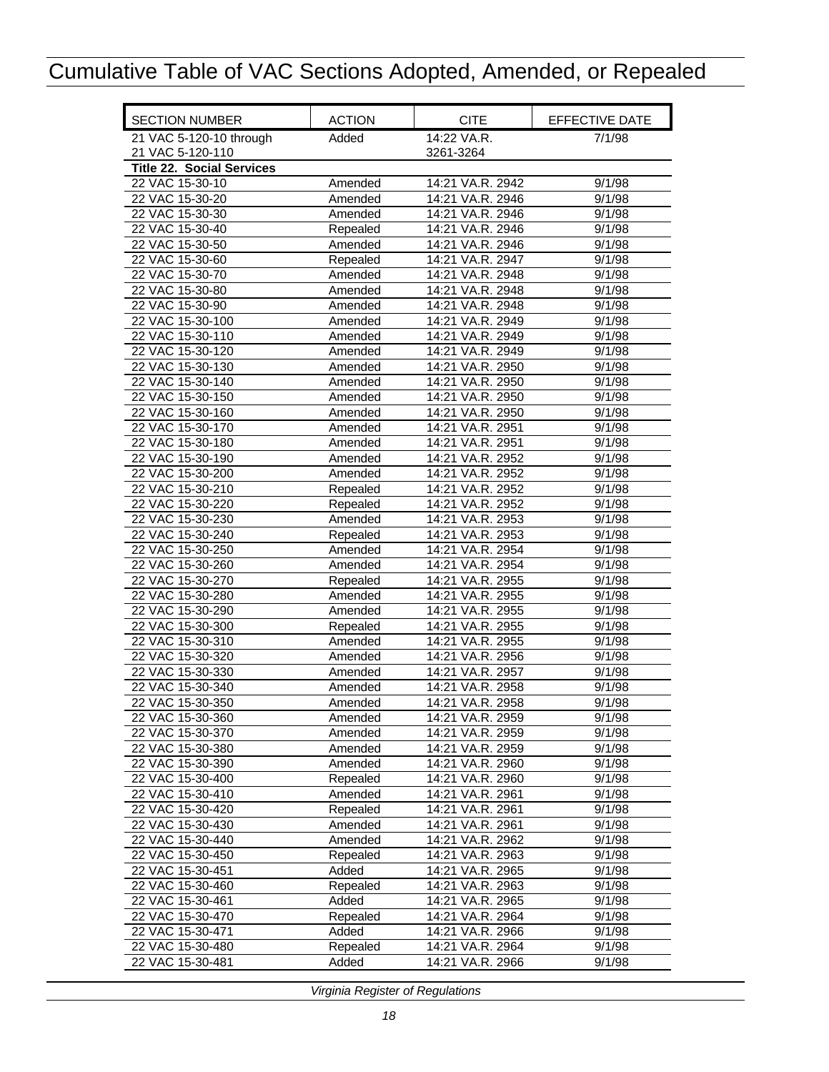<span id="page-19-0"></span>

| <b>SECTION NUMBER</b>            | <b>ACTION</b> | <b>CITE</b>      | EFFECTIVE DATE |
|----------------------------------|---------------|------------------|----------------|
| 21 VAC 5-120-10 through          | Added         | 14:22 VA.R.      | 7/1/98         |
| 21 VAC 5-120-110                 |               | 3261-3264        |                |
| <b>Title 22. Social Services</b> |               |                  |                |
| 22 VAC 15-30-10                  | Amended       | 14:21 VA.R. 2942 | 9/1/98         |
| 22 VAC 15-30-20                  | Amended       | 14:21 VA.R. 2946 | 9/1/98         |
| 22 VAC 15-30-30                  | Amended       | 14:21 VA.R. 2946 | 9/1/98         |
| 22 VAC 15-30-40                  | Repealed      | 14:21 VA.R. 2946 | 9/1/98         |
| 22 VAC 15-30-50                  | Amended       | 14:21 VA.R. 2946 | 9/1/98         |
| 22 VAC 15-30-60                  | Repealed      | 14:21 VA.R. 2947 | 9/1/98         |
| 22 VAC 15-30-70                  | Amended       | 14:21 VA.R. 2948 | 9/1/98         |
| 22 VAC 15-30-80                  | Amended       | 14:21 VA.R. 2948 | 9/1/98         |
| 22 VAC 15-30-90                  | Amended       | 14:21 VA.R. 2948 | 9/1/98         |
| 22 VAC 15-30-100                 | Amended       | 14:21 VA.R. 2949 | 9/1/98         |
| 22 VAC 15-30-110                 | Amended       | 14:21 VA.R. 2949 | 9/1/98         |
| 22 VAC 15-30-120                 | Amended       | 14:21 VA.R. 2949 | 9/1/98         |
| 22 VAC 15-30-130                 | Amended       | 14:21 VA.R. 2950 | 9/1/98         |
| 22 VAC 15-30-140                 | Amended       | 14:21 VA.R. 2950 | 9/1/98         |
| 22 VAC 15-30-150                 | Amended       | 14:21 VA.R. 2950 | 9/1/98         |
| 22 VAC 15-30-160                 | Amended       | 14:21 VA.R. 2950 | 9/1/98         |
| 22 VAC 15-30-170                 | Amended       | 14:21 VA.R. 2951 | 9/1/98         |
| 22 VAC 15-30-180                 | Amended       | 14:21 VA.R. 2951 | 9/1/98         |
| 22 VAC 15-30-190                 | Amended       | 14:21 VA.R. 2952 | 9/1/98         |
| 22 VAC 15-30-200                 | Amended       | 14:21 VA.R. 2952 | 9/1/98         |
| 22 VAC 15-30-210                 | Repealed      | 14:21 VA.R. 2952 | 9/1/98         |
| 22 VAC 15-30-220                 | Repealed      | 14:21 VA.R. 2952 | 9/1/98         |
| 22 VAC 15-30-230                 | Amended       | 14:21 VA.R. 2953 | 9/1/98         |
| 22 VAC 15-30-240                 | Repealed      | 14:21 VA.R. 2953 | 9/1/98         |
| 22 VAC 15-30-250                 | Amended       | 14:21 VA.R. 2954 | 9/1/98         |
| 22 VAC 15-30-260                 | Amended       | 14:21 VA.R. 2954 | 9/1/98         |
| 22 VAC 15-30-270                 | Repealed      | 14:21 VA.R. 2955 | 9/1/98         |
| 22 VAC 15-30-280                 | Amended       | 14:21 VA.R. 2955 | 9/1/98         |
| 22 VAC 15-30-290                 | Amended       | 14:21 VA.R. 2955 | 9/1/98         |
| 22 VAC 15-30-300                 | Repealed      | 14:21 VA.R. 2955 | 9/1/98         |
| 22 VAC 15-30-310                 | Amended       | 14:21 VA.R. 2955 | 9/1/98         |
| 22 VAC 15-30-320                 | Amended       | 14:21 VA.R. 2956 | 9/1/98         |
| 22 VAC 15-30-330                 | Amended       | 14:21 VA.R. 2957 | 9/1/98         |
| 22 VAC 15-30-340                 | Amended       | 14:21 VA.R. 2958 | 9/1/98         |
| 22 VAC 15-30-350                 | Amended       | 14:21 VA.R. 2958 | 9/1/98         |
| 22 VAC 15-30-360                 | Amended       | 14:21 VA.R. 2959 | 9/1/98         |
| 22 VAC 15-30-370                 | Amended       | 14:21 VA.R. 2959 | 9/1/98         |
| 22 VAC 15-30-380                 | Amended       | 14:21 VA.R. 2959 | 9/1/98         |
| 22 VAC 15-30-390                 | Amended       | 14:21 VA.R. 2960 | 9/1/98         |
| 22 VAC 15-30-400                 | Repealed      | 14:21 VA.R. 2960 | 9/1/98         |
| 22 VAC 15-30-410                 | Amended       | 14:21 VA.R. 2961 | 9/1/98         |
| 22 VAC 15-30-420                 | Repealed      | 14:21 VA.R. 2961 | 9/1/98         |
| 22 VAC 15-30-430                 | Amended       | 14:21 VA.R. 2961 | 9/1/98         |
| 22 VAC 15-30-440                 | Amended       | 14:21 VA.R. 2962 | 9/1/98         |
| 22 VAC 15-30-450                 | Repealed      | 14:21 VA.R. 2963 | 9/1/98         |
| 22 VAC 15-30-451                 | Added         | 14:21 VA.R. 2965 | 9/1/98         |
| 22 VAC 15-30-460                 | Repealed      | 14:21 VA.R. 2963 | 9/1/98         |
| 22 VAC 15-30-461                 | Added         | 14:21 VA.R. 2965 | 9/1/98         |
| 22 VAC 15-30-470                 | Repealed      | 14:21 VA.R. 2964 | 9/1/98         |
| 22 VAC 15-30-471                 | Added         | 14:21 VA.R. 2966 | 9/1/98         |
| 22 VAC 15-30-480                 | Repealed      | 14:21 VA.R. 2964 | 9/1/98         |
| 22 VAC 15-30-481                 | Added         | 14:21 VA.R. 2966 | 9/1/98         |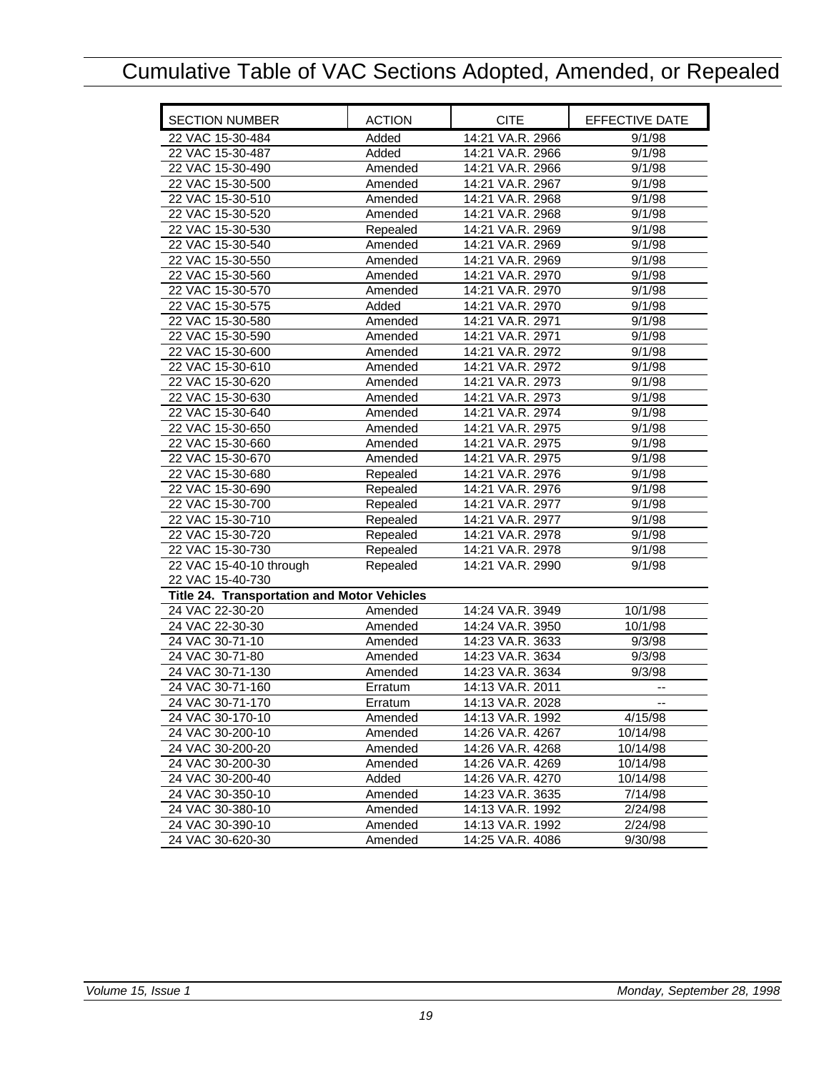<span id="page-20-0"></span>

| <b>SECTION NUMBER</b>                       | <b>ACTION</b> | <b>CITE</b>                          | EFFECTIVE DATE      |
|---------------------------------------------|---------------|--------------------------------------|---------------------|
| 22 VAC 15-30-484                            | Added         | 14:21 VA.R. 2966                     | 9/1/98              |
| 22 VAC 15-30-487                            | Added         | 14:21 VA.R. 2966                     | 9/1/98              |
| 22 VAC 15-30-490                            | Amended       | 14:21 VA.R. 2966                     | 9/1/98              |
| 22 VAC 15-30-500                            | Amended       | 14:21 VA.R. 2967                     | 9/1/98              |
| 22 VAC 15-30-510                            | Amended       | 14:21 VA.R. 2968                     | 9/1/98              |
| 22 VAC 15-30-520                            | Amended       | 14:21 VA.R. 2968                     | 9/1/98              |
| 22 VAC 15-30-530                            | Repealed      | 14:21 VA.R. 2969                     | 9/1/98              |
| 22 VAC 15-30-540                            | Amended       | 14:21 VA.R. 2969                     | 9/1/98              |
| 22 VAC 15-30-550                            | Amended       | 14:21 VA.R. 2969                     | 9/1/98              |
| 22 VAC 15-30-560                            | Amended       | 14:21 VA.R. 2970                     | 9/1/98              |
| 22 VAC 15-30-570                            | Amended       | 14:21 VA.R. 2970                     | 9/1/98              |
| 22 VAC 15-30-575                            | Added         | 14:21 VA.R. 2970                     | $\frac{1}{9/1}/98$  |
| 22 VAC 15-30-580                            | Amended       | 14:21 VA.R. 2971                     | 9/1/98              |
| 22 VAC 15-30-590                            | Amended       | 14:21 VA.R. 2971                     | 9/1/98              |
| 22 VAC 15-30-600                            | Amended       | 14:21 VA.R. 2972                     | 9/1/98              |
| 22 VAC 15-30-610                            | Amended       | 14:21 VA.R. 2972                     | 9/1/98              |
| 22 VAC 15-30-620                            | Amended       | 14:21 VA.R. 2973                     | 9/1/98              |
| 22 VAC 15-30-630                            | Amended       | 14:21 VA.R. 2973                     | 9/1/98              |
| 22 VAC 15-30-640                            | Amended       | 14:21 VA.R. 2974                     | 9/1/98              |
| 22 VAC 15-30-650                            | Amended       | 14:21 VA.R. 2975                     | 9/1/98              |
| 22 VAC 15-30-660                            | Amended       | 14:21 VA.R. 2975                     | 9/1/98              |
| 22 VAC 15-30-670                            | Amended       | 14:21 VA.R. 2975                     | 9/1/98              |
| 22 VAC 15-30-680                            | Repealed      | 14:21 VA.R. 2976                     | 9/1/98              |
| 22 VAC 15-30-690                            | Repealed      | 14:21 VA.R. 2976                     | 9/1/98              |
| 22 VAC 15-30-700                            | Repealed      | 14:21 VA.R. 2977                     | 9/1/98              |
| 22 VAC 15-30-710                            | Repealed      | 14:21 VA.R. 2977                     | 9/1/98              |
| 22 VAC 15-30-720                            | Repealed      | 14:21 VA.R. 2978                     | 9/1/98              |
| 22 VAC 15-30-730                            | Repealed      | 14:21 VA.R. 2978                     | 9/1/98              |
| 22 VAC 15-40-10 through                     | Repealed      | 14:21 VA.R. 2990                     | 9/1/98              |
| 22 VAC 15-40-730                            |               |                                      |                     |
| Title 24. Transportation and Motor Vehicles |               |                                      |                     |
| 24 VAC 22-30-20                             | Amended       | 14:24 VA.R. 3949                     | 10/1/98             |
| 24 VAC 22-30-30                             | Amended       | 14:24 VA.R. 3950                     | 10/1/98             |
| 24 VAC 30-71-10                             | Amended       | 14:23 VA.R. 3633                     | 9/3/98              |
| 24 VAC 30-71-80                             | Amended       | 14:23 VA.R. 3634                     | 9/3/98<br>9/3/98    |
| 24 VAC 30-71-130                            | Amended       | 14:23 VA.R. 3634                     |                     |
| 24 VAC 30-71-160                            | Erratum       | 14:13 VA.R. 2011                     |                     |
| 24 VAC 30-71-170                            | Erratum       | 14:13 VA.R. 2028                     | --                  |
| 24 VAC 30-170-10                            | Amended       | 14:13 VA.R. 1992                     | 4/15/98             |
| 24 VAC 30-200-10                            | Amended       | 14:26 VA.R. 4267                     | 10/14/98            |
| 24 VAC 30-200-20                            | Amended       | 14:26 VA.R. 4268                     | 10/14/98            |
| 24 VAC 30-200-30                            | Amended       | 14:26 VA.R. 4269                     | 10/14/98            |
| 24 VAC 30-200-40<br>24 VAC 30-350-10        | Added         | 14:26 VA.R. 4270                     | 10/14/98<br>7/14/98 |
| 24 VAC 30-380-10                            | Amended       | 14:23 VA.R. 3635<br>14:13 VA.R. 1992 |                     |
| 24 VAC 30-390-10                            | Amended       | 14:13 VA.R. 1992                     | 2/24/98<br>2/24/98  |
| 24 VAC 30-620-30                            | Amended       | 14:25 VA.R. 4086                     |                     |
|                                             | Amended       |                                      | 9/30/98             |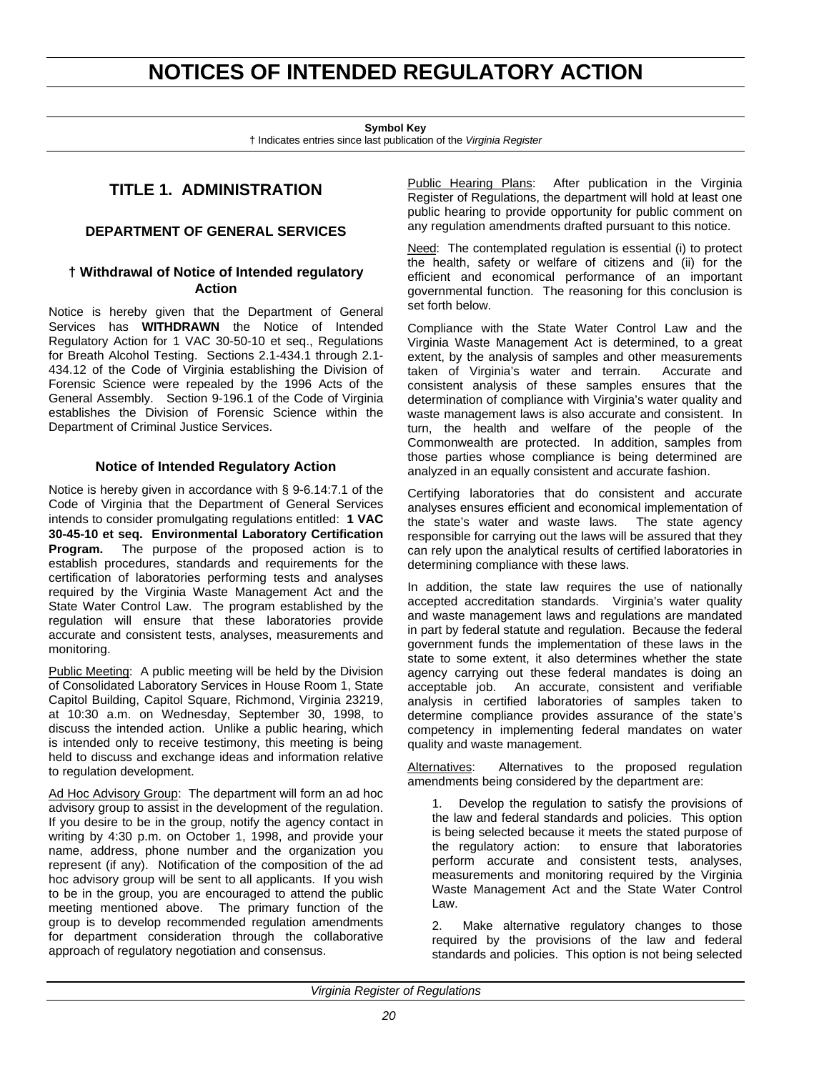## <span id="page-21-0"></span>**NOTICES OF INTENDED REGULATORY ACTION**

**Symbol Key**

† Indicates entries since last publication of the *Virginia Register*

## **TITLE 1. ADMINISTRATION**

## **DEPARTMENT OF GENERAL SERVICES**

## **† Withdrawal of Notice of Intended regulatory Action**

Notice is hereby given that the Department of General Services has **WITHDRAWN** the Notice of Intended Regulatory Action for 1 VAC 30-50-10 et seq., Regulations for Breath Alcohol Testing. Sections 2.1-434.1 through 2.1- 434.12 of the Code of Virginia establishing the Division of Forensic Science were repealed by the 1996 Acts of the General Assembly. Section 9-196.1 of the Code of Virginia establishes the Division of Forensic Science within the Department of Criminal Justice Services.

## **Notice of Intended Regulatory Action**

Notice is hereby given in accordance with § 9-6.14:7.1 of the Code of Virginia that the Department of General Services intends to consider promulgating regulations entitled: **1 VAC 30-45-10 et seq. Environmental Laboratory Certification Program.** The purpose of the proposed action is to establish procedures, standards and requirements for the certification of laboratories performing tests and analyses required by the Virginia Waste Management Act and the State Water Control Law. The program established by the regulation will ensure that these laboratories provide accurate and consistent tests, analyses, measurements and monitoring.

Public Meeting: A public meeting will be held by the Division of Consolidated Laboratory Services in House Room 1, State Capitol Building, Capitol Square, Richmond, Virginia 23219, at 10:30 a.m. on Wednesday, September 30, 1998, to discuss the intended action. Unlike a public hearing, which is intended only to receive testimony, this meeting is being held to discuss and exchange ideas and information relative to regulation development.

Ad Hoc Advisory Group: The department will form an ad hoc advisory group to assist in the development of the regulation. If you desire to be in the group, notify the agency contact in writing by 4:30 p.m. on October 1, 1998, and provide your name, address, phone number and the organization you represent (if any). Notification of the composition of the ad hoc advisory group will be sent to all applicants. If you wish to be in the group, you are encouraged to attend the public meeting mentioned above. The primary function of the group is to develop recommended regulation amendments for department consideration through the collaborative approach of regulatory negotiation and consensus.

Public Hearing Plans: After publication in the Virginia Register of Regulations, the department will hold at least one public hearing to provide opportunity for public comment on any regulation amendments drafted pursuant to this notice.

Need: The contemplated regulation is essential (i) to protect the health, safety or welfare of citizens and (ii) for the efficient and economical performance of an important governmental function. The reasoning for this conclusion is set forth below.

Compliance with the State Water Control Law and the Virginia Waste Management Act is determined, to a great extent, by the analysis of samples and other measurements taken of Virginia's water and terrain. Accurate and consistent analysis of these samples ensures that the determination of compliance with Virginia's water quality and waste management laws is also accurate and consistent. In turn, the health and welfare of the people of the Commonwealth are protected. In addition, samples from those parties whose compliance is being determined are analyzed in an equally consistent and accurate fashion.

Certifying laboratories that do consistent and accurate analyses ensures efficient and economical implementation of the state's water and waste laws. The state agency responsible for carrying out the laws will be assured that they can rely upon the analytical results of certified laboratories in determining compliance with these laws.

In addition, the state law requires the use of nationally accepted accreditation standards. Virginia's water quality and waste management laws and regulations are mandated in part by federal statute and regulation. Because the federal government funds the implementation of these laws in the state to some extent, it also determines whether the state agency carrying out these federal mandates is doing an acceptable job. An accurate, consistent and verifiable analysis in certified laboratories of samples taken to determine compliance provides assurance of the state's competency in implementing federal mandates on water quality and waste management.

Alternatives: Alternatives to the proposed regulation amendments being considered by the department are:

1. Develop the regulation to satisfy the provisions of the law and federal standards and policies. This option is being selected because it meets the stated purpose of the regulatory action: to ensure that laboratories perform accurate and consistent tests, analyses, measurements and monitoring required by the Virginia Waste Management Act and the State Water Control Law.

2. Make alternative regulatory changes to those required by the provisions of the law and federal standards and policies. This option is not being selected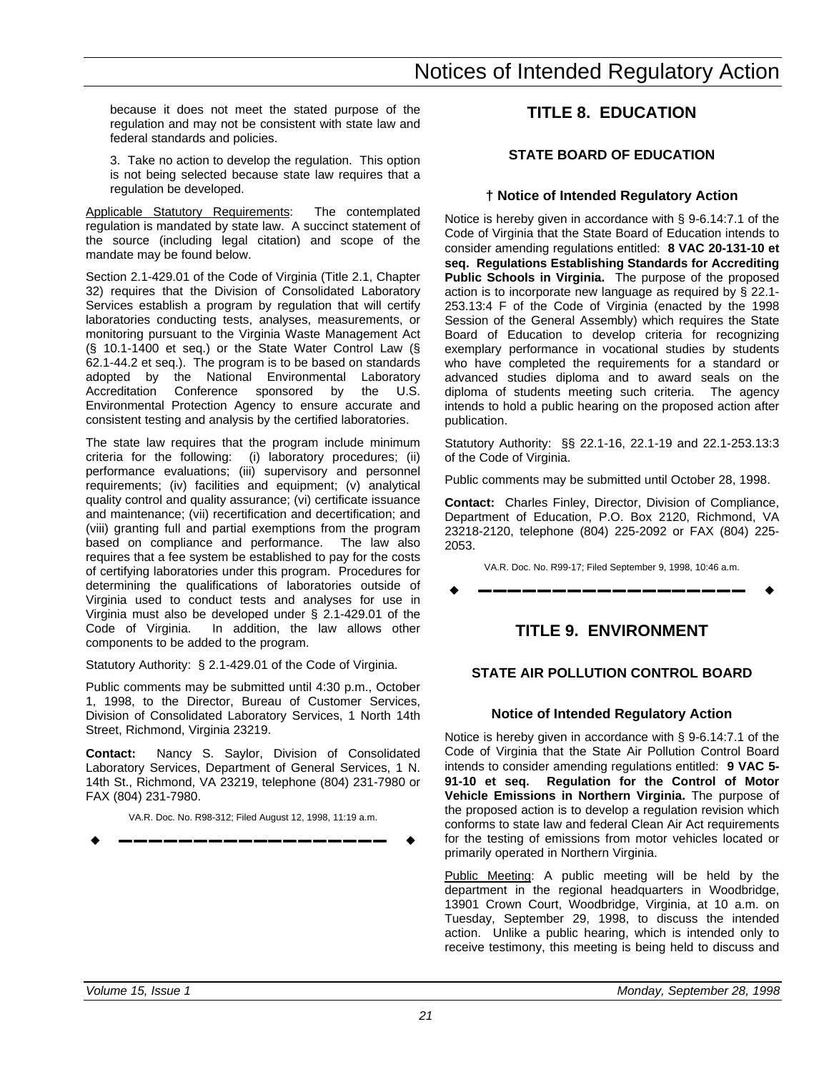<span id="page-22-0"></span>because it does not meet the stated purpose of the regulation and may not be consistent with state law and federal standards and policies.

3. Take no action to develop the regulation. This option is not being selected because state law requires that a regulation be developed.

Applicable Statutory Requirements: The contemplated regulation is mandated by state law. A succinct statement of the source (including legal citation) and scope of the mandate may be found below.

Section 2.1-429.01 of the Code of Virginia (Title 2.1, Chapter 32) requires that the Division of Consolidated Laboratory Services establish a program by regulation that will certify laboratories conducting tests, analyses, measurements, or monitoring pursuant to the Virginia Waste Management Act (§ 10.1-1400 et seq.) or the State Water Control Law (§ 62.1-44.2 et seq.). The program is to be based on standards adopted by the National Environmental Laboratory Accreditation Conference sponsored by the U.S. Environmental Protection Agency to ensure accurate and consistent testing and analysis by the certified laboratories.

The state law requires that the program include minimum criteria for the following: (i) laboratory procedures; (ii) performance evaluations; (iii) supervisory and personnel requirements; (iv) facilities and equipment; (v) analytical quality control and quality assurance; (vi) certificate issuance and maintenance; (vii) recertification and decertification; and (viii) granting full and partial exemptions from the program based on compliance and performance. The law also requires that a fee system be established to pay for the costs of certifying laboratories under this program. Procedures for determining the qualifications of laboratories outside of Virginia used to conduct tests and analyses for use in Virginia must also be developed under § 2.1-429.01 of the In addition, the law allows other components to be added to the program.

Statutory Authority: § 2.1-429.01 of the Code of Virginia.

Public comments may be submitted until 4:30 p.m., October 1, 1998, to the Director, Bureau of Customer Services, Division of Consolidated Laboratory Services, 1 North 14th Street, Richmond, Virginia 23219.

**Contact:** Nancy S. Saylor, Division of Consolidated Laboratory Services, Department of General Services, 1 N. 14th St., Richmond, VA 23219, telephone (804) 231-7980 or FAX (804) 231-7980.

VA.R. Doc. No. R98-312; Filed August 12, 1998, 11:19 a.m.

w **––––––––––––––––––** w

## **TITLE 8. EDUCATION**

## **STATE BOARD OF EDUCATION**

## **† Notice of Intended Regulatory Action**

Notice is hereby given in accordance with § 9-6.14:7.1 of the Code of Virginia that the State Board of Education intends to consider amending regulations entitled: **8 VAC 20-131-10 et seq. Regulations Establishing Standards for Accrediting Public Schools in Virginia.** The purpose of the proposed action is to incorporate new language as required by § 22.1- 253.13:4 F of the Code of Virginia (enacted by the 1998 Session of the General Assembly) which requires the State Board of Education to develop criteria for recognizing exemplary performance in vocational studies by students who have completed the requirements for a standard or advanced studies diploma and to award seals on the diploma of students meeting such criteria. The agency intends to hold a public hearing on the proposed action after publication.

Statutory Authority: §§ 22.1-16, 22.1-19 and 22.1-253.13:3 of the Code of Virginia.

Public comments may be submitted until October 28, 1998.

**Contact:** Charles Finley, Director, Division of Compliance, Department of Education, P.O. Box 2120, Richmond, VA 23218-2120, telephone (804) 225-2092 or FAX (804) 225- 2053.

VA.R. Doc. No. R99-17; Filed September 9, 1998, 10:46 a.m.

w **––––––––––––––––––** w

## **TITLE 9. ENVIRONMENT**

## **STATE AIR POLLUTION CONTROL BOARD**

## **Notice of Intended Regulatory Action**

Notice is hereby given in accordance with § 9-6.14:7.1 of the Code of Virginia that the State Air Pollution Control Board intends to consider amending regulations entitled: **9 VAC 5- 91-10 et seq. Regulation for the Control of Motor Vehicle Emissions in Northern Virginia.** The purpose of the proposed action is to develop a regulation revision which conforms to state law and federal Clean Air Act requirements for the testing of emissions from motor vehicles located or primarily operated in Northern Virginia.

Public Meeting: A public meeting will be held by the department in the regional headquarters in Woodbridge, 13901 Crown Court, Woodbridge, Virginia, at 10 a.m. on Tuesday, September 29, 1998, to discuss the intended action. Unlike a public hearing, which is intended only to receive testimony, this meeting is being held to discuss and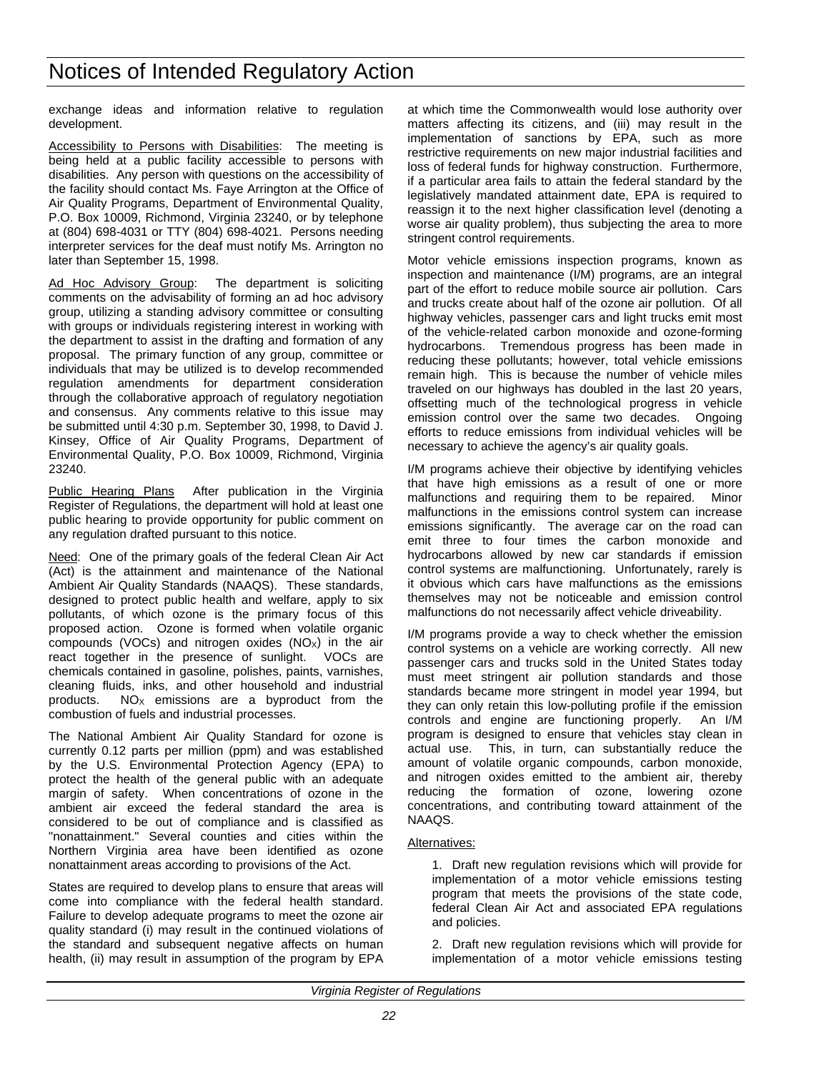exchange ideas and information relative to regulation development.

Accessibility to Persons with Disabilities: The meeting is being held at a public facility accessible to persons with disabilities. Any person with questions on the accessibility of the facility should contact Ms. Faye Arrington at the Office of Air Quality Programs, Department of Environmental Quality, P.O. Box 10009, Richmond, Virginia 23240, or by telephone at (804) 698-4031 or TTY (804) 698-4021. Persons needing interpreter services for the deaf must notify Ms. Arrington no later than September 15, 1998.

Ad Hoc Advisory Group: The department is soliciting comments on the advisability of forming an ad hoc advisory group, utilizing a standing advisory committee or consulting with groups or individuals registering interest in working with the department to assist in the drafting and formation of any proposal. The primary function of any group, committee or individuals that may be utilized is to develop recommended regulation amendments for department consideration through the collaborative approach of regulatory negotiation and consensus. Any comments relative to this issue may be submitted until 4:30 p.m. September 30, 1998, to David J. Kinsey, Office of Air Quality Programs, Department of Environmental Quality, P.O. Box 10009, Richmond, Virginia 23240.

Public Hearing Plans After publication in the Virginia Register of Regulations, the department will hold at least one public hearing to provide opportunity for public comment on any regulation drafted pursuant to this notice.

Need: One of the primary goals of the federal Clean Air Act (Act) is the attainment and maintenance of the National Ambient Air Quality Standards (NAAQS). These standards, designed to protect public health and welfare, apply to six pollutants, of which ozone is the primary focus of this proposed action. Ozone is formed when volatile organic compounds (VOCs) and nitrogen oxides  $(NO<sub>x</sub>)$  in the air react together in the presence of sunlight. VOCs are chemicals contained in gasoline, polishes, paints, varnishes, cleaning fluids, inks, and other household and industrial products.  $NO<sub>x</sub>$  emissions are a byproduct from the combustion of fuels and industrial processes.

The National Ambient Air Quality Standard for ozone is currently 0.12 parts per million (ppm) and was established by the U.S. Environmental Protection Agency (EPA) to protect the health of the general public with an adequate margin of safety. When concentrations of ozone in the ambient air exceed the federal standard the area is considered to be out of compliance and is classified as "nonattainment." Several counties and cities within the Northern Virginia area have been identified as ozone nonattainment areas according to provisions of the Act.

States are required to develop plans to ensure that areas will come into compliance with the federal health standard. Failure to develop adequate programs to meet the ozone air quality standard (i) may result in the continued violations of the standard and subsequent negative affects on human health, (ii) may result in assumption of the program by EPA at which time the Commonwealth would lose authority over matters affecting its citizens, and (iii) may result in the implementation of sanctions by EPA, such as more restrictive requirements on new major industrial facilities and loss of federal funds for highway construction. Furthermore, if a particular area fails to attain the federal standard by the legislatively mandated attainment date, EPA is required to reassign it to the next higher classification level (denoting a worse air quality problem), thus subjecting the area to more stringent control requirements.

Motor vehicle emissions inspection programs, known as inspection and maintenance (I/M) programs, are an integral part of the effort to reduce mobile source air pollution. Cars and trucks create about half of the ozone air pollution. Of all highway vehicles, passenger cars and light trucks emit most of the vehicle-related carbon monoxide and ozone-forming hydrocarbons. Tremendous progress has been made in reducing these pollutants; however, total vehicle emissions remain high. This is because the number of vehicle miles traveled on our highways has doubled in the last 20 years, offsetting much of the technological progress in vehicle emission control over the same two decades. Ongoing efforts to reduce emissions from individual vehicles will be necessary to achieve the agency's air quality goals.

I/M programs achieve their objective by identifying vehicles that have high emissions as a result of one or more malfunctions and requiring them to be repaired. Minor malfunctions in the emissions control system can increase emissions significantly. The average car on the road can emit three to four times the carbon monoxide and hydrocarbons allowed by new car standards if emission control systems are malfunctioning. Unfortunately, rarely is it obvious which cars have malfunctions as the emissions themselves may not be noticeable and emission control malfunctions do not necessarily affect vehicle driveability.

I/M programs provide a way to check whether the emission control systems on a vehicle are working correctly. All new passenger cars and trucks sold in the United States today must meet stringent air pollution standards and those standards became more stringent in model year 1994, but they can only retain this low-polluting profile if the emission controls and engine are functioning properly. An I/M program is designed to ensure that vehicles stay clean in actual use. This, in turn, can substantially reduce the amount of volatile organic compounds, carbon monoxide, and nitrogen oxides emitted to the ambient air, thereby reducing the formation of ozone, lowering ozone concentrations, and contributing toward attainment of the NAAQS.

#### Alternatives:

1. Draft new regulation revisions which will provide for implementation of a motor vehicle emissions testing program that meets the provisions of the state code, federal Clean Air Act and associated EPA regulations and policies.

2. Draft new regulation revisions which will provide for implementation of a motor vehicle emissions testing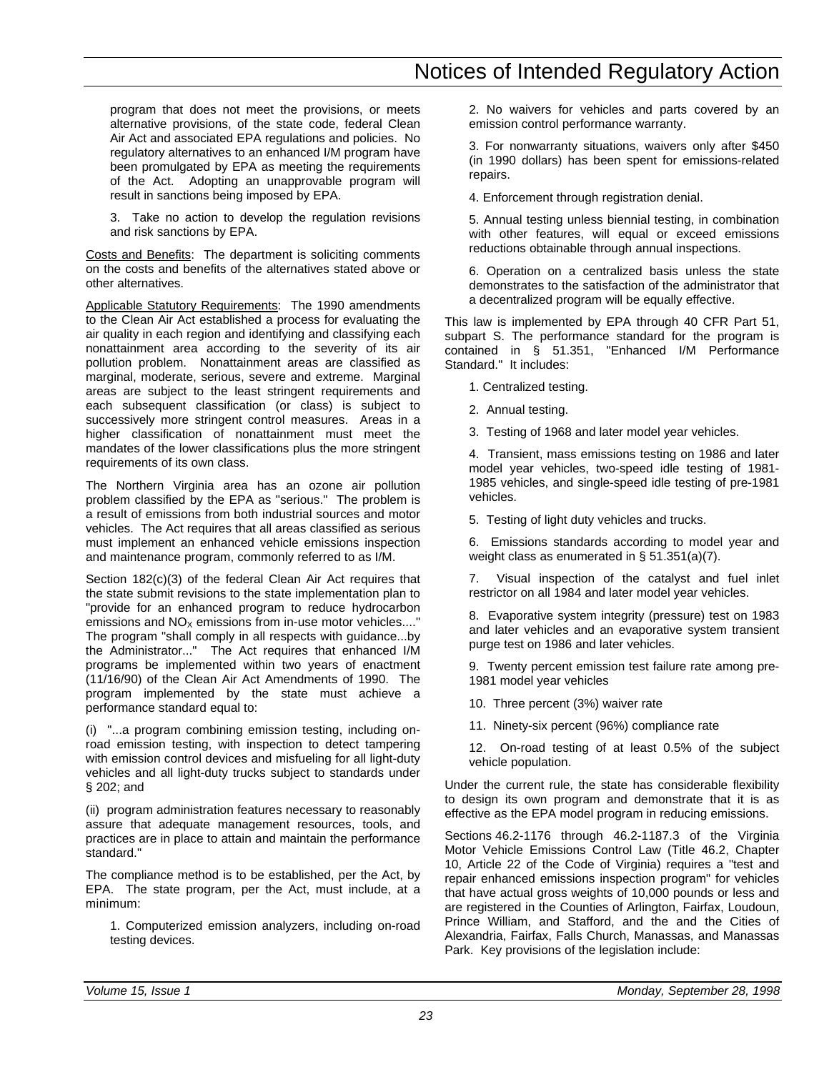program that does not meet the provisions, or meets alternative provisions, of the state code, federal Clean Air Act and associated EPA regulations and policies. No regulatory alternatives to an enhanced I/M program have been promulgated by EPA as meeting the requirements of the Act. Adopting an unapprovable program will result in sanctions being imposed by EPA.

3. Take no action to develop the regulation revisions and risk sanctions by EPA.

Costs and Benefits: The department is soliciting comments on the costs and benefits of the alternatives stated above or other alternatives.

Applicable Statutory Requirements: The 1990 amendments to the Clean Air Act established a process for evaluating the air quality in each region and identifying and classifying each nonattainment area according to the severity of its air pollution problem. Nonattainment areas are classified as marginal, moderate, serious, severe and extreme. Marginal areas are subject to the least stringent requirements and each subsequent classification (or class) is subject to successively more stringent control measures. Areas in a higher classification of nonattainment must meet the mandates of the lower classifications plus the more stringent requirements of its own class.

The Northern Virginia area has an ozone air pollution problem classified by the EPA as "serious." The problem is a result of emissions from both industrial sources and motor vehicles. The Act requires that all areas classified as serious must implement an enhanced vehicle emissions inspection and maintenance program, commonly referred to as I/M.

Section 182(c)(3) of the federal Clean Air Act requires that the state submit revisions to the state implementation plan to "provide for an enhanced program to reduce hydrocarbon emissions and  $NO<sub>X</sub>$  emissions from in-use motor vehicles...." The program "shall comply in all respects with guidance...by the Administrator..." The Act requires that enhanced I/M programs be implemented within two years of enactment (11/16/90) of the Clean Air Act Amendments of 1990. The program implemented by the state must achieve a performance standard equal to:

(i) "...a program combining emission testing, including onroad emission testing, with inspection to detect tampering with emission control devices and misfueling for all light-duty vehicles and all light-duty trucks subject to standards under § 202; and

(ii) program administration features necessary to reasonably assure that adequate management resources, tools, and practices are in place to attain and maintain the performance standard."

The compliance method is to be established, per the Act, by EPA. The state program, per the Act, must include, at a minimum:

1. Computerized emission analyzers, including on-road testing devices.

2. No waivers for vehicles and parts covered by an emission control performance warranty.

3. For nonwarranty situations, waivers only after \$450 (in 1990 dollars) has been spent for emissions-related repairs.

4. Enforcement through registration denial.

5. Annual testing unless biennial testing, in combination with other features, will equal or exceed emissions reductions obtainable through annual inspections.

6. Operation on a centralized basis unless the state demonstrates to the satisfaction of the administrator that a decentralized program will be equally effective.

This law is implemented by EPA through 40 CFR Part 51, subpart S. The performance standard for the program is contained in § 51.351, "Enhanced I/M Performance Standard." It includes:

1. Centralized testing.

2. Annual testing.

3. Testing of 1968 and later model year vehicles.

4. Transient, mass emissions testing on 1986 and later model year vehicles, two-speed idle testing of 1981- 1985 vehicles, and single-speed idle testing of pre-1981 vehicles.

5. Testing of light duty vehicles and trucks.

6. Emissions standards according to model year and weight class as enumerated in § 51.351(a)(7).

7. Visual inspection of the catalyst and fuel inlet restrictor on all 1984 and later model year vehicles.

8. Evaporative system integrity (pressure) test on 1983 and later vehicles and an evaporative system transient purge test on 1986 and later vehicles.

9. Twenty percent emission test failure rate among pre-1981 model year vehicles

10. Three percent (3%) waiver rate

11. Ninety-six percent (96%) compliance rate

12. On-road testing of at least 0.5% of the subject vehicle population.

Under the current rule, the state has considerable flexibility to design its own program and demonstrate that it is as effective as the EPA model program in reducing emissions.

Sections 46.2-1176 through 46.2-1187.3 of the Virginia Motor Vehicle Emissions Control Law (Title 46.2, Chapter 10, Article 22 of the Code of Virginia) requires a "test and repair enhanced emissions inspection program" for vehicles that have actual gross weights of 10,000 pounds or less and are registered in the Counties of Arlington, Fairfax, Loudoun, Prince William, and Stafford, and the and the Cities of Alexandria, Fairfax, Falls Church, Manassas, and Manassas Park. Key provisions of the legislation include: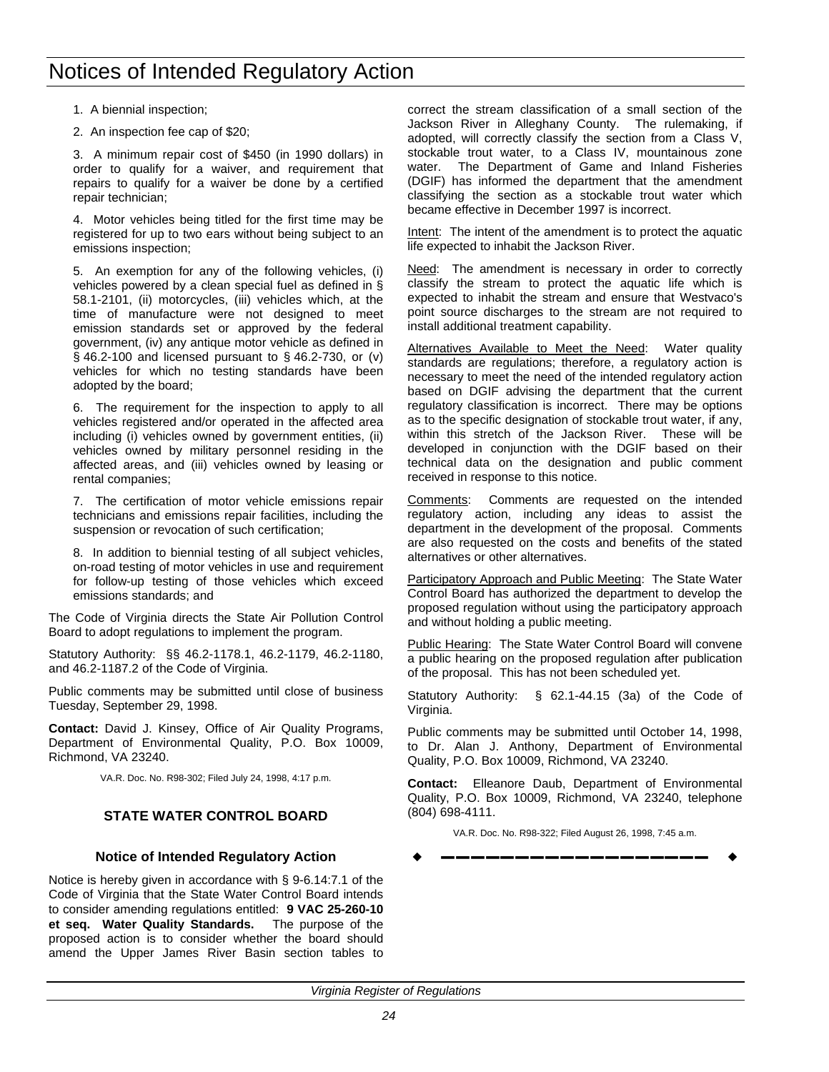- <span id="page-25-0"></span>1. A biennial inspection;
- 2. An inspection fee cap of \$20;

3. A minimum repair cost of \$450 (in 1990 dollars) in order to qualify for a waiver, and requirement that repairs to qualify for a waiver be done by a certified repair technician;

4. Motor vehicles being titled for the first time may be registered for up to two ears without being subject to an emissions inspection;

5. An exemption for any of the following vehicles, (i) vehicles powered by a clean special fuel as defined in § 58.1-2101, (ii) motorcycles, (iii) vehicles which, at the time of manufacture were not designed to meet emission standards set or approved by the federal government, (iv) any antique motor vehicle as defined in § 46.2-100 and licensed pursuant to § 46.2-730, or (v) vehicles for which no testing standards have been adopted by the board;

6. The requirement for the inspection to apply to all vehicles registered and/or operated in the affected area including (i) vehicles owned by government entities, (ii) vehicles owned by military personnel residing in the affected areas, and (iii) vehicles owned by leasing or rental companies;

7. The certification of motor vehicle emissions repair technicians and emissions repair facilities, including the suspension or revocation of such certification;

8. In addition to biennial testing of all subject vehicles, on-road testing of motor vehicles in use and requirement for follow-up testing of those vehicles which exceed emissions standards; and

The Code of Virginia directs the State Air Pollution Control Board to adopt regulations to implement the program.

Statutory Authority: §§ 46.2-1178.1, 46.2-1179, 46.2-1180, and 46.2-1187.2 of the Code of Virginia.

Public comments may be submitted until close of business Tuesday, September 29, 1998.

**Contact:** David J. Kinsey, Office of Air Quality Programs, Department of Environmental Quality, P.O. Box 10009, Richmond, VA 23240.

VA.R. Doc. No. R98-302; Filed July 24, 1998, 4:17 p.m.

## **STATE WATER CONTROL BOARD**

## **Notice of Intended Regulatory Action**

Notice is hereby given in accordance with § 9-6.14:7.1 of the Code of Virginia that the State Water Control Board intends to consider amending regulations entitled: **9 VAC 25-260-10 et seq. Water Quality Standards.** The purpose of the proposed action is to consider whether the board should amend the Upper James River Basin section tables to correct the stream classification of a small section of the Jackson River in Alleghany County. The rulemaking, if adopted, will correctly classify the section from a Class V, stockable trout water, to a Class IV, mountainous zone water. The Department of Game and Inland Fisheries (DGIF) has informed the department that the amendment classifying the section as a stockable trout water which became effective in December 1997 is incorrect.

Intent: The intent of the amendment is to protect the aquatic life expected to inhabit the Jackson River.

Need: The amendment is necessary in order to correctly classify the stream to protect the aquatic life which is expected to inhabit the stream and ensure that Westvaco's point source discharges to the stream are not required to install additional treatment capability.

Alternatives Available to Meet the Need: Water quality standards are regulations; therefore, a regulatory action is necessary to meet the need of the intended regulatory action based on DGIF advising the department that the current regulatory classification is incorrect. There may be options as to the specific designation of stockable trout water, if any, within this stretch of the Jackson River. These will be developed in conjunction with the DGIF based on their technical data on the designation and public comment received in response to this notice.

Comments: Comments are requested on the intended regulatory action, including any ideas to assist the department in the development of the proposal. Comments are also requested on the costs and benefits of the stated alternatives or other alternatives.

Participatory Approach and Public Meeting: The State Water Control Board has authorized the department to develop the proposed regulation without using the participatory approach and without holding a public meeting.

Public Hearing: The State Water Control Board will convene a public hearing on the proposed regulation after publication of the proposal. This has not been scheduled yet.

Statutory Authority: § 62.1-44.15 (3a) of the Code of Virginia.

Public comments may be submitted until October 14, 1998, to Dr. Alan J. Anthony, Department of Environmental Quality, P.O. Box 10009, Richmond, VA 23240.

**Contact:** Elleanore Daub, Department of Environmental Quality, P.O. Box 10009, Richmond, VA 23240, telephone (804) 698-4111.

VA.R. Doc. No. R98-322; Filed August 26, 1998, 7:45 a.m.

w **––––––––––––––––––** w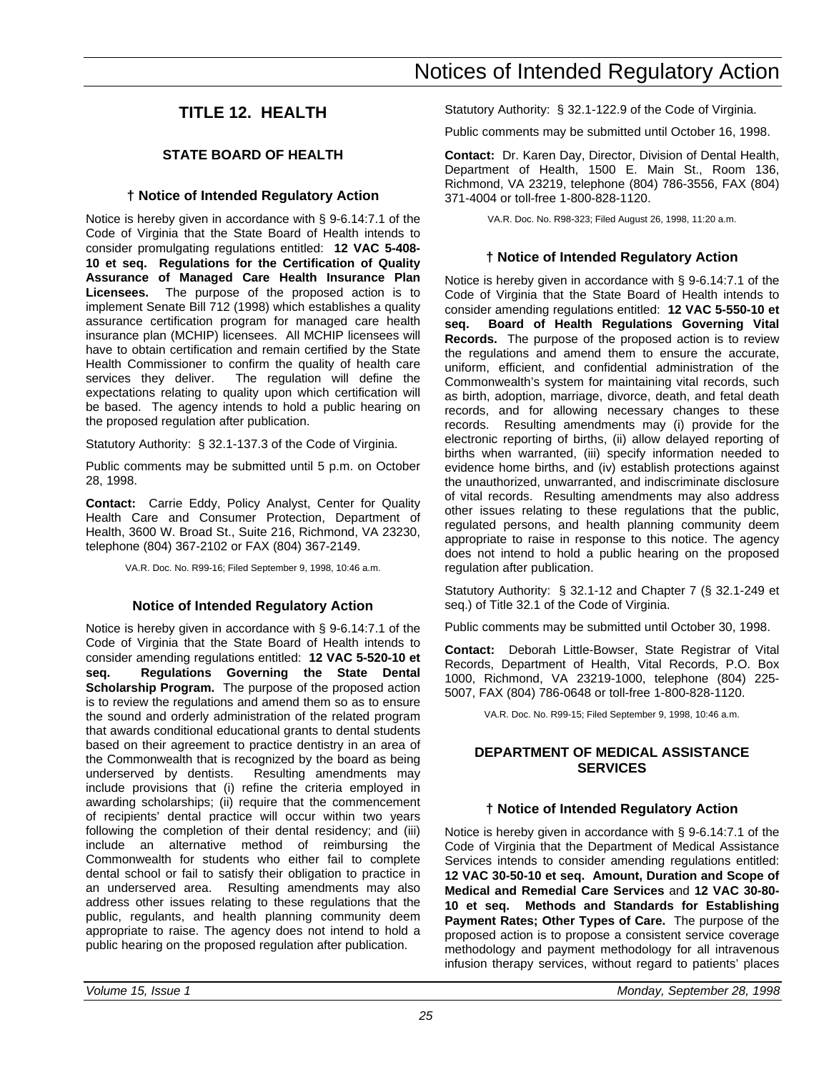## <span id="page-26-0"></span>**TITLE 12. HEALTH**

## **STATE BOARD OF HEALTH**

## **† Notice of Intended Regulatory Action**

Notice is hereby given in accordance with § 9-6.14:7.1 of the Code of Virginia that the State Board of Health intends to consider promulgating regulations entitled: **12 VAC 5-408- 10 et seq. Regulations for the Certification of Quality Assurance of Managed Care Health Insurance Plan Licensees.** The purpose of the proposed action is to implement Senate Bill 712 (1998) which establishes a quality assurance certification program for managed care health insurance plan (MCHIP) licensees. All MCHIP licensees will have to obtain certification and remain certified by the State Health Commissioner to confirm the quality of health care services they deliver. The regulation will define the expectations relating to quality upon which certification will be based. The agency intends to hold a public hearing on the proposed regulation after publication.

Statutory Authority: § 32.1-137.3 of the Code of Virginia.

Public comments may be submitted until 5 p.m. on October 28, 1998.

**Contact:** Carrie Eddy, Policy Analyst, Center for Quality Health Care and Consumer Protection, Department of Health, 3600 W. Broad St., Suite 216, Richmond, VA 23230, telephone (804) 367-2102 or FAX (804) 367-2149.

VA.R. Doc. No. R99-16; Filed September 9, 1998, 10:46 a.m.

## **Notice of Intended Regulatory Action**

Notice is hereby given in accordance with § 9-6.14:7.1 of the Code of Virginia that the State Board of Health intends to consider amending regulations entitled: **12 VAC 5-520-10 et seq. Regulations Governing the State Dental Scholarship Program.** The purpose of the proposed action is to review the regulations and amend them so as to ensure the sound and orderly administration of the related program that awards conditional educational grants to dental students based on their agreement to practice dentistry in an area of the Commonwealth that is recognized by the board as being underserved by dentists. Resulting amendments may include provisions that (i) refine the criteria employed in awarding scholarships; (ii) require that the commencement of recipients' dental practice will occur within two years following the completion of their dental residency; and (iii) include an alternative method of reimbursing the Commonwealth for students who either fail to complete dental school or fail to satisfy their obligation to practice in an underserved area. Resulting amendments may also address other issues relating to these regulations that the public, regulants, and health planning community deem appropriate to raise. The agency does not intend to hold a public hearing on the proposed regulation after publication.

Statutory Authority: § 32.1-122.9 of the Code of Virginia.

Public comments may be submitted until October 16, 1998.

**Contact:** Dr. Karen Day, Director, Division of Dental Health, Department of Health, 1500 E. Main St., Room 136, Richmond, VA 23219, telephone (804) 786-3556, FAX (804) 371-4004 or toll-free 1-800-828-1120.

VA.R. Doc. No. R98-323; Filed August 26, 1998, 11:20 a.m.

## **† Notice of Intended Regulatory Action**

Notice is hereby given in accordance with § 9-6.14:7.1 of the Code of Virginia that the State Board of Health intends to consider amending regulations entitled: **12 VAC 5-550-10 et seq. Board of Health Regulations Governing Vital Records.** The purpose of the proposed action is to review the regulations and amend them to ensure the accurate, uniform, efficient, and confidential administration of the Commonwealth's system for maintaining vital records, such as birth, adoption, marriage, divorce, death, and fetal death records, and for allowing necessary changes to these records. Resulting amendments may (i) provide for the electronic reporting of births, (ii) allow delayed reporting of births when warranted, (iii) specify information needed to evidence home births, and (iv) establish protections against the unauthorized, unwarranted, and indiscriminate disclosure of vital records. Resulting amendments may also address other issues relating to these regulations that the public, regulated persons, and health planning community deem appropriate to raise in response to this notice. The agency does not intend to hold a public hearing on the proposed regulation after publication.

Statutory Authority: § 32.1-12 and Chapter 7 (§ 32.1-249 et seq.) of Title 32.1 of the Code of Virginia.

Public comments may be submitted until October 30, 1998.

**Contact:** Deborah Little-Bowser, State Registrar of Vital Records, Department of Health, Vital Records, P.O. Box 1000, Richmond, VA 23219-1000, telephone (804) 225- 5007, FAX (804) 786-0648 or toll-free 1-800-828-1120.

VA.R. Doc. No. R99-15; Filed September 9, 1998, 10:46 a.m.

## **DEPARTMENT OF MEDICAL ASSISTANCE SERVICES**

## **† Notice of Intended Regulatory Action**

Notice is hereby given in accordance with § 9-6.14:7.1 of the Code of Virginia that the Department of Medical Assistance Services intends to consider amending regulations entitled: **12 VAC 30-50-10 et seq. Amount, Duration and Scope of Medical and Remedial Care Services** and **12 VAC 30-80- 10 et seq. Methods and Standards for Establishing Payment Rates; Other Types of Care.** The purpose of the proposed action is to propose a consistent service coverage methodology and payment methodology for all intravenous infusion therapy services, without regard to patients' places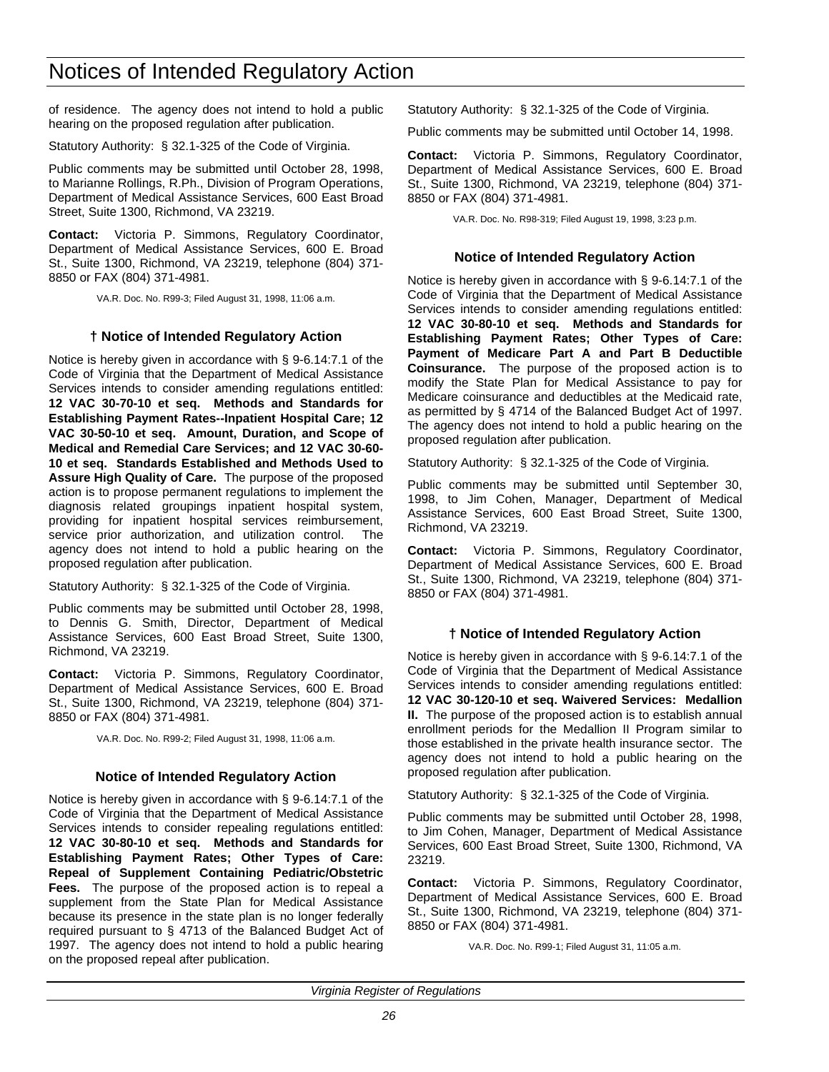of residence. The agency does not intend to hold a public hearing on the proposed regulation after publication.

Statutory Authority: § 32.1-325 of the Code of Virginia.

Public comments may be submitted until October 28, 1998, to Marianne Rollings, R.Ph., Division of Program Operations, Department of Medical Assistance Services, 600 East Broad Street, Suite 1300, Richmond, VA 23219.

**Contact:** Victoria P. Simmons, Regulatory Coordinator, Department of Medical Assistance Services, 600 E. Broad St., Suite 1300, Richmond, VA 23219, telephone (804) 371- 8850 or FAX (804) 371-4981.

VA.R. Doc. No. R99-3; Filed August 31, 1998, 11:06 a.m.

## **† Notice of Intended Regulatory Action**

Notice is hereby given in accordance with § 9-6.14:7.1 of the Code of Virginia that the Department of Medical Assistance Services intends to consider amending regulations entitled: **12 VAC 30-70-10 et seq. Methods and Standards for Establishing Payment Rates--Inpatient Hospital Care; 12 VAC 30-50-10 et seq. Amount, Duration, and Scope of Medical and Remedial Care Services; and 12 VAC 30-60- 10 et seq. Standards Established and Methods Used to Assure High Quality of Care.** The purpose of the proposed action is to propose permanent regulations to implement the diagnosis related groupings inpatient hospital system, providing for inpatient hospital services reimbursement, service prior authorization, and utilization control. The agency does not intend to hold a public hearing on the proposed regulation after publication.

Statutory Authority: § 32.1-325 of the Code of Virginia.

Public comments may be submitted until October 28, 1998, to Dennis G. Smith, Director, Department of Medical Assistance Services, 600 East Broad Street, Suite 1300, Richmond, VA 23219.

**Contact:** Victoria P. Simmons, Regulatory Coordinator, Department of Medical Assistance Services, 600 E. Broad St., Suite 1300, Richmond, VA 23219, telephone (804) 371- 8850 or FAX (804) 371-4981.

VA.R. Doc. No. R99-2; Filed August 31, 1998, 11:06 a.m.

#### **Notice of Intended Regulatory Action**

Notice is hereby given in accordance with § 9-6.14:7.1 of the Code of Virginia that the Department of Medical Assistance Services intends to consider repealing regulations entitled: **12 VAC 30-80-10 et seq. Methods and Standards for Establishing Payment Rates; Other Types of Care: Repeal of Supplement Containing Pediatric/Obstetric Fees.** The purpose of the proposed action is to repeal a supplement from the State Plan for Medical Assistance because its presence in the state plan is no longer federally required pursuant to § 4713 of the Balanced Budget Act of 1997. The agency does not intend to hold a public hearing on the proposed repeal after publication.

Statutory Authority: § 32.1-325 of the Code of Virginia.

Public comments may be submitted until October 14, 1998.

**Contact:** Victoria P. Simmons, Regulatory Coordinator, Department of Medical Assistance Services, 600 E. Broad St., Suite 1300, Richmond, VA 23219, telephone (804) 371- 8850 or FAX (804) 371-4981.

VA.R. Doc. No. R98-319; Filed August 19, 1998, 3:23 p.m.

#### **Notice of Intended Regulatory Action**

Notice is hereby given in accordance with § 9-6.14:7.1 of the Code of Virginia that the Department of Medical Assistance Services intends to consider amending regulations entitled: **12 VAC 30-80-10 et seq. Methods and Standards for Establishing Payment Rates; Other Types of Care: Payment of Medicare Part A and Part B Deductible Coinsurance.** The purpose of the proposed action is to modify the State Plan for Medical Assistance to pay for Medicare coinsurance and deductibles at the Medicaid rate, as permitted by § 4714 of the Balanced Budget Act of 1997. The agency does not intend to hold a public hearing on the proposed regulation after publication.

Statutory Authority: § 32.1-325 of the Code of Virginia.

Public comments may be submitted until September 30, 1998, to Jim Cohen, Manager, Department of Medical Assistance Services, 600 East Broad Street, Suite 1300, Richmond, VA 23219.

**Contact:** Victoria P. Simmons, Regulatory Coordinator, Department of Medical Assistance Services, 600 E. Broad St., Suite 1300, Richmond, VA 23219, telephone (804) 371- 8850 or FAX (804) 371-4981.

## **† Notice of Intended Regulatory Action**

Notice is hereby given in accordance with § 9-6.14:7.1 of the Code of Virginia that the Department of Medical Assistance Services intends to consider amending regulations entitled: **12 VAC 30-120-10 et seq. Waivered Services: Medallion II.** The purpose of the proposed action is to establish annual enrollment periods for the Medallion II Program similar to those established in the private health insurance sector. The agency does not intend to hold a public hearing on the proposed regulation after publication.

Statutory Authority: § 32.1-325 of the Code of Virginia.

Public comments may be submitted until October 28, 1998, to Jim Cohen, Manager, Department of Medical Assistance Services, 600 East Broad Street, Suite 1300, Richmond, VA 23219.

**Contact:** Victoria P. Simmons, Regulatory Coordinator, Department of Medical Assistance Services, 600 E. Broad St., Suite 1300, Richmond, VA 23219, telephone (804) 371- 8850 or FAX (804) 371-4981.

VA.R. Doc. No. R99-1; Filed August 31, 11:05 a.m.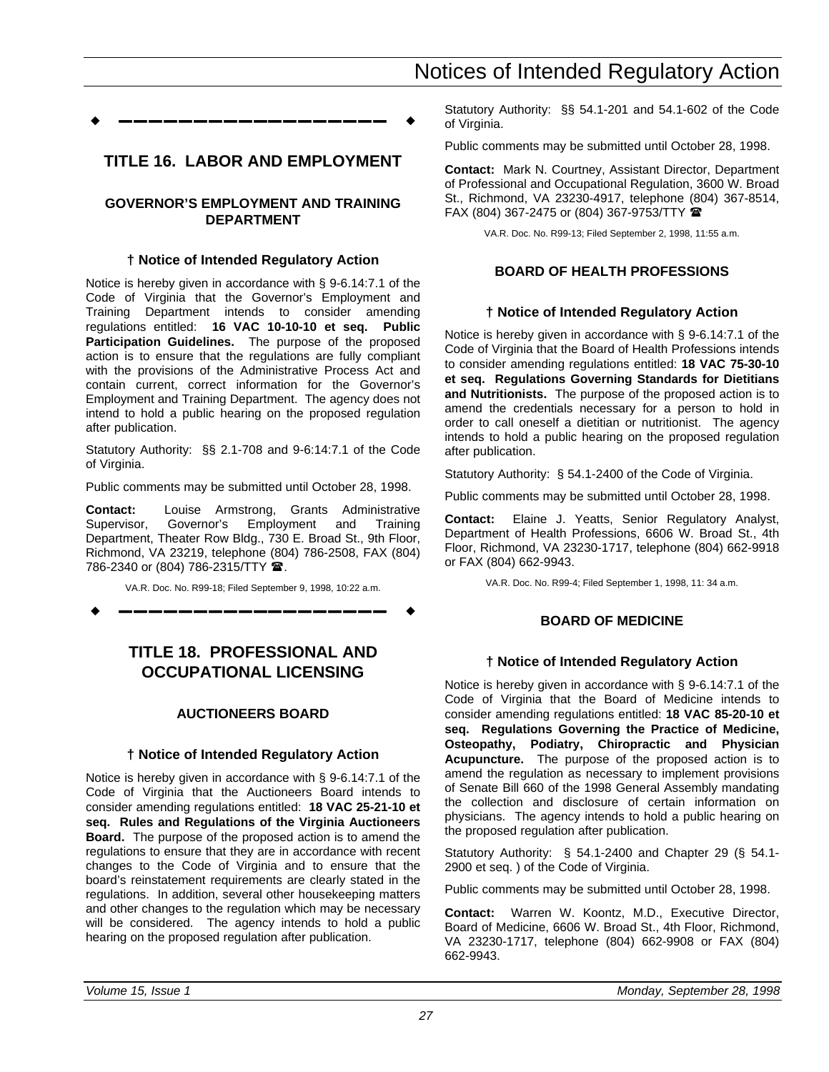<span id="page-28-0"></span>w **––––––––––––––––––** w

## **TITLE 16. LABOR AND EMPLOYMENT**

## **GOVERNOR'S EMPLOYMENT AND TRAINING DEPARTMENT**

### **† Notice of Intended Regulatory Action**

Notice is hereby given in accordance with § 9-6.14:7.1 of the Code of Virginia that the Governor's Employment and Training Department intends to consider amending regulations entitled: **16 VAC 10-10-10 et seq. Public Participation Guidelines.** The purpose of the proposed action is to ensure that the regulations are fully compliant with the provisions of the Administrative Process Act and contain current, correct information for the Governor's Employment and Training Department. The agency does not intend to hold a public hearing on the proposed regulation after publication.

Statutory Authority: §§ 2.1-708 and 9-6:14:7.1 of the Code of Virginia.

Public comments may be submitted until October 28, 1998.

**Contact:** Louise Armstrong, Grants Administrative Supervisor, Governor's Employment and Training Department, Theater Row Bldg., 730 E. Broad St., 9th Floor, Richmond, VA 23219, telephone (804) 786-2508, FAX (804) 786-2340 or (804) 786-2315/TTY 2.

VA.R. Doc. No. R99-18; Filed September 9, 1998, 10:22 a.m.

w **––––––––––––––––––** w

## **TITLE 18. PROFESSIONAL AND OCCUPATIONAL LICENSING**

## **AUCTIONEERS BOARD**

## **† Notice of Intended Regulatory Action**

Notice is hereby given in accordance with § 9-6.14:7.1 of the Code of Virginia that the Auctioneers Board intends to consider amending regulations entitled: **18 VAC 25-21-10 et seq. Rules and Regulations of the Virginia Auctioneers Board.** The purpose of the proposed action is to amend the regulations to ensure that they are in accordance with recent changes to the Code of Virginia and to ensure that the board's reinstatement requirements are clearly stated in the regulations. In addition, several other housekeeping matters and other changes to the regulation which may be necessary will be considered. The agency intends to hold a public hearing on the proposed regulation after publication.

Statutory Authority: §§ 54.1-201 and 54.1-602 of the Code of Virginia.

Public comments may be submitted until October 28, 1998.

**Contact:** Mark N. Courtney, Assistant Director, Department of Professional and Occupational Regulation, 3600 W. Broad St., Richmond, VA 23230-4917, telephone (804) 367-8514, FAX (804) 367-2475 or (804) 367-9753/TTY  $\blacksquare$ 

VA.R. Doc. No. R99-13; Filed September 2, 1998, 11:55 a.m.

## **BOARD OF HEALTH PROFESSIONS**

### **† Notice of Intended Regulatory Action**

Notice is hereby given in accordance with § 9-6.14:7.1 of the Code of Virginia that the Board of Health Professions intends to consider amending regulations entitled: **18 VAC 75-30-10 et seq. Regulations Governing Standards for Dietitians and Nutritionists.** The purpose of the proposed action is to amend the credentials necessary for a person to hold in order to call oneself a dietitian or nutritionist. The agency intends to hold a public hearing on the proposed regulation after publication.

Statutory Authority: § 54.1-2400 of the Code of Virginia.

Public comments may be submitted until October 28, 1998.

**Contact:** Elaine J. Yeatts, Senior Regulatory Analyst, Department of Health Professions, 6606 W. Broad St., 4th Floor, Richmond, VA 23230-1717, telephone (804) 662-9918 or FAX (804) 662-9943.

VA.R. Doc. No. R99-4; Filed September 1, 1998, 11: 34 a.m.

## **BOARD OF MEDICINE**

## **† Notice of Intended Regulatory Action**

Notice is hereby given in accordance with § 9-6.14:7.1 of the Code of Virginia that the Board of Medicine intends to consider amending regulations entitled: **18 VAC 85-20-10 et seq. Regulations Governing the Practice of Medicine, Osteopathy, Podiatry, Chiropractic and Physician Acupuncture.** The purpose of the proposed action is to amend the regulation as necessary to implement provisions of Senate Bill 660 of the 1998 General Assembly mandating the collection and disclosure of certain information on physicians. The agency intends to hold a public hearing on the proposed regulation after publication.

Statutory Authority: § 54.1-2400 and Chapter 29 (§ 54.1- 2900 et seq. ) of the Code of Virginia.

Public comments may be submitted until October 28, 1998.

**Contact:** Warren W. Koontz, M.D., Executive Director, Board of Medicine, 6606 W. Broad St., 4th Floor, Richmond, VA 23230-1717, telephone (804) 662-9908 or FAX (804) 662-9943.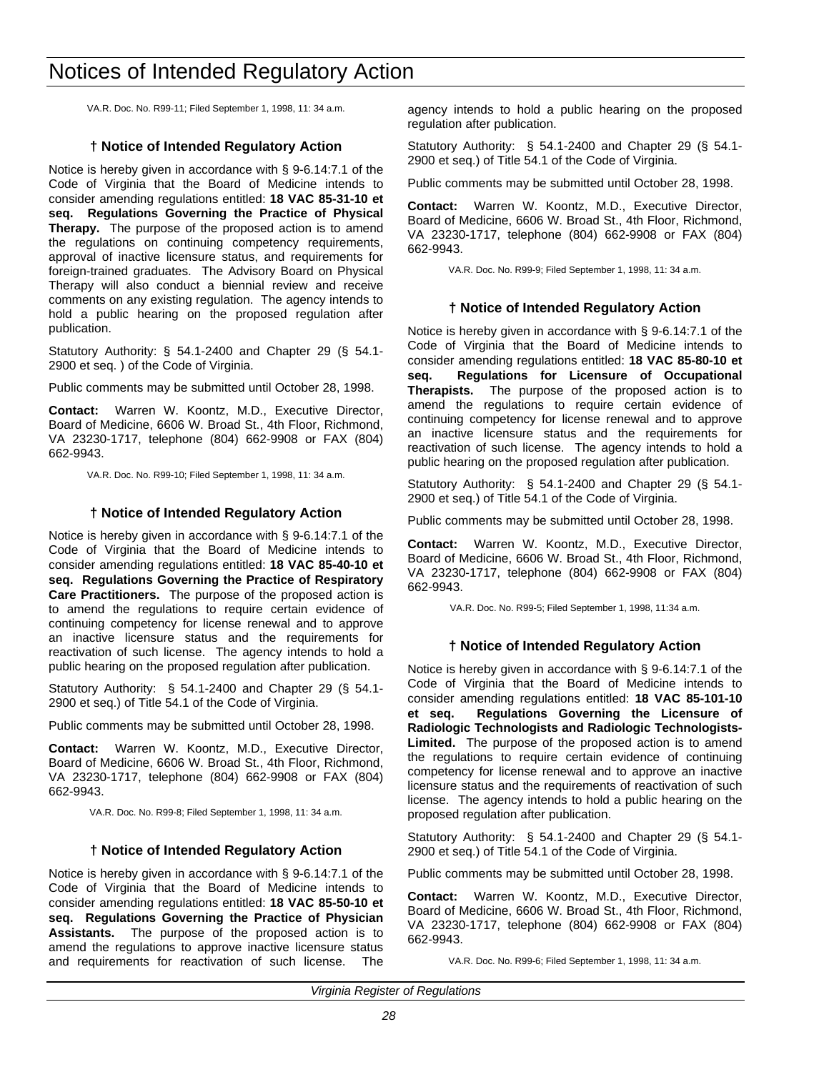VA.R. Doc. No. R99-11; Filed September 1, 1998, 11: 34 a.m.

## **† Notice of Intended Regulatory Action**

Notice is hereby given in accordance with § 9-6.14:7.1 of the Code of Virginia that the Board of Medicine intends to consider amending regulations entitled: **18 VAC 85-31-10 et seq. Regulations Governing the Practice of Physical Therapy.** The purpose of the proposed action is to amend the regulations on continuing competency requirements, approval of inactive licensure status, and requirements for foreign-trained graduates. The Advisory Board on Physical Therapy will also conduct a biennial review and receive comments on any existing regulation. The agency intends to hold a public hearing on the proposed regulation after publication.

Statutory Authority: § 54.1-2400 and Chapter 29 (§ 54.1- 2900 et seq. ) of the Code of Virginia.

Public comments may be submitted until October 28, 1998.

**Contact:** Warren W. Koontz, M.D., Executive Director, Board of Medicine, 6606 W. Broad St., 4th Floor, Richmond, VA 23230-1717, telephone (804) 662-9908 or FAX (804) 662-9943.

VA.R. Doc. No. R99-10; Filed September 1, 1998, 11: 34 a.m.

## **† Notice of Intended Regulatory Action**

Notice is hereby given in accordance with § 9-6.14:7.1 of the Code of Virginia that the Board of Medicine intends to consider amending regulations entitled: **18 VAC 85-40-10 et seq. Regulations Governing the Practice of Respiratory Care Practitioners.** The purpose of the proposed action is to amend the regulations to require certain evidence of continuing competency for license renewal and to approve an inactive licensure status and the requirements for reactivation of such license. The agency intends to hold a public hearing on the proposed regulation after publication.

Statutory Authority: § 54.1-2400 and Chapter 29 (§ 54.1- 2900 et seq.) of Title 54.1 of the Code of Virginia.

Public comments may be submitted until October 28, 1998.

**Contact:** Warren W. Koontz, M.D., Executive Director, Board of Medicine, 6606 W. Broad St., 4th Floor, Richmond, VA 23230-1717, telephone (804) 662-9908 or FAX (804) 662-9943.

VA.R. Doc. No. R99-8; Filed September 1, 1998, 11: 34 a.m.

#### **† Notice of Intended Regulatory Action**

Notice is hereby given in accordance with § 9-6.14:7.1 of the Code of Virginia that the Board of Medicine intends to consider amending regulations entitled: **18 VAC 85-50-10 et seq. Regulations Governing the Practice of Physician Assistants.** The purpose of the proposed action is to amend the regulations to approve inactive licensure status and requirements for reactivation of such license. The

agency intends to hold a public hearing on the proposed regulation after publication.

Statutory Authority: § 54.1-2400 and Chapter 29 (§ 54.1- 2900 et seq.) of Title 54.1 of the Code of Virginia.

Public comments may be submitted until October 28, 1998.

**Contact:** Warren W. Koontz, M.D., Executive Director, Board of Medicine, 6606 W. Broad St., 4th Floor, Richmond, VA 23230-1717, telephone (804) 662-9908 or FAX (804) 662-9943.

VA.R. Doc. No. R99-9; Filed September 1, 1998, 11: 34 a.m.

### **† Notice of Intended Regulatory Action**

Notice is hereby given in accordance with § 9-6.14:7.1 of the Code of Virginia that the Board of Medicine intends to consider amending regulations entitled: **18 VAC 85-80-10 et seq. Regulations for Licensure of Occupational Therapists.** The purpose of the proposed action is to amend the regulations to require certain evidence of continuing competency for license renewal and to approve an inactive licensure status and the requirements for reactivation of such license. The agency intends to hold a public hearing on the proposed regulation after publication.

Statutory Authority: § 54.1-2400 and Chapter 29 (§ 54.1- 2900 et seq.) of Title 54.1 of the Code of Virginia.

Public comments may be submitted until October 28, 1998.

**Contact:** Warren W. Koontz, M.D., Executive Director, Board of Medicine, 6606 W. Broad St., 4th Floor, Richmond, VA 23230-1717, telephone (804) 662-9908 or FAX (804) 662-9943.

VA.R. Doc. No. R99-5; Filed September 1, 1998, 11:34 a.m.

#### **† Notice of Intended Regulatory Action**

Notice is hereby given in accordance with § 9-6.14:7.1 of the Code of Virginia that the Board of Medicine intends to consider amending regulations entitled: **18 VAC 85-101-10 et seq. Regulations Governing the Licensure of Radiologic Technologists and Radiologic Technologists-Limited.** The purpose of the proposed action is to amend the regulations to require certain evidence of continuing competency for license renewal and to approve an inactive licensure status and the requirements of reactivation of such license. The agency intends to hold a public hearing on the proposed regulation after publication.

Statutory Authority: § 54.1-2400 and Chapter 29 (§ 54.1- 2900 et seq.) of Title 54.1 of the Code of Virginia.

Public comments may be submitted until October 28, 1998.

**Contact:** Warren W. Koontz, M.D., Executive Director, Board of Medicine, 6606 W. Broad St., 4th Floor, Richmond, VA 23230-1717, telephone (804) 662-9908 or FAX (804) 662-9943.

VA.R. Doc. No. R99-6; Filed September 1, 1998, 11: 34 a.m.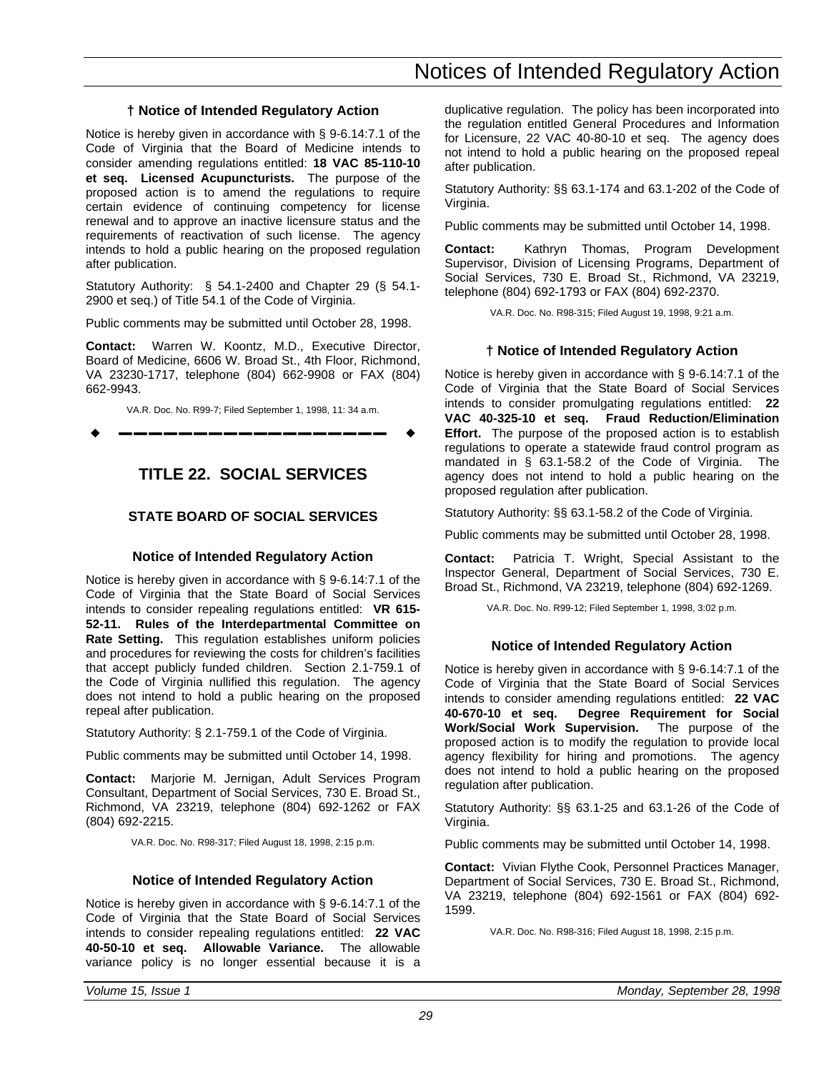## **† Notice of Intended Regulatory Action**

<span id="page-30-0"></span>Notice is hereby given in accordance with § 9-6.14:7.1 of the Code of Virginia that the Board of Medicine intends to consider amending regulations entitled: **18 VAC 85-110-10 et seq. Licensed Acupuncturists.** The purpose of the proposed action is to amend the regulations to require certain evidence of continuing competency for license renewal and to approve an inactive licensure status and the requirements of reactivation of such license. The agency intends to hold a public hearing on the proposed regulation after publication.

Statutory Authority: § 54.1-2400 and Chapter 29 (§ 54.1- 2900 et seq.) of Title 54.1 of the Code of Virginia.

Public comments may be submitted until October 28, 1998.

**Contact:** Warren W. Koontz, M.D., Executive Director, Board of Medicine, 6606 W. Broad St., 4th Floor, Richmond, VA 23230-1717, telephone (804) 662-9908 or FAX (804) 662-9943.

VA.R. Doc. No. R99-7; Filed September 1, 1998, 11: 34 a.m.

w **––––––––––––––––––** w

## **TITLE 22. SOCIAL SERVICES**

## **STATE BOARD OF SOCIAL SERVICES**

## **Notice of Intended Regulatory Action**

Notice is hereby given in accordance with § 9-6.14:7.1 of the Code of Virginia that the State Board of Social Services intends to consider repealing regulations entitled: **VR 615- 52-11. Rules of the Interdepartmental Committee on Rate Setting.** This regulation establishes uniform policies and procedures for reviewing the costs for children's facilities that accept publicly funded children. Section 2.1-759.1 of the Code of Virginia nullified this regulation. The agency does not intend to hold a public hearing on the proposed repeal after publication.

Statutory Authority: § 2.1-759.1 of the Code of Virginia.

Public comments may be submitted until October 14, 1998.

**Contact:** Marjorie M. Jernigan, Adult Services Program Consultant, Department of Social Services, 730 E. Broad St., Richmond, VA 23219, telephone (804) 692-1262 or FAX (804) 692-2215.

VA.R. Doc. No. R98-317; Filed August 18, 1998, 2:15 p.m.

#### **Notice of Intended Regulatory Action**

Notice is hereby given in accordance with § 9-6.14:7.1 of the Code of Virginia that the State Board of Social Services intends to consider repealing regulations entitled: **22 VAC 40-50-10 et seq. Allowable Variance.** The allowable variance policy is no longer essential because it is a duplicative regulation. The policy has been incorporated into the regulation entitled General Procedures and Information for Licensure, 22 VAC 40-80-10 et seq. The agency does not intend to hold a public hearing on the proposed repeal after publication.

Statutory Authority: §§ 63.1-174 and 63.1-202 of the Code of Virginia.

Public comments may be submitted until October 14, 1998.

**Contact:** Kathryn Thomas, Program Development Supervisor, Division of Licensing Programs, Department of Social Services, 730 E. Broad St., Richmond, VA 23219, telephone (804) 692-1793 or FAX (804) 692-2370.

VA.R. Doc. No. R98-315; Filed August 19, 1998, 9:21 a.m.

## **† Notice of Intended Regulatory Action**

Notice is hereby given in accordance with § 9-6.14:7.1 of the Code of Virginia that the State Board of Social Services intends to consider promulgating regulations entitled: **22 VAC 40-325-10 et seq. Fraud Reduction/Elimination Effort.** The purpose of the proposed action is to establish regulations to operate a statewide fraud control program as mandated in § 63.1-58.2 of the Code of Virginia. The agency does not intend to hold a public hearing on the proposed regulation after publication.

Statutory Authority: §§ 63.1-58.2 of the Code of Virginia.

Public comments may be submitted until October 28, 1998.

**Contact:** Patricia T. Wright, Special Assistant to the Inspector General, Department of Social Services, 730 E. Broad St., Richmond, VA 23219, telephone (804) 692-1269.

VA.R. Doc. No. R99-12; Filed September 1, 1998, 3:02 p.m.

## **Notice of Intended Regulatory Action**

Notice is hereby given in accordance with § 9-6.14:7.1 of the Code of Virginia that the State Board of Social Services intends to consider amending regulations entitled: **22 VAC 40-670-10 et seq. Degree Requirement for Social Work/Social Work Supervision.** The purpose of the proposed action is to modify the regulation to provide local agency flexibility for hiring and promotions. The agency does not intend to hold a public hearing on the proposed regulation after publication.

Statutory Authority: §§ 63.1-25 and 63.1-26 of the Code of Virginia.

Public comments may be submitted until October 14, 1998.

**Contact:** Vivian Flythe Cook, Personnel Practices Manager, Department of Social Services, 730 E. Broad St., Richmond, VA 23219, telephone (804) 692-1561 or FAX (804) 692- 1599.

VA.R. Doc. No. R98-316; Filed August 18, 1998, 2:15 p.m.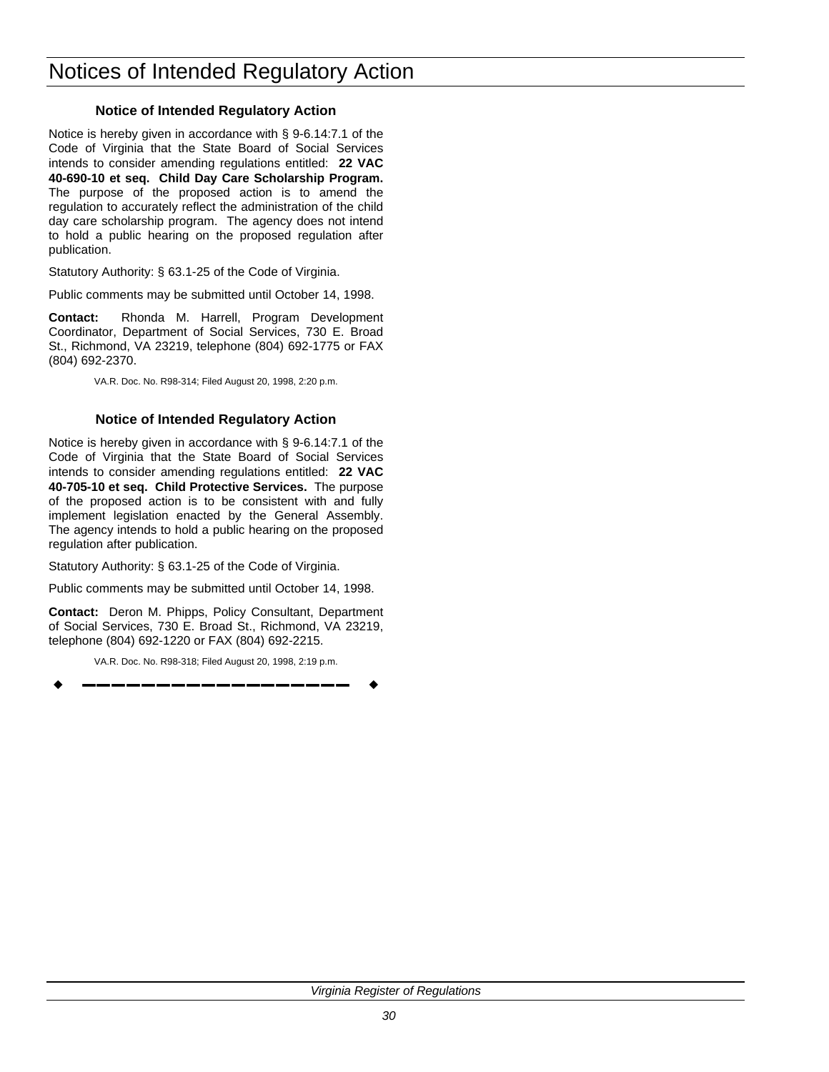Notice is hereby given in accordance with § 9-6.14:7.1 of the Code of Virginia that the State Board of Social Services intends to consider amending regulations entitled: **22 VAC 40-690-10 et seq. Child Day Care Scholarship Program.** The purpose of the proposed action is to amend the regulation to accurately reflect the administration of the child day care scholarship program. The agency does not intend to hold a public hearing on the proposed regulation after publication.

Statutory Authority: § 63.1-25 of the Code of Virginia.

Public comments may be submitted until October 14, 1998.

**Contact:** Rhonda M. Harrell, Program Development Coordinator, Department of Social Services, 730 E. Broad St., Richmond, VA 23219, telephone (804) 692-1775 or FAX (804) 692-2370.

VA.R. Doc. No. R98-314; Filed August 20, 1998, 2:20 p.m.

## **Notice of Intended Regulatory Action**

Notice is hereby given in accordance with § 9-6.14:7.1 of the Code of Virginia that the State Board of Social Services intends to consider amending regulations entitled: **22 VAC 40-705-10 et seq. Child Protective Services.** The purpose of the proposed action is to be consistent with and fully implement legislation enacted by the General Assembly. The agency intends to hold a public hearing on the proposed regulation after publication.

Statutory Authority: § 63.1-25 of the Code of Virginia.

Public comments may be submitted until October 14, 1998.

**Contact:** Deron M. Phipps, Policy Consultant, Department of Social Services, 730 E. Broad St., Richmond, VA 23219, telephone (804) 692-1220 or FAX (804) 692-2215.

VA.R. Doc. No. R98-318; Filed August 20, 1998, 2:19 p.m.

w **––––––––––––––––––** w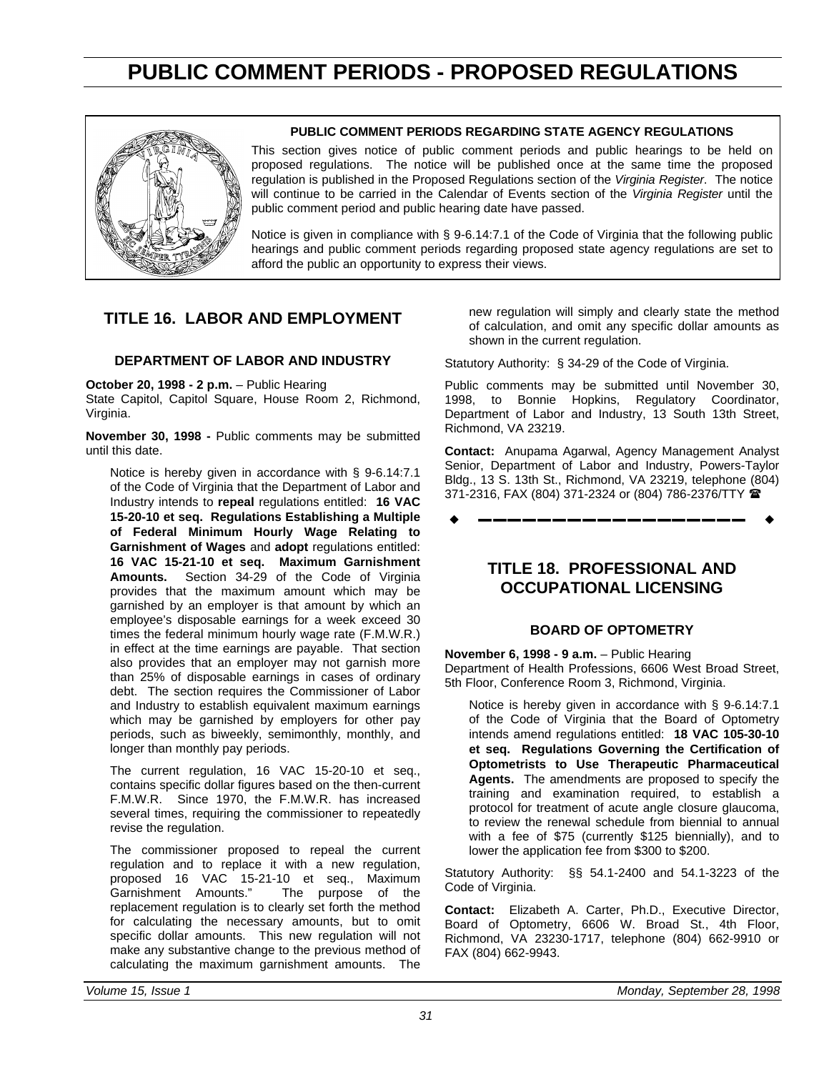## **PUBLIC COMMENT PERIODS - PROPOSED REGULATIONS**

<span id="page-32-0"></span>

#### **PUBLIC COMMENT PERIODS REGARDING STATE AGENCY REGULATIONS**

This section gives notice of public comment periods and public hearings to be held on proposed regulations. The notice will be published once at the same time the proposed regulation is published in the Proposed Regulations section of the *Virginia Register*. The notice will continue to be carried in the Calendar of Events section of the *Virginia Register* until the public comment period and public hearing date have passed.

Notice is given in compliance with § 9-6.14:7.1 of the Code of Virginia that the following public hearings and public comment periods regarding proposed state agency regulations are set to afford the public an opportunity to express their views.

## **TITLE 16. LABOR AND EMPLOYMENT**

#### **DEPARTMENT OF LABOR AND INDUSTRY**

**October 20, 1998 - 2 p.m.** – Public Hearing

State Capitol, Capitol Square, House Room 2, Richmond, Virginia.

**November 30, 1998 -** Public comments may be submitted until this date.

Notice is hereby given in accordance with § 9-6.14:7.1 of the Code of Virginia that the Department of Labor and Industry intends to **repeal** regulations entitled: **16 VAC 15-20-10 et seq. Regulations Establishing a Multiple of Federal Minimum Hourly Wage Relating to Garnishment of Wages** and **adopt** regulations entitled: **16 VAC 15-21-10 et seq. Maximum Garnishment Amounts.** Section 34-29 of the Code of Virginia provides that the maximum amount which may be garnished by an employer is that amount by which an employee's disposable earnings for a week exceed 30 times the federal minimum hourly wage rate (F.M.W.R.) in effect at the time earnings are payable. That section also provides that an employer may not garnish more than 25% of disposable earnings in cases of ordinary debt. The section requires the Commissioner of Labor and Industry to establish equivalent maximum earnings which may be garnished by employers for other pay periods, such as biweekly, semimonthly, monthly, and longer than monthly pay periods.

The current regulation, 16 VAC 15-20-10 et seq., contains specific dollar figures based on the then-current F.M.W.R. Since 1970, the F.M.W.R. has increased several times, requiring the commissioner to repeatedly revise the regulation.

The commissioner proposed to repeal the current regulation and to replace it with a new regulation, proposed 16 VAC 15-21-10 et seq., Maximum<br>Garnishment Amounts." The purpose of the The purpose of the replacement regulation is to clearly set forth the method for calculating the necessary amounts, but to omit specific dollar amounts. This new regulation will not make any substantive change to the previous method of calculating the maximum garnishment amounts. The

new regulation will simply and clearly state the method of calculation, and omit any specific dollar amounts as shown in the current regulation.

Statutory Authority: § 34-29 of the Code of Virginia.

Public comments may be submitted until November 30, 1998, to Bonnie Hopkins, Regulatory Coordinator, Department of Labor and Industry, 13 South 13th Street, Richmond, VA 23219.

**Contact:** Anupama Agarwal, Agency Management Analyst Senior, Department of Labor and Industry, Powers-Taylor Bldg., 13 S. 13th St., Richmond, VA 23219, telephone (804) 371-2316, FAX (804) 371-2324 or (804) 786-2376/TTY (

w **––––––––––––––––––** w

## **TITLE 18. PROFESSIONAL AND OCCUPATIONAL LICENSING**

## **BOARD OF OPTOMETRY**

**November 6, 1998 - 9 a.m.** – Public Hearing Department of Health Professions, 6606 West Broad Street, 5th Floor, Conference Room 3, Richmond, Virginia.

Notice is hereby given in accordance with § 9-6.14:7.1 of the Code of Virginia that the Board of Optometry intends amend regulations entitled: **18 VAC 105-30-10 et seq. Regulations Governing the Certification of Optometrists to Use Therapeutic Pharmaceutical Agents.** The amendments are proposed to specify the training and examination required, to establish a protocol for treatment of acute angle closure glaucoma, to review the renewal schedule from biennial to annual with a fee of \$75 (currently \$125 biennially), and to lower the application fee from \$300 to \$200.

Statutory Authority: §§ 54.1-2400 and 54.1-3223 of the Code of Virginia.

**Contact:** Elizabeth A. Carter, Ph.D., Executive Director, Board of Optometry, 6606 W. Broad St., 4th Floor, Richmond, VA 23230-1717, telephone (804) 662-9910 or FAX (804) 662-9943.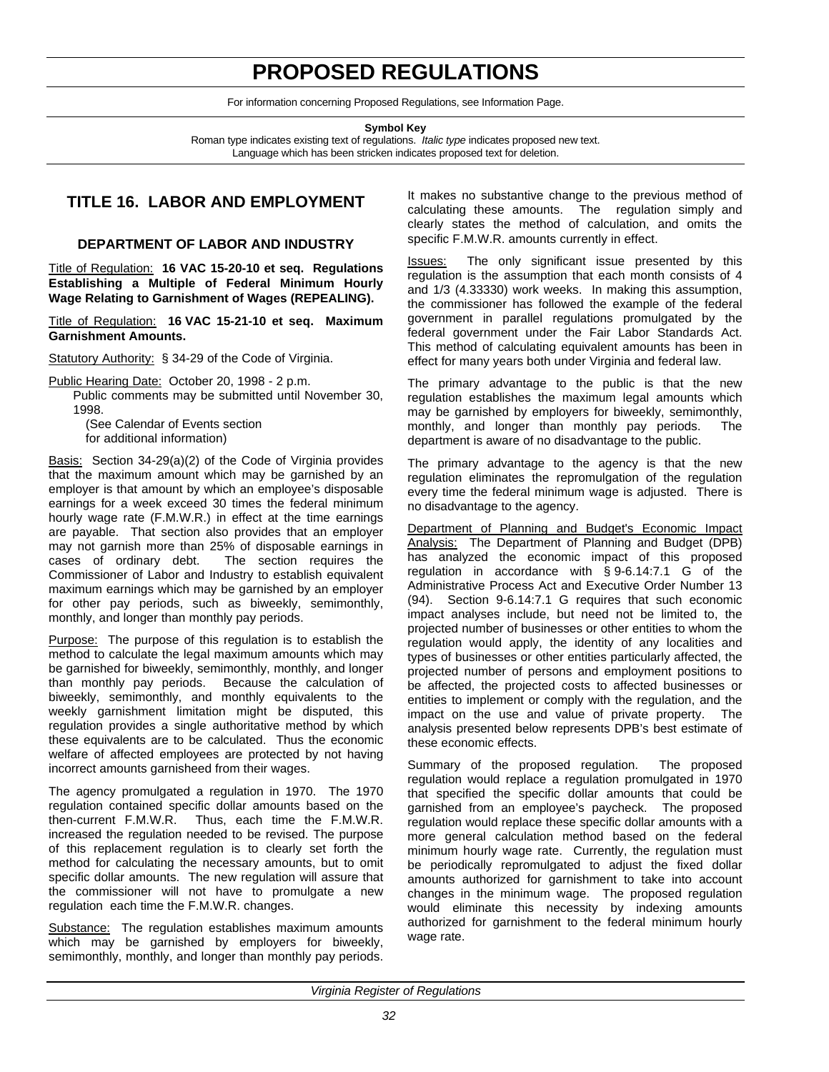## **PROPOSED REGULATIONS**

For information concerning Proposed Regulations, see Information Page.

**Symbol Key**

Roman type indicates existing text of regulations. *Italic type* indicates proposed new text. Language which has been stricken indicates proposed text for deletion.

## <span id="page-33-0"></span>**TITLE 16. LABOR AND EMPLOYMENT**

## **DEPARTMENT OF LABOR AND INDUSTRY**

Title of Regulation: **16 VAC 15-20-10 et seq. Regulations Establishing a Multiple of Federal Minimum Hourly Wage Relating to Garnishment of Wages (REPEALING).**

Title of Regulation: **16 VAC 15-21-10 et seq. Maximum Garnishment Amounts.**

Statutory Authority: § 34-29 of the Code of Virginia.

Public Hearing Date: October 20, 1998 - 2 p.m.

Public comments may be submitted until November 30, 1998.

(See Calendar of Events section for additional information)

Basis: Section 34-29(a)(2) of the Code of Virginia provides that the maximum amount which may be garnished by an employer is that amount by which an employee's disposable earnings for a week exceed 30 times the federal minimum hourly wage rate (F.M.W.R.) in effect at the time earnings are payable. That section also provides that an employer may not garnish more than 25% of disposable earnings in cases of ordinary debt. The section requires the Commissioner of Labor and Industry to establish equivalent maximum earnings which may be garnished by an employer for other pay periods, such as biweekly, semimonthly, monthly, and longer than monthly pay periods.

Purpose: The purpose of this regulation is to establish the method to calculate the legal maximum amounts which may be garnished for biweekly, semimonthly, monthly, and longer than monthly pay periods. Because the calculation of biweekly, semimonthly, and monthly equivalents to the weekly garnishment limitation might be disputed, this regulation provides a single authoritative method by which these equivalents are to be calculated. Thus the economic welfare of affected employees are protected by not having incorrect amounts garnisheed from their wages.

The agency promulgated a regulation in 1970. The 1970 regulation contained specific dollar amounts based on the then-current F.M.W.R. Thus, each time the F.M.W.R. increased the regulation needed to be revised. The purpose of this replacement regulation is to clearly set forth the method for calculating the necessary amounts, but to omit specific dollar amounts. The new regulation will assure that the commissioner will not have to promulgate a new regulation each time the F.M.W.R. changes.

Substance: The regulation establishes maximum amounts which may be garnished by employers for biweekly, semimonthly, monthly, and longer than monthly pay periods. It makes no substantive change to the previous method of calculating these amounts. The regulation simply and clearly states the method of calculation, and omits the specific F.M.W.R. amounts currently in effect.

Issues: The only significant issue presented by this regulation is the assumption that each month consists of 4 and 1/3 (4.33330) work weeks. In making this assumption, the commissioner has followed the example of the federal government in parallel regulations promulgated by the federal government under the Fair Labor Standards Act. This method of calculating equivalent amounts has been in effect for many years both under Virginia and federal law.

The primary advantage to the public is that the new regulation establishes the maximum legal amounts which may be garnished by employers for biweekly, semimonthly, monthly, and longer than monthly pay periods. The department is aware of no disadvantage to the public.

The primary advantage to the agency is that the new regulation eliminates the repromulgation of the regulation every time the federal minimum wage is adjusted. There is no disadvantage to the agency.

Department of Planning and Budget's Economic Impact Analysis: The Department of Planning and Budget (DPB) has analyzed the economic impact of this proposed regulation in accordance with § 9-6.14:7.1 G of the Administrative Process Act and Executive Order Number 13 (94). Section 9-6.14:7.1 G requires that such economic impact analyses include, but need not be limited to, the projected number of businesses or other entities to whom the regulation would apply, the identity of any localities and types of businesses or other entities particularly affected, the projected number of persons and employment positions to be affected, the projected costs to affected businesses or entities to implement or comply with the regulation, and the impact on the use and value of private property. The analysis presented below represents DPB's best estimate of these economic effects.

Summary of the proposed regulation. The proposed regulation would replace a regulation promulgated in 1970 that specified the specific dollar amounts that could be garnished from an employee's paycheck. The proposed regulation would replace these specific dollar amounts with a more general calculation method based on the federal minimum hourly wage rate. Currently, the regulation must be periodically repromulgated to adjust the fixed dollar amounts authorized for garnishment to take into account changes in the minimum wage. The proposed regulation would eliminate this necessity by indexing amounts authorized for garnishment to the federal minimum hourly wage rate.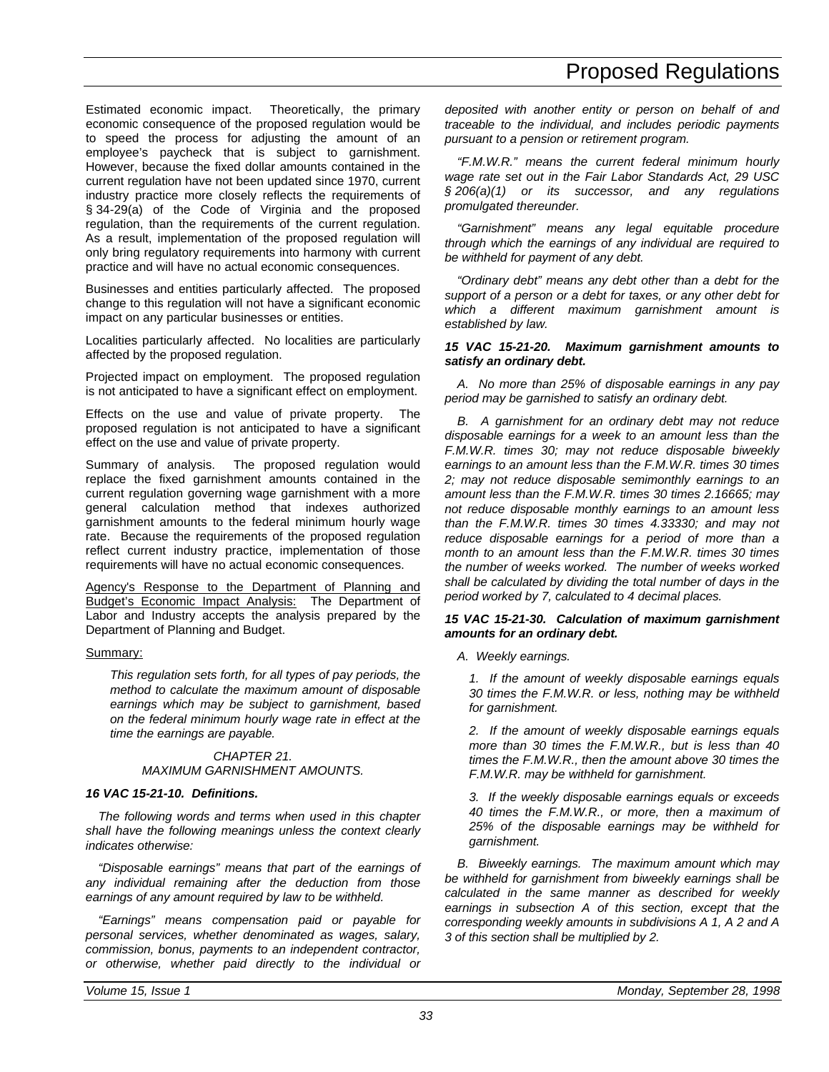## Proposed Regulations

Estimated economic impact. Theoretically, the primary economic consequence of the proposed regulation would be to speed the process for adjusting the amount of an employee's paycheck that is subject to garnishment. However, because the fixed dollar amounts contained in the current regulation have not been updated since 1970, current industry practice more closely reflects the requirements of § 34-29(a) of the Code of Virginia and the proposed regulation, than the requirements of the current regulation. As a result, implementation of the proposed regulation will only bring regulatory requirements into harmony with current practice and will have no actual economic consequences.

Businesses and entities particularly affected. The proposed change to this regulation will not have a significant economic impact on any particular businesses or entities.

Localities particularly affected. No localities are particularly affected by the proposed regulation.

Projected impact on employment. The proposed regulation is not anticipated to have a significant effect on employment.

Effects on the use and value of private property. proposed regulation is not anticipated to have a significant effect on the use and value of private property.

Summary of analysis. The proposed regulation would replace the fixed garnishment amounts contained in the current regulation governing wage garnishment with a more general calculation method that indexes authorized garnishment amounts to the federal minimum hourly wage rate. Because the requirements of the proposed regulation reflect current industry practice, implementation of those requirements will have no actual economic consequences.

Agency's Response to the Department of Planning and Budget's Economic Impact Analysis: The Department of Labor and Industry accepts the analysis prepared by the Department of Planning and Budget.

#### Summary:

*This regulation sets forth, for all types of pay periods, the method to calculate the maximum amount of disposable earnings which may be subject to garnishment, based on the federal minimum hourly wage rate in effect at the time the earnings are payable.*

#### *CHAPTER 21. MAXIMUM GARNISHMENT AMOUNTS.*

#### *16 VAC 15-21-10. Definitions.*

*The following words and terms when used in this chapter shall have the following meanings unless the context clearly indicates otherwise:*

*"Disposable earnings" means that part of the earnings of any individual remaining after the deduction from those earnings of any amount required by law to be withheld.*

*"Earnings" means compensation paid or payable for personal services, whether denominated as wages, salary, commission, bonus, payments to an independent contractor, or otherwise, whether paid directly to the individual or* *deposited with another entity or person on behalf of and traceable to the individual, and includes periodic payments pursuant to a pension or retirement program.*

*"F.M.W.R." means the current federal minimum hourly wage rate set out in the Fair Labor Standards Act, 29 USC § 206(a)(1) or its successor, and any regulations promulgated thereunder.*

*"Garnishment" means any legal equitable procedure through which the earnings of any individual are required to be withheld for payment of any debt.*

*"Ordinary debt" means any debt other than a debt for the support of a person or a debt for taxes, or any other debt for which a different maximum garnishment amount is established by law.*

#### *15 VAC 15-21-20. Maximum garnishment amounts to satisfy an ordinary debt.*

*A. No more than 25% of disposable earnings in any pay period may be garnished to satisfy an ordinary debt.*

*B. A garnishment for an ordinary debt may not reduce disposable earnings for a week to an amount less than the F.M.W.R. times 30; may not reduce disposable biweekly earnings to an amount less than the F.M.W.R. times 30 times 2; may not reduce disposable semimonthly earnings to an amount less than the F.M.W.R. times 30 times 2.16665; may not reduce disposable monthly earnings to an amount less than the F.M.W.R. times 30 times 4.33330; and may not reduce disposable earnings for a period of more than a month to an amount less than the F.M.W.R. times 30 times the number of weeks worked. The number of weeks worked shall be calculated by dividing the total number of days in the period worked by 7, calculated to 4 decimal places.*

#### *15 VAC 15-21-30. Calculation of maximum garnishment amounts for an ordinary debt.*

*A. Weekly earnings.*

*1. If the amount of weekly disposable earnings equals 30 times the F.M.W.R. or less, nothing may be withheld for garnishment.*

*2. If the amount of weekly disposable earnings equals more than 30 times the F.M.W.R., but is less than 40 times the F.M.W.R., then the amount above 30 times the F.M.W.R. may be withheld for garnishment.*

*3. If the weekly disposable earnings equals or exceeds 40 times the F.M.W.R., or more, then a maximum of 25% of the disposable earnings may be withheld for garnishment.*

*B. Biweekly earnings. The maximum amount which may be withheld for garnishment from biweekly earnings shall be calculated in the same manner as described for weekly earnings in subsection A of this section, except that the corresponding weekly amounts in subdivisions A 1, A 2 and A 3 of this section shall be multiplied by 2.*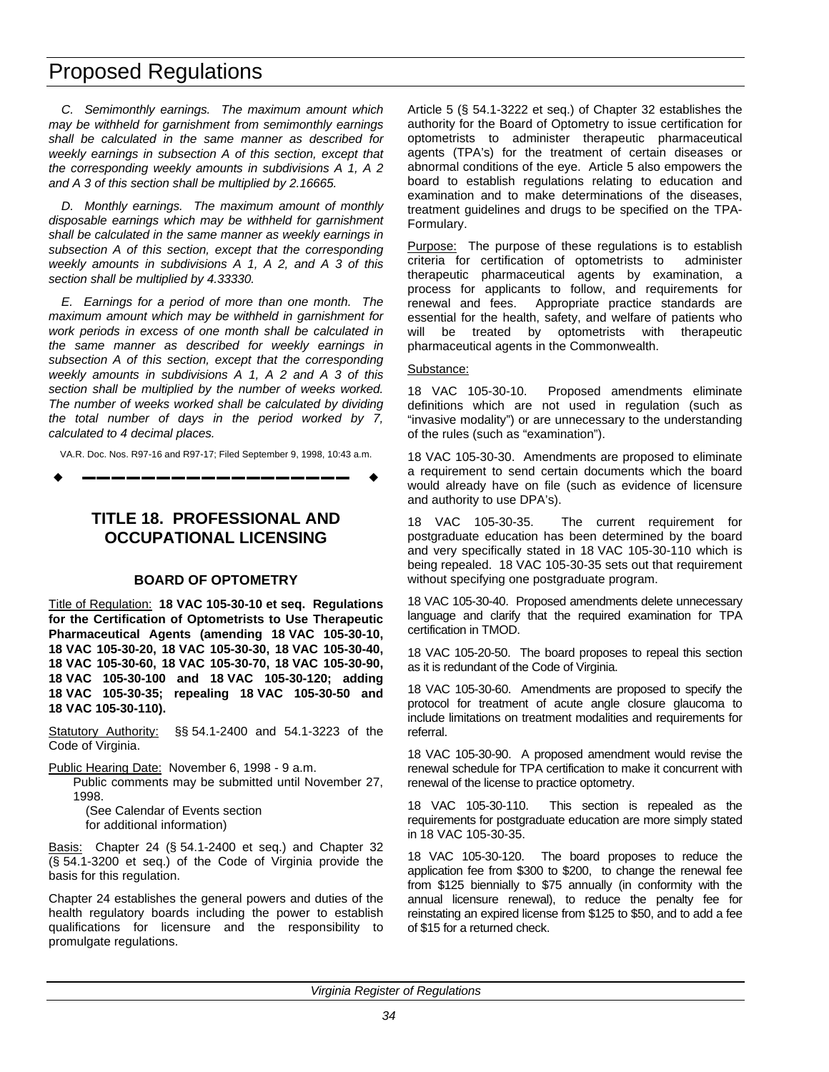## <span id="page-35-0"></span>Proposed Regulations

*C. Semimonthly earnings. The maximum amount which may be withheld for garnishment from semimonthly earnings shall be calculated in the same manner as described for weekly earnings in subsection A of this section, except that the corresponding weekly amounts in subdivisions A 1, A 2 and A 3 of this section shall be multiplied by 2.16665.*

*D. Monthly earnings. The maximum amount of monthly disposable earnings which may be withheld for garnishment shall be calculated in the same manner as weekly earnings in subsection A of this section, except that the corresponding weekly amounts in subdivisions A 1, A 2, and A 3 of this section shall be multiplied by 4.33330.*

*E. Earnings for a period of more than one month. The maximum amount which may be withheld in garnishment for work periods in excess of one month shall be calculated in the same manner as described for weekly earnings in subsection A of this section, except that the corresponding weekly amounts in subdivisions A 1, A 2 and A 3 of this section shall be multiplied by the number of weeks worked. The number of weeks worked shall be calculated by dividing the total number of days in the period worked by 7, calculated to 4 decimal places.*

VA.R. Doc. Nos. R97-16 and R97-17; Filed September 9, 1998, 10:43 a.m.

w **––––––––––––––––––** w

## **TITLE 18. PROFESSIONAL AND OCCUPATIONAL LICENSING**

## **BOARD OF OPTOMETRY**

Title of Regulation: **18 VAC 105-30-10 et seq. Regulations for the Certification of Optometrists to Use Therapeutic Pharmaceutical Agents (amending 18 VAC 105-30-10, 18 VAC 105-30-20, 18 VAC 105-30-30, 18 VAC 105-30-40, 18 VAC 105-30-60, 18 VAC 105-30-70, 18 VAC 105-30-90, 18 VAC 105-30-100 and 18 VAC 105-30-120; adding 18 VAC 105-30-35; repealing 18 VAC 105-30-50 and 18 VAC 105-30-110).**

Statutory Authority: §§ 54.1-2400 and 54.1-3223 of the Code of Virginia.

Public Hearing Date: November 6, 1998 - 9 a.m.

Public comments may be submitted until November 27, 1998.

(See Calendar of Events section for additional information)

Basis: Chapter 24 (§ 54.1-2400 et seq.) and Chapter 32 (§ 54.1-3200 et seq.) of the Code of Virginia provide the basis for this regulation.

Chapter 24 establishes the general powers and duties of the health regulatory boards including the power to establish qualifications for licensure and the responsibility to promulgate regulations.

Article 5 (§ 54.1-3222 et seq.) of Chapter 32 establishes the authority for the Board of Optometry to issue certification for optometrists to administer therapeutic pharmaceutical agents (TPA's) for the treatment of certain diseases or abnormal conditions of the eye. Article 5 also empowers the board to establish regulations relating to education and examination and to make determinations of the diseases, treatment guidelines and drugs to be specified on the TPA-Formulary.

Purpose: The purpose of these regulations is to establish criteria for certification of optometrists to administer therapeutic pharmaceutical agents by examination, a process for applicants to follow, and requirements for renewal and fees. Appropriate practice standards are essential for the health, safety, and welfare of patients who will be treated by optometrists with therapeutic pharmaceutical agents in the Commonwealth.

#### Substance:

18 VAC 105-30-10. Proposed amendments eliminate definitions which are not used in regulation (such as "invasive modality") or are unnecessary to the understanding of the rules (such as "examination").

18 VAC 105-30-30. Amendments are proposed to eliminate a requirement to send certain documents which the board would already have on file (such as evidence of licensure and authority to use DPA's).

18 VAC 105-30-35. The current requirement for postgraduate education has been determined by the board and very specifically stated in 18 VAC 105-30-110 which is being repealed. 18 VAC 105-30-35 sets out that requirement without specifying one postgraduate program.

18 VAC 105-30-40. Proposed amendments delete unnecessary language and clarify that the required examination for TPA certification in TMOD.

18 VAC 105-20-50. The board proposes to repeal this section as it is redundant of the Code of Virginia.

18 VAC 105-30-60. Amendments are proposed to specify the protocol for treatment of acute angle closure glaucoma to include limitations on treatment modalities and requirements for referral.

18 VAC 105-30-90. A proposed amendment would revise the renewal schedule for TPA certification to make it concurrent with renewal of the license to practice optometry.

18 VAC 105-30-110. This section is repealed as the requirements for postgraduate education are more simply stated in 18 VAC 105-30-35.

18 VAC 105-30-120. The board proposes to reduce the application fee from \$300 to \$200, to change the renewal fee from \$125 biennially to \$75 annually (in conformity with the annual licensure renewal), to reduce the penalty fee for reinstating an expired license from \$125 to \$50, and to add a fee of \$15 for a returned check.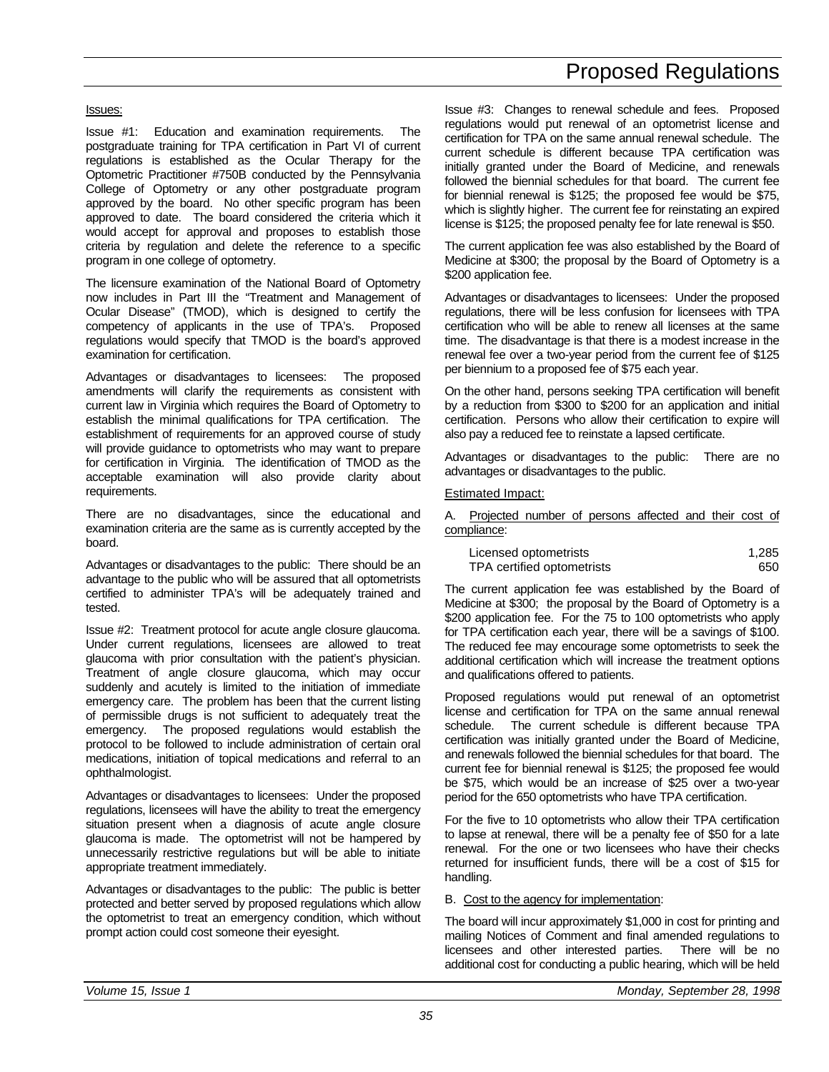### Issues:

Issue #1: Education and examination requirements. The postgraduate training for TPA certification in Part VI of current regulations is established as the Ocular Therapy for the Optometric Practitioner #750B conducted by the Pennsylvania College of Optometry or any other postgraduate program approved by the board. No other specific program has been approved to date. The board considered the criteria which it would accept for approval and proposes to establish those criteria by regulation and delete the reference to a specific program in one college of optometry.

The licensure examination of the National Board of Optometry now includes in Part III the "Treatment and Management of Ocular Disease" (TMOD), which is designed to certify the competency of applicants in the use of TPA's. Proposed regulations would specify that TMOD is the board's approved examination for certification.

Advantages or disadvantages to licensees: The proposed amendments will clarify the requirements as consistent with current law in Virginia which requires the Board of Optometry to establish the minimal qualifications for TPA certification. The establishment of requirements for an approved course of study will provide guidance to optometrists who may want to prepare for certification in Virginia. The identification of TMOD as the acceptable examination will also provide clarity about requirements.

There are no disadvantages, since the educational and examination criteria are the same as is currently accepted by the board.

Advantages or disadvantages to the public: There should be an advantage to the public who will be assured that all optometrists certified to administer TPA's will be adequately trained and tested.

Issue #2: Treatment protocol for acute angle closure glaucoma. Under current regulations, licensees are allowed to treat glaucoma with prior consultation with the patient's physician. Treatment of angle closure glaucoma, which may occur suddenly and acutely is limited to the initiation of immediate emergency care. The problem has been that the current listing of permissible drugs is not sufficient to adequately treat the emergency. The proposed regulations would establish the protocol to be followed to include administration of certain oral medications, initiation of topical medications and referral to an ophthalmologist.

Advantages or disadvantages to licensees: Under the proposed regulations, licensees will have the ability to treat the emergency situation present when a diagnosis of acute angle closure glaucoma is made. The optometrist will not be hampered by unnecessarily restrictive regulations but will be able to initiate appropriate treatment immediately.

Advantages or disadvantages to the public: The public is better protected and better served by proposed regulations which allow the optometrist to treat an emergency condition, which without prompt action could cost someone their eyesight.

# Proposed Regulations

Issue #3: Changes to renewal schedule and fees. Proposed regulations would put renewal of an optometrist license and certification for TPA on the same annual renewal schedule. The current schedule is different because TPA certification was initially granted under the Board of Medicine, and renewals followed the biennial schedules for that board. The current fee for biennial renewal is \$125; the proposed fee would be \$75, which is slightly higher. The current fee for reinstating an expired license is \$125; the proposed penalty fee for late renewal is \$50.

The current application fee was also established by the Board of Medicine at \$300; the proposal by the Board of Optometry is a \$200 application fee.

Advantages or disadvantages to licensees: Under the proposed regulations, there will be less confusion for licensees with TPA certification who will be able to renew all licenses at the same time. The disadvantage is that there is a modest increase in the renewal fee over a two-year period from the current fee of \$125 per biennium to a proposed fee of \$75 each year.

On the other hand, persons seeking TPA certification will benefit by a reduction from \$300 to \$200 for an application and initial certification. Persons who allow their certification to expire will also pay a reduced fee to reinstate a lapsed certificate.

Advantages or disadvantages to the public: There are no advantages or disadvantages to the public.

### Estimated Impact:

A. Projected number of persons affected and their cost of compliance:

| Licensed optometrists      | 1.285 |
|----------------------------|-------|
| TPA certified optometrists | 650   |

The current application fee was established by the Board of Medicine at \$300; the proposal by the Board of Optometry is a \$200 application fee. For the 75 to 100 optometrists who apply for TPA certification each year, there will be a savings of \$100. The reduced fee may encourage some optometrists to seek the additional certification which will increase the treatment options and qualifications offered to patients.

Proposed regulations would put renewal of an optometrist license and certification for TPA on the same annual renewal schedule. The current schedule is different because TPA certification was initially granted under the Board of Medicine, and renewals followed the biennial schedules for that board. The current fee for biennial renewal is \$125; the proposed fee would be \$75, which would be an increase of \$25 over a two-year period for the 650 optometrists who have TPA certification.

For the five to 10 optometrists who allow their TPA certification to lapse at renewal, there will be a penalty fee of \$50 for a late renewal. For the one or two licensees who have their checks returned for insufficient funds, there will be a cost of \$15 for handling.

B. Cost to the agency for implementation:

The board will incur approximately \$1,000 in cost for printing and mailing Notices of Comment and final amended regulations to licensees and other interested parties. There will be no additional cost for conducting a public hearing, which will be held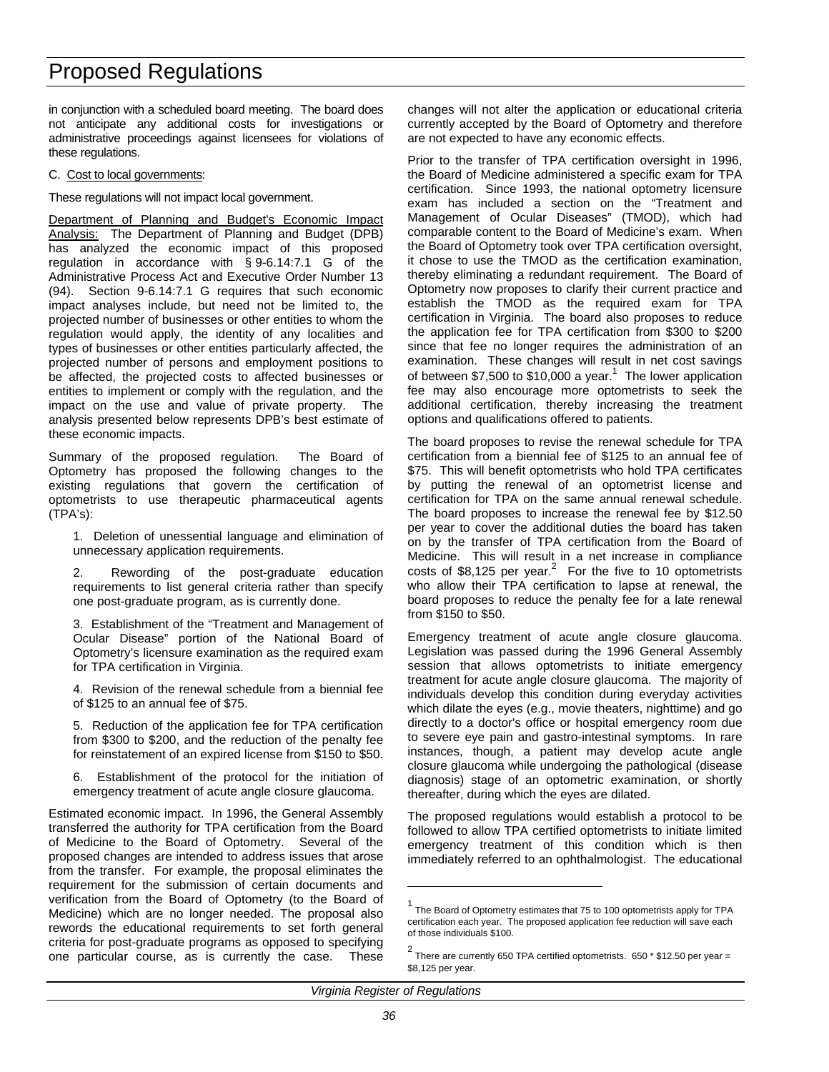in conjunction with a scheduled board meeting. The board does not anticipate any additional costs for investigations or administrative proceedings against licensees for violations of these regulations.

### C. Cost to local governments:

These regulations will not impact local government.

Department of Planning and Budget's Economic Impact Analysis: The Department of Planning and Budget (DPB) has analyzed the economic impact of this proposed regulation in accordance with § 9-6.14:7.1 G of the Administrative Process Act and Executive Order Number 13 (94). Section 9-6.14:7.1 G requires that such economic impact analyses include, but need not be limited to, the projected number of businesses or other entities to whom the regulation would apply, the identity of any localities and types of businesses or other entities particularly affected, the projected number of persons and employment positions to be affected, the projected costs to affected businesses or entities to implement or comply with the regulation, and the impact on the use and value of private property. The analysis presented below represents DPB's best estimate of these economic impacts.

Summary of the proposed regulation. The Board of Optometry has proposed the following changes to the existing regulations that govern the certification of optometrists to use therapeutic pharmaceutical agents (TPA's):

1. Deletion of unessential language and elimination of unnecessary application requirements.

2. Rewording of the post-graduate education requirements to list general criteria rather than specify one post-graduate program, as is currently done.

3. Establishment of the "Treatment and Management of Ocular Disease" portion of the National Board of Optometry's licensure examination as the required exam for TPA certification in Virginia.

4. Revision of the renewal schedule from a biennial fee of \$125 to an annual fee of \$75.

5. Reduction of the application fee for TPA certification from \$300 to \$200, and the reduction of the penalty fee for reinstatement of an expired license from \$150 to \$50.

6. Establishment of the protocol for the initiation of emergency treatment of acute angle closure glaucoma.

Estimated economic impact. In 1996, the General Assembly transferred the authority for TPA certification from the Board of Medicine to the Board of Optometry. Several of the proposed changes are intended to address issues that arose from the transfer. For example, the proposal eliminates the requirement for the submission of certain documents and verification from the Board of Optometry (to the Board of Medicine) which are no longer needed. The proposal also rewords the educational requirements to set forth general criteria for post-graduate programs as opposed to specifying one particular course, as is currently the case. These changes will not alter the application or educational criteria currently accepted by the Board of Optometry and therefore are not expected to have any economic effects.

Prior to the transfer of TPA certification oversight in 1996, the Board of Medicine administered a specific exam for TPA certification. Since 1993, the national optometry licensure exam has included a section on the "Treatment and Management of Ocular Diseases" (TMOD), which had comparable content to the Board of Medicine's exam. When the Board of Optometry took over TPA certification oversight, it chose to use the TMOD as the certification examination, thereby eliminating a redundant requirement. The Board of Optometry now proposes to clarify their current practice and establish the TMOD as the required exam for TPA certification in Virginia. The board also proposes to reduce the application fee for TPA certification from \$300 to \$200 since that fee no longer requires the administration of an examination. These changes will result in net cost savings of between \$7,500 to \$10,000 a year.<sup>1</sup> The lower application fee may also encourage more optometrists to seek the additional certification, thereby increasing the treatment options and qualifications offered to patients.

The board proposes to revise the renewal schedule for TPA certification from a biennial fee of \$125 to an annual fee of \$75. This will benefit optometrists who hold TPA certificates by putting the renewal of an optometrist license and certification for TPA on the same annual renewal schedule. The board proposes to increase the renewal fee by \$12.50 per year to cover the additional duties the board has taken on by the transfer of TPA certification from the Board of Medicine. This will result in a net increase in compliance costs of \$8,125 per year.<sup>2</sup> For the five to 10 optometrists who allow their TPA certification to lapse at renewal, the board proposes to reduce the penalty fee for a late renewal from \$150 to \$50.

Emergency treatment of acute angle closure glaucoma. Legislation was passed during the 1996 General Assembly session that allows optometrists to initiate emergency treatment for acute angle closure glaucoma. The majority of individuals develop this condition during everyday activities which dilate the eyes (e.g., movie theaters, nighttime) and go directly to a doctor's office or hospital emergency room due to severe eye pain and gastro-intestinal symptoms. In rare instances, though, a patient may develop acute angle closure glaucoma while undergoing the pathological (disease diagnosis) stage of an optometric examination, or shortly thereafter, during which the eyes are dilated.

The proposed regulations would establish a protocol to be followed to allow TPA certified optometrists to initiate limited emergency treatment of this condition which is then immediately referred to an ophthalmologist. The educational

*Virginia Register of Regulations*

 $\overline{a}$ 

<sup>1</sup> The Board of Optometry estimates that 75 to 100 optometrists apply for TPA certification each year. The proposed application fee reduction will save each of those individuals \$100.

<sup>2</sup> There are currently 650 TPA certified optometrists. 650 \* \$12.50 per year = \$8,125 per year.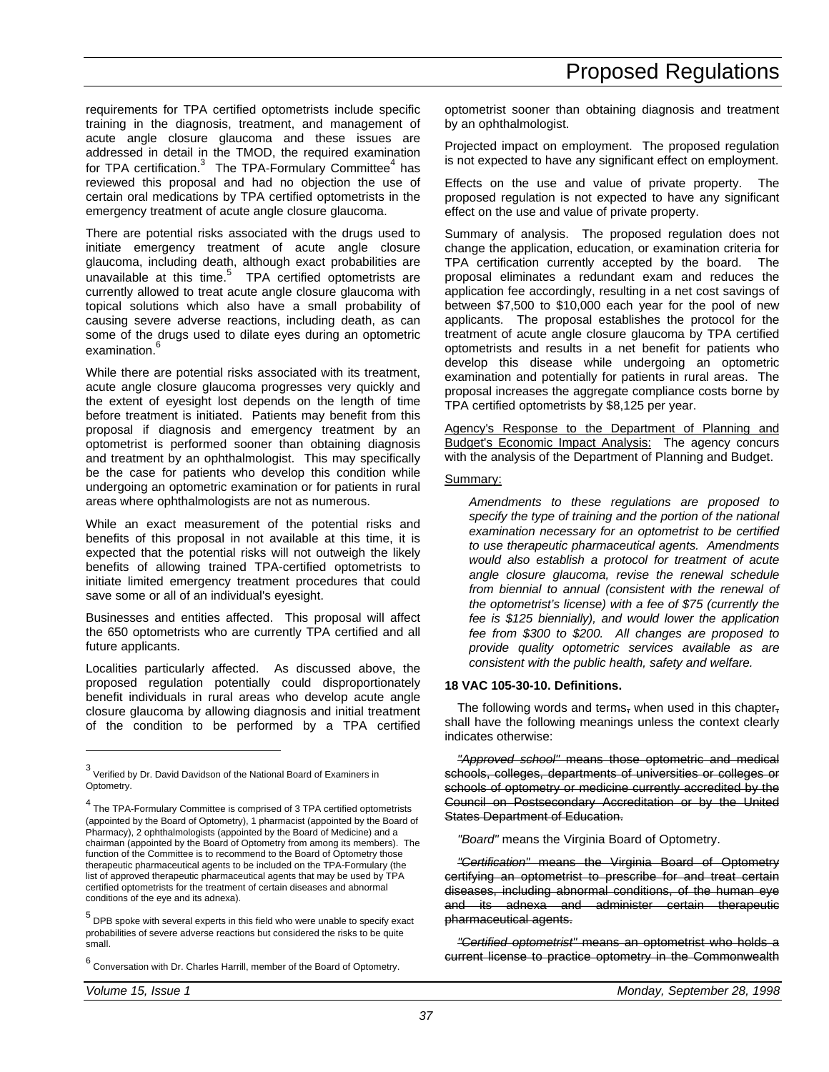requirements for TPA certified optometrists include specific training in the diagnosis, treatment, and management of acute angle closure glaucoma and these issues are addressed in detail in the TMOD, the required examination for TPA certification.<sup>3</sup> The TPA-Formulary Committee<sup>4</sup> has reviewed this proposal and had no objection the use of certain oral medications by TPA certified optometrists in the emergency treatment of acute angle closure glaucoma.

There are potential risks associated with the drugs used to initiate emergency treatment of acute angle closure glaucoma, including death, although exact probabilities are unavailable at this time. $5$  TPA certified optometrists are currently allowed to treat acute angle closure glaucoma with topical solutions which also have a small probability of causing severe adverse reactions, including death, as can some of the drugs used to dilate eyes during an optometric examination.<sup>6</sup>

While there are potential risks associated with its treatment, acute angle closure glaucoma progresses very quickly and the extent of eyesight lost depends on the length of time before treatment is initiated. Patients may benefit from this proposal if diagnosis and emergency treatment by an optometrist is performed sooner than obtaining diagnosis and treatment by an ophthalmologist. This may specifically be the case for patients who develop this condition while undergoing an optometric examination or for patients in rural areas where ophthalmologists are not as numerous.

While an exact measurement of the potential risks and benefits of this proposal in not available at this time, it is expected that the potential risks will not outweigh the likely benefits of allowing trained TPA-certified optometrists to initiate limited emergency treatment procedures that could save some or all of an individual's eyesight.

Businesses and entities affected. This proposal will affect the 650 optometrists who are currently TPA certified and all future applicants.

Localities particularly affected. As discussed above, the proposed regulation potentially could disproportionately benefit individuals in rural areas who develop acute angle closure glaucoma by allowing diagnosis and initial treatment of the condition to be performed by a TPA certified optometrist sooner than obtaining diagnosis and treatment by an ophthalmologist.

Projected impact on employment. The proposed regulation is not expected to have any significant effect on employment.

Effects on the use and value of private property. The proposed regulation is not expected to have any significant effect on the use and value of private property.

Summary of analysis. The proposed regulation does not change the application, education, or examination criteria for TPA certification currently accepted by the board. The proposal eliminates a redundant exam and reduces the application fee accordingly, resulting in a net cost savings of between \$7,500 to \$10,000 each year for the pool of new applicants. The proposal establishes the protocol for the treatment of acute angle closure glaucoma by TPA certified optometrists and results in a net benefit for patients who develop this disease while undergoing an optometric examination and potentially for patients in rural areas. The proposal increases the aggregate compliance costs borne by TPA certified optometrists by \$8,125 per year.

Agency's Response to the Department of Planning and Budget's Economic Impact Analysis: The agency concurs with the analysis of the Department of Planning and Budget.

### Summary:

*Amendments to these regulations are proposed to specify the type of training and the portion of the national examination necessary for an optometrist to be certified to use therapeutic pharmaceutical agents. Amendments would also establish a protocol for treatment of acute angle closure glaucoma, revise the renewal schedule from biennial to annual (consistent with the renewal of the optometrist's license) with a fee of \$75 (currently the fee is \$125 biennially), and would lower the application fee from \$300 to \$200. All changes are proposed to provide quality optometric services available as are consistent with the public health, safety and welfare.*

### **18 VAC 105-30-10. Definitions.**

The following words and terms, when used in this chapter, shall have the following meanings unless the context clearly indicates otherwise:

*"Approved school"* means those optometric and medical schools, colleges, departments of universities or colleges or schools of optometry or medicine currently accredited by the Council on Postsecondary Accreditation or by the United States Department of Education.

*"Board"* means the Virginia Board of Optometry.

*"Certification"* means the Virginia Board of Optometry certifying an optometrist to prescribe for and treat certain diseases, including abnormal conditions, of the human eye and its adnexa and administer certain therapeutic pharmaceutical agents.

*"Certified optometrist"* means an optometrist who holds a current license to practice optometry in the Commonwealth

-

<sup>3</sup> Verified by Dr. David Davidson of the National Board of Examiners in Optometry.

<sup>4</sup> The TPA-Formulary Committee is comprised of 3 TPA certified optometrists (appointed by the Board of Optometry), 1 pharmacist (appointed by the Board of Pharmacy), 2 ophthalmologists (appointed by the Board of Medicine) and a chairman (appointed by the Board of Optometry from among its members). The function of the Committee is to recommend to the Board of Optometry those therapeutic pharmaceutical agents to be included on the TPA-Formulary (the list of approved therapeutic pharmaceutical agents that may be used by TPA certified optometrists for the treatment of certain diseases and abnormal conditions of the eye and its adnexa).

<sup>5</sup> DPB spoke with several experts in this field who were unable to specify exact probabilities of severe adverse reactions but considered the risks to be quite .<br>small.

<sup>6</sup> Conversation with Dr. Charles Harrill, member of the Board of Optometry.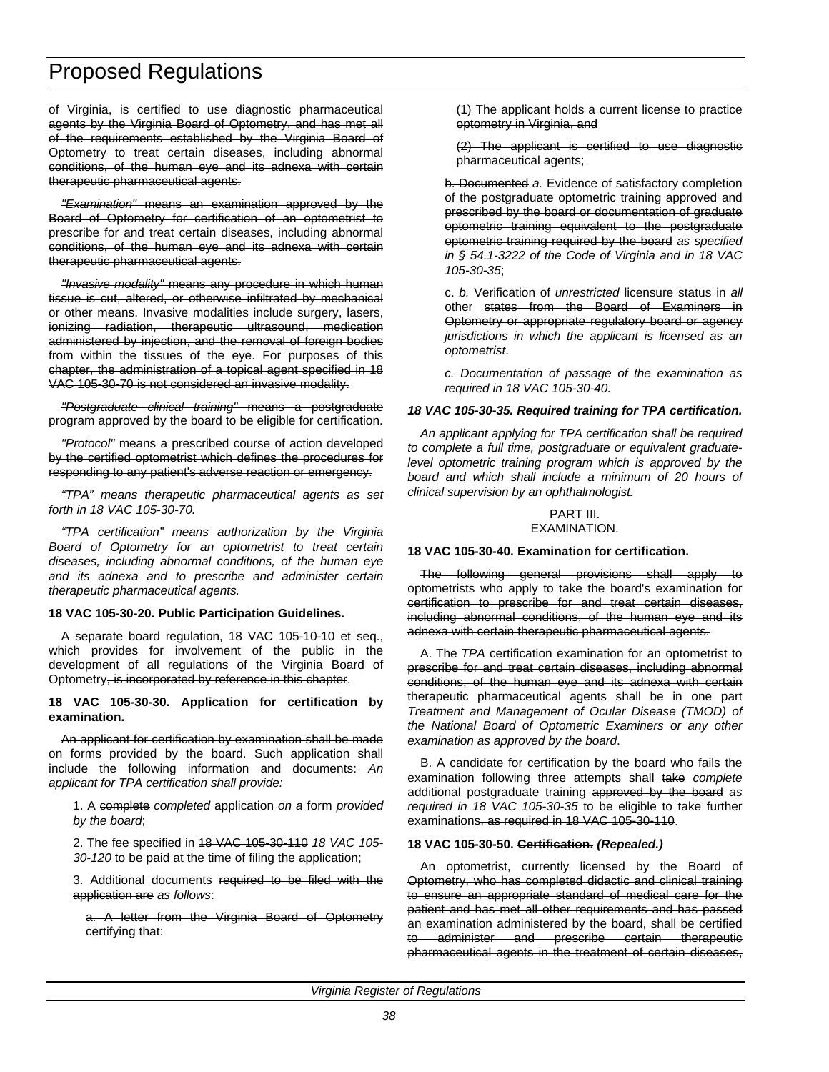of Virginia, is certified to use diagnostic pharmaceutical agents by the Virginia Board of Optometry, and has met all of the requirements established by the Virginia Board of Optometry to treat certain diseases, including abnormal conditions, of the human eye and its adnexa with certain therapeutic pharmaceutical agents.

*"Examination"* means an examination approved by the Board of Optometry for certification of an optometrist to prescribe for and treat certain diseases, including abnormal conditions, of the human eye and its adnexa with certain therapeutic pharmaceutical agents.

*"Invasive modality"* means any procedure in which human tissue is cut, altered, or otherwise infiltrated by mechanical or other means. Invasive modalities include surgery, lasers, ionizing radiation, therapeutic ultrasound, medication administered by injection, and the removal of foreign bodies from within the tissues of the eye. For purposes of this chapter, the administration of a topical agent specified in 18 VAC 105-30-70 is not considered an invasive modality.

*"Postgraduate clinical training"* means a postgraduate program approved by the board to be eligible for certification.

*"Protocol"* means a prescribed course of action developed by the certified optometrist which defines the procedures for responding to any patient's adverse reaction or emergency.

*"TPA" means therapeutic pharmaceutical agents as set forth in 18 VAC 105-30-70.*

*"TPA certification" means authorization by the Virginia Board of Optometry for an optometrist to treat certain diseases, including abnormal conditions, of the human eye and its adnexa and to prescribe and administer certain therapeutic pharmaceutical agents.*

### **18 VAC 105-30-20. Public Participation Guidelines.**

A separate board regulation, 18 VAC 105-10-10 et seq., which provides for involvement of the public in the development of all regulations of the Virginia Board of Optometry, is incorporated by reference in this chapter.

**18 VAC 105-30-30. Application for certification by examination.**

An applicant for certification by examination shall be made on forms provided by the board. Such application shall include the following information and documents: *An applicant for TPA certification shall provide:*

1. A complete *completed* application *on a* form *provided by the board*;

2. The fee specified in 18 VAC 105-30-110 *18 VAC 105- 30-120* to be paid at the time of filing the application;

3. Additional documents required to be filed with the application are *as follows*:

a. A letter from the Virginia Board of Optometry certifying that:

(1) The applicant holds a current license to practice optometry in Virginia, and

(2) The applicant is certified to use diagnostic pharmaceutical agents;

b. Documented *a.* Evidence of satisfactory completion of the postgraduate optometric training approved and prescribed by the board or documentation of graduate optometric training equivalent to the postgraduate optometric training required by the board *as specified in § 54.1-3222 of the Code of Virginia and in 18 VAC 105-30-35*;

c. *b.* Verification of *unrestricted* licensure status in *all* other states from the Board of Examiners in Optometry or appropriate regulatory board or agency *jurisdictions in which the applicant is licensed as an optometrist*.

*c. Documentation of passage of the examination as required in 18 VAC 105-30-40.*

#### *18 VAC 105-30-35. Required training for TPA certification.*

*An applicant applying for TPA certification shall be required to complete a full time, postgraduate or equivalent graduatelevel optometric training program which is approved by the board and which shall include a minimum of 20 hours of clinical supervision by an ophthalmologist.*

# PART III.

EXAMINATION.

#### **18 VAC 105-30-40. Examination for certification.**

The following general provisions shall apply to optometrists who apply to take the board's examination for certification to prescribe for and treat certain diseases, including abnormal conditions, of the human eye and its adnexa with certain therapeutic pharmaceutical agents.

A. The *TPA* certification examination for an optometrist to prescribe for and treat certain diseases, including abnormal conditions, of the human eye and its adnexa with certain therapeutic pharmaceutical agents shall be in one part *Treatment and Management of Ocular Disease (TMOD) of the National Board of Optometric Examiners or any other examination as approved by the board*.

B. A candidate for certification by the board who fails the examination following three attempts shall take *complete* additional postgraduate training approved by the board *as required in 18 VAC 105-30-35* to be eligible to take further examinations, as required in 18 VAC 105-30-110.

### **18 VAC 105-30-50. Certification.** *(Repealed.)*

An optometrist, currently licensed by the Board of Optometry, who has completed didactic and clinical training to ensure an appropriate standard of medical care for the patient and has met all other requirements and has passed an examination administered by the board, shall be certified to administer and prescribe certain therapeutic pharmaceutical agents in the treatment of certain diseases,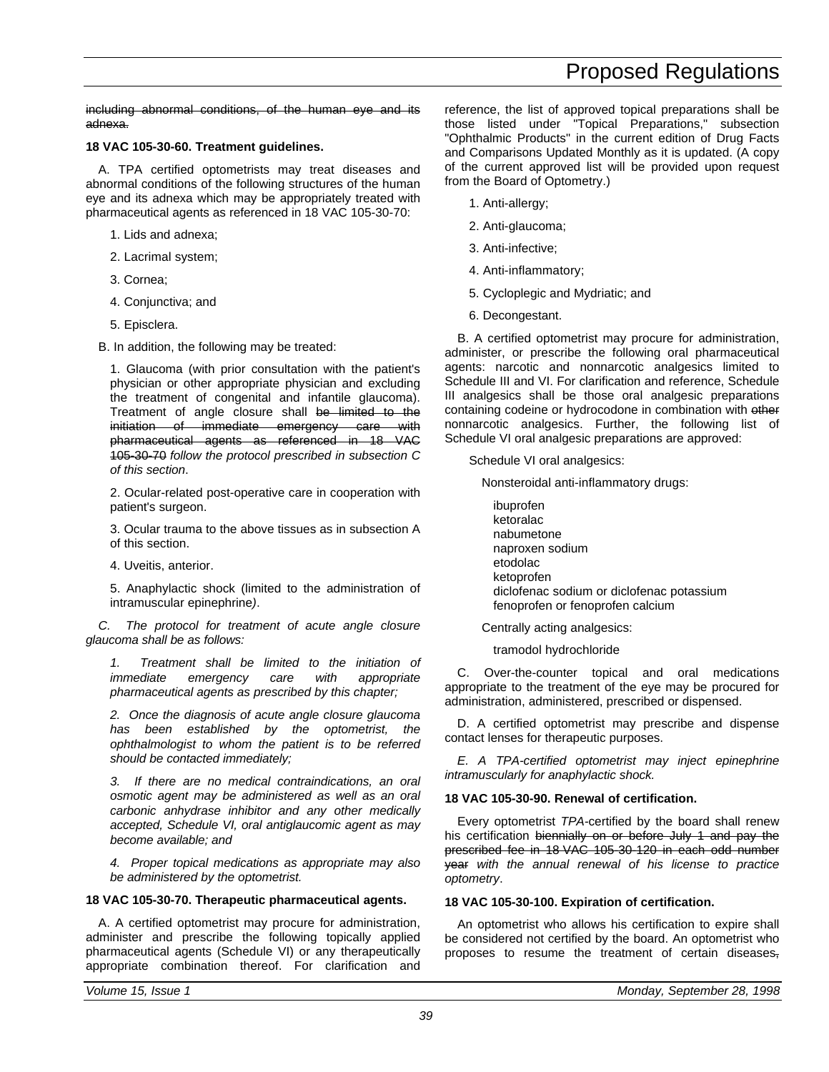including abnormal conditions, of the human eye and its adnexa.

### **18 VAC 105-30-60. Treatment guidelines.**

A. TPA certified optometrists may treat diseases and abnormal conditions of the following structures of the human eye and its adnexa which may be appropriately treated with pharmaceutical agents as referenced in 18 VAC 105-30-70:

1. Lids and adnexa;

2. Lacrimal system;

3. Cornea;

4. Conjunctiva; and

5. Episclera.

B. In addition, the following may be treated:

1. Glaucoma (with prior consultation with the patient's physician or other appropriate physician and excluding the treatment of congenital and infantile glaucoma). Treatment of angle closure shall be limited to the initiation of immediate emergency care with pharmaceutical agents as referenced in 18 VAC 105-30-70 *follow the protocol prescribed in subsection C of this section*.

2. Ocular-related post-operative care in cooperation with patient's surgeon.

3. Ocular trauma to the above tissues as in subsection A of this section.

4. Uveitis, anterior.

5. Anaphylactic shock (limited to the administration of intramuscular epinephrine*)*.

*C. The protocol for treatment of acute angle closure glaucoma shall be as follows:*

*1. Treatment shall be limited to the initiation of immediate emergency care with appropriate pharmaceutical agents as prescribed by this chapter;*

*2. Once the diagnosis of acute angle closure glaucoma has been established by the optometrist, the ophthalmologist to whom the patient is to be referred should be contacted immediately;*

*3. If there are no medical contraindications, an oral osmotic agent may be administered as well as an oral carbonic anhydrase inhibitor and any other medically accepted, Schedule VI, oral antiglaucomic agent as may become available; and*

*4. Proper topical medications as appropriate may also be administered by the optometrist.*

### **18 VAC 105-30-70. Therapeutic pharmaceutical agents.**

A. A certified optometrist may procure for administration, administer and prescribe the following topically applied pharmaceutical agents (Schedule VI) or any therapeutically appropriate combination thereof. For clarification and reference, the list of approved topical preparations shall be those listed under "Topical Preparations," subsection "Ophthalmic Products" in the current edition of Drug Facts and Comparisons Updated Monthly as it is updated. (A copy of the current approved list will be provided upon request from the Board of Optometry.)

- 1. Anti-allergy;
- 2. Anti-glaucoma;
- 3. Anti-infective;
- 4. Anti-inflammatory;
- 5. Cycloplegic and Mydriatic; and
- 6. Decongestant.

B. A certified optometrist may procure for administration, administer, or prescribe the following oral pharmaceutical agents: narcotic and nonnarcotic analgesics limited to Schedule III and VI. For clarification and reference, Schedule III analgesics shall be those oral analgesic preparations containing codeine or hydrocodone in combination with other nonnarcotic analgesics. Further, the following list of Schedule VI oral analgesic preparations are approved:

Schedule VI oral analgesics:

Nonsteroidal anti-inflammatory drugs:

ibuprofen ketoralac nabumetone naproxen sodium etodolac ketoprofen diclofenac sodium or diclofenac potassium fenoprofen or fenoprofen calcium

Centrally acting analgesics:

tramodol hydrochloride

C. Over-the-counter topical and oral medications appropriate to the treatment of the eye may be procured for administration, administered, prescribed or dispensed.

D. A certified optometrist may prescribe and dispense contact lenses for therapeutic purposes.

*E. A TPA-certified optometrist may inject epinephrine intramuscularly for anaphylactic shock.*

### **18 VAC 105-30-90. Renewal of certification.**

Every optometrist *TPA-*certified by the board shall renew his certification biennially on or before July 1 and pay the prescribed fee in 18 VAC 105-30-120 in each odd number year *with the annual renewal of his license to practice optometry*.

### **18 VAC 105-30-100. Expiration of certification.**

An optometrist who allows his certification to expire shall be considered not certified by the board. An optometrist who proposes to resume the treatment of certain diseases-

*39*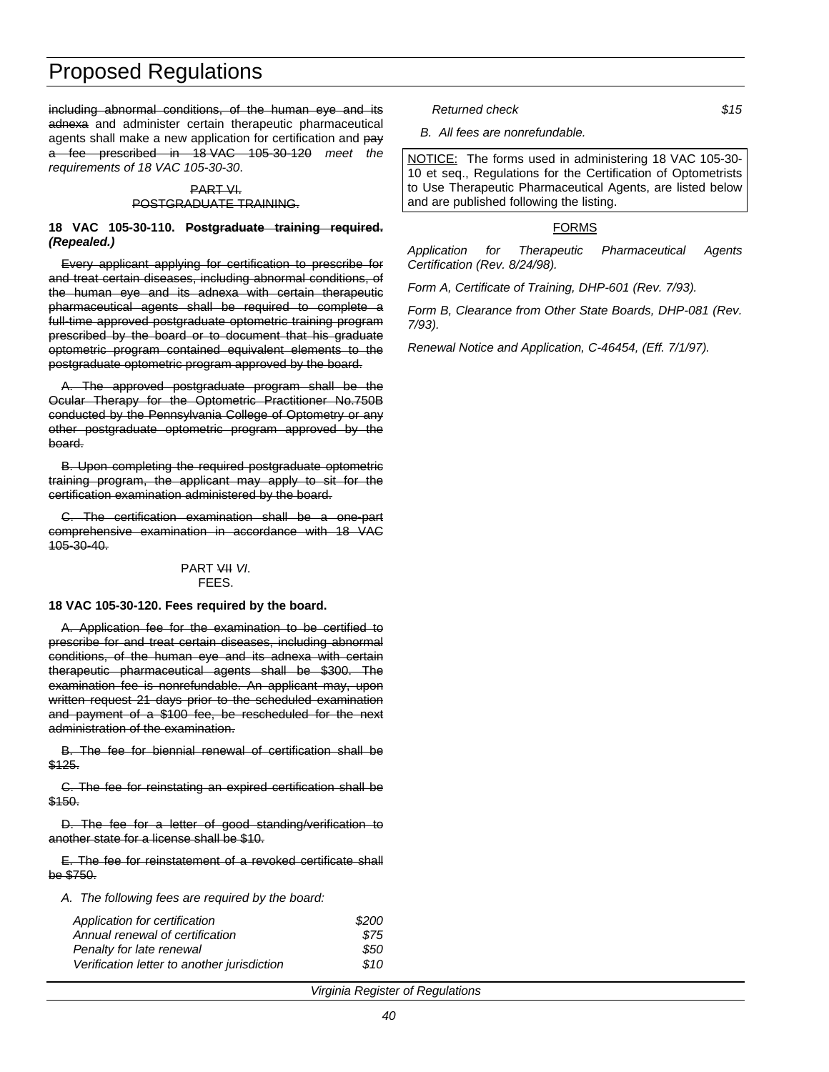including abnormal conditions, of the human eye and its adnexa and administer certain therapeutic pharmaceutical agents shall make a new application for certification and pay a fee prescribed in 18 VAC 105-30-120 *meet the requirements of 18 VAC 105-30-30*.

#### PART VI. POSTGRADUATE TRAINING.

#### **18 VAC 105-30-110. Postgraduate training required.** *(Repealed.)*

Every applicant applying for certification to prescribe for and treat certain diseases, including abnormal conditions, of the human eye and its adnexa with certain therapeutic pharmaceutical agents shall be required to complete a full-time approved postgraduate optometric training program prescribed by the board or to document that his graduate optometric program contained equivalent elements to the postgraduate optometric program approved by the board.

The approved postgraduate program shall be the Ocular Therapy for the Optometric Practitioner No.750B conducted by the Pennsylvania College of Optometry or any other postgraduate optometric program approved by the board.

B. Upon completing the required postgraduate optometric training program, the applicant may apply to sit for the certification examination administered by the board.

C. The certification examination shall be a one-part comprehensive examination in accordance with 18 VAC 105-30-40.

#### PART VII *VI*. FEES.

#### **18 VAC 105-30-120. Fees required by the board.**

A. Application fee for the examination to be certified to prescribe for and treat certain diseases, including abnormal conditions, of the human eye and its adnexa with certain therapeutic pharmaceutical agents shall be \$300. The examination fee is nonrefundable. An applicant may, upon written request 21 days prior to the scheduled examination and payment of a \$100 fee, be rescheduled for the next administration of the examination.

B. The fee for biennial renewal of certification shall be \$125.

C. The fee for reinstating an expired certification shall be \$150.

D. The fee for a letter of good standing/verification to another state for a license shall be \$10.

E. The fee for reinstatement of a revoked certificate shall be \$750.

*A. The following fees are required by the board:*

| Application for certification               | \$200 |
|---------------------------------------------|-------|
| Annual renewal of certification             | \$75  |
| Penalty for late renewal                    | \$50  |
| Verification letter to another jurisdiction | \$10  |

*Returned check \$15*

*B. All fees are nonrefundable.*

NOTICE: The forms used in administering 18 VAC 105-30- 10 et seq., Regulations for the Certification of Optometrists to Use Therapeutic Pharmaceutical Agents, are listed below and are published following the listing.

#### FORMS

*Application for Therapeutic Pharmaceutical Agents Certification (Rev. 8/24/98).*

*Form A, Certificate of Training, DHP-601 (Rev. 7/93).*

*Form B, Clearance from Other State Boards, DHP-081 (Rev. 7/93).*

*Renewal Notice and Application, C-46454, (Eff. 7/1/97).*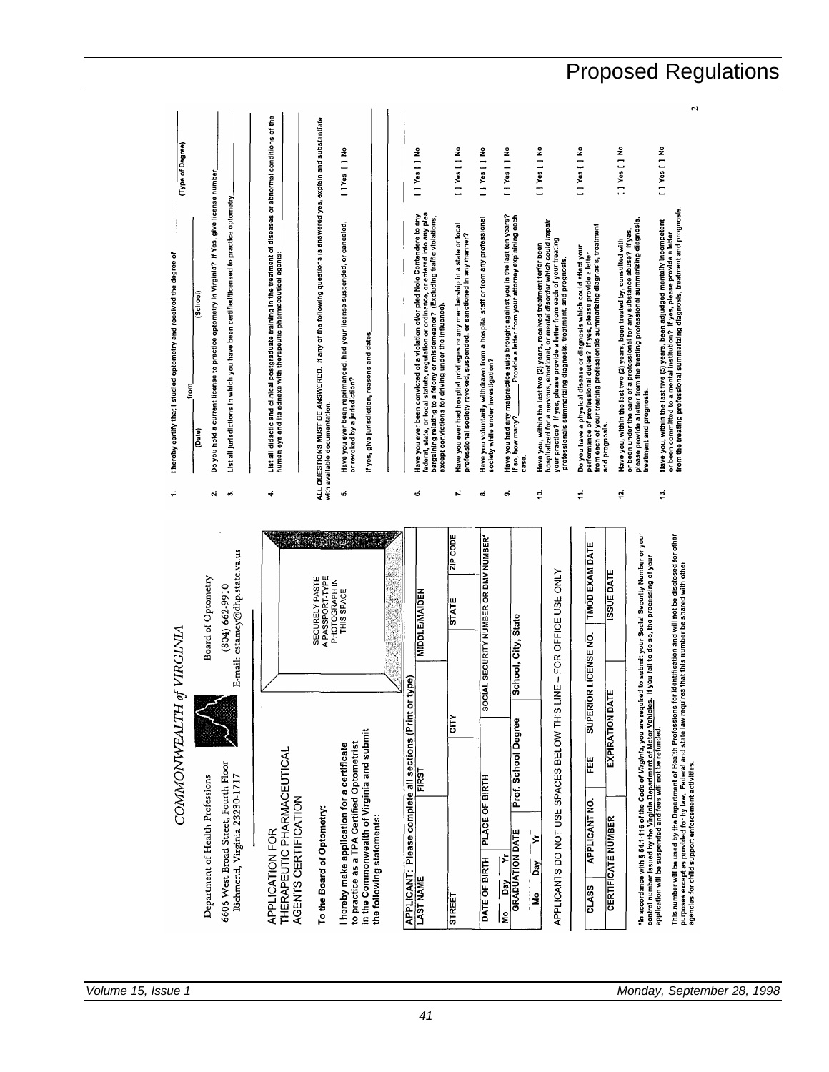| ZIP CODE<br>IAL SECURITY NUMBER OR DMV NUMBER<br>cstamey@dhp.state.va.us<br>APPLICANTS DO NOT USE SPACES BELOW THIS LINE -- FOR OFFICE USE ONLY<br>Ŷ,<br>A PASSPORT-TYPE<br>SECURELY PASTE<br>PHOTOGRAPH IN<br>$(804) 662 - 9910$<br>THIS SPACE<br><b>MIDDLE/MAIDEN</b><br><b>STATE</b><br>School, City, State<br>E-mail:<br>lype)<br><b>SOCI</b><br>APPLICANT: Please complete all sections (Print or<br>N<br>S<br>Prof. School Degree<br>In the Commonwealth of Virginia and submit<br>to practice as a TPA Certified Optometrist<br>I hereby make application for a certificate<br>THERAPEUTIC PHARMACEUTICAL<br>6606 West Broad Street, Fourth Floor<br><b>FIRST</b><br>Richmond, Virginia 23230-1717<br>PLACE OF BIRTH<br>AGENTS CERTIFICATION<br>To the Board of Optometry:<br>the following statements:<br><b>APPLICATION FOR</b><br><b>GRADUATION DATE</b><br>∣⊱<br>⊱<br>DATE OF BIRTH<br>Day<br><b>LAST NAME</b><br>Day<br>le<br>E<br>STREET | ؞<br>r.<br>uó<br>စ<br>ഩ<br>\$,<br>ઌ<br>4 | List all didactic and clinical postgraduate training in the treatment of diseases or abnormal conditions of the<br>ALL QUESTIONS MUST BE ANSWERED. If any of the following questions is answered yes, explain and substantiate<br>Do you hold a current license to practice optometry in Virginia? If Yes, give license number<br>[ ] Yes<br>List all jurisdictions in which you have been certified/licensed to practice optometry<br>Have you ever been convicted of a violation offor pled Nolo Contendere to any<br>proportional region of the state of a state of a state of the state of the state of the state of the state of<br>bargaining relating to a felony or<br>Have you had any malpractice suits brought against you in the last ten years?<br>Provide a letter from your attorney explaining each<br>Have you voluntarily withdrawn from a hospital staff or from any professional<br>hospitalized for a nervous, emotional, or mental disorder which could impair<br>your practice? If yes, please provide a letter from each of your treating<br>Have you ever been reprimanded, had your license suspended, or canceled,<br>Have you ever had hospital privileges or any membership in a state or local<br>professional society revoked, suspended, or sanctioned in any manner?<br>Have you, within the last two (2) years, received treatment for/or been<br>human eye and its adnexa with therapeutic pharmaceutical agents:<br>professionals summarizing diagnosis, treatment, and prognosis.<br>School<br>except convictions for driving under the influence).<br>If yes, give jurisdiction, reasons and dates<br>society while under investigation?<br>or revoked by a jurisdiction?<br>with available documentation.<br>If so, how many?<br>Date<br>C358. | I ] Yes [ ] No<br>L] Yes [] No<br>I ] Yes [ ] No<br>ş<br>£<br>ž<br>$[$ $]$ $Yes$ $[$ $]$<br>[]Yes[]<br>Ξ |  |
|-------------------------------------------------------------------------------------------------------------------------------------------------------------------------------------------------------------------------------------------------------------------------------------------------------------------------------------------------------------------------------------------------------------------------------------------------------------------------------------------------------------------------------------------------------------------------------------------------------------------------------------------------------------------------------------------------------------------------------------------------------------------------------------------------------------------------------------------------------------------------------------------------------------------------------------------------------|------------------------------------------|---------------------------------------------------------------------------------------------------------------------------------------------------------------------------------------------------------------------------------------------------------------------------------------------------------------------------------------------------------------------------------------------------------------------------------------------------------------------------------------------------------------------------------------------------------------------------------------------------------------------------------------------------------------------------------------------------------------------------------------------------------------------------------------------------------------------------------------------------------------------------------------------------------------------------------------------------------------------------------------------------------------------------------------------------------------------------------------------------------------------------------------------------------------------------------------------------------------------------------------------------------------------------------------------------------------------------------------------------------------------------------------------------------------------------------------------------------------------------------------------------------------------------------------------------------------------------------------------------------------------------------------------------------------------------------------------------------------------------------------------------------------------------------------|----------------------------------------------------------------------------------------------------------|--|
| <b>TMOD EXAM DATE</b><br><b>SSUE DATE</b><br><b>SUPERIOR LICENSE NO.</b><br><b>EXPIRATION DATE</b><br>FEE<br><b>APPLICANT NO.</b><br><b>CERTIFICATE NUMBER</b><br><b>CLASS</b>                                                                                                                                                                                                                                                                                                                                                                                                                                                                                                                                                                                                                                                                                                                                                                        | É                                        | from each of your treating professionals summarizing diagnosis, treatment<br>Do you have a physical disease or diagnosis which could affect your<br>performance of professional duties? If yes, please provide a letter<br>and prognosis.                                                                                                                                                                                                                                                                                                                                                                                                                                                                                                                                                                                                                                                                                                                                                                                                                                                                                                                                                                                                                                                                                                                                                                                                                                                                                                                                                                                                                                                                                                                                             | L 1 Yes [ ] No                                                                                           |  |
| *In accordance with § 54.1-116 of the <i>Code of Virginia,</i> you are required to submit your Social Security Number or your<br>This number will be used by the Department of Health Professions for identification and will not be disclosed for other<br>If you fail to do so, the processing of your<br>purposes except as provided for by law. Federal and state law requires that this number be shared with other<br>agencies for child support enforcement activities.<br>control number issued by the Virginia Department of Motor Vehicles.<br>application will be suspended and fees will not be refunded.                                                                                                                                                                                                                                                                                                                                 | ä,<br>ې                                  | from the treating professional summarizing diagnosis, treatment and prognosis.<br>Have you, within the last two (2) years, been trasted by, consulted with<br>please provide a letter from the trasted provide a state of the state of the state.<br>please provide a letter from the treating professional summarizin<br>Have you, within the last five (5) years, been adjudged mentally incompetent<br>or been committed to a mental institution? If yes, please provide a letter<br>treatment and prognosis.                                                                                                                                                                                                                                                                                                                                                                                                                                                                                                                                                                                                                                                                                                                                                                                                                                                                                                                                                                                                                                                                                                                                                                                                                                                                      | 2<br>I ] Yes [ ] No<br>I Tes [] No                                                                       |  |

*Volume 15, Issue 1 Monday, September 28, 1998*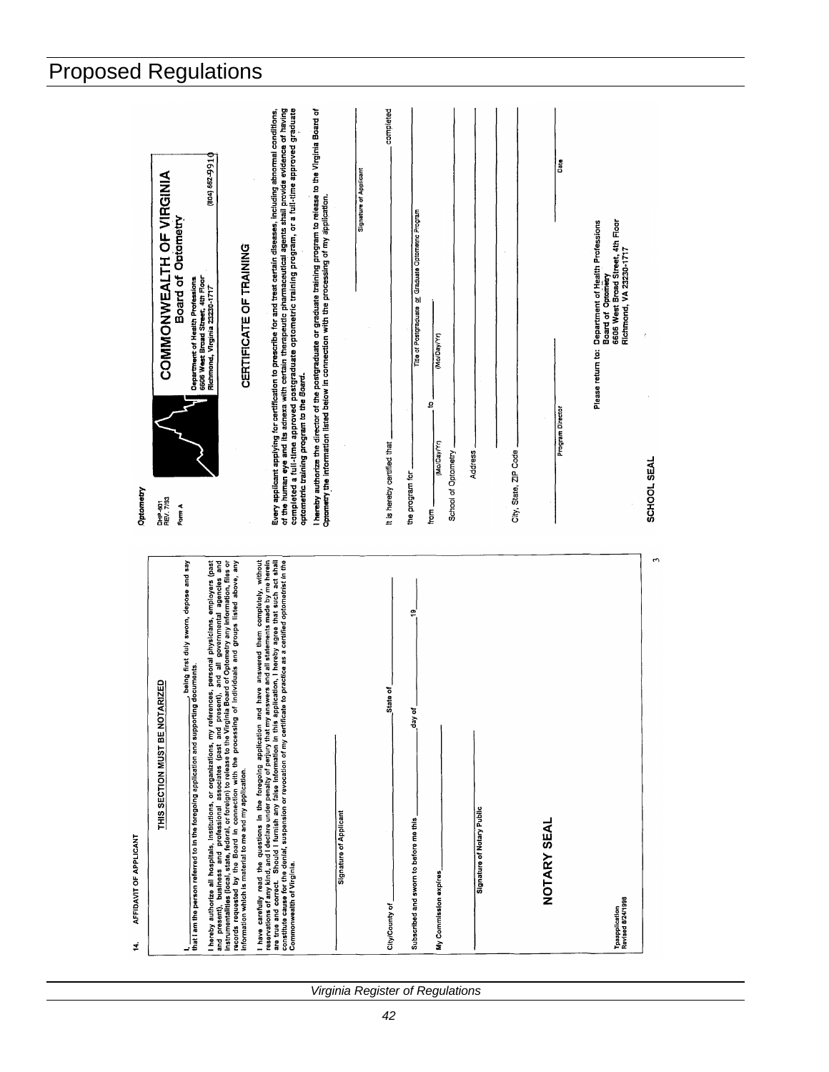| AFFIDAVIT OF APPLICANT<br>÷.                                                                                                                                                                                                                                                                                                                                                                                                                                         | Optometry                                                                                                                                                                                                                                                                                                                                                                                           |
|----------------------------------------------------------------------------------------------------------------------------------------------------------------------------------------------------------------------------------------------------------------------------------------------------------------------------------------------------------------------------------------------------------------------------------------------------------------------|-----------------------------------------------------------------------------------------------------------------------------------------------------------------------------------------------------------------------------------------------------------------------------------------------------------------------------------------------------------------------------------------------------|
| RIZED<br>THIS SECTION MUST BE NOTA                                                                                                                                                                                                                                                                                                                                                                                                                                   | COMMONWEALTH OF VIRGINIA<br><b>Board of Optometry</b><br>DHP-801<br>REV. 7/93<br>Form A                                                                                                                                                                                                                                                                                                             |
| being first duly sworn, depose and say<br>oeing m.<br>documents.<br>l,<br>that I am the person referred to In the foregoing application and supporting                                                                                                                                                                                                                                                                                                               | Department of Health Professions<br>6606 West Broad Street, 4th Floor<br>Richmond, Virginia 23230-1717                                                                                                                                                                                                                                                                                              |
| physicians, employers (past<br>ent), and all governmental agencies and<br>Board of Optometry any information, files or<br>individuals and groups listed above, any<br>I hereby authorize all hospitals, institutions, or organizations, my references, personal<br>and present), business and professional associates (past and present), and all references and present), and al<br>records requested by<br>information which is material to me and my application. | (804) 66-299 10<br>CERTIFICATE OF TRAINING                                                                                                                                                                                                                                                                                                                                                          |
| I have carefully read the questions in the foregoing application and have answered them completely, without researched that consider the forest in the complete of the state of the state of the state of the state of the sta                                                                                                                                                                                                                                       | of the human eye and its adnexa with certain therapeutic pharmaceutical agents shall provide evidence of having<br>completed a full-time approved postgraduate optometric training program, or a full-time approved graduate<br>Every applicant applying for certification to prescribe for and treat certain diseases, including abnormal conditions,<br>optometric training program to the Board. |
| <b>Signature of Applicant</b>                                                                                                                                                                                                                                                                                                                                                                                                                                        | I hereby authorize the director of the postgraduate or graduate training program to release to the Virginia Board of<br>Optometry the information listed below in connection with the processing of my application.                                                                                                                                                                                 |
|                                                                                                                                                                                                                                                                                                                                                                                                                                                                      | Signature of Applicant                                                                                                                                                                                                                                                                                                                                                                              |
| State of<br>City/County of                                                                                                                                                                                                                                                                                                                                                                                                                                           | completed<br>It is hereby certified that                                                                                                                                                                                                                                                                                                                                                            |
| စ္<br>day of<br>Subscribed and sworn to before me this                                                                                                                                                                                                                                                                                                                                                                                                               | Graduate Optometric Program<br>Title of Postgraduate or<br>the program for                                                                                                                                                                                                                                                                                                                          |
| My Commission expires                                                                                                                                                                                                                                                                                                                                                                                                                                                | (Mo/Day/Yr)<br>ō<br>(Mo/Day/Yr)<br>School of Optometry<br>fon                                                                                                                                                                                                                                                                                                                                       |
| Signature of Notary Public                                                                                                                                                                                                                                                                                                                                                                                                                                           | Address                                                                                                                                                                                                                                                                                                                                                                                             |
|                                                                                                                                                                                                                                                                                                                                                                                                                                                                      | $\alpha$<br>City, State, ZIP Code                                                                                                                                                                                                                                                                                                                                                                   |
| <b>NOTARY SEAL</b>                                                                                                                                                                                                                                                                                                                                                                                                                                                   | ដី<br>Program Director                                                                                                                                                                                                                                                                                                                                                                              |
| Tpaapplication<br>Revised 8/24/1998                                                                                                                                                                                                                                                                                                                                                                                                                                  | 6606 West Broad Street, 4th Floor<br>Department of Health Professions<br>Richmond, VA 23230-1717<br>Board of Optometry<br>Please return to:                                                                                                                                                                                                                                                         |
| S                                                                                                                                                                                                                                                                                                                                                                                                                                                                    | SCHOOL SEAL                                                                                                                                                                                                                                                                                                                                                                                         |
|                                                                                                                                                                                                                                                                                                                                                                                                                                                                      |                                                                                                                                                                                                                                                                                                                                                                                                     |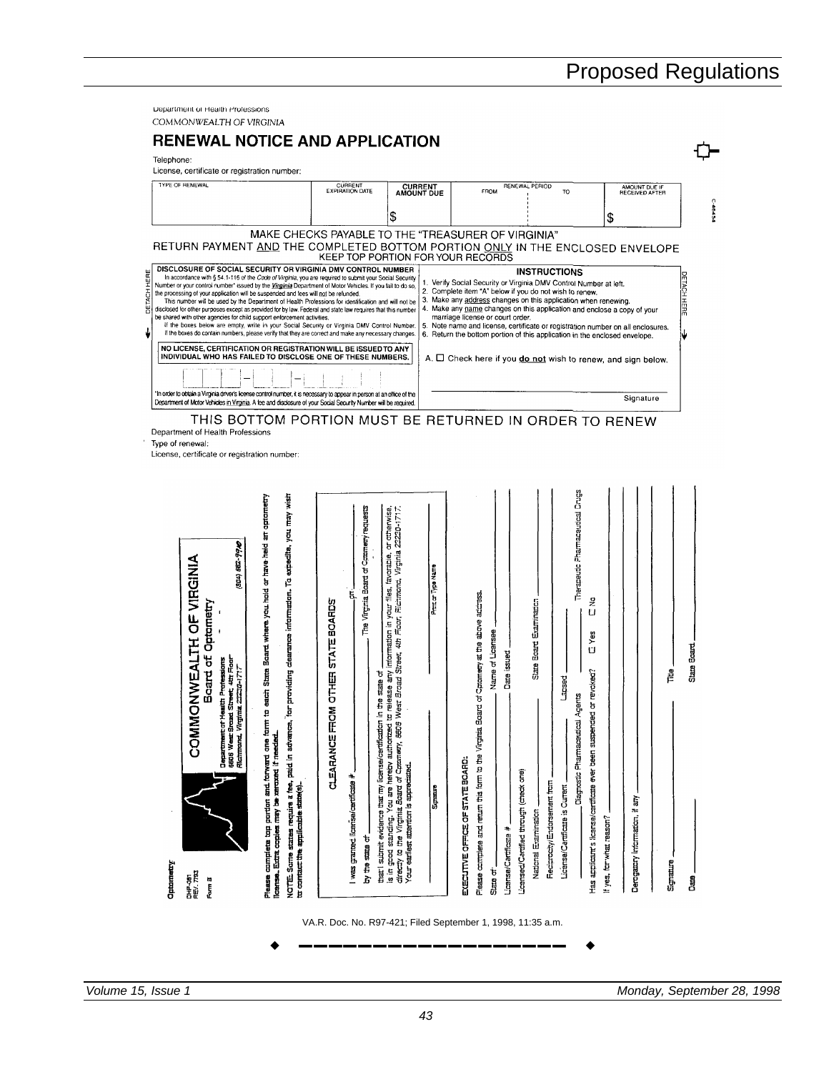| License, certificate or registration number:                                                                                                                                                                                                                                                                                                                                                                                                                                                                                                                                                                                                                                                                                                                                                                                                                                                                                                                                                                                                                                                                                                                                                                                                                                                                                                                    |                                                                                                                                                                                                                                          |                                                                                                                                                                                                                                                                                                                                                      |                                                                                                                                                                                                                                                               |                                                                                                                                                                                                                                                                                                                                                                                                                                                                                                                                                               |                                                                              |
|-----------------------------------------------------------------------------------------------------------------------------------------------------------------------------------------------------------------------------------------------------------------------------------------------------------------------------------------------------------------------------------------------------------------------------------------------------------------------------------------------------------------------------------------------------------------------------------------------------------------------------------------------------------------------------------------------------------------------------------------------------------------------------------------------------------------------------------------------------------------------------------------------------------------------------------------------------------------------------------------------------------------------------------------------------------------------------------------------------------------------------------------------------------------------------------------------------------------------------------------------------------------------------------------------------------------------------------------------------------------|------------------------------------------------------------------------------------------------------------------------------------------------------------------------------------------------------------------------------------------|------------------------------------------------------------------------------------------------------------------------------------------------------------------------------------------------------------------------------------------------------------------------------------------------------------------------------------------------------|---------------------------------------------------------------------------------------------------------------------------------------------------------------------------------------------------------------------------------------------------------------|---------------------------------------------------------------------------------------------------------------------------------------------------------------------------------------------------------------------------------------------------------------------------------------------------------------------------------------------------------------------------------------------------------------------------------------------------------------------------------------------------------------------------------------------------------------|------------------------------------------------------------------------------|
| <b>TYPE OF RENEWAL</b>                                                                                                                                                                                                                                                                                                                                                                                                                                                                                                                                                                                                                                                                                                                                                                                                                                                                                                                                                                                                                                                                                                                                                                                                                                                                                                                                          | CURRENT<br>EXPIRATION DATE                                                                                                                                                                                                               | CURRENT<br>AMOUNT DUE                                                                                                                                                                                                                                                                                                                                | FROM                                                                                                                                                                                                                                                          | RENEWAL PERIOD<br>TO                                                                                                                                                                                                                                                                                                                                                                                                                                                                                                                                          | AMOUNT DUE IF                                                                |
|                                                                                                                                                                                                                                                                                                                                                                                                                                                                                                                                                                                                                                                                                                                                                                                                                                                                                                                                                                                                                                                                                                                                                                                                                                                                                                                                                                 |                                                                                                                                                                                                                                          | \$                                                                                                                                                                                                                                                                                                                                                   |                                                                                                                                                                                                                                                               |                                                                                                                                                                                                                                                                                                                                                                                                                                                                                                                                                               | \$                                                                           |
| RETURN PAYMENT AND THE COMPLETED BOTTOM PORTION ONLY IN THE ENCLOSED ENVELOPE                                                                                                                                                                                                                                                                                                                                                                                                                                                                                                                                                                                                                                                                                                                                                                                                                                                                                                                                                                                                                                                                                                                                                                                                                                                                                   | KEEP TOP PORTION FOR YOUR RECORDS                                                                                                                                                                                                        |                                                                                                                                                                                                                                                                                                                                                      | MAKE CHECKS PAYABLE TO THE "TREASURER OF VIRGINIA"                                                                                                                                                                                                            |                                                                                                                                                                                                                                                                                                                                                                                                                                                                                                                                                               |                                                                              |
| DISCLOSURE OF SOCIAL SECURITY OR VIRGINIA DMV CONTROL NUMBER<br>In accordance with § 54.1-116 of the Code of Virginia, you are required to submit your Social Security<br>Number or your control number* issued by the Virginia Department of Motor Vehicles. If you fail to do so,<br>the processing of your application will be suspended and fees will not be refunded.<br>This number will be used by the Department of Health Professions for identification and will not be<br>disclosed for other purposes except as provided for by law. Federal and state law requires that this number<br>be shared with other agencies for child support enforcement activities.<br>If the boxes below are empty, write in your Social Security or Virginia DMV Control Number.<br>If the boxes do contain numbers, please verify that they are correct and make any necessary changes.<br>NO LICENSE, CERTIFICATION OR REGISTRATION WILL BE ISSUED TO ANY<br>INDIVIDUAL WHO HAS FAILED TO DISCLOSE ONE OF THESE NUMBERS.<br>In order to obtain a Virginia driver's license control number, it is necessary to appear in person at an office of the<br>Department of Motor Vehicles in Virginia. A fee and disclosure of your Social Security Number will be required.<br>THIS BOTTOM PORTION MUST BE RETURNED IN ORDER TO RENEW<br>Department of Health Professions |                                                                                                                                                                                                                                          |                                                                                                                                                                                                                                                                                                                                                      | marriage license or court order.                                                                                                                                                                                                                              | <b>INSTRUCTIONS</b><br>1. Verify Social Security or Virginia DMV Control Number at left.<br>2. Complete item "A" below if you do not wish to renew.<br>3. Make any address changes on this application when renewing.<br>4. Make any name changes on this application and enclose a copy of your<br>5. Note name and license, certificate or registration number on all enclosures.<br>6. Return the bottom portion of this application in the enclosed envelope.<br>A. $\Box$ Check here if you $\underline{\mathsf{do}}$ not wish to renew, and sign below. | Signature                                                                    |
| Type of renewal:<br>License, certificate or registration number:                                                                                                                                                                                                                                                                                                                                                                                                                                                                                                                                                                                                                                                                                                                                                                                                                                                                                                                                                                                                                                                                                                                                                                                                                                                                                                |                                                                                                                                                                                                                                          |                                                                                                                                                                                                                                                                                                                                                      |                                                                                                                                                                                                                                                               |                                                                                                                                                                                                                                                                                                                                                                                                                                                                                                                                                               |                                                                              |
| for providing clearance information. To expedite, you may wish<br>to each State Board where you hold or have held an optometry<br>92-990<br>ONVEALTE OF VIRGINA<br>(804)<br>Optametry<br>Board of<br>Street, 4th Figar<br>ta 23230-1717<br>£<br>Richmand, Virginia<br>ī<br>Department of He<br>6606 West Broad<br><b>NINCC</b><br>Please complete top portion and forward one form<br>NOTE: Some states require a fee, paid in advance,<br>license. Extra copies may be xeroxed if needed.<br>to contact the applicable state(s).<br>Optometry<br>DHP-481<br>FEV. 7793<br>Form B                                                                                                                                                                                                                                                                                                                                                                                                                                                                                                                                                                                                                                                                                                                                                                                | The Virginia Board of Commerty requests<br><b>STATE BOARDS</b><br>EDHED<br>Ъ<br>the state<br>ă<br>E<br>that I submit evidence that my license/certification<br><b>CLEARANCE</b><br>I was granted license/certificate #<br>も the strate f | otherwise,<br>Virginia 23230-171<br>៦<br>favorable,<br>Type Name<br>Ficinond,<br>fies.<br>b<br>Į<br>information in your<br>Foor,<br>417<br>West Broad Street,<br>release any<br>is in good standing. You are hereby authorized to<br>directly to the Virginia Board of Caramery, 6606 W<br>Your earliest attention is appreciated<br><b>Signance</b> | of Catomeny at the above address<br>Name of Licensee<br>Date issued<br>Ė<br>Please complete and return this form to the Virginia Bo<br>ECECUTIVE OFFICE OF STATE BOARD:<br>Licensed/Cartified through (check one)<br><b>License/Cartificate #</b><br>State of | Therapeutic Pharmaceutical Orugs<br>웊<br>Examination<br>U<br>Yes<br>Board<br>U<br>State<br>or revoked?<br>Lapsed<br>Agents<br>Ÿ.<br>Has applicant's license/certificate ever been suspende<br>Diagnostic Pharmaceutical<br>Reciprocity/Endorsement from<br>License/Cartificate is Current<br>National Esternination                                                                                                                                                                                                                                           | 흍<br>Derogatcry information, if any<br>If yes, for what reason?<br>Signature |

*Volume 15, Issue 1 Monday, September 28, 1998*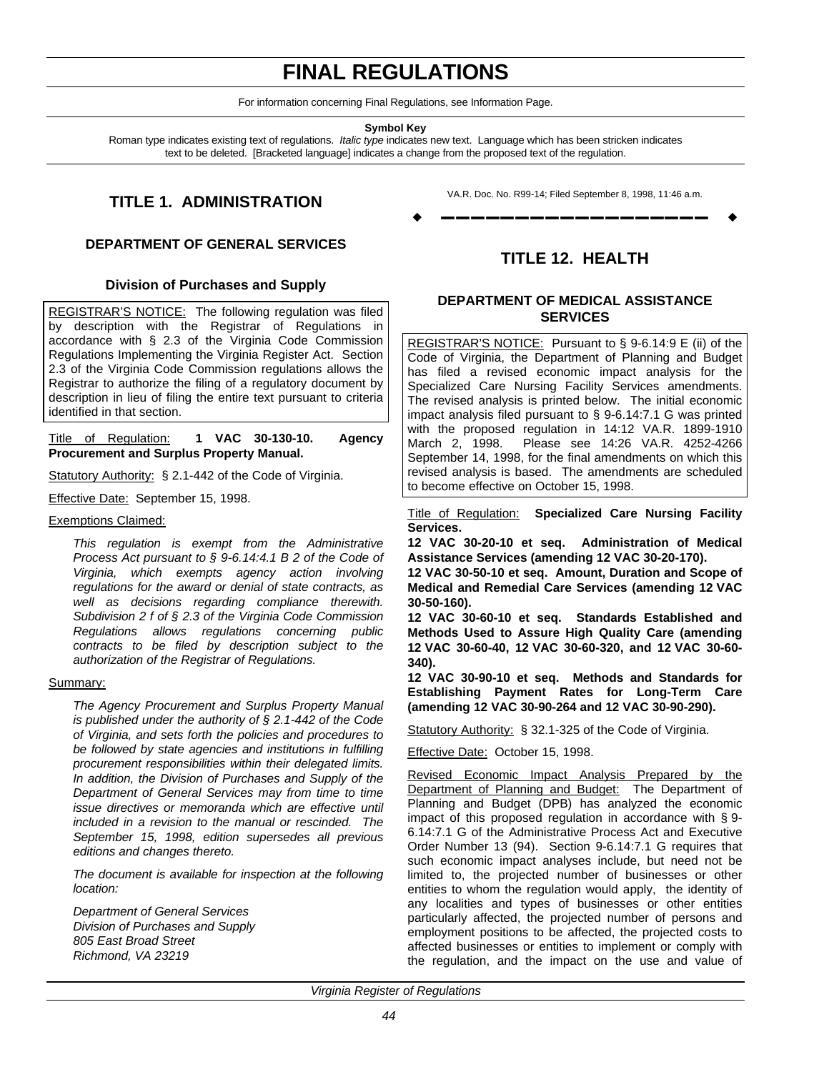# **FINAL REGULATIONS**

For information concerning Final Regulations, see Information Page.

**Symbol Key**

Roman type indicates existing text of regulations. *Italic type* indicates new text. Language which has been stricken indicates text to be deleted. [Bracketed language] indicates a change from the proposed text of the regulation.

# **TITLE 1. ADMINISTRATION**

## **DEPARTMENT OF GENERAL SERVICES**

### **Division of Purchases and Supply**

REGISTRAR'S NOTICE: The following regulation was filed by description with the Registrar of Regulations in accordance with § 2.3 of the Virginia Code Commission Regulations Implementing the Virginia Register Act. Section 2.3 of the Virginia Code Commission regulations allows the Registrar to authorize the filing of a regulatory document by description in lieu of filing the entire text pursuant to criteria identified in that section.

### Title of Regulation: **1 VAC 30-130-10. Agency Procurement and Surplus Property Manual.**

Statutory Authority: § 2.1-442 of the Code of Virginia.

Effective Date: September 15, 1998.

Exemptions Claimed:

*This regulation is exempt from the Administrative Process Act pursuant to § 9-6.14:4.1 B 2 of the Code of Virginia, which exempts agency action involving regulations for the award or denial of state contracts, as well as decisions regarding compliance therewith. Subdivision 2 f of § 2.3 of the Virginia Code Commission Regulations allows regulations concerning public contracts to be filed by description subject to the authorization of the Registrar of Regulations.*

### Summary:

*The Agency Procurement and Surplus Property Manual is published under the authority of § 2.1-442 of the Code of Virginia, and sets forth the policies and procedures to be followed by state agencies and institutions in fulfilling procurement responsibilities within their delegated limits. In addition, the Division of Purchases and Supply of the Department of General Services may from time to time issue directives or memoranda which are effective until included in a revision to the manual or rescinded. The September 15, 1998, edition supersedes all previous editions and changes thereto.*

*The document is available for inspection at the following location:*

*Department of General Services Division of Purchases and Supply 805 East Broad Street Richmond, VA 23219*

VA.R. Doc. No. R99-14; Filed September 8, 1998, 11:46 a.m. w **––––––––––––––––––** w

# **TITLE 12. HEALTH**

## **DEPARTMENT OF MEDICAL ASSISTANCE SERVICES**

REGISTRAR'S NOTICE: Pursuant to § 9-6.14:9 E (ii) of the Code of Virginia, the Department of Planning and Budget has filed a revised economic impact analysis for the Specialized Care Nursing Facility Services amendments. The revised analysis is printed below. The initial economic impact analysis filed pursuant to § 9-6.14:7.1 G was printed with the proposed regulation in 14:12 VA.R. 1899-1910 March 2, 1998. Please see 14:26 VA.R. 4252-4266 September 14, 1998, for the final amendments on which this revised analysis is based. The amendments are scheduled to become effective on October 15, 1998.

Title of Regulation: **Specialized Care Nursing Facility Services.**

**12 VAC 30-20-10 et seq. Administration of Medical Assistance Services (amending 12 VAC 30-20-170).**

**12 VAC 30-50-10 et seq. Amount, Duration and Scope of Medical and Remedial Care Services (amending 12 VAC 30-50-160).**

**12 VAC 30-60-10 et seq. Standards Established and Methods Used to Assure High Quality Care (amending 12 VAC 30-60-40, 12 VAC 30-60-320, and 12 VAC 30-60- 340).**

**12 VAC 30-90-10 et seq. Methods and Standards for Establishing Payment Rates for Long-Term Care (amending 12 VAC 30-90-264 and 12 VAC 30-90-290).**

Statutory Authority: § 32.1-325 of the Code of Virginia.

Effective Date: October 15, 1998.

Revised Economic Impact Analysis Prepared by the Department of Planning and Budget: The Department of Planning and Budget (DPB) has analyzed the economic impact of this proposed regulation in accordance with § 9- 6.14:7.1 G of the Administrative Process Act and Executive Order Number 13 (94). Section 9-6.14:7.1 G requires that such economic impact analyses include, but need not be limited to, the projected number of businesses or other entities to whom the regulation would apply, the identity of any localities and types of businesses or other entities particularly affected, the projected number of persons and employment positions to be affected, the projected costs to affected businesses or entities to implement or comply with the regulation, and the impact on the use and value of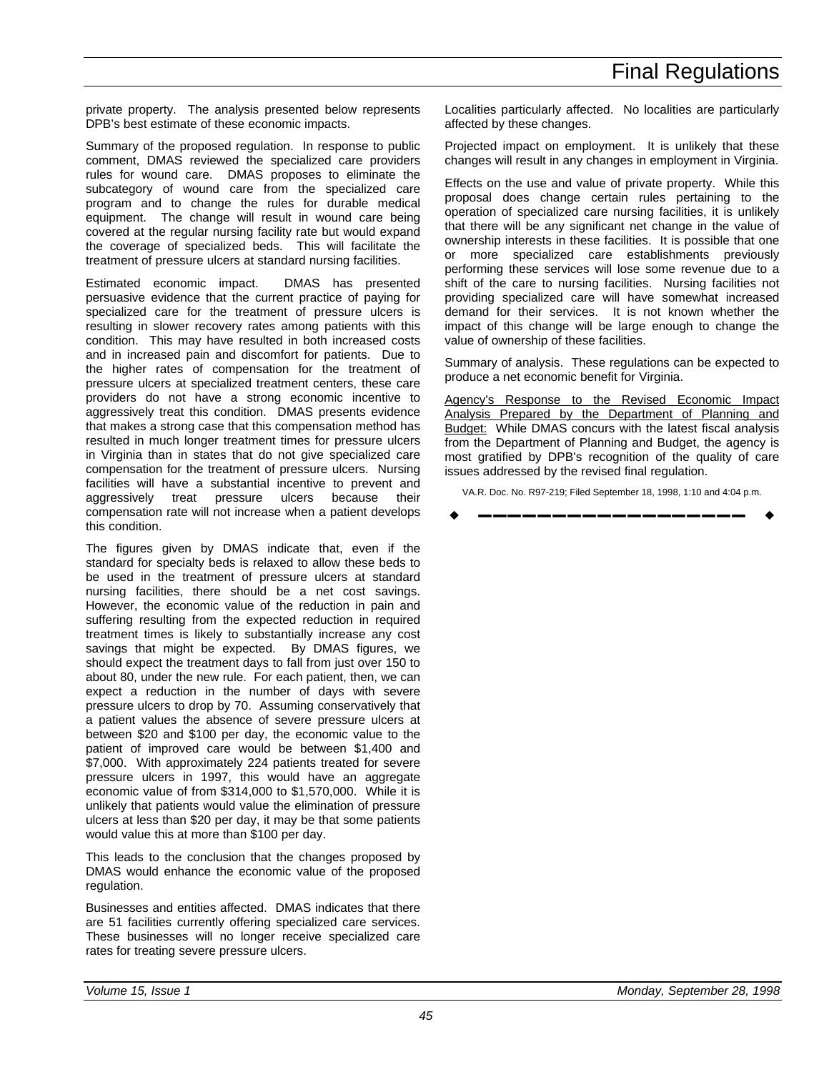private property. The analysis presented below represents DPB's best estimate of these economic impacts.

Summary of the proposed regulation. In response to public comment, DMAS reviewed the specialized care providers rules for wound care. DMAS proposes to eliminate the subcategory of wound care from the specialized care program and to change the rules for durable medical equipment. The change will result in wound care being covered at the regular nursing facility rate but would expand the coverage of specialized beds. This will facilitate the treatment of pressure ulcers at standard nursing facilities.

Estimated economic impact. DMAS has presented persuasive evidence that the current practice of paying for specialized care for the treatment of pressure ulcers is resulting in slower recovery rates among patients with this condition. This may have resulted in both increased costs and in increased pain and discomfort for patients. Due to the higher rates of compensation for the treatment of pressure ulcers at specialized treatment centers, these care providers do not have a strong economic incentive to aggressively treat this condition. DMAS presents evidence that makes a strong case that this compensation method has resulted in much longer treatment times for pressure ulcers in Virginia than in states that do not give specialized care compensation for the treatment of pressure ulcers. Nursing facilities will have a substantial incentive to prevent and aggressively treat pressure ulcers because their compensation rate will not increase when a patient develops this condition.

The figures given by DMAS indicate that, even if the standard for specialty beds is relaxed to allow these beds to be used in the treatment of pressure ulcers at standard nursing facilities, there should be a net cost savings. However, the economic value of the reduction in pain and suffering resulting from the expected reduction in required treatment times is likely to substantially increase any cost savings that might be expected. By DMAS figures, we should expect the treatment days to fall from just over 150 to about 80, under the new rule. For each patient, then, we can expect a reduction in the number of days with severe pressure ulcers to drop by 70. Assuming conservatively that a patient values the absence of severe pressure ulcers at between \$20 and \$100 per day, the economic value to the patient of improved care would be between \$1,400 and \$7,000. With approximately 224 patients treated for severe pressure ulcers in 1997, this would have an aggregate economic value of from \$314,000 to \$1,570,000. While it is unlikely that patients would value the elimination of pressure ulcers at less than \$20 per day, it may be that some patients would value this at more than \$100 per day.

This leads to the conclusion that the changes proposed by DMAS would enhance the economic value of the proposed regulation.

Businesses and entities affected. DMAS indicates that there are 51 facilities currently offering specialized care services. These businesses will no longer receive specialized care rates for treating severe pressure ulcers.

Localities particularly affected. No localities are particularly affected by these changes.

Projected impact on employment. It is unlikely that these changes will result in any changes in employment in Virginia.

Effects on the use and value of private property. While this proposal does change certain rules pertaining to the operation of specialized care nursing facilities, it is unlikely that there will be any significant net change in the value of ownership interests in these facilities. It is possible that one or more specialized care establishments previously performing these services will lose some revenue due to a shift of the care to nursing facilities. Nursing facilities not providing specialized care will have somewhat increased demand for their services. It is not known whether the impact of this change will be large enough to change the value of ownership of these facilities.

Summary of analysis. These regulations can be expected to produce a net economic benefit for Virginia.

Agency's Response to the Revised Economic Impact Analysis Prepared by the Department of Planning and Budget: While DMAS concurs with the latest fiscal analysis from the Department of Planning and Budget, the agency is most gratified by DPB's recognition of the quality of care issues addressed by the revised final regulation.

VA.R. Doc. No. R97-219; Filed September 18, 1998, 1:10 and 4:04 p.m.

w **––––––––––––––––––** w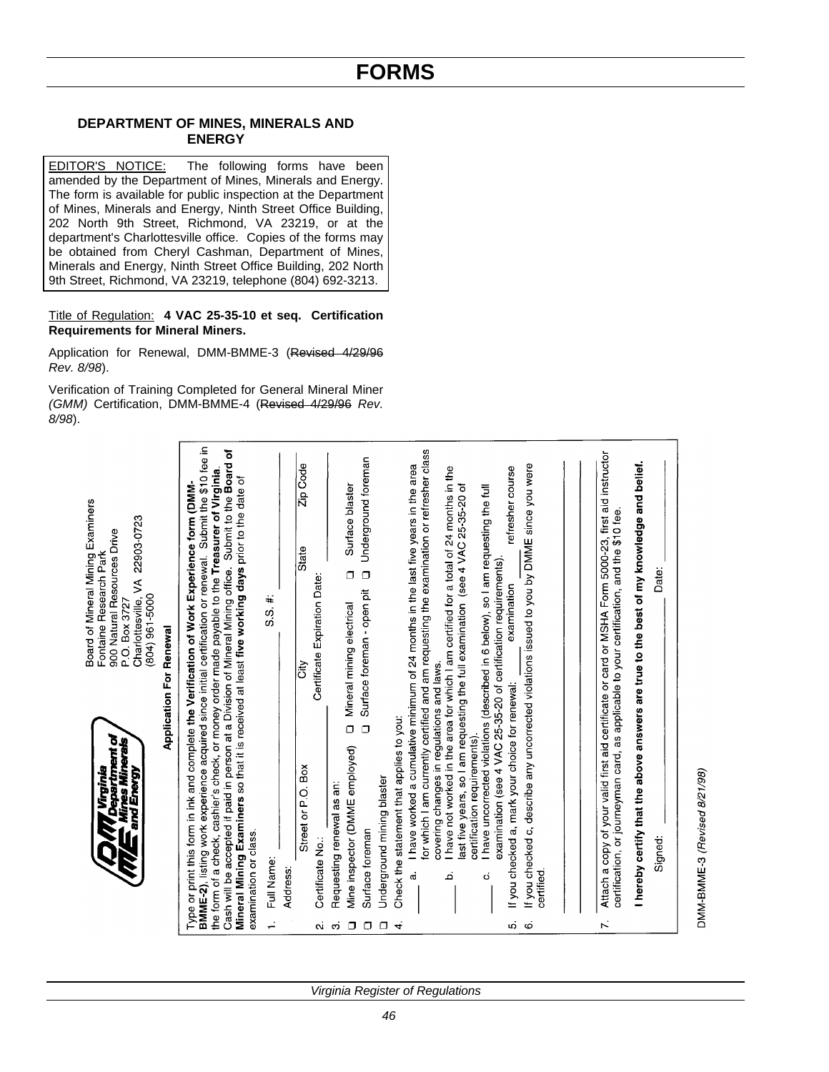# **DEPARTMENT OF MINES, MINERALS AND ENERGY**

EDITOR'S NOTICE: The following forms have been amended by the Department of Mines, Minerals and Energy. The form is available for public inspection at the Department of Mines, Minerals and Energy, Ninth Street Office Building, 202 North 9th Street, Richmond, VA 23219, or at the department's Charlottesville office. Copies of the forms may be obtained from Cheryl Cashman, Department of Mines, Minerals and Energy, Ninth Street Office Building, 202 North 9th Street, Richmond, VA 23219, telephone (804) 692-3213.

### Title of Regulation: **4 VAC 25-35-10 et seq. Certification Requirements for Mineral Miners.**

Application for Renewal, DMM-BMME-3 (Revised 4/29/96 *Rev. 8/98*).

Verification of Training Completed for General Mineral Miner *(GMM)* Certification, DMM-BMME-4 (Revised 4/29/96 *Rev. 8/98*).

|                |                                                                                                                   | Board of Mineral Mining Examiners                                                                                                                                                                                                                                                                                                                                                                                                                                                                                        |
|----------------|-------------------------------------------------------------------------------------------------------------------|--------------------------------------------------------------------------------------------------------------------------------------------------------------------------------------------------------------------------------------------------------------------------------------------------------------------------------------------------------------------------------------------------------------------------------------------------------------------------------------------------------------------------|
|                | <b><i>Virginia</i></b><br><i>Department of</i><br>Mines Minerals /                                                | 900 Natural Resources Drive<br>Fontaine Research Park                                                                                                                                                                                                                                                                                                                                                                                                                                                                    |
|                | and Energy                                                                                                        | Charlottesville, VA 22903-0723<br>(804) 961-5000<br>P.O. Box 3727                                                                                                                                                                                                                                                                                                                                                                                                                                                        |
|                |                                                                                                                   | <b>Application For Renewal</b>                                                                                                                                                                                                                                                                                                                                                                                                                                                                                           |
|                | examination or class.                                                                                             | BMME-2), listing work experience acquired since initial certification or renewal. Submit the \$10 fee in<br>৳<br>Cash will be accepted if paid in person at a Division of Mineral Mining office. Submit to the Board<br>the form of a check, cashier's check, or money order made payable to the Treasurer of Virginia.<br>Mineral Mining Examiners so that it is received at least five working days prior to the date of<br>Type or print this form in ink and complete the Verification of Work Experience form (DMM- |
|                | Full Name:                                                                                                        | $5.5 \#$                                                                                                                                                                                                                                                                                                                                                                                                                                                                                                                 |
|                | Address:                                                                                                          |                                                                                                                                                                                                                                                                                                                                                                                                                                                                                                                          |
| Μ.             | Street or P.O. Box<br>Certificate No.:                                                                            | Zip Code<br>State<br>Certificate Expiration Date:<br>is<br>Ö                                                                                                                                                                                                                                                                                                                                                                                                                                                             |
| $\Box$<br>က    | $\Box$<br>Mine inspector (DMME employed)<br>Requesting renewal as an:                                             | Surface blaster<br>σ<br>Mineral mining electrical                                                                                                                                                                                                                                                                                                                                                                                                                                                                        |
| $\Box$         | $\Box$<br>Surface foreman                                                                                         | Underground foreman<br>$\Box$<br>Surface foreman - open pit                                                                                                                                                                                                                                                                                                                                                                                                                                                              |
| $\Box$ 4       | Underground mining blaster                                                                                        |                                                                                                                                                                                                                                                                                                                                                                                                                                                                                                                          |
|                | Check the statement that applies to you:<br>ക്                                                                    | I have worked a cumulative minimum of 24 months in the last five years in the area                                                                                                                                                                                                                                                                                                                                                                                                                                       |
|                | covering changes in regulations and laws.                                                                         | for which I am currently certified and am requesting the examination or refresher class                                                                                                                                                                                                                                                                                                                                                                                                                                  |
|                | م                                                                                                                 | I have not worked in the area for which I am certified for a total of 24 months in the<br>ast five years, so I am requesting the full examination (see 4 VAC 25-35-20 of                                                                                                                                                                                                                                                                                                                                                 |
|                | certification requirements).<br>ö                                                                                 | I have uncorrected violations (described in 6 below), so I am requesting the full                                                                                                                                                                                                                                                                                                                                                                                                                                        |
| ιó,            | examination (see 4 VAC 25-35-20 of certification requirements)<br>If you checked a, mark your choice for renewal: | refresher course<br>examination                                                                                                                                                                                                                                                                                                                                                                                                                                                                                          |
| $\ddot{\circ}$ | certified                                                                                                         | If you checked c, describe any uncorrected violations issued to you by DMME since you were                                                                                                                                                                                                                                                                                                                                                                                                                               |
|                |                                                                                                                   |                                                                                                                                                                                                                                                                                                                                                                                                                                                                                                                          |
| Ϋ́,            | certification, or journeyman card, as applicable to your certification, and the \$10 fee                          | Attach a copy of your valid first aid certificate or card or MSHA Form 5000-23, first aid instructor                                                                                                                                                                                                                                                                                                                                                                                                                     |
|                |                                                                                                                   | I hereby certify that the above answers are true to the best of my knowledge and belief.                                                                                                                                                                                                                                                                                                                                                                                                                                 |
|                | Signed:                                                                                                           | Date:                                                                                                                                                                                                                                                                                                                                                                                                                                                                                                                    |
|                | DMM-BMME-3 (Revised 8/21/98)                                                                                      |                                                                                                                                                                                                                                                                                                                                                                                                                                                                                                                          |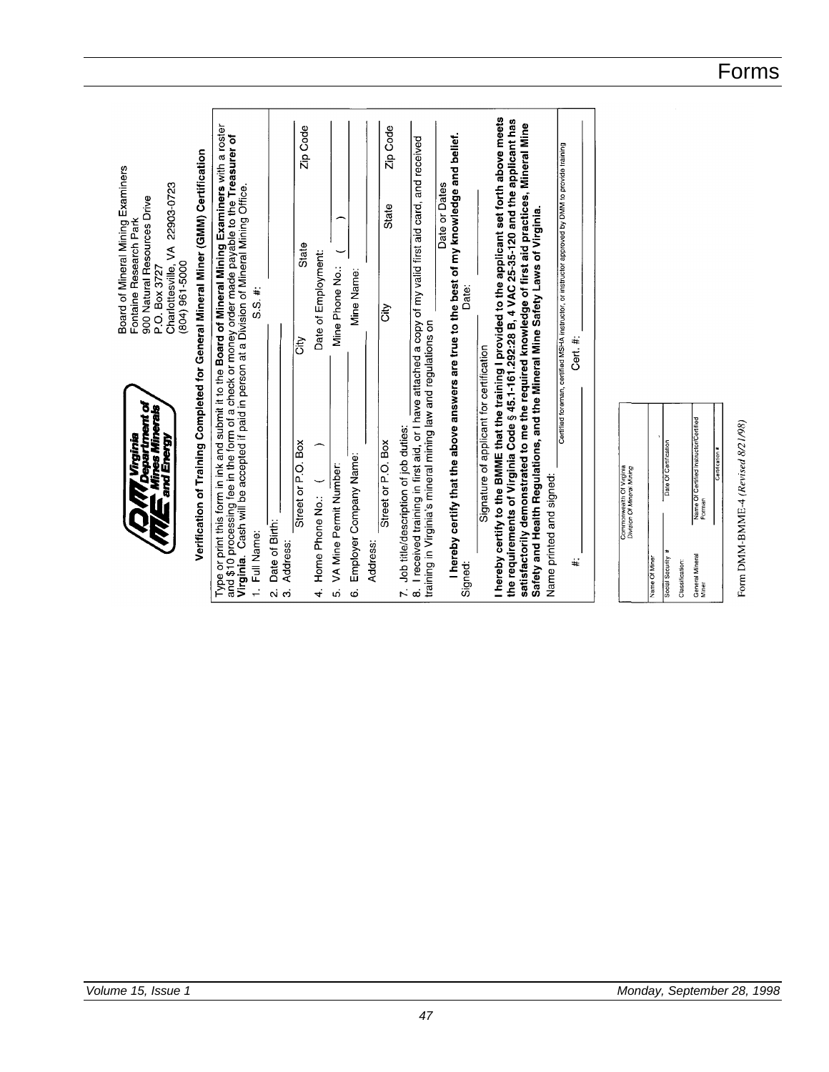I hereby certify to the BMME that the training I provided to the applicant set forth above meets the requirements of Virginia Code § 45.1-161.292:28 B, 4 VAC 25-35-120 and the applicant has satisfactorily demonstrated to me the required knowledge of first aid practices, Mineral Mine<br>Safety and Health Regulations, and the Mineral Mine Safety Laws of Virginia. Type or print this form in ink and submit it to the Board of Mineral Mining Examiners with a roster<br>and \$10 processing fee in the form of a check or money order made payable to the Treasurer of<br>Virginia. Cash will be accep Zip Code Zip Code I hereby certify that the above answers are true to the best of my knowledge and belief. 7. Job title/description of job duties:<br>8. I received training in first aid, or I have attached a copy of my valid first aid card, and received Certified foreman, certified MSHA instructor, or instructor approved by DMM to provide training Verification of Training Completed for General Mineral Miner (GMM) Certification Board of Mineral Mining Examiners<br>Fontaine Research Park Date or Dates Charlottesville, VA 22903-0723 900 Natural Resources Drive State State Date of Employment:  $(804)$  961-5000 Mine Phone No.: P.O. Box 3727 Mine Name: Date: S.S. #: ∣∛ training in Virginia's mineral mining law and regulations on Cert.#: ¦<br>ö Signature of applicant for certification Department of<br>fines Minerals Name Of Certified Instructor/Certified Form DMM-BMME-4 (Revised 8/21/98) *<u>Trginia</u>* and Energy Street or P.O. Box Street or P.O. Box Employer Company Name: Date Of Certif VA Mine Permit Number: Commonwealth Of Virginia<br>Division Of Mineral Mining Name printed and signed: Home Phone No.: Date of Birth: 1. Full Name: Address: Address: General Mineral<br>Miner  $\ddot{}$ social Security Name Of Mine Signed: Classification: လဲတဲ 4  $\mathbf{u}$  $\dot{\mathbf{c}}$ 

Forms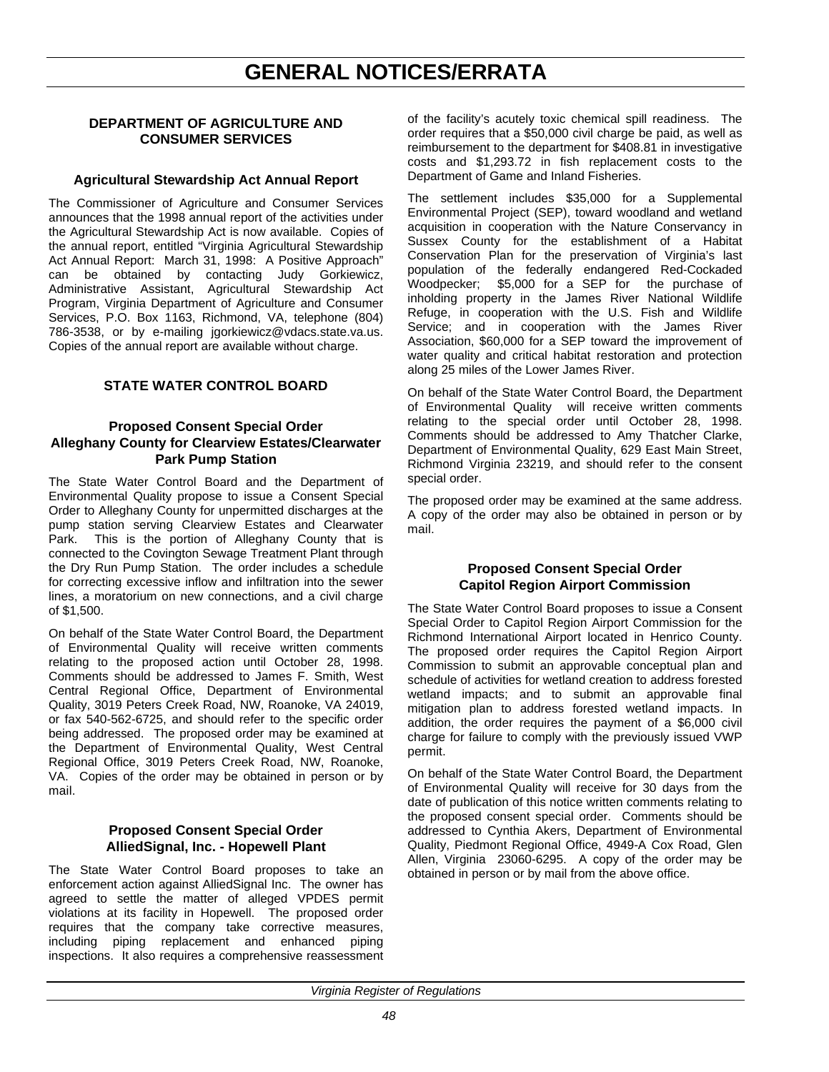# **GENERAL NOTICES/ERRATA**

# **DEPARTMENT OF AGRICULTURE AND CONSUMER SERVICES**

### **Agricultural Stewardship Act Annual Report**

The Commissioner of Agriculture and Consumer Services announces that the 1998 annual report of the activities under the Agricultural Stewardship Act is now available. Copies of the annual report, entitled "Virginia Agricultural Stewardship Act Annual Report: March 31, 1998: A Positive Approach" can be obtained by contacting Judy Gorkiewicz, Administrative Assistant, Agricultural Stewardship Act Program, Virginia Department of Agriculture and Consumer Services, P.O. Box 1163, Richmond, VA, telephone (804) 786-3538, or by e-mailing jgorkiewicz@vdacs.state.va.us. Copies of the annual report are available without charge.

# **STATE WATER CONTROL BOARD**

### **Proposed Consent Special Order Alleghany County for Clearview Estates/Clearwater Park Pump Station**

The State Water Control Board and the Department of Environmental Quality propose to issue a Consent Special Order to Alleghany County for unpermitted discharges at the pump station serving Clearview Estates and Clearwater Park. This is the portion of Alleghany County that is connected to the Covington Sewage Treatment Plant through the Dry Run Pump Station. The order includes a schedule for correcting excessive inflow and infiltration into the sewer lines, a moratorium on new connections, and a civil charge of \$1,500.

On behalf of the State Water Control Board, the Department of Environmental Quality will receive written comments relating to the proposed action until October 28, 1998. Comments should be addressed to James F. Smith, West Central Regional Office, Department of Environmental Quality, 3019 Peters Creek Road, NW, Roanoke, VA 24019, or fax 540-562-6725, and should refer to the specific order being addressed. The proposed order may be examined at the Department of Environmental Quality, West Central Regional Office, 3019 Peters Creek Road, NW, Roanoke, VA. Copies of the order may be obtained in person or by mail.

## **Proposed Consent Special Order AlliedSignal, Inc. - Hopewell Plant**

The State Water Control Board proposes to take an enforcement action against AlliedSignal Inc. The owner has agreed to settle the matter of alleged VPDES permit violations at its facility in Hopewell. The proposed order requires that the company take corrective measures, including piping replacement and enhanced piping inspections. It also requires a comprehensive reassessment of the facility's acutely toxic chemical spill readiness. The order requires that a \$50,000 civil charge be paid, as well as reimbursement to the department for \$408.81 in investigative costs and \$1,293.72 in fish replacement costs to the Department of Game and Inland Fisheries.

The settlement includes \$35,000 for a Supplemental Environmental Project (SEP), toward woodland and wetland acquisition in cooperation with the Nature Conservancy in Sussex County for the establishment of a Habitat Conservation Plan for the preservation of Virginia's last population of the federally endangered Red-Cockaded Woodpecker; \$5,000 for a SEP for the purchase of inholding property in the James River National Wildlife Refuge, in cooperation with the U.S. Fish and Wildlife Service; and in cooperation with the James River Association, \$60,000 for a SEP toward the improvement of water quality and critical habitat restoration and protection along 25 miles of the Lower James River.

On behalf of the State Water Control Board, the Department of Environmental Quality will receive written comments relating to the special order until October 28, 1998. Comments should be addressed to Amy Thatcher Clarke, Department of Environmental Quality, 629 East Main Street, Richmond Virginia 23219, and should refer to the consent special order.

The proposed order may be examined at the same address. A copy of the order may also be obtained in person or by mail.

## **Proposed Consent Special Order Capitol Region Airport Commission**

The State Water Control Board proposes to issue a Consent Special Order to Capitol Region Airport Commission for the Richmond International Airport located in Henrico County. The proposed order requires the Capitol Region Airport Commission to submit an approvable conceptual plan and schedule of activities for wetland creation to address forested wetland impacts; and to submit an approvable final mitigation plan to address forested wetland impacts. In addition, the order requires the payment of a \$6,000 civil charge for failure to comply with the previously issued VWP permit.

On behalf of the State Water Control Board, the Department of Environmental Quality will receive for 30 days from the date of publication of this notice written comments relating to the proposed consent special order. Comments should be addressed to Cynthia Akers, Department of Environmental Quality, Piedmont Regional Office, 4949-A Cox Road, Glen Allen, Virginia 23060-6295. A copy of the order may be obtained in person or by mail from the above office.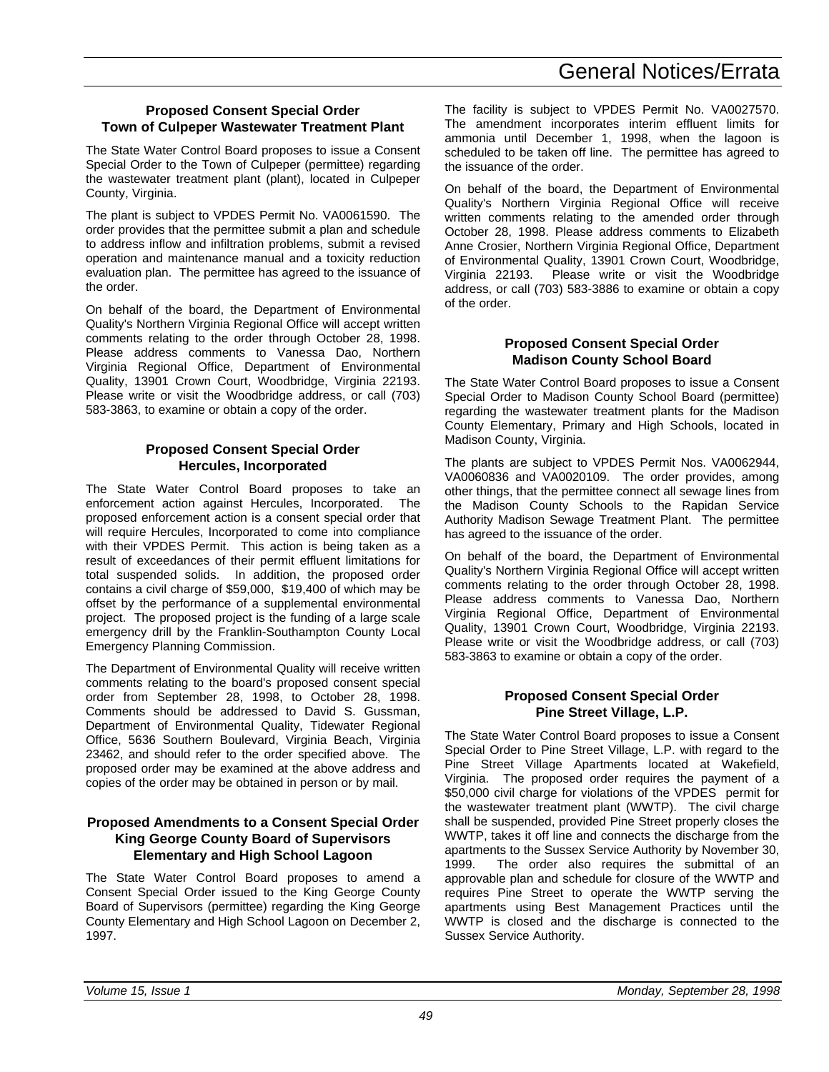### **Proposed Consent Special Order Town of Culpeper Wastewater Treatment Plant**

The State Water Control Board proposes to issue a Consent Special Order to the Town of Culpeper (permittee) regarding the wastewater treatment plant (plant), located in Culpeper County, Virginia.

The plant is subject to VPDES Permit No. VA0061590. The order provides that the permittee submit a plan and schedule to address inflow and infiltration problems, submit a revised operation and maintenance manual and a toxicity reduction evaluation plan. The permittee has agreed to the issuance of the order.

On behalf of the board, the Department of Environmental Quality's Northern Virginia Regional Office will accept written comments relating to the order through October 28, 1998. Please address comments to Vanessa Dao, Northern Virginia Regional Office, Department of Environmental Quality, 13901 Crown Court, Woodbridge, Virginia 22193. Please write or visit the Woodbridge address, or call (703) 583-3863, to examine or obtain a copy of the order.

### **Proposed Consent Special Order Hercules, Incorporated**

The State Water Control Board proposes to take an enforcement action against Hercules, Incorporated. The proposed enforcement action is a consent special order that will require Hercules, Incorporated to come into compliance with their VPDES Permit. This action is being taken as a result of exceedances of their permit effluent limitations for total suspended solids. In addition, the proposed order contains a civil charge of \$59,000, \$19,400 of which may be offset by the performance of a supplemental environmental project. The proposed project is the funding of a large scale emergency drill by the Franklin-Southampton County Local Emergency Planning Commission.

The Department of Environmental Quality will receive written comments relating to the board's proposed consent special order from September 28, 1998, to October 28, 1998. Comments should be addressed to David S. Gussman, Department of Environmental Quality, Tidewater Regional Office, 5636 Southern Boulevard, Virginia Beach, Virginia 23462, and should refer to the order specified above. The proposed order may be examined at the above address and copies of the order may be obtained in person or by mail.

### **Proposed Amendments to a Consent Special Order King George County Board of Supervisors Elementary and High School Lagoon**

The State Water Control Board proposes to amend a Consent Special Order issued to the King George County Board of Supervisors (permittee) regarding the King George County Elementary and High School Lagoon on December 2, 1997.

The facility is subject to VPDES Permit No. VA0027570. The amendment incorporates interim effluent limits for ammonia until December 1, 1998, when the lagoon is scheduled to be taken off line. The permittee has agreed to the issuance of the order.

On behalf of the board, the Department of Environmental Quality's Northern Virginia Regional Office will receive written comments relating to the amended order through October 28, 1998. Please address comments to Elizabeth Anne Crosier, Northern Virginia Regional Office, Department of Environmental Quality, 13901 Crown Court, Woodbridge, Virginia 22193. Please write or visit the Woodbridge address, or call (703) 583-3886 to examine or obtain a copy of the order.

## **Proposed Consent Special Order Madison County School Board**

The State Water Control Board proposes to issue a Consent Special Order to Madison County School Board (permittee) regarding the wastewater treatment plants for the Madison County Elementary, Primary and High Schools, located in Madison County, Virginia.

The plants are subject to VPDES Permit Nos. VA0062944, VA0060836 and VA0020109. The order provides, among other things, that the permittee connect all sewage lines from the Madison County Schools to the Rapidan Service Authority Madison Sewage Treatment Plant. The permittee has agreed to the issuance of the order.

On behalf of the board, the Department of Environmental Quality's Northern Virginia Regional Office will accept written comments relating to the order through October 28, 1998. Please address comments to Vanessa Dao, Northern Virginia Regional Office, Department of Environmental Quality, 13901 Crown Court, Woodbridge, Virginia 22193. Please write or visit the Woodbridge address, or call (703) 583-3863 to examine or obtain a copy of the order.

## **Proposed Consent Special Order Pine Street Village, L.P.**

The State Water Control Board proposes to issue a Consent Special Order to Pine Street Village, L.P. with regard to the Pine Street Village Apartments located at Wakefield, Virginia. The proposed order requires the payment of a \$50,000 civil charge for violations of the VPDES permit for the wastewater treatment plant (WWTP). The civil charge shall be suspended, provided Pine Street properly closes the WWTP, takes it off line and connects the discharge from the apartments to the Sussex Service Authority by November 30, 1999. The order also requires the submittal of an approvable plan and schedule for closure of the WWTP and requires Pine Street to operate the WWTP serving the apartments using Best Management Practices until the WWTP is closed and the discharge is connected to the Sussex Service Authority.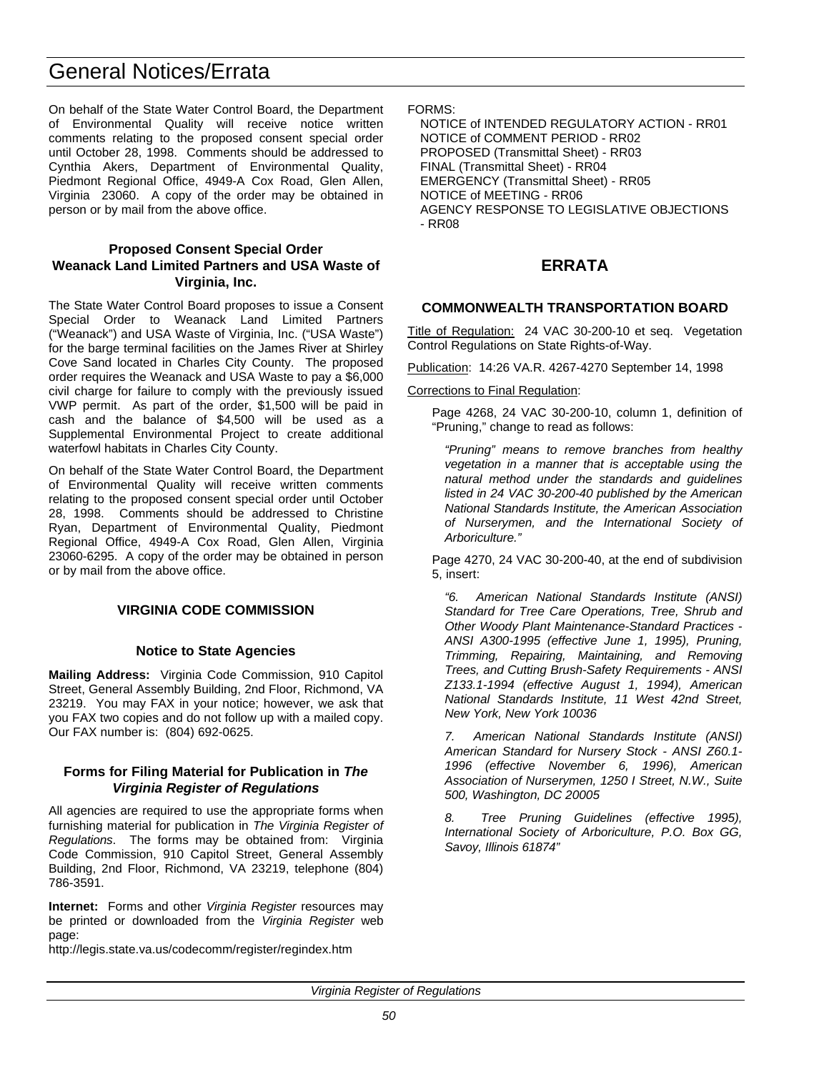# General Notices/Errata

On behalf of the State Water Control Board, the Department of Environmental Quality will receive notice written comments relating to the proposed consent special order until October 28, 1998. Comments should be addressed to Cynthia Akers, Department of Environmental Quality, Piedmont Regional Office, 4949-A Cox Road, Glen Allen, Virginia 23060. A copy of the order may be obtained in person or by mail from the above office.

# **Proposed Consent Special Order Weanack Land Limited Partners and USA Waste of Virginia, Inc.**

The State Water Control Board proposes to issue a Consent Special Order to Weanack Land Limited Partners ("Weanack") and USA Waste of Virginia, Inc. ("USA Waste") for the barge terminal facilities on the James River at Shirley Cove Sand located in Charles City County. The proposed order requires the Weanack and USA Waste to pay a \$6,000 civil charge for failure to comply with the previously issued VWP permit. As part of the order, \$1,500 will be paid in cash and the balance of \$4,500 will be used as a Supplemental Environmental Project to create additional waterfowl habitats in Charles City County.

On behalf of the State Water Control Board, the Department of Environmental Quality will receive written comments relating to the proposed consent special order until October 28, 1998. Comments should be addressed to Christine Ryan, Department of Environmental Quality, Piedmont Regional Office, 4949-A Cox Road, Glen Allen, Virginia 23060-6295. A copy of the order may be obtained in person or by mail from the above office.

# **VIRGINIA CODE COMMISSION**

### **Notice to State Agencies**

**Mailing Address:** Virginia Code Commission, 910 Capitol Street, General Assembly Building, 2nd Floor, Richmond, VA 23219. You may FAX in your notice; however, we ask that you FAX two copies and do not follow up with a mailed copy. Our FAX number is: (804) 692-0625.

### **Forms for Filing Material for Publication in** *The Virginia Register of Regulations*

All agencies are required to use the appropriate forms when furnishing material for publication in *The Virginia Register of Regulations*. The forms may be obtained from: Virginia Code Commission, 910 Capitol Street, General Assembly Building, 2nd Floor, Richmond, VA 23219, telephone (804) 786-3591.

**Internet:** Forms and other *Virginia Register* resources may be printed or downloaded from the *Virginia Register* web page:

http://legis.state.va.us/codecomm/register/regindex.htm

#### FORMS:

NOTICE of INTENDED REGULATORY ACTION - RR01 NOTICE of COMMENT PERIOD - RR02 PROPOSED (Transmittal Sheet) - RR03 FINAL (Transmittal Sheet) - RR04 EMERGENCY (Transmittal Sheet) - RR05 NOTICE of MEETING - RR06 AGENCY RESPONSE TO LEGISLATIVE OBJECTIONS - RR08

# **ERRATA**

### **COMMONWEALTH TRANSPORTATION BOARD**

Title of Regulation: 24 VAC 30-200-10 et seq. Vegetation Control Regulations on State Rights-of-Way.

Publication: 14:26 VA.R. 4267-4270 September 14, 1998

### Corrections to Final Regulation:

Page 4268, 24 VAC 30-200-10, column 1, definition of "Pruning," change to read as follows:

*"Pruning" means to remove branches from healthy vegetation in a manner that is acceptable using the natural method under the standards and guidelines listed in 24 VAC 30-200-40 published by the American National Standards Institute, the American Association of Nurserymen, and the International Society of Arboriculture."*

Page 4270, 24 VAC 30-200-40, at the end of subdivision 5, insert:

*"6. American National Standards Institute (ANSI) Standard for Tree Care Operations, Tree, Shrub and Other Woody Plant Maintenance-Standard Practices - ANSI A300-1995 (effective June 1, 1995), Pruning, Trimming, Repairing, Maintaining, and Removing Trees, and Cutting Brush-Safety Requirements - ANSI Z133.1-1994 (effective August 1, 1994), American National Standards Institute, 11 West 42nd Street, New York, New York 10036*

*7. American National Standards Institute (ANSI) American Standard for Nursery Stock - ANSI Z60.1- 1996 (effective November 6, 1996), American Association of Nurserymen, 1250 I Street, N.W., Suite 500, Washington, DC 20005*

*8. Tree Pruning Guidelines (effective 1995), International Society of Arboriculture, P.O. Box GG, Savoy, Illinois 61874"*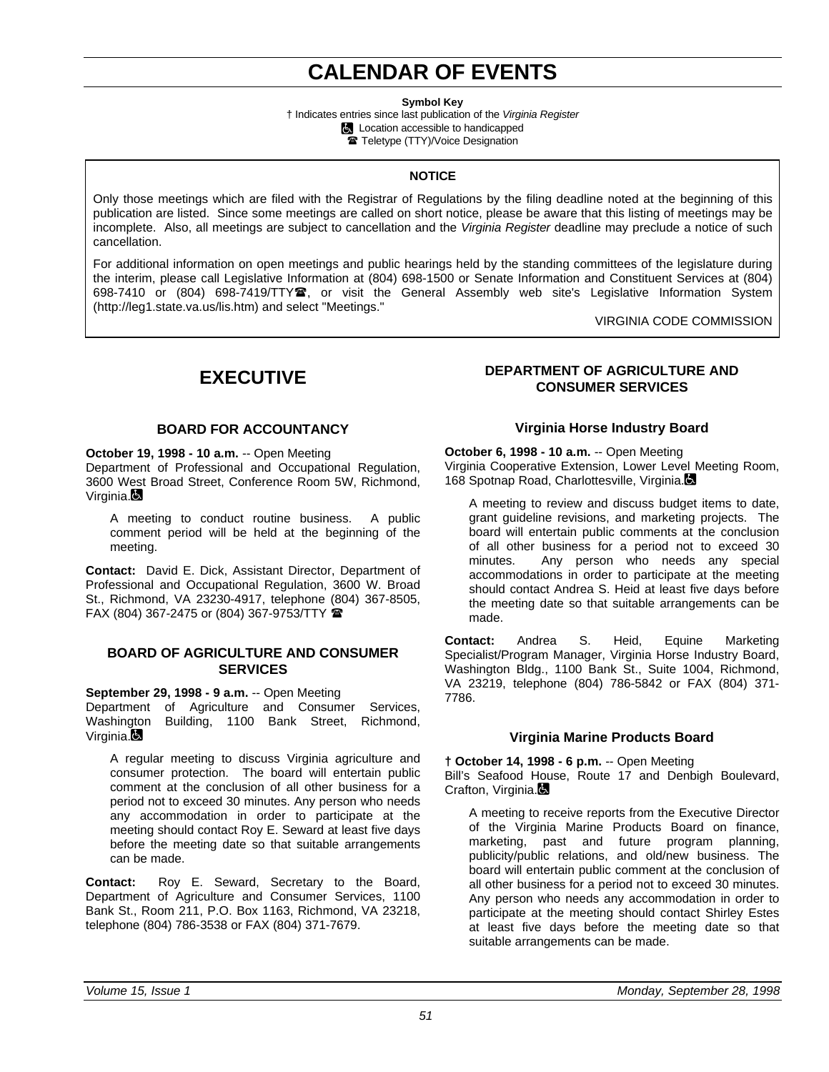# **CALENDAR OF EVENTS**

**Symbol Key**

† Indicates entries since last publication of the *Virginia Register* **Location accessible to handicapped** Teletype (TTY)/Voice Designation

### **NOTICE**

Only those meetings which are filed with the Registrar of Regulations by the filing deadline noted at the beginning of this publication are listed. Since some meetings are called on short notice, please be aware that this listing of meetings may be incomplete. Also, all meetings are subject to cancellation and the *Virginia Register* deadline may preclude a notice of such cancellation.

For additional information on open meetings and public hearings held by the standing committees of the legislature during the interim, please call Legislative Information at (804) 698-1500 or Senate Information and Constituent Services at (804) 698-7410 or (804) 698-7419/TTY雪, or visit the General Assembly web site's Legislative Information System (http://leg1.state.va.us/lis.htm) and select "Meetings."

VIRGINIA CODE COMMISSION

# **EXECUTIVE**

## **BOARD FOR ACCOUNTANCY**

**October 19, 1998 - 10 a.m.** -- Open Meeting Department of Professional and Occupational Regulation, 3600 West Broad Street, Conference Room 5W, Richmond, Virginia.

A meeting to conduct routine business. A public comment period will be held at the beginning of the meeting.

**Contact:** David E. Dick, Assistant Director, Department of Professional and Occupational Regulation, 3600 W. Broad St., Richmond, VA 23230-4917, telephone (804) 367-8505, FAX (804) 367-2475 or (804) 367-9753/TTY  $\hat{=}$ 

### **BOARD OF AGRICULTURE AND CONSUMER SERVICES**

**September 29, 1998 - 9 a.m.** -- Open Meeting

Department of Agriculture and Consumer Services, Washington Building, 1100 Bank Street, Richmond, Virginia.**B** 

A regular meeting to discuss Virginia agriculture and consumer protection. The board will entertain public comment at the conclusion of all other business for a period not to exceed 30 minutes. Any person who needs any accommodation in order to participate at the meeting should contact Roy E. Seward at least five days before the meeting date so that suitable arrangements can be made.

**Contact:** Roy E. Seward, Secretary to the Board, Department of Agriculture and Consumer Services, 1100 Bank St., Room 211, P.O. Box 1163, Richmond, VA 23218, telephone (804) 786-3538 or FAX (804) 371-7679.

# **DEPARTMENT OF AGRICULTURE AND CONSUMER SERVICES**

## **Virginia Horse Industry Board**

**October 6, 1998 - 10 a.m.** -- Open Meeting Virginia Cooperative Extension, Lower Level Meeting Room, 168 Spotnap Road, Charlottesville, Virginia.

A meeting to review and discuss budget items to date, grant guideline revisions, and marketing projects. The board will entertain public comments at the conclusion of all other business for a period not to exceed 30 minutes. Any person who needs any special accommodations in order to participate at the meeting should contact Andrea S. Heid at least five days before the meeting date so that suitable arrangements can be made.

**Contact:** Andrea S. Heid, Equine Marketing Specialist/Program Manager, Virginia Horse Industry Board, Washington Bldg., 1100 Bank St., Suite 1004, Richmond, VA 23219, telephone (804) 786-5842 or FAX (804) 371- 7786.

### **Virginia Marine Products Board**

**† October 14, 1998 - 6 p.m.** -- Open Meeting Bill's Seafood House, Route 17 and Denbigh Boulevard, Crafton, Virginia.

A meeting to receive reports from the Executive Director of the Virginia Marine Products Board on finance, marketing, past and future program planning, publicity/public relations, and old/new business. The board will entertain public comment at the conclusion of all other business for a period not to exceed 30 minutes. Any person who needs any accommodation in order to participate at the meeting should contact Shirley Estes at least five days before the meeting date so that suitable arrangements can be made.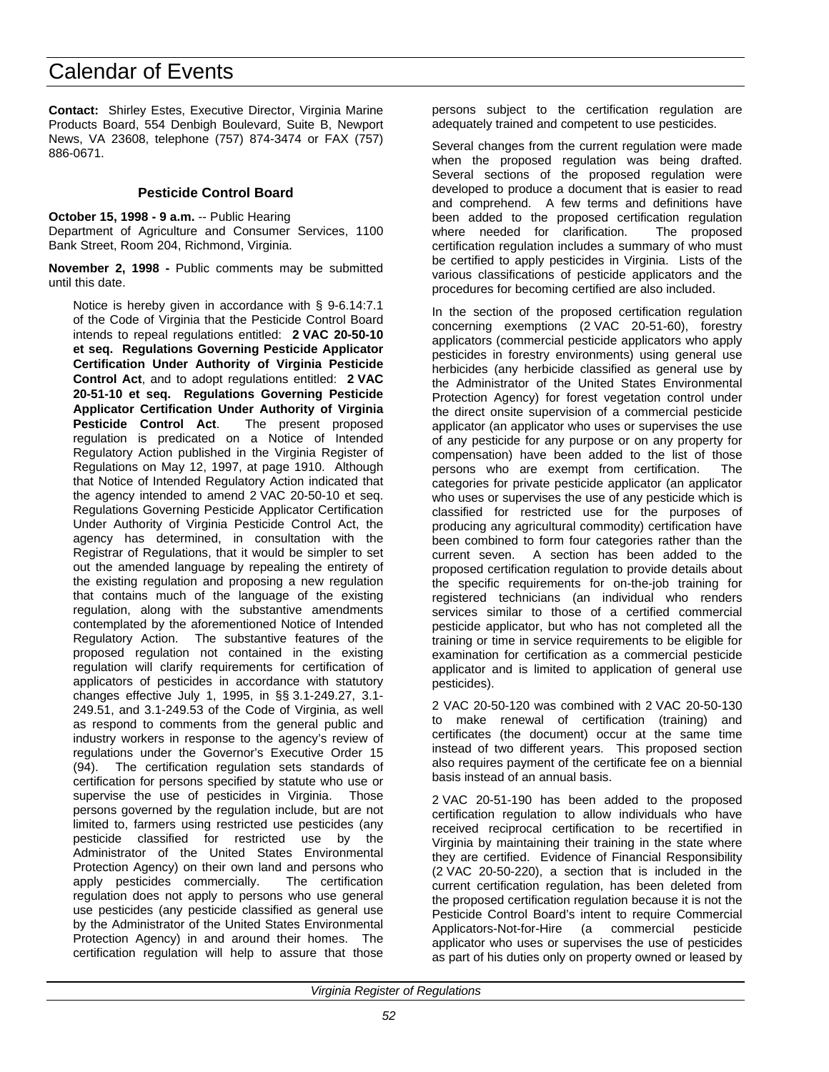**Contact:** Shirley Estes, Executive Director, Virginia Marine Products Board, 554 Denbigh Boulevard, Suite B, Newport News, VA 23608, telephone (757) 874-3474 or FAX (757) 886-0671.

### **Pesticide Control Board**

**October 15, 1998 - 9 a.m.** -- Public Hearing Department of Agriculture and Consumer Services, 1100 Bank Street, Room 204, Richmond, Virginia.

**November 2, 1998 -** Public comments may be submitted until this date.

Notice is hereby given in accordance with § 9-6.14:7.1 of the Code of Virginia that the Pesticide Control Board intends to repeal regulations entitled: **2 VAC 20-50-10 et seq. Regulations Governing Pesticide Applicator Certification Under Authority of Virginia Pesticide Control Act**, and to adopt regulations entitled: **2 VAC 20-51-10 et seq. Regulations Governing Pesticide Applicator Certification Under Authority of Virginia Pesticide Control Act**. The present proposed regulation is predicated on a Notice of Intended Regulatory Action published in the Virginia Register of Regulations on May 12, 1997, at page 1910. Although that Notice of Intended Regulatory Action indicated that the agency intended to amend 2 VAC 20-50-10 et seq. Regulations Governing Pesticide Applicator Certification Under Authority of Virginia Pesticide Control Act, the agency has determined, in consultation with the Registrar of Regulations, that it would be simpler to set out the amended language by repealing the entirety of the existing regulation and proposing a new regulation that contains much of the language of the existing regulation, along with the substantive amendments contemplated by the aforementioned Notice of Intended Regulatory Action. The substantive features of the proposed regulation not contained in the existing regulation will clarify requirements for certification of applicators of pesticides in accordance with statutory changes effective July 1, 1995, in §§ 3.1-249.27, 3.1- 249.51, and 3.1-249.53 of the Code of Virginia, as well as respond to comments from the general public and industry workers in response to the agency's review of regulations under the Governor's Executive Order 15 (94). The certification regulation sets standards of certification for persons specified by statute who use or supervise the use of pesticides in Virginia. Those persons governed by the regulation include, but are not limited to, farmers using restricted use pesticides (any pesticide classified for restricted use by the Administrator of the United States Environmental Protection Agency) on their own land and persons who apply pesticides commercially. The certification regulation does not apply to persons who use general use pesticides (any pesticide classified as general use by the Administrator of the United States Environmental Protection Agency) in and around their homes. The certification regulation will help to assure that those persons subject to the certification regulation are adequately trained and competent to use pesticides.

Several changes from the current regulation were made when the proposed regulation was being drafted. Several sections of the proposed regulation were developed to produce a document that is easier to read and comprehend. A few terms and definitions have been added to the proposed certification regulation where needed for clarification. The proposed certification regulation includes a summary of who must be certified to apply pesticides in Virginia. Lists of the various classifications of pesticide applicators and the procedures for becoming certified are also included.

In the section of the proposed certification regulation concerning exemptions (2 VAC 20-51-60), forestry applicators (commercial pesticide applicators who apply pesticides in forestry environments) using general use herbicides (any herbicide classified as general use by the Administrator of the United States Environmental Protection Agency) for forest vegetation control under the direct onsite supervision of a commercial pesticide applicator (an applicator who uses or supervises the use of any pesticide for any purpose or on any property for compensation) have been added to the list of those persons who are exempt from certification. The categories for private pesticide applicator (an applicator who uses or supervises the use of any pesticide which is classified for restricted use for the purposes of producing any agricultural commodity) certification have been combined to form four categories rather than the current seven. A section has been added to the proposed certification regulation to provide details about the specific requirements for on-the-job training for registered technicians (an individual who renders services similar to those of a certified commercial pesticide applicator, but who has not completed all the training or time in service requirements to be eligible for examination for certification as a commercial pesticide applicator and is limited to application of general use pesticides).

2 VAC 20-50-120 was combined with 2 VAC 20-50-130 to make renewal of certification (training) and certificates (the document) occur at the same time instead of two different years. This proposed section also requires payment of the certificate fee on a biennial basis instead of an annual basis.

2 VAC 20-51-190 has been added to the proposed certification regulation to allow individuals who have received reciprocal certification to be recertified in Virginia by maintaining their training in the state where they are certified. Evidence of Financial Responsibility (2 VAC 20-50-220), a section that is included in the current certification regulation, has been deleted from the proposed certification regulation because it is not the Pesticide Control Board's intent to require Commercial Applicators-Not-for-Hire (a commercial pesticide applicator who uses or supervises the use of pesticides as part of his duties only on property owned or leased by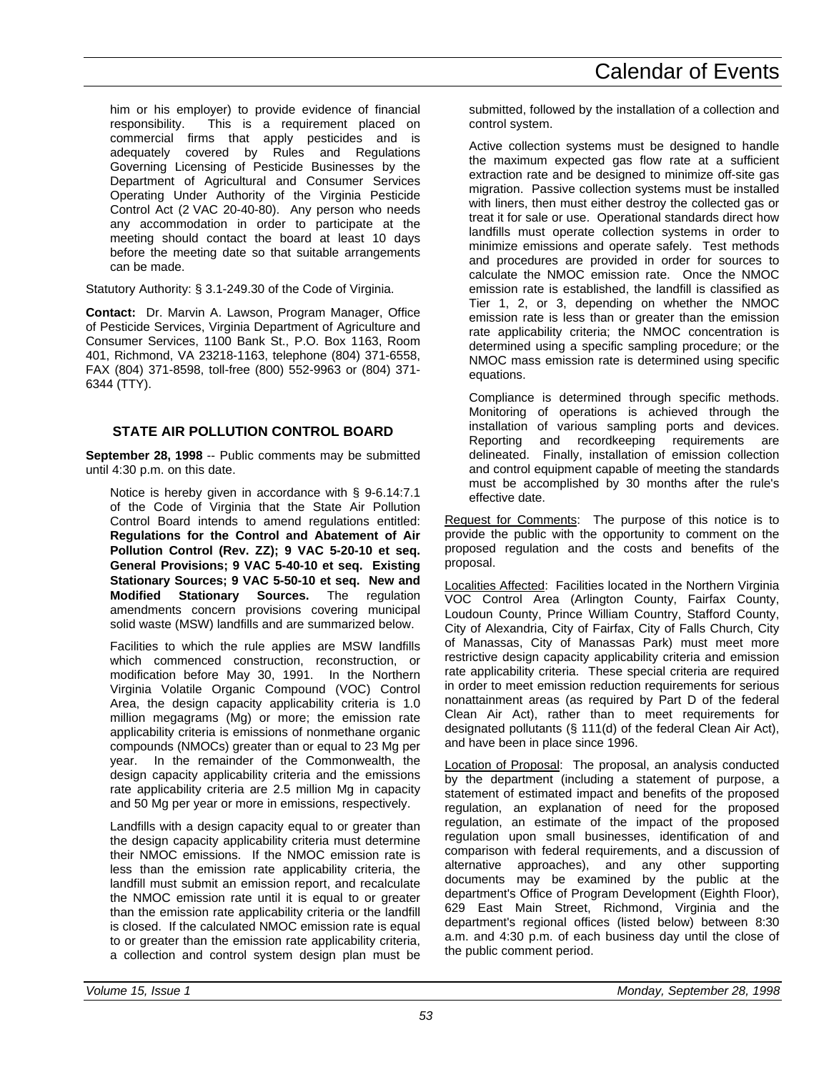him or his employer) to provide evidence of financial responsibility. This is a requirement placed on commercial firms that apply pesticides and is adequately covered by Rules and Regulations Governing Licensing of Pesticide Businesses by the Department of Agricultural and Consumer Services Operating Under Authority of the Virginia Pesticide Control Act (2 VAC 20-40-80). Any person who needs any accommodation in order to participate at the meeting should contact the board at least 10 days before the meeting date so that suitable arrangements can be made.

Statutory Authority: § 3.1-249.30 of the Code of Virginia.

**Contact:** Dr. Marvin A. Lawson, Program Manager, Office of Pesticide Services, Virginia Department of Agriculture and Consumer Services, 1100 Bank St., P.O. Box 1163, Room 401, Richmond, VA 23218-1163, telephone (804) 371-6558, FAX (804) 371-8598, toll-free (800) 552-9963 or (804) 371- 6344 (TTY).

# **STATE AIR POLLUTION CONTROL BOARD**

**September 28, 1998** -- Public comments may be submitted until 4:30 p.m. on this date.

Notice is hereby given in accordance with § 9-6.14:7.1 of the Code of Virginia that the State Air Pollution Control Board intends to amend regulations entitled: **Regulations for the Control and Abatement of Air Pollution Control (Rev. ZZ); 9 VAC 5-20-10 et seq. General Provisions; 9 VAC 5-40-10 et seq. Existing Stationary Sources; 9 VAC 5-50-10 et seq. New and Modified Stationary Sources.** The regulation amendments concern provisions covering municipal solid waste (MSW) landfills and are summarized below.

Facilities to which the rule applies are MSW landfills which commenced construction, reconstruction, or modification before May 30, 1991. In the Northern Virginia Volatile Organic Compound (VOC) Control Area, the design capacity applicability criteria is 1.0 million megagrams (Mg) or more; the emission rate applicability criteria is emissions of nonmethane organic compounds (NMOCs) greater than or equal to 23 Mg per year. In the remainder of the Commonwealth, the design capacity applicability criteria and the emissions rate applicability criteria are 2.5 million Mg in capacity and 50 Mg per year or more in emissions, respectively.

Landfills with a design capacity equal to or greater than the design capacity applicability criteria must determine their NMOC emissions. If the NMOC emission rate is less than the emission rate applicability criteria, the landfill must submit an emission report, and recalculate the NMOC emission rate until it is equal to or greater than the emission rate applicability criteria or the landfill is closed. If the calculated NMOC emission rate is equal to or greater than the emission rate applicability criteria, a collection and control system design plan must be submitted, followed by the installation of a collection and control system.

Active collection systems must be designed to handle the maximum expected gas flow rate at a sufficient extraction rate and be designed to minimize off-site gas migration. Passive collection systems must be installed with liners, then must either destroy the collected gas or treat it for sale or use. Operational standards direct how landfills must operate collection systems in order to minimize emissions and operate safely. Test methods and procedures are provided in order for sources to calculate the NMOC emission rate. Once the NMOC emission rate is established, the landfill is classified as Tier 1, 2, or 3, depending on whether the NMOC emission rate is less than or greater than the emission rate applicability criteria; the NMOC concentration is determined using a specific sampling procedure; or the NMOC mass emission rate is determined using specific equations.

Compliance is determined through specific methods. Monitoring of operations is achieved through the installation of various sampling ports and devices. Reporting and recordkeeping requirements are delineated. Finally, installation of emission collection and control equipment capable of meeting the standards must be accomplished by 30 months after the rule's effective date.

Request for Comments: The purpose of this notice is to provide the public with the opportunity to comment on the proposed regulation and the costs and benefits of the proposal.

Localities Affected: Facilities located in the Northern Virginia VOC Control Area (Arlington County, Fairfax County, Loudoun County, Prince William Country, Stafford County, City of Alexandria, City of Fairfax, City of Falls Church, City of Manassas, City of Manassas Park) must meet more restrictive design capacity applicability criteria and emission rate applicability criteria. These special criteria are required in order to meet emission reduction requirements for serious nonattainment areas (as required by Part D of the federal Clean Air Act), rather than to meet requirements for designated pollutants (§ 111(d) of the federal Clean Air Act), and have been in place since 1996.

Location of Proposal: The proposal, an analysis conducted by the department (including a statement of purpose, a statement of estimated impact and benefits of the proposed regulation, an explanation of need for the proposed regulation, an estimate of the impact of the proposed regulation upon small businesses, identification of and comparison with federal requirements, and a discussion of alternative approaches), and any other supporting documents may be examined by the public at the department's Office of Program Development (Eighth Floor), 629 East Main Street, Richmond, Virginia and the department's regional offices (listed below) between 8:30 a.m. and 4:30 p.m. of each business day until the close of the public comment period.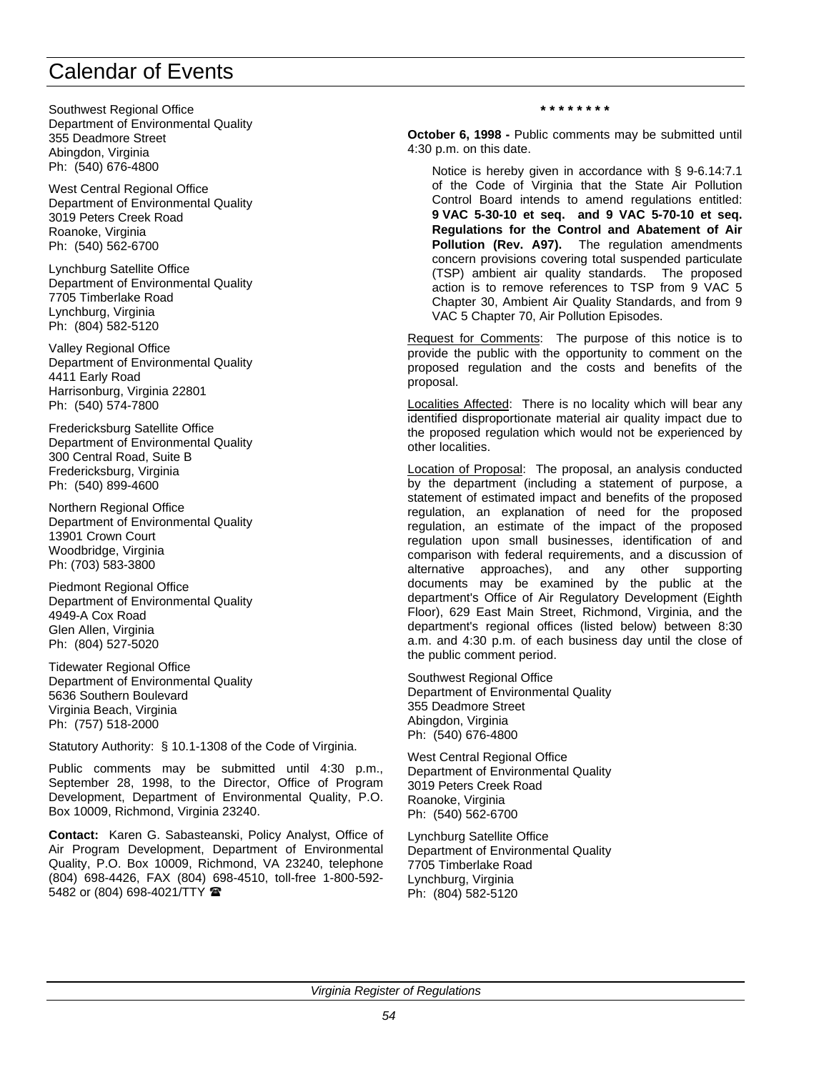Southwest Regional Office Department of Environmental Quality 355 Deadmore Street Abingdon, Virginia Ph: (540) 676-4800

West Central Regional Office Department of Environmental Quality 3019 Peters Creek Road Roanoke, Virginia Ph: (540) 562-6700

Lynchburg Satellite Office Department of Environmental Quality 7705 Timberlake Road Lynchburg, Virginia Ph: (804) 582-5120

Valley Regional Office Department of Environmental Quality 4411 Early Road Harrisonburg, Virginia 22801 Ph: (540) 574-7800

Fredericksburg Satellite Office Department of Environmental Quality 300 Central Road, Suite B Fredericksburg, Virginia Ph: (540) 899-4600

Northern Regional Office Department of Environmental Quality 13901 Crown Court Woodbridge, Virginia Ph: (703) 583-3800

Piedmont Regional Office Department of Environmental Quality 4949-A Cox Road Glen Allen, Virginia Ph: (804) 527-5020

Tidewater Regional Office Department of Environmental Quality 5636 Southern Boulevard Virginia Beach, Virginia Ph: (757) 518-2000

Statutory Authority: § 10.1-1308 of the Code of Virginia.

Public comments may be submitted until 4:30 p.m., September 28, 1998, to the Director, Office of Program Development, Department of Environmental Quality, P.O. Box 10009, Richmond, Virginia 23240.

**Contact:** Karen G. Sabasteanski, Policy Analyst, Office of Air Program Development, Department of Environmental Quality, P.O. Box 10009, Richmond, VA 23240, telephone (804) 698-4426, FAX (804) 698-4510, toll-free 1-800-592- 5482 or (804) 698-4021/TTY <sup>金</sup>

#### **\* \* \* \* \* \* \* \***

**October 6, 1998 -** Public comments may be submitted until 4:30 p.m. on this date.

Notice is hereby given in accordance with § 9-6.14:7.1 of the Code of Virginia that the State Air Pollution Control Board intends to amend regulations entitled: **9 VAC 5-30-10 et seq. and 9 VAC 5-70-10 et seq. Regulations for the Control and Abatement of Air Pollution (Rev. A97).** The regulation amendments concern provisions covering total suspended particulate (TSP) ambient air quality standards. The proposed action is to remove references to TSP from 9 VAC 5 Chapter 30, Ambient Air Quality Standards, and from 9 VAC 5 Chapter 70, Air Pollution Episodes.

Request for Comments: The purpose of this notice is to provide the public with the opportunity to comment on the proposed regulation and the costs and benefits of the proposal.

Localities Affected: There is no locality which will bear any identified disproportionate material air quality impact due to the proposed regulation which would not be experienced by other localities.

Location of Proposal: The proposal, an analysis conducted by the department (including a statement of purpose, a statement of estimated impact and benefits of the proposed regulation, an explanation of need for the proposed regulation, an estimate of the impact of the proposed regulation upon small businesses, identification of and comparison with federal requirements, and a discussion of alternative approaches), and any other supporting documents may be examined by the public at the department's Office of Air Regulatory Development (Eighth Floor), 629 East Main Street, Richmond, Virginia, and the department's regional offices (listed below) between 8:30 a.m. and 4:30 p.m. of each business day until the close of the public comment period.

Southwest Regional Office Department of Environmental Quality 355 Deadmore Street Abingdon, Virginia Ph: (540) 676-4800

West Central Regional Office Department of Environmental Quality 3019 Peters Creek Road Roanoke, Virginia Ph: (540) 562-6700

Lynchburg Satellite Office Department of Environmental Quality 7705 Timberlake Road Lynchburg, Virginia Ph: (804) 582-5120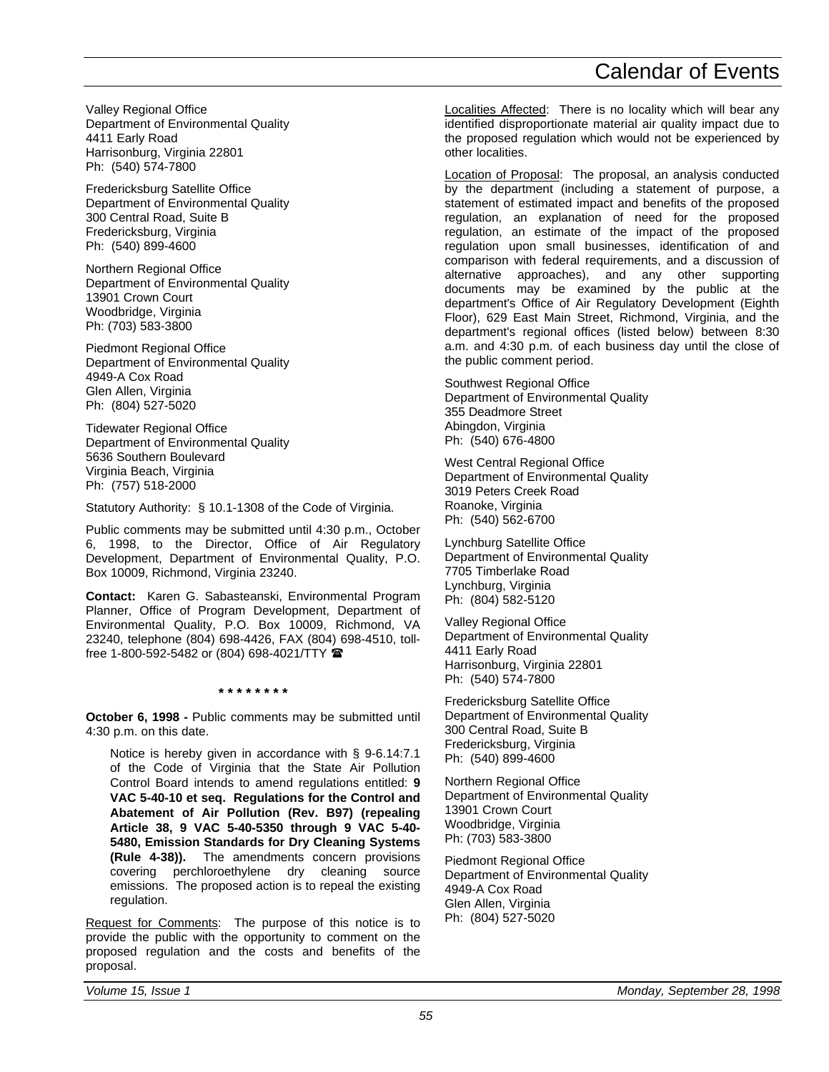Valley Regional Office Department of Environmental Quality 4411 Early Road Harrisonburg, Virginia 22801 Ph: (540) 574-7800

Fredericksburg Satellite Office Department of Environmental Quality 300 Central Road, Suite B Fredericksburg, Virginia Ph: (540) 899-4600

Northern Regional Office Department of Environmental Quality 13901 Crown Court Woodbridge, Virginia Ph: (703) 583-3800

Piedmont Regional Office Department of Environmental Quality 4949-A Cox Road Glen Allen, Virginia Ph: (804) 527-5020

Tidewater Regional Office Department of Environmental Quality 5636 Southern Boulevard Virginia Beach, Virginia Ph: (757) 518-2000

Statutory Authority: § 10.1-1308 of the Code of Virginia.

Public comments may be submitted until 4:30 p.m., October 6, 1998, to the Director, Office of Air Regulatory Development, Department of Environmental Quality, P.O. Box 10009, Richmond, Virginia 23240.

**Contact:** Karen G. Sabasteanski, Environmental Program Planner, Office of Program Development, Department of Environmental Quality, P.O. Box 10009, Richmond, VA 23240, telephone (804) 698-4426, FAX (804) 698-4510, tollfree 1-800-592-5482 or (804) 698-4021/TTY  $\blacksquare$ 

**\* \* \* \* \* \* \* \***

**October 6, 1998 -** Public comments may be submitted until 4:30 p.m. on this date.

Notice is hereby given in accordance with § 9-6.14:7.1 of the Code of Virginia that the State Air Pollution Control Board intends to amend regulations entitled: **9 VAC 5-40-10 et seq. Regulations for the Control and Abatement of Air Pollution (Rev. B97) (repealing Article 38, 9 VAC 5-40-5350 through 9 VAC 5-40- 5480, Emission Standards for Dry Cleaning Systems (Rule 4-38)).** The amendments concern provisions covering perchloroethylene dry cleaning source emissions. The proposed action is to repeal the existing regulation.

Request for Comments: The purpose of this notice is to provide the public with the opportunity to comment on the proposed regulation and the costs and benefits of the proposal.

Localities Affected: There is no locality which will bear any identified disproportionate material air quality impact due to the proposed regulation which would not be experienced by other localities.

Location of Proposal: The proposal, an analysis conducted by the department (including a statement of purpose, a statement of estimated impact and benefits of the proposed regulation, an explanation of need for the proposed regulation, an estimate of the impact of the proposed regulation upon small businesses, identification of and comparison with federal requirements, and a discussion of alternative approaches), and any other supporting documents may be examined by the public at the department's Office of Air Regulatory Development (Eighth Floor), 629 East Main Street, Richmond, Virginia, and the department's regional offices (listed below) between 8:30 a.m. and 4:30 p.m. of each business day until the close of the public comment period.

Southwest Regional Office Department of Environmental Quality 355 Deadmore Street Abingdon, Virginia Ph: (540) 676-4800

West Central Regional Office Department of Environmental Quality 3019 Peters Creek Road Roanoke, Virginia Ph: (540) 562-6700

Lynchburg Satellite Office Department of Environmental Quality 7705 Timberlake Road Lynchburg, Virginia Ph: (804) 582-5120

Valley Regional Office Department of Environmental Quality 4411 Early Road Harrisonburg, Virginia 22801 Ph: (540) 574-7800

Fredericksburg Satellite Office Department of Environmental Quality 300 Central Road, Suite B Fredericksburg, Virginia Ph: (540) 899-4600

Northern Regional Office Department of Environmental Quality 13901 Crown Court Woodbridge, Virginia Ph: (703) 583-3800

Piedmont Regional Office Department of Environmental Quality 4949-A Cox Road Glen Allen, Virginia Ph: (804) 527-5020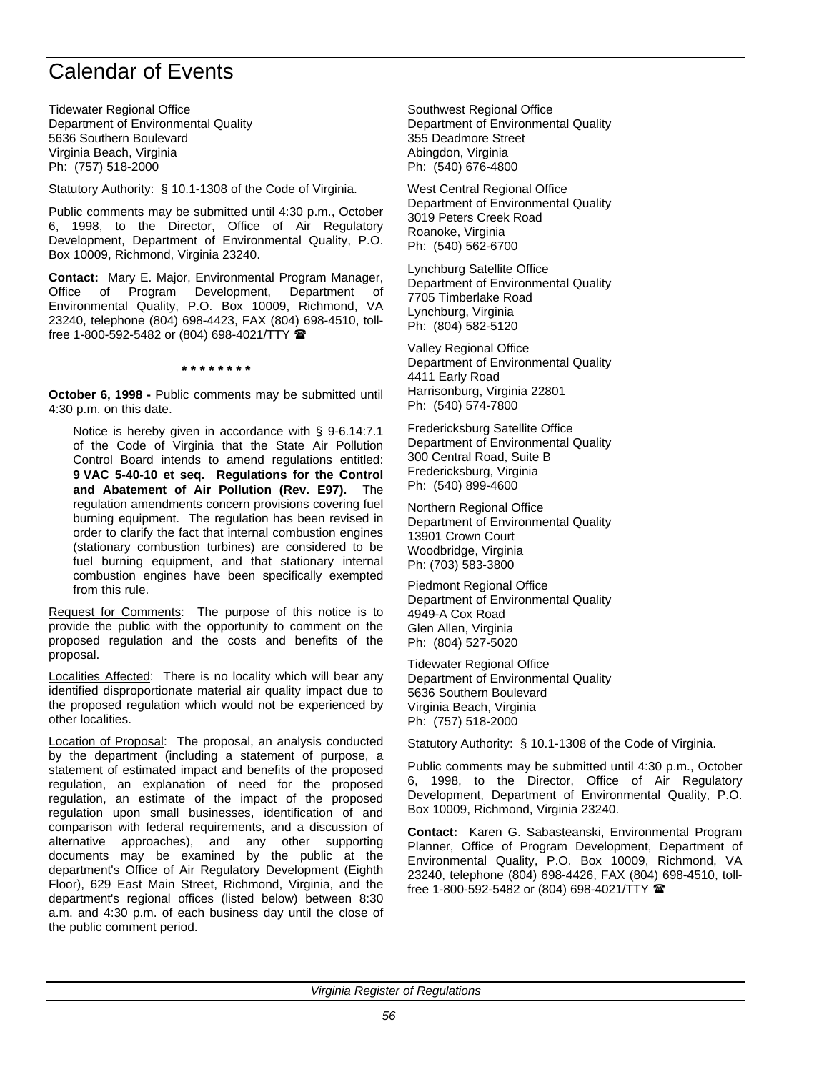Tidewater Regional Office Department of Environmental Quality 5636 Southern Boulevard Virginia Beach, Virginia Ph: (757) 518-2000

Statutory Authority: § 10.1-1308 of the Code of Virginia.

Public comments may be submitted until 4:30 p.m., October 6, 1998, to the Director, Office of Air Regulatory Development, Department of Environmental Quality, P.O. Box 10009, Richmond, Virginia 23240.

**Contact:** Mary E. Major, Environmental Program Manager, Office of Program Development, Department of Environmental Quality, P.O. Box 10009, Richmond, VA 23240, telephone (804) 698-4423, FAX (804) 698-4510, tollfree 1-800-592-5482 or (804) 698-4021/TTY  $\blacksquare$ 

**\* \* \* \* \* \* \* \***

**October 6, 1998 -** Public comments may be submitted until 4:30 p.m. on this date.

Notice is hereby given in accordance with § 9-6.14:7.1 of the Code of Virginia that the State Air Pollution Control Board intends to amend regulations entitled: **9 VAC 5-40-10 et seq. Regulations for the Control and Abatement of Air Pollution (Rev. E97).** The regulation amendments concern provisions covering fuel burning equipment. The regulation has been revised in order to clarify the fact that internal combustion engines (stationary combustion turbines) are considered to be fuel burning equipment, and that stationary internal combustion engines have been specifically exempted from this rule.

Request for Comments: The purpose of this notice is to provide the public with the opportunity to comment on the proposed regulation and the costs and benefits of the proposal.

Localities Affected: There is no locality which will bear any identified disproportionate material air quality impact due to the proposed regulation which would not be experienced by other localities.

Location of Proposal: The proposal, an analysis conducted by the department (including a statement of purpose, a statement of estimated impact and benefits of the proposed regulation, an explanation of need for the proposed regulation, an estimate of the impact of the proposed regulation upon small businesses, identification of and comparison with federal requirements, and a discussion of alternative approaches), and any other supporting documents may be examined by the public at the department's Office of Air Regulatory Development (Eighth Floor), 629 East Main Street, Richmond, Virginia, and the department's regional offices (listed below) between 8:30 a.m. and 4:30 p.m. of each business day until the close of the public comment period.

Southwest Regional Office Department of Environmental Quality 355 Deadmore Street Abingdon, Virginia Ph: (540) 676-4800

West Central Regional Office Department of Environmental Quality 3019 Peters Creek Road Roanoke, Virginia Ph: (540) 562-6700

Lynchburg Satellite Office Department of Environmental Quality 7705 Timberlake Road Lynchburg, Virginia Ph: (804) 582-5120

Valley Regional Office Department of Environmental Quality 4411 Early Road Harrisonburg, Virginia 22801 Ph: (540) 574-7800

Fredericksburg Satellite Office Department of Environmental Quality 300 Central Road, Suite B Fredericksburg, Virginia Ph: (540) 899-4600

Northern Regional Office Department of Environmental Quality 13901 Crown Court Woodbridge, Virginia Ph: (703) 583-3800

Piedmont Regional Office Department of Environmental Quality 4949-A Cox Road Glen Allen, Virginia Ph: (804) 527-5020

Tidewater Regional Office Department of Environmental Quality 5636 Southern Boulevard Virginia Beach, Virginia Ph: (757) 518-2000

Statutory Authority: § 10.1-1308 of the Code of Virginia.

Public comments may be submitted until 4:30 p.m., October 6, 1998, to the Director, Office of Air Regulatory Development, Department of Environmental Quality, P.O. Box 10009, Richmond, Virginia 23240.

**Contact:** Karen G. Sabasteanski, Environmental Program Planner, Office of Program Development, Department of Environmental Quality, P.O. Box 10009, Richmond, VA 23240, telephone (804) 698-4426, FAX (804) 698-4510, tollfree 1-800-592-5482 or (804) 698-4021/TTY  $\blacksquare$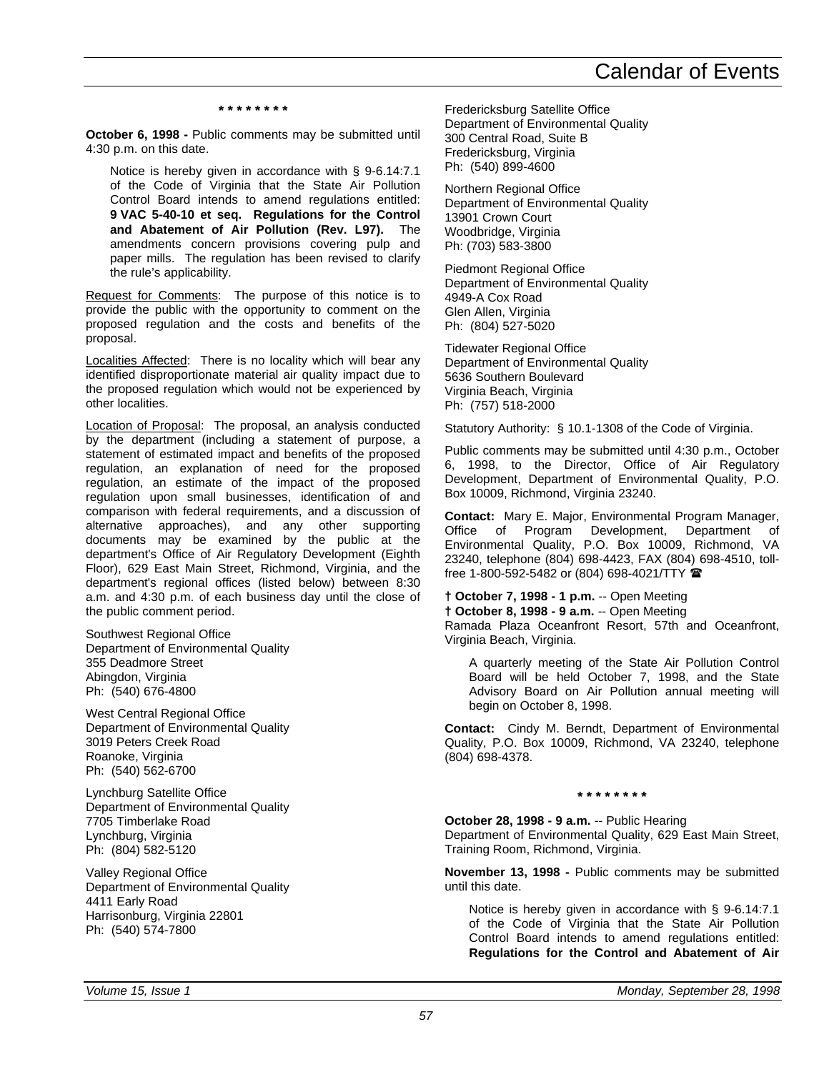#### **\* \* \* \* \* \* \* \***

**October 6, 1998 -** Public comments may be submitted until 4:30 p.m. on this date.

Notice is hereby given in accordance with § 9-6.14:7.1 of the Code of Virginia that the State Air Pollution Control Board intends to amend regulations entitled: **9 VAC 5-40-10 et seq. Regulations for the Control and Abatement of Air Pollution (Rev. L97).** The amendments concern provisions covering pulp and paper mills. The regulation has been revised to clarify the rule's applicability.

Request for Comments: The purpose of this notice is to provide the public with the opportunity to comment on the proposed regulation and the costs and benefits of the proposal.

Localities Affected: There is no locality which will bear any identified disproportionate material air quality impact due to the proposed regulation which would not be experienced by other localities.

Location of Proposal: The proposal, an analysis conducted by the department (including a statement of purpose, a statement of estimated impact and benefits of the proposed regulation, an explanation of need for the proposed regulation, an estimate of the impact of the proposed regulation upon small businesses, identification of and comparison with federal requirements, and a discussion of alternative approaches), and any other supporting documents may be examined by the public at the department's Office of Air Regulatory Development (Eighth Floor), 629 East Main Street, Richmond, Virginia, and the department's regional offices (listed below) between 8:30 a.m. and 4:30 p.m. of each business day until the close of the public comment period.

Southwest Regional Office Department of Environmental Quality 355 Deadmore Street Abingdon, Virginia Ph: (540) 676-4800

West Central Regional Office Department of Environmental Quality 3019 Peters Creek Road Roanoke, Virginia Ph: (540) 562-6700

Lynchburg Satellite Office Department of Environmental Quality 7705 Timberlake Road Lynchburg, Virginia Ph: (804) 582-5120

Valley Regional Office Department of Environmental Quality 4411 Early Road Harrisonburg, Virginia 22801 Ph: (540) 574-7800

Fredericksburg Satellite Office Department of Environmental Quality 300 Central Road, Suite B Fredericksburg, Virginia Ph: (540) 899-4600

Northern Regional Office Department of Environmental Quality 13901 Crown Court Woodbridge, Virginia Ph: (703) 583-3800

Piedmont Regional Office Department of Environmental Quality 4949-A Cox Road Glen Allen, Virginia Ph: (804) 527-5020

Tidewater Regional Office Department of Environmental Quality 5636 Southern Boulevard Virginia Beach, Virginia Ph: (757) 518-2000

Statutory Authority: § 10.1-1308 of the Code of Virginia.

Public comments may be submitted until 4:30 p.m., October 6, 1998, to the Director, Office of Air Regulatory Development, Department of Environmental Quality, P.O. Box 10009, Richmond, Virginia 23240.

**Contact:** Mary E. Major, Environmental Program Manager, Office of Program Development, Department of Environmental Quality, P.O. Box 10009, Richmond, VA 23240, telephone (804) 698-4423, FAX (804) 698-4510, tollfree 1-800-592-5482 or (804) 698-4021/TTY  $\blacksquare$ 

### **† October 7, 1998 - 1 p.m.** -- Open Meeting

**† October 8, 1998 - 9 a.m.** -- Open Meeting

Ramada Plaza Oceanfront Resort, 57th and Oceanfront, Virginia Beach, Virginia.

A quarterly meeting of the State Air Pollution Control Board will be held October 7, 1998, and the State Advisory Board on Air Pollution annual meeting will begin on October 8, 1998.

**Contact:** Cindy M. Berndt, Department of Environmental Quality, P.O. Box 10009, Richmond, VA 23240, telephone (804) 698-4378.

#### **\* \* \* \* \* \* \* \***

**October 28, 1998 - 9 a.m.** -- Public Hearing Department of Environmental Quality, 629 East Main Street, Training Room, Richmond, Virginia.

**November 13, 1998 -** Public comments may be submitted until this date.

Notice is hereby given in accordance with § 9-6.14:7.1 of the Code of Virginia that the State Air Pollution Control Board intends to amend regulations entitled: **Regulations for the Control and Abatement of Air**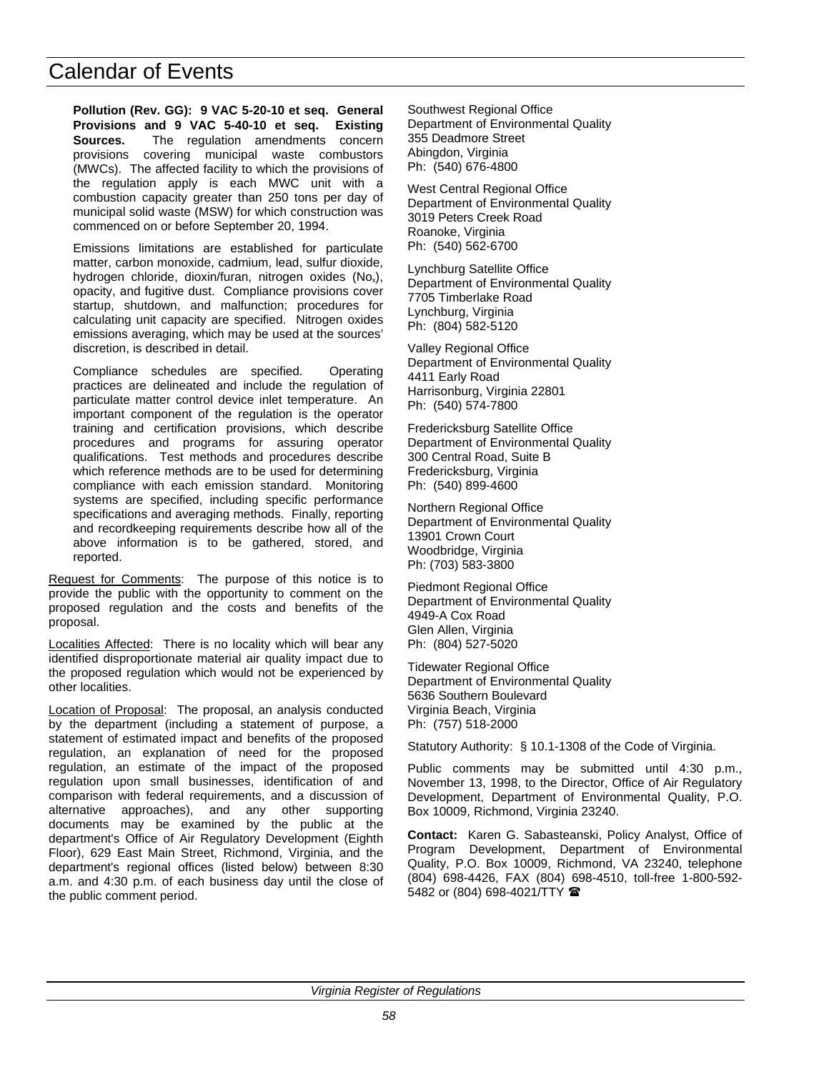**Pollution (Rev. GG): 9 VAC 5-20-10 et seq. General Provisions and 9 VAC 5-40-10 et seq. Existing Sources.** The regulation amendments concern provisions covering municipal waste combustors (MWCs). The affected facility to which the provisions of the regulation apply is each MWC unit with a combustion capacity greater than 250 tons per day of municipal solid waste (MSW) for which construction was commenced on or before September 20, 1994.

Emissions limitations are established for particulate matter, carbon monoxide, cadmium, lead, sulfur dioxide, hydrogen chloride, dioxin/furan, nitrogen oxides  $(No_x)$ , opacity, and fugitive dust. Compliance provisions cover startup, shutdown, and malfunction; procedures for calculating unit capacity are specified. Nitrogen oxides emissions averaging, which may be used at the sources' discretion, is described in detail.

Compliance schedules are specified. Operating practices are delineated and include the regulation of particulate matter control device inlet temperature. An important component of the regulation is the operator training and certification provisions, which describe procedures and programs for assuring operator qualifications. Test methods and procedures describe which reference methods are to be used for determining compliance with each emission standard. Monitoring systems are specified, including specific performance specifications and averaging methods. Finally, reporting and recordkeeping requirements describe how all of the above information is to be gathered, stored, and reported.

Request for Comments: The purpose of this notice is to provide the public with the opportunity to comment on the proposed regulation and the costs and benefits of the proposal.

Localities Affected: There is no locality which will bear any identified disproportionate material air quality impact due to the proposed regulation which would not be experienced by other localities.

Location of Proposal: The proposal, an analysis conducted by the department (including a statement of purpose, a statement of estimated impact and benefits of the proposed regulation, an explanation of need for the proposed regulation, an estimate of the impact of the proposed regulation upon small businesses, identification of and comparison with federal requirements, and a discussion of alternative approaches), and any other supporting documents may be examined by the public at the department's Office of Air Regulatory Development (Eighth Floor), 629 East Main Street, Richmond, Virginia, and the department's regional offices (listed below) between 8:30 a.m. and 4:30 p.m. of each business day until the close of the public comment period.

Southwest Regional Office Department of Environmental Quality 355 Deadmore Street Abingdon, Virginia Ph: (540) 676-4800

West Central Regional Office Department of Environmental Quality 3019 Peters Creek Road Roanoke, Virginia Ph: (540) 562-6700

Lynchburg Satellite Office Department of Environmental Quality 7705 Timberlake Road Lynchburg, Virginia Ph: (804) 582-5120

Valley Regional Office Department of Environmental Quality 4411 Early Road Harrisonburg, Virginia 22801 Ph: (540) 574-7800

Fredericksburg Satellite Office Department of Environmental Quality 300 Central Road, Suite B Fredericksburg, Virginia Ph: (540) 899-4600

Northern Regional Office Department of Environmental Quality 13901 Crown Court Woodbridge, Virginia Ph: (703) 583-3800

Piedmont Regional Office Department of Environmental Quality 4949-A Cox Road Glen Allen, Virginia Ph: (804) 527-5020

Tidewater Regional Office Department of Environmental Quality 5636 Southern Boulevard Virginia Beach, Virginia Ph: (757) 518-2000

Statutory Authority: § 10.1-1308 of the Code of Virginia.

Public comments may be submitted until 4:30 p.m., November 13, 1998, to the Director, Office of Air Regulatory Development, Department of Environmental Quality, P.O. Box 10009, Richmond, Virginia 23240.

**Contact:** Karen G. Sabasteanski, Policy Analyst, Office of Program Development, Department of Environmental Quality, P.O. Box 10009, Richmond, VA 23240, telephone (804) 698-4426, FAX (804) 698-4510, toll-free 1-800-592- 5482 or (804) 698-4021/TTY 2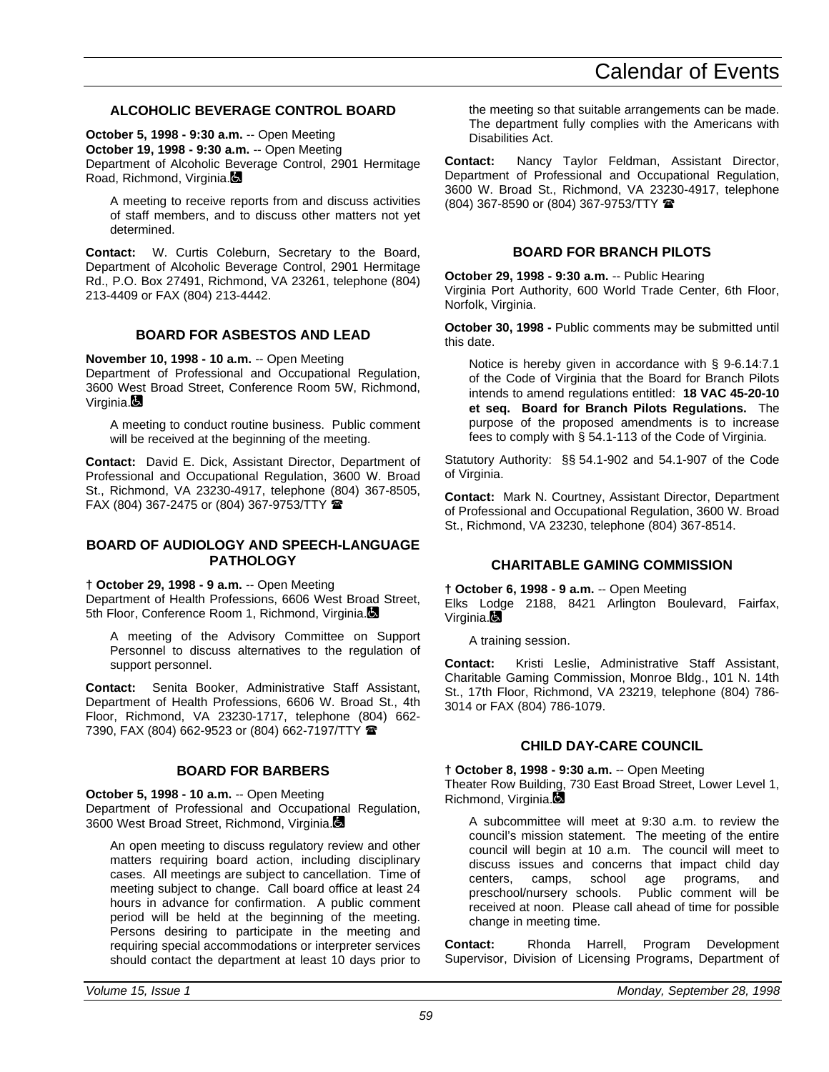## **ALCOHOLIC BEVERAGE CONTROL BOARD**

**October 5, 1998 - 9:30 a.m.** -- Open Meeting **October 19, 1998 - 9:30 a.m.** -- Open Meeting Department of Alcoholic Beverage Control, 2901 Hermitage Road, Richmond, Virginia.

A meeting to receive reports from and discuss activities of staff members, and to discuss other matters not yet determined.

**Contact:** W. Curtis Coleburn, Secretary to the Board, Department of Alcoholic Beverage Control, 2901 Hermitage Rd., P.O. Box 27491, Richmond, VA 23261, telephone (804) 213-4409 or FAX (804) 213-4442.

## **BOARD FOR ASBESTOS AND LEAD**

**November 10, 1998 - 10 a.m.** -- Open Meeting

Department of Professional and Occupational Regulation, 3600 West Broad Street, Conference Room 5W, Richmond, Virginia.

A meeting to conduct routine business. Public comment will be received at the beginning of the meeting.

**Contact:** David E. Dick, Assistant Director, Department of Professional and Occupational Regulation, 3600 W. Broad St., Richmond, VA 23230-4917, telephone (804) 367-8505, FAX (804) 367-2475 or (804) 367-9753/TTY  $\blacksquare$ 

### **BOARD OF AUDIOLOGY AND SPEECH-LANGUAGE PATHOLOGY**

**† October 29, 1998 - 9 a.m.** -- Open Meeting

Department of Health Professions, 6606 West Broad Street, 5th Floor, Conference Room 1, Richmond, Virginia.

A meeting of the Advisory Committee on Support Personnel to discuss alternatives to the regulation of support personnel.

**Contact:** Senita Booker, Administrative Staff Assistant, Department of Health Professions, 6606 W. Broad St., 4th Floor, Richmond, VA 23230-1717, telephone (804) 662- 7390, FAX (804) 662-9523 or (804) 662-7197/TTY  $\blacksquare$ 

### **BOARD FOR BARBERS**

**October 5, 1998 - 10 a.m.** -- Open Meeting Department of Professional and Occupational Regulation, 3600 West Broad Street, Richmond, Virginia.

An open meeting to discuss regulatory review and other matters requiring board action, including disciplinary cases. All meetings are subject to cancellation. Time of meeting subject to change. Call board office at least 24 hours in advance for confirmation. A public comment period will be held at the beginning of the meeting. Persons desiring to participate in the meeting and requiring special accommodations or interpreter services should contact the department at least 10 days prior to the meeting so that suitable arrangements can be made. The department fully complies with the Americans with Disabilities Act.

**Contact:** Nancy Taylor Feldman, Assistant Director, Department of Professional and Occupational Regulation, 3600 W. Broad St., Richmond, VA 23230-4917, telephone (804) 367-8590 or (804) 367-9753/TTY (

## **BOARD FOR BRANCH PILOTS**

**October 29, 1998 - 9:30 a.m.** -- Public Hearing Virginia Port Authority, 600 World Trade Center, 6th Floor, Norfolk, Virginia.

**October 30, 1998 -** Public comments may be submitted until this date.

Notice is hereby given in accordance with § 9-6.14:7.1 of the Code of Virginia that the Board for Branch Pilots intends to amend regulations entitled: **18 VAC 45-20-10 et seq. Board for Branch Pilots Regulations.** The purpose of the proposed amendments is to increase fees to comply with § 54.1-113 of the Code of Virginia.

Statutory Authority: §§ 54.1-902 and 54.1-907 of the Code of Virginia.

**Contact:** Mark N. Courtney, Assistant Director, Department of Professional and Occupational Regulation, 3600 W. Broad St., Richmond, VA 23230, telephone (804) 367-8514.

### **CHARITABLE GAMING COMMISSION**

**† October 6, 1998 - 9 a.m.** -- Open Meeting Elks Lodge 2188, 8421 Arlington Boulevard, Fairfax, Virginia.<sup>1</sup>

A training session.

**Contact:** Kristi Leslie, Administrative Staff Assistant, Charitable Gaming Commission, Monroe Bldg., 101 N. 14th St., 17th Floor, Richmond, VA 23219, telephone (804) 786- 3014 or FAX (804) 786-1079.

## **CHILD DAY-CARE COUNCIL**

**† October 8, 1998 - 9:30 a.m.** -- Open Meeting

Theater Row Building, 730 East Broad Street, Lower Level 1, Richmond, Virginia.

A subcommittee will meet at 9:30 a.m. to review the council's mission statement. The meeting of the entire council will begin at 10 a.m. The council will meet to discuss issues and concerns that impact child day centers, camps, school age programs, and<br>preschool/nursery schools. Public comment will be preschool/nursery schools. received at noon. Please call ahead of time for possible change in meeting time.

**Contact:** Rhonda Harrell, Program Development Supervisor, Division of Licensing Programs, Department of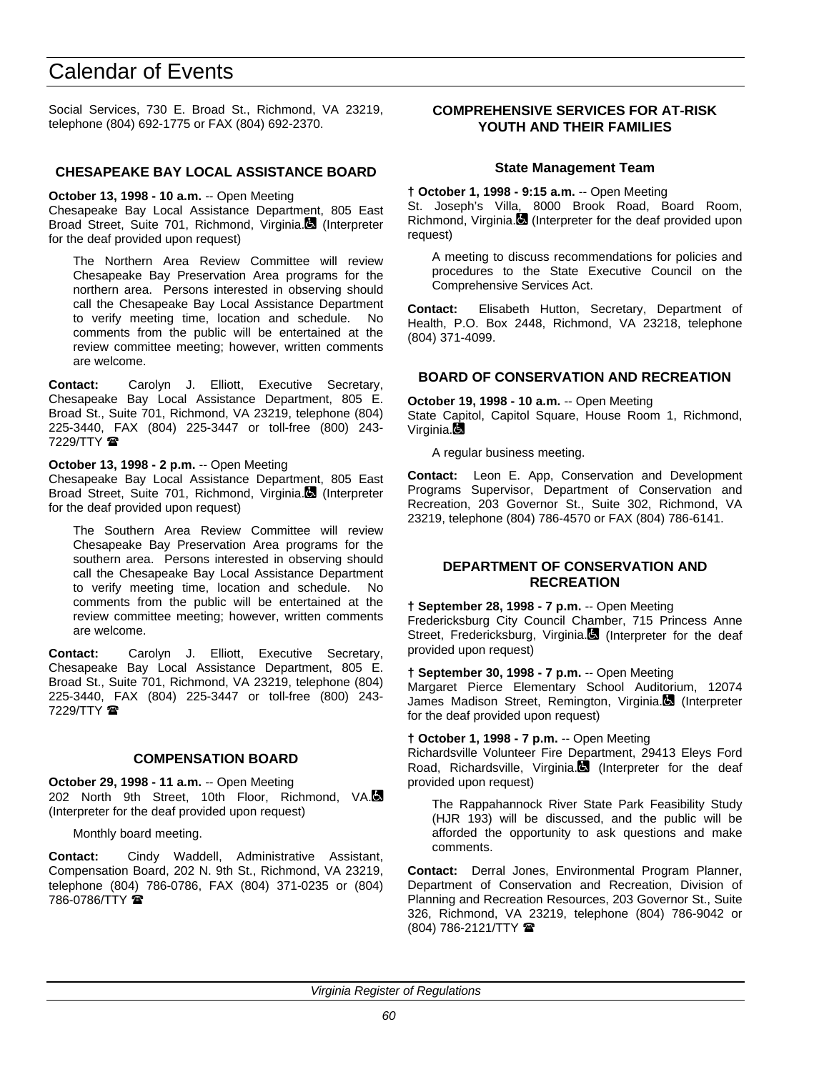Social Services, 730 E. Broad St., Richmond, VA 23219, telephone (804) 692-1775 or FAX (804) 692-2370.

### **CHESAPEAKE BAY LOCAL ASSISTANCE BOARD**

#### **October 13, 1998 - 10 a.m.** -- Open Meeting

Chesapeake Bay Local Assistance Department, 805 East Broad Street, Suite 701, Richmond, Virginia. (Interpreter for the deaf provided upon request)

The Northern Area Review Committee will review Chesapeake Bay Preservation Area programs for the northern area. Persons interested in observing should call the Chesapeake Bay Local Assistance Department to verify meeting time, location and schedule. No comments from the public will be entertained at the review committee meeting; however, written comments are welcome.

**Contact:** Carolyn J. Elliott, Executive Secretary, Chesapeake Bay Local Assistance Department, 805 E. Broad St., Suite 701, Richmond, VA 23219, telephone (804) 225-3440, FAX (804) 225-3447 or toll-free (800) 243-  $7229/TTY$ 

### **October 13, 1998 - 2 p.m.** -- Open Meeting

Chesapeake Bay Local Assistance Department, 805 East Broad Street, Suite 701, Richmond, Virginia. (Interpreter for the deaf provided upon request)

The Southern Area Review Committee will review Chesapeake Bay Preservation Area programs for the southern area. Persons interested in observing should call the Chesapeake Bay Local Assistance Department to verify meeting time, location and schedule. No comments from the public will be entertained at the review committee meeting; however, written comments are welcome.

**Contact:** Carolyn J. Elliott, Executive Secretary, Chesapeake Bay Local Assistance Department, 805 E. Broad St., Suite 701, Richmond, VA 23219, telephone (804) 225-3440, FAX (804) 225-3447 or toll-free (800) 243- 7229/TTY  $\circledR$ 

### **COMPENSATION BOARD**

**October 29, 1998 - 11 a.m.** -- Open Meeting 202 North 9th Street, 10th Floor, Richmond, VA. (Interpreter for the deaf provided upon request)

Monthly board meeting.

**Contact:** Cindy Waddell, Administrative Assistant, Compensation Board, 202 N. 9th St., Richmond, VA 23219, telephone (804) 786-0786, FAX (804) 371-0235 or (804) 786-0786/TTY

### **COMPREHENSIVE SERVICES FOR AT-RISK YOUTH AND THEIR FAMILIES**

### **State Management Team**

**† October 1, 1998 - 9:15 a.m.** -- Open Meeting

St. Joseph's Villa, 8000 Brook Road, Board Room, Richmond, Virginia. (Interpreter for the deaf provided upon request)

A meeting to discuss recommendations for policies and procedures to the State Executive Council on the Comprehensive Services Act.

**Contact:** Elisabeth Hutton, Secretary, Department of Health, P.O. Box 2448, Richmond, VA 23218, telephone (804) 371-4099.

### **BOARD OF CONSERVATION AND RECREATION**

**October 19, 1998 - 10 a.m.** -- Open Meeting State Capitol, Capitol Square, House Room 1, Richmond, Virginia.

A regular business meeting.

**Contact:** Leon E. App, Conservation and Development Programs Supervisor, Department of Conservation and Recreation, 203 Governor St., Suite 302, Richmond, VA 23219, telephone (804) 786-4570 or FAX (804) 786-6141.

### **DEPARTMENT OF CONSERVATION AND RECREATION**

**† September 28, 1998 - 7 p.m.** -- Open Meeting Fredericksburg City Council Chamber, 715 Princess Anne Street, Fredericksburg, Virginia.<sup>1</sup> (Interpreter for the deaf provided upon request)

**† September 30, 1998 - 7 p.m.** -- Open Meeting

Margaret Pierce Elementary School Auditorium, 12074 James Madison Street, Remington, Virginia. (Interpreter for the deaf provided upon request)

**† October 1, 1998 - 7 p.m.** -- Open Meeting

Richardsville Volunteer Fire Department, 29413 Eleys Ford Road, Richardsville, Virginia. (Interpreter for the deaf provided upon request)

The Rappahannock River State Park Feasibility Study (HJR 193) will be discussed, and the public will be afforded the opportunity to ask questions and make comments.

**Contact:** Derral Jones, Environmental Program Planner, Department of Conservation and Recreation, Division of Planning and Recreation Resources, 203 Governor St., Suite 326, Richmond, VA 23219, telephone (804) 786-9042 or (804) 786-2121/TTY (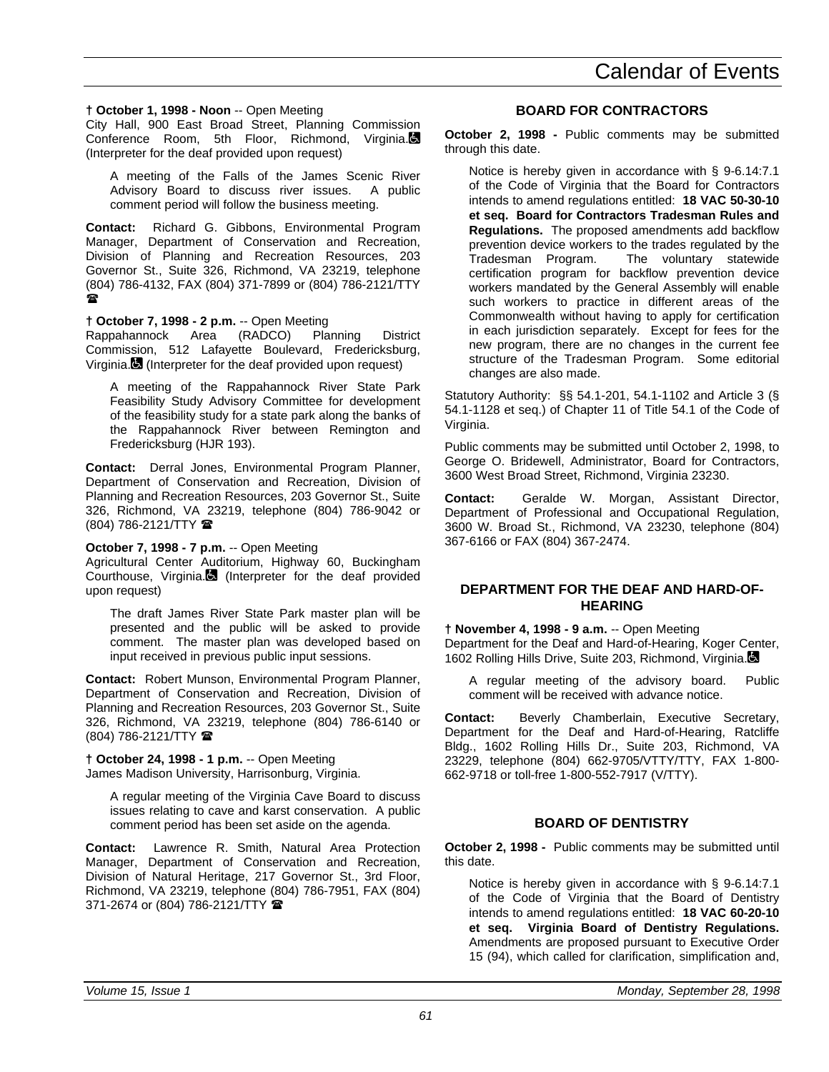# **† October 1, 1998 - Noon** -- Open Meeting

City Hall, 900 East Broad Street, Planning Commission Conference Room, 5th Floor, Richmond, Virginia. (Interpreter for the deaf provided upon request)

A meeting of the Falls of the James Scenic River Advisory Board to discuss river issues. A public comment period will follow the business meeting.

**Contact:** Richard G. Gibbons, Environmental Program Manager, Department of Conservation and Recreation, Division of Planning and Recreation Resources, 203 Governor St., Suite 326, Richmond, VA 23219, telephone (804) 786-4132, FAX (804) 371-7899 or (804) 786-2121/TTY  $\mathbf{r}$ 

# **† October 7, 1998 - 2 p.m.** -- Open Meeting

Rappahannock Area (RADCO) Planning District Commission, 512 Lafayette Boulevard, Fredericksburg, Virginia. (Interpreter for the deaf provided upon request)

A meeting of the Rappahannock River State Park Feasibility Study Advisory Committee for development of the feasibility study for a state park along the banks of the Rappahannock River between Remington and Fredericksburg (HJR 193).

**Contact:** Derral Jones, Environmental Program Planner, Department of Conservation and Recreation, Division of Planning and Recreation Resources, 203 Governor St., Suite 326, Richmond, VA 23219, telephone (804) 786-9042 or (804) 786-2121/TTY (

# **October 7, 1998 - 7 p.m.** -- Open Meeting

Agricultural Center Auditorium, Highway 60, Buckingham Courthouse, Virginia. (Interpreter for the deaf provided upon request)

The draft James River State Park master plan will be presented and the public will be asked to provide comment. The master plan was developed based on input received in previous public input sessions.

**Contact:** Robert Munson, Environmental Program Planner, Department of Conservation and Recreation, Division of Planning and Recreation Resources, 203 Governor St., Suite 326, Richmond, VA 23219, telephone (804) 786-6140 or (804) 786-2121/TTY (

**† October 24, 1998 - 1 p.m.** -- Open Meeting James Madison University, Harrisonburg, Virginia.

A regular meeting of the Virginia Cave Board to discuss issues relating to cave and karst conservation. A public comment period has been set aside on the agenda.

**Contact:** Lawrence R. Smith, Natural Area Protection Manager, Department of Conservation and Recreation, Division of Natural Heritage, 217 Governor St., 3rd Floor, Richmond, VA 23219, telephone (804) 786-7951, FAX (804) 371-2674 or (804) 786-2121/TTY 2

# **BOARD FOR CONTRACTORS**

**October 2, 1998 -** Public comments may be submitted through this date.

Notice is hereby given in accordance with § 9-6.14:7.1 of the Code of Virginia that the Board for Contractors intends to amend regulations entitled: **18 VAC 50-30-10 et seq. Board for Contractors Tradesman Rules and Regulations.** The proposed amendments add backflow prevention device workers to the trades regulated by the Tradesman Program. The voluntary statewide certification program for backflow prevention device workers mandated by the General Assembly will enable such workers to practice in different areas of the Commonwealth without having to apply for certification in each jurisdiction separately. Except for fees for the new program, there are no changes in the current fee structure of the Tradesman Program. Some editorial changes are also made.

Statutory Authority: §§ 54.1-201, 54.1-1102 and Article 3 (§ 54.1-1128 et seq.) of Chapter 11 of Title 54.1 of the Code of Virginia.

Public comments may be submitted until October 2, 1998, to George O. Bridewell, Administrator, Board for Contractors, 3600 West Broad Street, Richmond, Virginia 23230.

**Contact:** Geralde W. Morgan, Assistant Director, Department of Professional and Occupational Regulation, 3600 W. Broad St., Richmond, VA 23230, telephone (804) 367-6166 or FAX (804) 367-2474.

### **DEPARTMENT FOR THE DEAF AND HARD-OF-HEARING**

**† November 4, 1998 - 9 a.m.** -- Open Meeting Department for the Deaf and Hard-of-Hearing, Koger Center, 1602 Rolling Hills Drive, Suite 203, Richmond, Virginia.

A regular meeting of the advisory board. Public comment will be received with advance notice.

**Contact:** Beverly Chamberlain, Executive Secretary, Department for the Deaf and Hard-of-Hearing, Ratcliffe Bldg., 1602 Rolling Hills Dr., Suite 203, Richmond, VA 23229, telephone (804) 662-9705/VTTY/TTY, FAX 1-800- 662-9718 or toll-free 1-800-552-7917 (V/TTY).

# **BOARD OF DENTISTRY**

**October 2, 1998 -** Public comments may be submitted until this date.

Notice is hereby given in accordance with § 9-6.14:7.1 of the Code of Virginia that the Board of Dentistry intends to amend regulations entitled: **18 VAC 60-20-10 et seq. Virginia Board of Dentistry Regulations.** Amendments are proposed pursuant to Executive Order 15 (94), which called for clarification, simplification and,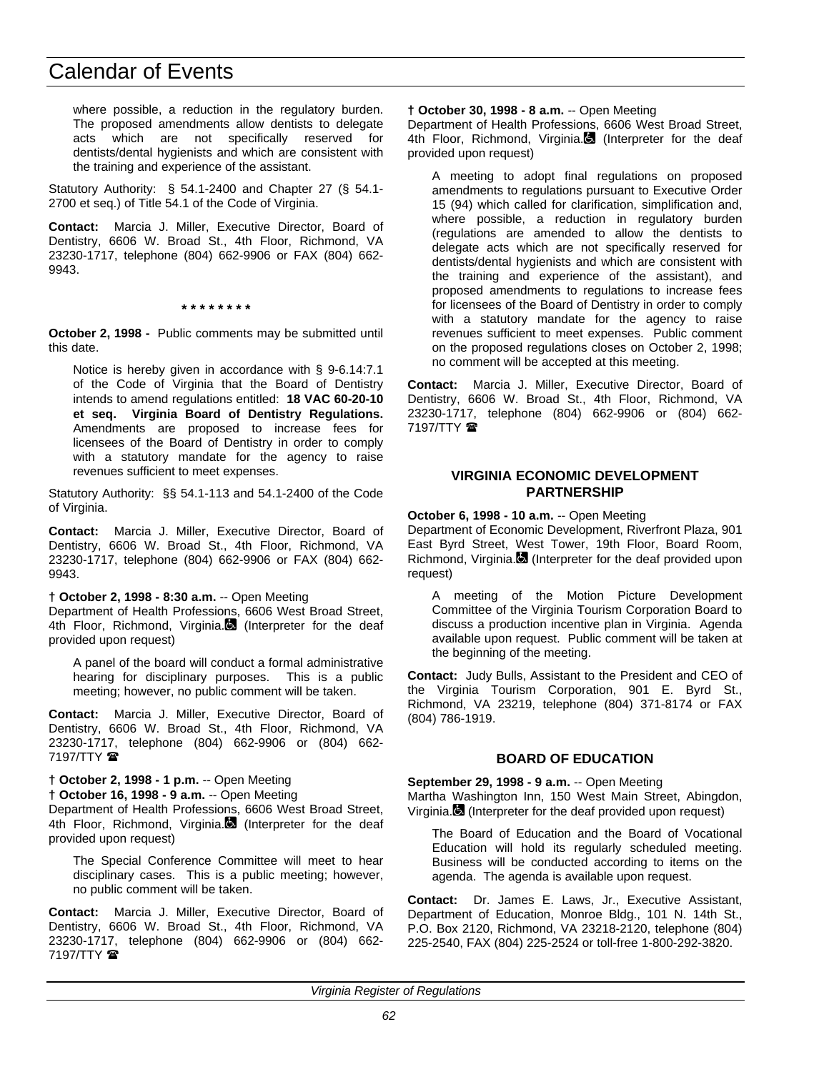where possible, a reduction in the regulatory burden. The proposed amendments allow dentists to delegate acts which are not specifically reserved for dentists/dental hygienists and which are consistent with the training and experience of the assistant.

Statutory Authority: § 54.1-2400 and Chapter 27 (§ 54.1- 2700 et seq.) of Title 54.1 of the Code of Virginia.

**Contact:** Marcia J. Miller, Executive Director, Board of Dentistry, 6606 W. Broad St., 4th Floor, Richmond, VA 23230-1717, telephone (804) 662-9906 or FAX (804) 662- 9943.

**\* \* \* \* \* \* \* \***

**October 2, 1998 -** Public comments may be submitted until this date.

Notice is hereby given in accordance with § 9-6.14:7.1 of the Code of Virginia that the Board of Dentistry intends to amend regulations entitled: **18 VAC 60-20-10 et seq. Virginia Board of Dentistry Regulations.** Amendments are proposed to increase fees for licensees of the Board of Dentistry in order to comply with a statutory mandate for the agency to raise revenues sufficient to meet expenses.

Statutory Authority: §§ 54.1-113 and 54.1-2400 of the Code of Virginia.

**Contact:** Marcia J. Miller, Executive Director, Board of Dentistry, 6606 W. Broad St., 4th Floor, Richmond, VA 23230-1717, telephone (804) 662-9906 or FAX (804) 662- 9943.

### **† October 2, 1998 - 8:30 a.m.** -- Open Meeting

Department of Health Professions, 6606 West Broad Street, 4th Floor, Richmond, Virginia. (Interpreter for the deaf provided upon request)

A panel of the board will conduct a formal administrative hearing for disciplinary purposes. This is a public meeting; however, no public comment will be taken.

**Contact:** Marcia J. Miller, Executive Director, Board of Dentistry, 6606 W. Broad St., 4th Floor, Richmond, VA 23230-1717, telephone (804) 662-9906 or (804) 662- 7197/TTY **雷** 

### **† October 2, 1998 - 1 p.m.** -- Open Meeting

**† October 16, 1998 - 9 a.m.** -- Open Meeting

Department of Health Professions, 6606 West Broad Street, 4th Floor, Richmond, Virginia. (Interpreter for the deaf provided upon request)

The Special Conference Committee will meet to hear disciplinary cases. This is a public meeting; however, no public comment will be taken.

**Contact:** Marcia J. Miller, Executive Director, Board of Dentistry, 6606 W. Broad St., 4th Floor, Richmond, VA 23230-1717, telephone (804) 662-9906 or (804) 662- 7197/TTY <sup>2</sup>

#### **† October 30, 1998 - 8 a.m.** -- Open Meeting

Department of Health Professions, 6606 West Broad Street, 4th Floor, Richmond, Virginia. $\blacksquare$  (Interpreter for the deaf provided upon request)

A meeting to adopt final regulations on proposed amendments to regulations pursuant to Executive Order 15 (94) which called for clarification, simplification and, where possible, a reduction in regulatory burden (regulations are amended to allow the dentists to delegate acts which are not specifically reserved for dentists/dental hygienists and which are consistent with the training and experience of the assistant), and proposed amendments to regulations to increase fees for licensees of the Board of Dentistry in order to comply with a statutory mandate for the agency to raise revenues sufficient to meet expenses. Public comment on the proposed regulations closes on October 2, 1998; no comment will be accepted at this meeting.

**Contact:** Marcia J. Miller, Executive Director, Board of Dentistry, 6606 W. Broad St., 4th Floor, Richmond, VA 23230-1717, telephone (804) 662-9906 or (804) 662- 7197/TTY **雷** 

### **VIRGINIA ECONOMIC DEVELOPMENT PARTNERSHIP**

### **October 6, 1998 - 10 a.m.** -- Open Meeting

Department of Economic Development, Riverfront Plaza, 901 East Byrd Street, West Tower, 19th Floor, Board Room, Richmond, Virginia. $\blacksquare$  (Interpreter for the deaf provided upon request)

A meeting of the Motion Picture Development Committee of the Virginia Tourism Corporation Board to discuss a production incentive plan in Virginia. Agenda available upon request. Public comment will be taken at the beginning of the meeting.

**Contact:** Judy Bulls, Assistant to the President and CEO of the Virginia Tourism Corporation, 901 E. Byrd St., Richmond, VA 23219, telephone (804) 371-8174 or FAX (804) 786-1919.

# **BOARD OF EDUCATION**

**September 29, 1998 - 9 a.m.** -- Open Meeting Martha Washington Inn, 150 West Main Street, Abingdon, Virginia. (Interpreter for the deaf provided upon request)

The Board of Education and the Board of Vocational Education will hold its regularly scheduled meeting. Business will be conducted according to items on the agenda. The agenda is available upon request.

**Contact:** Dr. James E. Laws, Jr., Executive Assistant, Department of Education, Monroe Bldg., 101 N. 14th St., P.O. Box 2120, Richmond, VA 23218-2120, telephone (804) 225-2540, FAX (804) 225-2524 or toll-free 1-800-292-3820.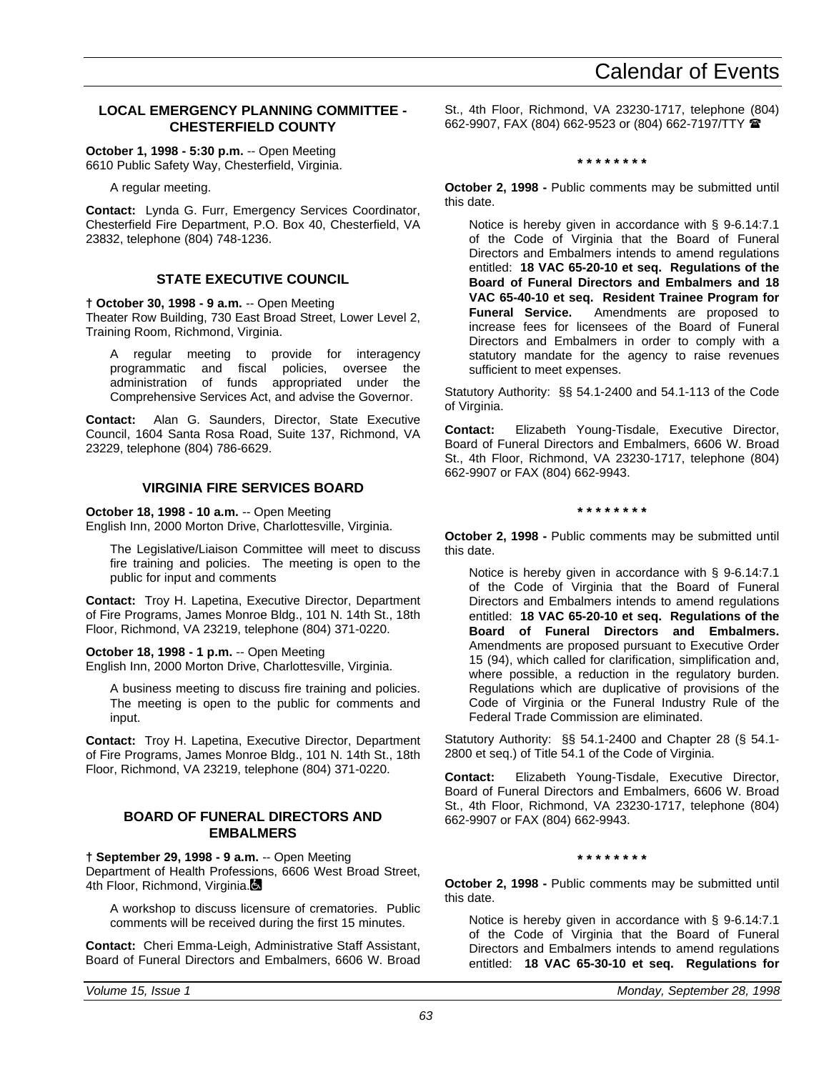# **LOCAL EMERGENCY PLANNING COMMITTEE - CHESTERFIELD COUNTY**

**October 1, 1998 - 5:30 p.m.** -- Open Meeting 6610 Public Safety Way, Chesterfield, Virginia.

A regular meeting.

**Contact:** Lynda G. Furr, Emergency Services Coordinator, Chesterfield Fire Department, P.O. Box 40, Chesterfield, VA 23832, telephone (804) 748-1236.

# **STATE EXECUTIVE COUNCIL**

**† October 30, 1998 - 9 a.m.** -- Open Meeting Theater Row Building, 730 East Broad Street, Lower Level 2, Training Room, Richmond, Virginia.

A regular meeting to provide for interagency programmatic and fiscal policies, oversee the administration of funds appropriated under the Comprehensive Services Act, and advise the Governor.

**Contact:** Alan G. Saunders, Director, State Executive Council, 1604 Santa Rosa Road, Suite 137, Richmond, VA 23229, telephone (804) 786-6629.

## **VIRGINIA FIRE SERVICES BOARD**

**October 18, 1998 - 10 a.m.** -- Open Meeting

English Inn, 2000 Morton Drive, Charlottesville, Virginia.

The Legislative/Liaison Committee will meet to discuss fire training and policies. The meeting is open to the public for input and comments

**Contact:** Troy H. Lapetina, Executive Director, Department of Fire Programs, James Monroe Bldg., 101 N. 14th St., 18th Floor, Richmond, VA 23219, telephone (804) 371-0220.

**October 18, 1998 - 1 p.m.** -- Open Meeting

English Inn, 2000 Morton Drive, Charlottesville, Virginia.

A business meeting to discuss fire training and policies. The meeting is open to the public for comments and input.

**Contact:** Troy H. Lapetina, Executive Director, Department of Fire Programs, James Monroe Bldg., 101 N. 14th St., 18th Floor, Richmond, VA 23219, telephone (804) 371-0220.

### **BOARD OF FUNERAL DIRECTORS AND EMBALMERS**

**† September 29, 1998 - 9 a.m.** -- Open Meeting Department of Health Professions, 6606 West Broad Street, 4th Floor, Richmond, Virginia.

A workshop to discuss licensure of crematories. Public comments will be received during the first 15 minutes.

**Contact:** Cheri Emma-Leigh, Administrative Staff Assistant, Board of Funeral Directors and Embalmers, 6606 W. Broad

St., 4th Floor, Richmond, VA 23230-1717, telephone (804) 662-9907, FAX (804) 662-9523 or (804) 662-7197/TTY (

**\* \* \* \* \* \* \* \***

**October 2, 1998 -** Public comments may be submitted until this date.

Notice is hereby given in accordance with § 9-6.14:7.1 of the Code of Virginia that the Board of Funeral Directors and Embalmers intends to amend regulations entitled: **18 VAC 65-20-10 et seq. Regulations of the Board of Funeral Directors and Embalmers and 18 VAC 65-40-10 et seq. Resident Trainee Program for Funeral Service.** Amendments are proposed to increase fees for licensees of the Board of Funeral Directors and Embalmers in order to comply with a statutory mandate for the agency to raise revenues sufficient to meet expenses.

Statutory Authority: §§ 54.1-2400 and 54.1-113 of the Code of Virginia.

**Contact:** Elizabeth Young-Tisdale, Executive Director, Board of Funeral Directors and Embalmers, 6606 W. Broad St., 4th Floor, Richmond, VA 23230-1717, telephone (804) 662-9907 or FAX (804) 662-9943.

**\* \* \* \* \* \* \* \***

**October 2, 1998 -** Public comments may be submitted until this date.

Notice is hereby given in accordance with § 9-6.14:7.1 of the Code of Virginia that the Board of Funeral Directors and Embalmers intends to amend regulations entitled: **18 VAC 65-20-10 et seq. Regulations of the Board of Funeral Directors and Embalmers.** Amendments are proposed pursuant to Executive Order 15 (94), which called for clarification, simplification and, where possible, a reduction in the regulatory burden. Regulations which are duplicative of provisions of the Code of Virginia or the Funeral Industry Rule of the Federal Trade Commission are eliminated.

Statutory Authority: §§ 54.1-2400 and Chapter 28 (§ 54.1- 2800 et seq.) of Title 54.1 of the Code of Virginia.

**Contact:** Elizabeth Young-Tisdale, Executive Director, Board of Funeral Directors and Embalmers, 6606 W. Broad St., 4th Floor, Richmond, VA 23230-1717, telephone (804) 662-9907 or FAX (804) 662-9943.

### **\* \* \* \* \* \* \* \***

**October 2, 1998 -** Public comments may be submitted until this date.

Notice is hereby given in accordance with § 9-6.14:7.1 of the Code of Virginia that the Board of Funeral Directors and Embalmers intends to amend regulations entitled: **18 VAC 65-30-10 et seq. Regulations for**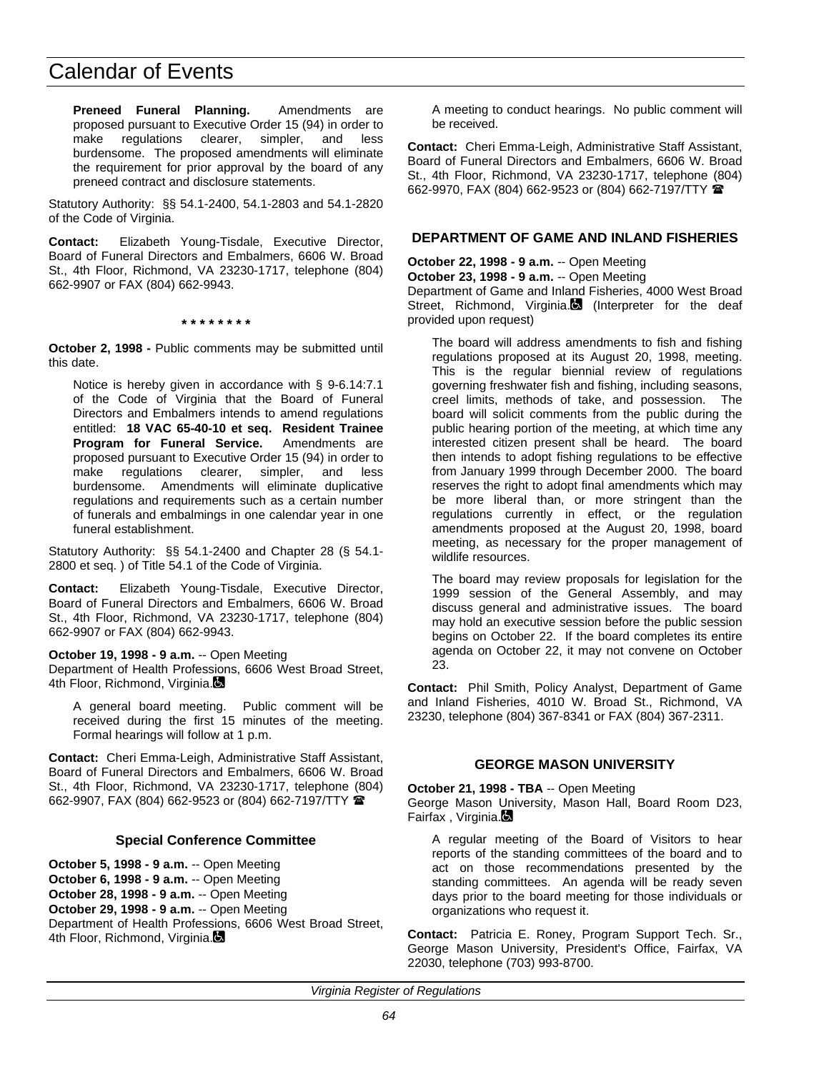**Preneed Funeral Planning.** Amendments are proposed pursuant to Executive Order 15 (94) in order to make regulations clearer, simpler, and less burdensome. The proposed amendments will eliminate the requirement for prior approval by the board of any preneed contract and disclosure statements.

Statutory Authority: §§ 54.1-2400, 54.1-2803 and 54.1-2820 of the Code of Virginia.

**Contact:** Elizabeth Young-Tisdale, Executive Director, Board of Funeral Directors and Embalmers, 6606 W. Broad St., 4th Floor, Richmond, VA 23230-1717, telephone (804) 662-9907 or FAX (804) 662-9943.

**\* \* \* \* \* \* \* \***

**October 2, 1998 -** Public comments may be submitted until this date.

Notice is hereby given in accordance with § 9-6.14:7.1 of the Code of Virginia that the Board of Funeral Directors and Embalmers intends to amend regulations entitled: **18 VAC 65-40-10 et seq. Resident Trainee Program for Funeral Service.** Amendments are proposed pursuant to Executive Order 15 (94) in order to make regulations clearer, simpler, and less burdensome. Amendments will eliminate duplicative regulations and requirements such as a certain number of funerals and embalmings in one calendar year in one funeral establishment.

Statutory Authority: §§ 54.1-2400 and Chapter 28 (§ 54.1- 2800 et seq. ) of Title 54.1 of the Code of Virginia.

**Contact:** Elizabeth Young-Tisdale, Executive Director, Board of Funeral Directors and Embalmers, 6606 W. Broad St., 4th Floor, Richmond, VA 23230-1717, telephone (804) 662-9907 or FAX (804) 662-9943.

**October 19, 1998 - 9 a.m.** -- Open Meeting

Department of Health Professions, 6606 West Broad Street, 4th Floor, Richmond, Virginia.

A general board meeting. Public comment will be received during the first 15 minutes of the meeting. Formal hearings will follow at 1 p.m.

**Contact:** Cheri Emma-Leigh, Administrative Staff Assistant, Board of Funeral Directors and Embalmers, 6606 W. Broad St., 4th Floor, Richmond, VA 23230-1717, telephone (804) 662-9907, FAX (804) 662-9523 or (804) 662-7197/TTY (

### **Special Conference Committee**

**October 5, 1998 - 9 a.m.** -- Open Meeting **October 6, 1998 - 9 a.m.** -- Open Meeting **October 28, 1998 - 9 a.m.** -- Open Meeting **October 29, 1998 - 9 a.m.** -- Open Meeting Department of Health Professions, 6606 West Broad Street, 4th Floor, Richmond, Virginia.

A meeting to conduct hearings. No public comment will be received.

**Contact:** Cheri Emma-Leigh, Administrative Staff Assistant, Board of Funeral Directors and Embalmers, 6606 W. Broad St., 4th Floor, Richmond, VA 23230-1717, telephone (804) 662-9970, FAX (804) 662-9523 or (804) 662-7197/TTY (

### **DEPARTMENT OF GAME AND INLAND FISHERIES**

**October 22, 1998 - 9 a.m.** -- Open Meeting

provided upon request)

**October 23, 1998 - 9 a.m.** -- Open Meeting Department of Game and Inland Fisheries, 4000 West Broad Street, Richmond, Virginia. (Interpreter for the deaf

The board will address amendments to fish and fishing regulations proposed at its August 20, 1998, meeting. This is the regular biennial review of regulations governing freshwater fish and fishing, including seasons, creel limits, methods of take, and possession. The board will solicit comments from the public during the public hearing portion of the meeting, at which time any interested citizen present shall be heard. The board then intends to adopt fishing regulations to be effective from January 1999 through December 2000. The board reserves the right to adopt final amendments which may be more liberal than, or more stringent than the regulations currently in effect, or the regulation amendments proposed at the August 20, 1998, board meeting, as necessary for the proper management of wildlife resources.

The board may review proposals for legislation for the 1999 session of the General Assembly, and may discuss general and administrative issues. The board may hold an executive session before the public session begins on October 22. If the board completes its entire agenda on October 22, it may not convene on October 23.

**Contact:** Phil Smith, Policy Analyst, Department of Game and Inland Fisheries, 4010 W. Broad St., Richmond, VA 23230, telephone (804) 367-8341 or FAX (804) 367-2311.

### **GEORGE MASON UNIVERSITY**

#### **October 21, 1998 - TBA** -- Open Meeting

George Mason University, Mason Hall, Board Room D23, Fairfax, Virginia.

A regular meeting of the Board of Visitors to hear reports of the standing committees of the board and to act on those recommendations presented by the standing committees. An agenda will be ready seven days prior to the board meeting for those individuals or organizations who request it.

**Contact:** Patricia E. Roney, Program Support Tech. Sr., George Mason University, President's Office, Fairfax, VA 22030, telephone (703) 993-8700.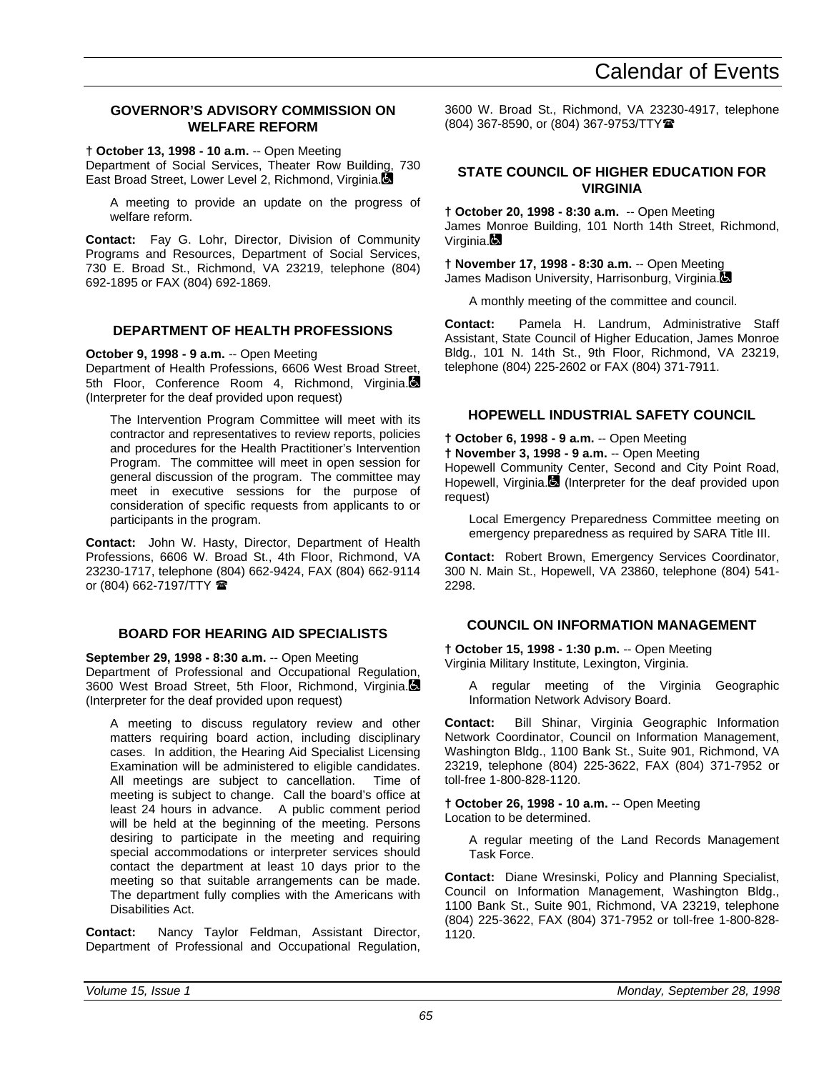# **GOVERNOR'S ADVISORY COMMISSION ON WELFARE REFORM**

**† October 13, 1998 - 10 a.m.** -- Open Meeting

Department of Social Services, Theater Row Building, 730 East Broad Street, Lower Level 2, Richmond, Virginia.

A meeting to provide an update on the progress of welfare reform.

**Contact:** Fay G. Lohr, Director, Division of Community Programs and Resources, Department of Social Services, 730 E. Broad St., Richmond, VA 23219, telephone (804) 692-1895 or FAX (804) 692-1869.

# **DEPARTMENT OF HEALTH PROFESSIONS**

**October 9, 1998 - 9 a.m.** -- Open Meeting Department of Health Professions, 6606 West Broad Street, 5th Floor, Conference Room 4, Richmond, Virginia. (Interpreter for the deaf provided upon request)

The Intervention Program Committee will meet with its contractor and representatives to review reports, policies and procedures for the Health Practitioner's Intervention Program. The committee will meet in open session for general discussion of the program. The committee may meet in executive sessions for the purpose of consideration of specific requests from applicants to or participants in the program.

**Contact:** John W. Hasty, Director, Department of Health Professions, 6606 W. Broad St., 4th Floor, Richmond, VA 23230-1717, telephone (804) 662-9424, FAX (804) 662-9114 or (804) 662-7197/TTY  $\blacksquare$ 

# **BOARD FOR HEARING AID SPECIALISTS**

**September 29, 1998 - 8:30 a.m.** -- Open Meeting Department of Professional and Occupational Regulation, 3600 West Broad Street, 5th Floor, Richmond, Virginia. (Interpreter for the deaf provided upon request)

A meeting to discuss regulatory review and other matters requiring board action, including disciplinary cases. In addition, the Hearing Aid Specialist Licensing Examination will be administered to eligible candidates.<br>All meetings are subject to cancellation. Time of All meetings are subject to cancellation. meeting is subject to change. Call the board's office at least 24 hours in advance. A public comment period will be held at the beginning of the meeting. Persons desiring to participate in the meeting and requiring special accommodations or interpreter services should contact the department at least 10 days prior to the meeting so that suitable arrangements can be made. The department fully complies with the Americans with Disabilities Act.

**Contact:** Nancy Taylor Feldman, Assistant Director, Department of Professional and Occupational Regulation, 3600 W. Broad St., Richmond, VA 23230-4917, telephone (804) 367-8590, or (804) 367-9753/TTY曾

# **STATE COUNCIL OF HIGHER EDUCATION FOR VIRGINIA**

**† October 20, 1998 - 8:30 a.m.** -- Open Meeting James Monroe Building, 101 North 14th Street, Richmond, Virginia.**Q** 

**† November 17, 1998 - 8:30 a.m.** -- Open Meeting James Madison University, Harrisonburg, Virginia.

A monthly meeting of the committee and council.

**Contact:** Pamela H. Landrum, Administrative Staff Assistant, State Council of Higher Education, James Monroe Bldg., 101 N. 14th St., 9th Floor, Richmond, VA 23219, telephone (804) 225-2602 or FAX (804) 371-7911.

# **HOPEWELL INDUSTRIAL SAFETY COUNCIL**

**† October 6, 1998 - 9 a.m.** -- Open Meeting

**† November 3, 1998 - 9 a.m.** -- Open Meeting

Hopewell Community Center, Second and City Point Road, Hopewell, Virginia. (Interpreter for the deaf provided upon request)

Local Emergency Preparedness Committee meeting on emergency preparedness as required by SARA Title III.

**Contact:** Robert Brown, Emergency Services Coordinator, 300 N. Main St., Hopewell, VA 23860, telephone (804) 541- 2298.

# **COUNCIL ON INFORMATION MANAGEMENT**

**† October 15, 1998 - 1:30 p.m.** -- Open Meeting Virginia Military Institute, Lexington, Virginia.

A regular meeting of the Virginia Geographic Information Network Advisory Board.

**Contact:** Bill Shinar, Virginia Geographic Information Network Coordinator, Council on Information Management, Washington Bldg., 1100 Bank St., Suite 901, Richmond, VA 23219, telephone (804) 225-3622, FAX (804) 371-7952 or toll-free 1-800-828-1120.

**† October 26, 1998 - 10 a.m.** -- Open Meeting Location to be determined.

A regular meeting of the Land Records Management Task Force.

**Contact:** Diane Wresinski, Policy and Planning Specialist, Council on Information Management, Washington Bldg., 1100 Bank St., Suite 901, Richmond, VA 23219, telephone (804) 225-3622, FAX (804) 371-7952 or toll-free 1-800-828- 1120.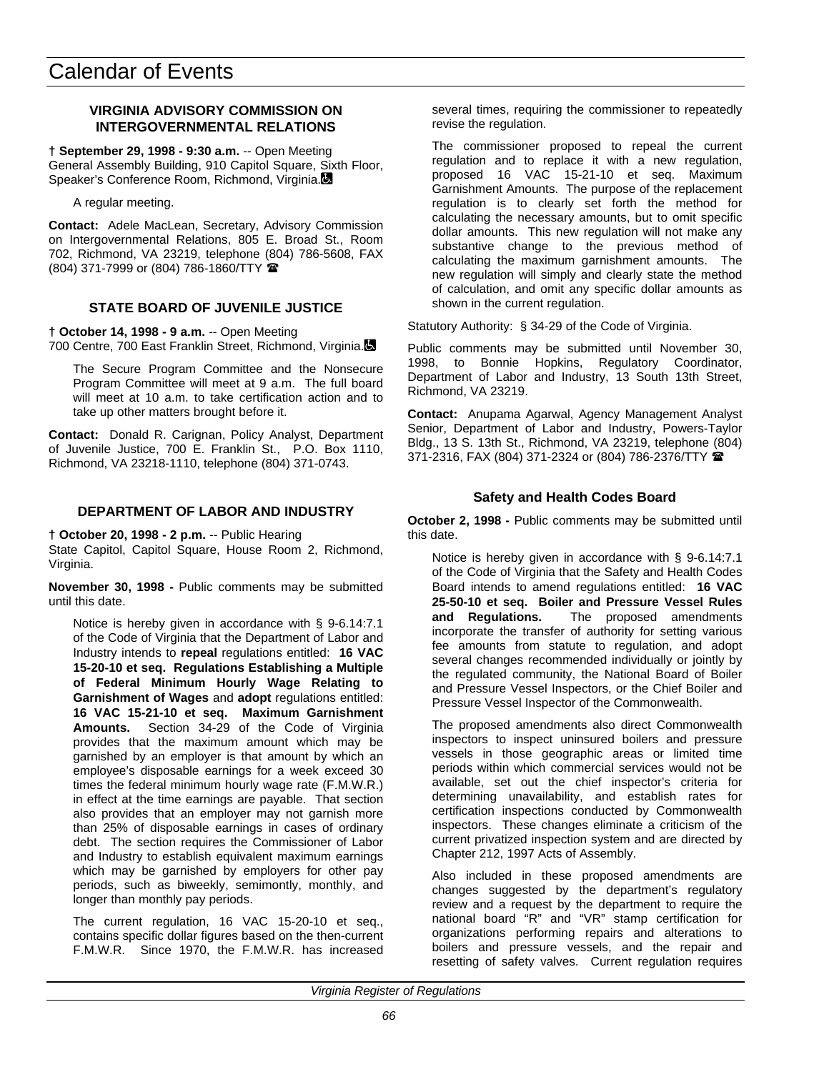# **VIRGINIA ADVISORY COMMISSION ON INTERGOVERNMENTAL RELATIONS**

**† September 29, 1998 - 9:30 a.m.** -- Open Meeting General Assembly Building, 910 Capitol Square, Sixth Floor, Speaker's Conference Room, Richmond, Virginia.

A regular meeting.

**Contact:** Adele MacLean, Secretary, Advisory Commission on Intergovernmental Relations, 805 E. Broad St., Room 702, Richmond, VA 23219, telephone (804) 786-5608, FAX (804) 371-7999 or (804) 786-1860/TTY (

# **STATE BOARD OF JUVENILE JUSTICE**

**† October 14, 1998 - 9 a.m.** -- Open Meeting 700 Centre, 700 East Franklin Street, Richmond, Virginia.

The Secure Program Committee and the Nonsecure Program Committee will meet at 9 a.m. The full board will meet at 10 a.m. to take certification action and to take up other matters brought before it.

**Contact:** Donald R. Carignan, Policy Analyst, Department of Juvenile Justice, 700 E. Franklin St., P.O. Box 1110, Richmond, VA 23218-1110, telephone (804) 371-0743.

# **DEPARTMENT OF LABOR AND INDUSTRY**

**† October 20, 1998 - 2 p.m.** -- Public Hearing

State Capitol, Capitol Square, House Room 2, Richmond, Virginia.

**November 30, 1998 -** Public comments may be submitted until this date.

Notice is hereby given in accordance with § 9-6.14:7.1 of the Code of Virginia that the Department of Labor and Industry intends to **repeal** regulations entitled: **16 VAC 15-20-10 et seq. Regulations Establishing a Multiple of Federal Minimum Hourly Wage Relating to Garnishment of Wages** and **adopt** regulations entitled: **16 VAC 15-21-10 et seq. Maximum Garnishment Amounts.** Section 34-29 of the Code of Virginia provides that the maximum amount which may be garnished by an employer is that amount by which an employee's disposable earnings for a week exceed 30 times the federal minimum hourly wage rate (F.M.W.R.) in effect at the time earnings are payable. That section also provides that an employer may not garnish more than 25% of disposable earnings in cases of ordinary debt. The section requires the Commissioner of Labor and Industry to establish equivalent maximum earnings which may be garnished by employers for other pay periods, such as biweekly, semimontly, monthly, and longer than monthly pay periods.

The current regulation, 16 VAC 15-20-10 et seq., contains specific dollar figures based on the then-current F.M.W.R. Since 1970, the F.M.W.R. has increased several times, requiring the commissioner to repeatedly revise the regulation.

The commissioner proposed to repeal the current regulation and to replace it with a new regulation, proposed 16 VAC 15-21-10 et seq. Maximum Garnishment Amounts. The purpose of the replacement regulation is to clearly set forth the method for calculating the necessary amounts, but to omit specific dollar amounts. This new regulation will not make any substantive change to the previous method of calculating the maximum garnishment amounts. The new regulation will simply and clearly state the method of calculation, and omit any specific dollar amounts as shown in the current regulation.

Statutory Authority: § 34-29 of the Code of Virginia.

Public comments may be submitted until November 30, 1998, to Bonnie Hopkins, Regulatory Coordinator, Department of Labor and Industry, 13 South 13th Street, Richmond, VA 23219.

**Contact:** Anupama Agarwal, Agency Management Analyst Senior, Department of Labor and Industry, Powers-Taylor Bldg., 13 S. 13th St., Richmond, VA 23219, telephone (804) 371-2316, FAX (804) 371-2324 or (804) 786-2376/TTY (

## **Safety and Health Codes Board**

**October 2, 1998 -** Public comments may be submitted until this date.

Notice is hereby given in accordance with § 9-6.14:7.1 of the Code of Virginia that the Safety and Health Codes Board intends to amend regulations entitled: **16 VAC 25-50-10 et seq. Boiler and Pressure Vessel Rules and Regulations.** The proposed amendments incorporate the transfer of authority for setting various fee amounts from statute to regulation, and adopt several changes recommended individually or jointly by the regulated community, the National Board of Boiler and Pressure Vessel Inspectors, or the Chief Boiler and Pressure Vessel Inspector of the Commonwealth.

The proposed amendments also direct Commonwealth inspectors to inspect uninsured boilers and pressure vessels in those geographic areas or limited time periods within which commercial services would not be available, set out the chief inspector's criteria for determining unavailability, and establish rates for certification inspections conducted by Commonwealth inspectors. These changes eliminate a criticism of the current privatized inspection system and are directed by Chapter 212, 1997 Acts of Assembly.

Also included in these proposed amendments are changes suggested by the department's regulatory review and a request by the department to require the national board "R" and "VR" stamp certification for organizations performing repairs and alterations to boilers and pressure vessels, and the repair and resetting of safety valves. Current regulation requires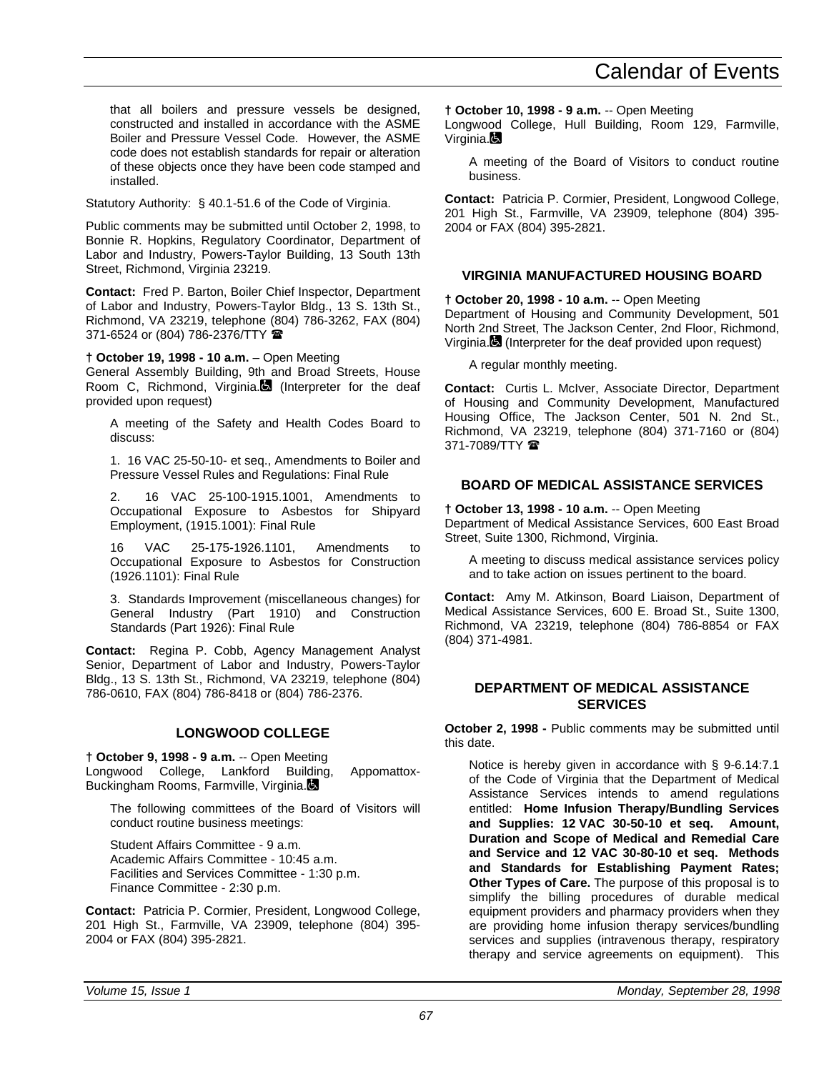that all boilers and pressure vessels be designed, constructed and installed in accordance with the ASME Boiler and Pressure Vessel Code. However, the ASME code does not establish standards for repair or alteration of these objects once they have been code stamped and installed.

Statutory Authority: § 40.1-51.6 of the Code of Virginia.

Public comments may be submitted until October 2, 1998, to Bonnie R. Hopkins, Regulatory Coordinator, Department of Labor and Industry, Powers-Taylor Building, 13 South 13th Street, Richmond, Virginia 23219.

**Contact:** Fred P. Barton, Boiler Chief Inspector, Department of Labor and Industry, Powers-Taylor Bldg., 13 S. 13th St., Richmond, VA 23219, telephone (804) 786-3262, FAX (804) 371-6524 or (804) 786-2376/TTY <sup>金</sup>

**† October 19, 1998 - 10 a.m.** – Open Meeting

General Assembly Building, 9th and Broad Streets, House Room C, Richmond, Virginia. (Interpreter for the deaf provided upon request)

A meeting of the Safety and Health Codes Board to discuss:

1. 16 VAC 25-50-10- et seq., Amendments to Boiler and Pressure Vessel Rules and Regulations: Final Rule

2. 16 VAC 25-100-1915.1001, Amendments to Occupational Exposure to Asbestos for Shipyard Employment, (1915.1001): Final Rule

16 VAC 25-175-1926.1101, Amendments to Occupational Exposure to Asbestos for Construction (1926.1101): Final Rule

3. Standards Improvement (miscellaneous changes) for General Industry (Part 1910) and Construction Standards (Part 1926): Final Rule

**Contact:** Regina P. Cobb, Agency Management Analyst Senior, Department of Labor and Industry, Powers-Taylor Bldg., 13 S. 13th St., Richmond, VA 23219, telephone (804) 786-0610, FAX (804) 786-8418 or (804) 786-2376.

# **LONGWOOD COLLEGE**

**† October 9, 1998 - 9 a.m.** -- Open Meeting Longwood College, Lankford Building, Appomattox-Buckingham Rooms, Farmville, Virginia.

The following committees of the Board of Visitors will conduct routine business meetings:

Student Affairs Committee - 9 a.m. Academic Affairs Committee - 10:45 a.m. Facilities and Services Committee - 1:30 p.m. Finance Committee - 2:30 p.m.

**Contact:** Patricia P. Cormier, President, Longwood College, 201 High St., Farmville, VA 23909, telephone (804) 395- 2004 or FAX (804) 395-2821.

**† October 10, 1998 - 9 a.m.** -- Open Meeting

Longwood College, Hull Building, Room 129, Farmville, Virginia. $\blacksquare$ 

A meeting of the Board of Visitors to conduct routine business.

**Contact:** Patricia P. Cormier, President, Longwood College, 201 High St., Farmville, VA 23909, telephone (804) 395- 2004 or FAX (804) 395-2821.

# **VIRGINIA MANUFACTURED HOUSING BOARD**

**† October 20, 1998 - 10 a.m.** -- Open Meeting Department of Housing and Community Development, 501 North 2nd Street, The Jackson Center, 2nd Floor, Richmond, Virginia. (Interpreter for the deaf provided upon request)

A regular monthly meeting.

**Contact:** Curtis L. McIver, Associate Director, Department of Housing and Community Development, Manufactured Housing Office, The Jackson Center, 501 N. 2nd St., Richmond, VA 23219, telephone (804) 371-7160 or (804) 371-7089/TTY <sup>1</sup>

## **BOARD OF MEDICAL ASSISTANCE SERVICES**

**† October 13, 1998 - 10 a.m.** -- Open Meeting Department of Medical Assistance Services, 600 East Broad Street, Suite 1300, Richmond, Virginia.

A meeting to discuss medical assistance services policy and to take action on issues pertinent to the board.

**Contact:** Amy M. Atkinson, Board Liaison, Department of Medical Assistance Services, 600 E. Broad St., Suite 1300, Richmond, VA 23219, telephone (804) 786-8854 or FAX (804) 371-4981.

## **DEPARTMENT OF MEDICAL ASSISTANCE SERVICES**

**October 2, 1998 -** Public comments may be submitted until this date.

Notice is hereby given in accordance with § 9-6.14:7.1 of the Code of Virginia that the Department of Medical Assistance Services intends to amend regulations entitled: **Home Infusion Therapy/Bundling Services and Supplies: 12 VAC 30-50-10 et seq. Amount, Duration and Scope of Medical and Remedial Care and Service and 12 VAC 30-80-10 et seq. Methods and Standards for Establishing Payment Rates; Other Types of Care.** The purpose of this proposal is to simplify the billing procedures of durable medical equipment providers and pharmacy providers when they are providing home infusion therapy services/bundling services and supplies (intravenous therapy, respiratory therapy and service agreements on equipment). This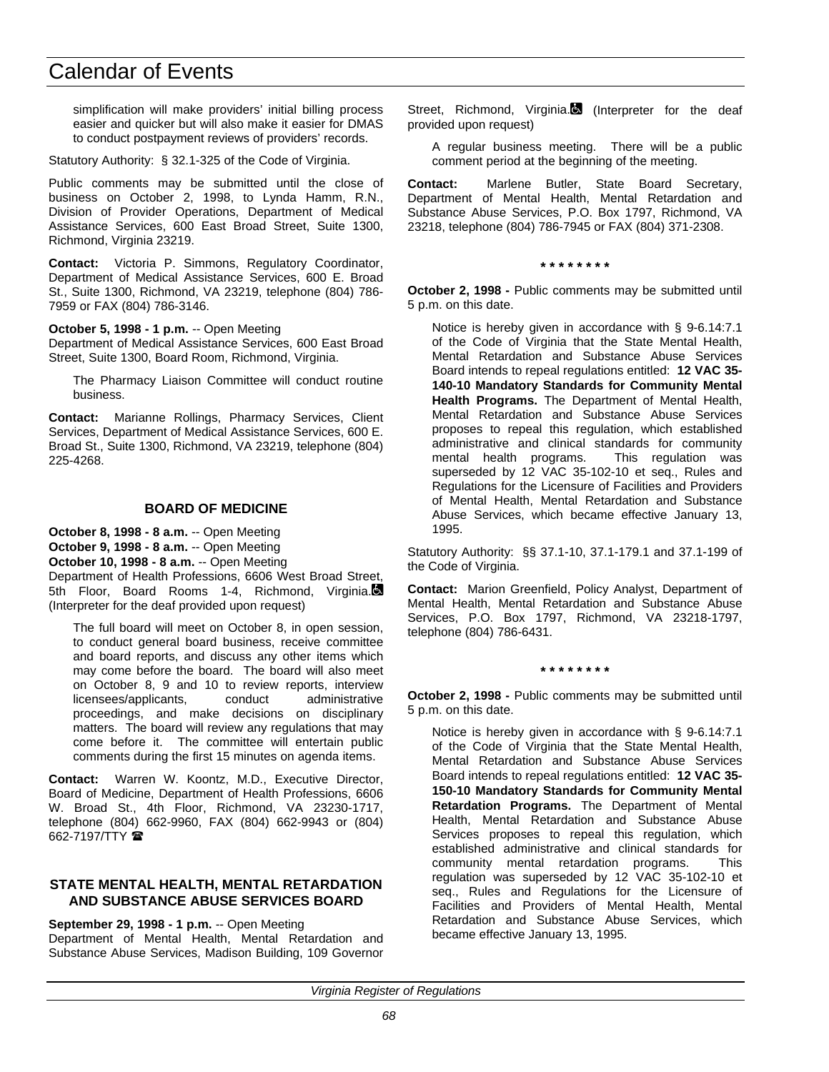simplification will make providers' initial billing process easier and quicker but will also make it easier for DMAS to conduct postpayment reviews of providers' records.

Statutory Authority: § 32.1-325 of the Code of Virginia.

Public comments may be submitted until the close of business on October 2, 1998, to Lynda Hamm, R.N., Division of Provider Operations, Department of Medical Assistance Services, 600 East Broad Street, Suite 1300, Richmond, Virginia 23219.

**Contact:** Victoria P. Simmons, Regulatory Coordinator, Department of Medical Assistance Services, 600 E. Broad St., Suite 1300, Richmond, VA 23219, telephone (804) 786- 7959 or FAX (804) 786-3146.

#### **October 5, 1998 - 1 p.m.** -- Open Meeting

Department of Medical Assistance Services, 600 East Broad Street, Suite 1300, Board Room, Richmond, Virginia.

The Pharmacy Liaison Committee will conduct routine business.

**Contact:** Marianne Rollings, Pharmacy Services, Client Services, Department of Medical Assistance Services, 600 E. Broad St., Suite 1300, Richmond, VA 23219, telephone (804) 225-4268.

### **BOARD OF MEDICINE**

**October 8, 1998 - 8 a.m.** -- Open Meeting **October 9, 1998 - 8 a.m.** -- Open Meeting **October 10, 1998 - 8 a.m.** -- Open Meeting Department of Health Professions, 6606 West Broad Street, 5th Floor, Board Rooms 1-4, Richmond, Virginia. (Interpreter for the deaf provided upon request)

The full board will meet on October 8, in open session, to conduct general board business, receive committee and board reports, and discuss any other items which may come before the board. The board will also meet on October 8, 9 and 10 to review reports, interview licensees/applicants, conduct administrative proceedings, and make decisions on disciplinary matters. The board will review any regulations that may come before it. The committee will entertain public comments during the first 15 minutes on agenda items.

**Contact:** Warren W. Koontz, M.D., Executive Director, Board of Medicine, Department of Health Professions, 6606 W. Broad St., 4th Floor, Richmond, VA 23230-1717, telephone (804) 662-9960, FAX (804) 662-9943 or (804) 662-7197/TTY  $\blacksquare$ 

### **STATE MENTAL HEALTH, MENTAL RETARDATION AND SUBSTANCE ABUSE SERVICES BOARD**

**September 29, 1998 - 1 p.m.** -- Open Meeting

Department of Mental Health, Mental Retardation and Substance Abuse Services, Madison Building, 109 Governor Street, Richmond, Virginia.<sup>1</sup> (Interpreter for the deaf provided upon request)

A regular business meeting. There will be a public comment period at the beginning of the meeting.

**Contact:** Marlene Butler, State Board Secretary, Department of Mental Health, Mental Retardation and Substance Abuse Services, P.O. Box 1797, Richmond, VA 23218, telephone (804) 786-7945 or FAX (804) 371-2308.

**\* \* \* \* \* \* \* \***

**October 2, 1998 -** Public comments may be submitted until 5 p.m. on this date.

Notice is hereby given in accordance with § 9-6.14:7.1 of the Code of Virginia that the State Mental Health, Mental Retardation and Substance Abuse Services Board intends to repeal regulations entitled: **12 VAC 35- 140-10 Mandatory Standards for Community Mental Health Programs.** The Department of Mental Health, Mental Retardation and Substance Abuse Services proposes to repeal this regulation, which established administrative and clinical standards for community mental health programs. This regulation was superseded by 12 VAC 35-102-10 et seq., Rules and Regulations for the Licensure of Facilities and Providers of Mental Health, Mental Retardation and Substance Abuse Services, which became effective January 13, 1995.

Statutory Authority: §§ 37.1-10, 37.1-179.1 and 37.1-199 of the Code of Virginia.

**Contact:** Marion Greenfield, Policy Analyst, Department of Mental Health, Mental Retardation and Substance Abuse Services, P.O. Box 1797, Richmond, VA 23218-1797, telephone (804) 786-6431.

#### **\* \* \* \* \* \* \* \***

**October 2, 1998 -** Public comments may be submitted until 5 p.m. on this date.

Notice is hereby given in accordance with § 9-6.14:7.1 of the Code of Virginia that the State Mental Health, Mental Retardation and Substance Abuse Services Board intends to repeal regulations entitled: **12 VAC 35- 150-10 Mandatory Standards for Community Mental Retardation Programs.** The Department of Mental Health, Mental Retardation and Substance Abuse Services proposes to repeal this regulation, which established administrative and clinical standards for community mental retardation programs. This regulation was superseded by 12 VAC 35-102-10 et seq., Rules and Regulations for the Licensure of Facilities and Providers of Mental Health, Mental Retardation and Substance Abuse Services, which became effective January 13, 1995.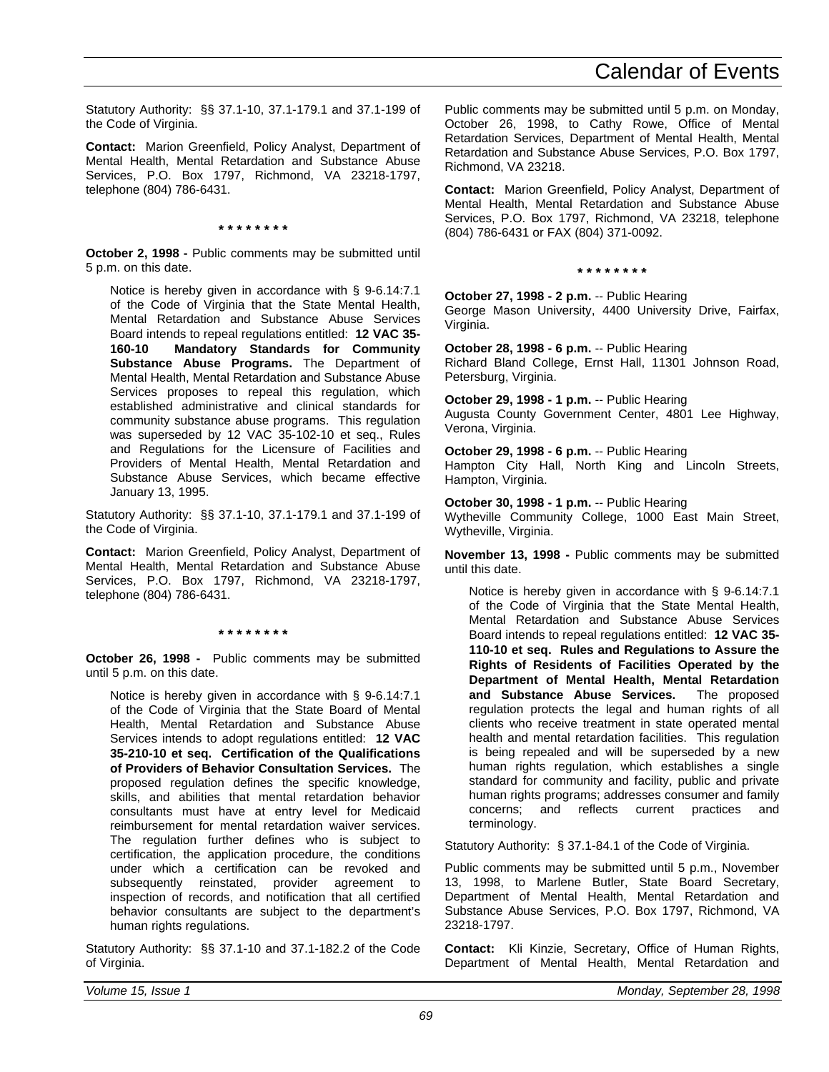Statutory Authority: §§ 37.1-10, 37.1-179.1 and 37.1-199 of the Code of Virginia.

**Contact:** Marion Greenfield, Policy Analyst, Department of Mental Health, Mental Retardation and Substance Abuse Services, P.O. Box 1797, Richmond, VA 23218-1797, telephone (804) 786-6431.

#### **\* \* \* \* \* \* \* \***

**October 2, 1998 -** Public comments may be submitted until 5 p.m. on this date.

Notice is hereby given in accordance with § 9-6.14:7.1 of the Code of Virginia that the State Mental Health, Mental Retardation and Substance Abuse Services Board intends to repeal regulations entitled: **12 VAC 35- 160-10 Mandatory Standards for Community Substance Abuse Programs.** The Department of Mental Health, Mental Retardation and Substance Abuse Services proposes to repeal this regulation, which established administrative and clinical standards for community substance abuse programs. This regulation was superseded by 12 VAC 35-102-10 et seq., Rules and Regulations for the Licensure of Facilities and Providers of Mental Health, Mental Retardation and Substance Abuse Services, which became effective January 13, 1995.

Statutory Authority: §§ 37.1-10, 37.1-179.1 and 37.1-199 of the Code of Virginia.

**Contact:** Marion Greenfield, Policy Analyst, Department of Mental Health, Mental Retardation and Substance Abuse Services, P.O. Box 1797, Richmond, VA 23218-1797, telephone (804) 786-6431.

**\* \* \* \* \* \* \* \***

**October 26, 1998 -** Public comments may be submitted until 5 p.m. on this date.

Notice is hereby given in accordance with § 9-6.14:7.1 of the Code of Virginia that the State Board of Mental Health, Mental Retardation and Substance Abuse Services intends to adopt regulations entitled: **12 VAC 35-210-10 et seq. Certification of the Qualifications of Providers of Behavior Consultation Services.** The proposed regulation defines the specific knowledge, skills, and abilities that mental retardation behavior consultants must have at entry level for Medicaid reimbursement for mental retardation waiver services. The regulation further defines who is subject to certification, the application procedure, the conditions under which a certification can be revoked and subsequently reinstated, provider agreement to inspection of records, and notification that all certified behavior consultants are subject to the department's human rights regulations.

Statutory Authority: §§ 37.1-10 and 37.1-182.2 of the Code of Virginia.

Public comments may be submitted until 5 p.m. on Monday, October 26, 1998, to Cathy Rowe, Office of Mental Retardation Services, Department of Mental Health, Mental Retardation and Substance Abuse Services, P.O. Box 1797, Richmond, VA 23218.

**Contact:** Marion Greenfield, Policy Analyst, Department of Mental Health, Mental Retardation and Substance Abuse Services, P.O. Box 1797, Richmond, VA 23218, telephone (804) 786-6431 or FAX (804) 371-0092.

#### **\* \* \* \* \* \* \* \***

**October 27, 1998 - 2 p.m.** -- Public Hearing George Mason University, 4400 University Drive, Fairfax, Virginia.

**October 28, 1998 - 6 p.m.** -- Public Hearing Richard Bland College, Ernst Hall, 11301 Johnson Road, Petersburg, Virginia.

**October 29, 1998 - 1 p.m.** -- Public Hearing Augusta County Government Center, 4801 Lee Highway, Verona, Virginia.

**October 29, 1998 - 6 p.m.** -- Public Hearing Hampton City Hall, North King and Lincoln Streets, Hampton, Virginia.

**October 30, 1998 - 1 p.m.** -- Public Hearing Wytheville Community College, 1000 East Main Street, Wytheville, Virginia.

**November 13, 1998 -** Public comments may be submitted until this date.

Notice is hereby given in accordance with § 9-6.14:7.1 of the Code of Virginia that the State Mental Health, Mental Retardation and Substance Abuse Services Board intends to repeal regulations entitled: **12 VAC 35- 110-10 et seq. Rules and Regulations to Assure the Rights of Residents of Facilities Operated by the Department of Mental Health, Mental Retardation and Substance Abuse Services.** The proposed regulation protects the legal and human rights of all clients who receive treatment in state operated mental health and mental retardation facilities. This regulation is being repealed and will be superseded by a new human rights regulation, which establishes a single standard for community and facility, public and private human rights programs; addresses consumer and family concerns; and reflects current practices and terminology.

Statutory Authority: § 37.1-84.1 of the Code of Virginia.

Public comments may be submitted until 5 p.m., November 13, 1998, to Marlene Butler, State Board Secretary, Department of Mental Health, Mental Retardation and Substance Abuse Services, P.O. Box 1797, Richmond, VA 23218-1797.

**Contact:** Kli Kinzie, Secretary, Office of Human Rights, Department of Mental Health, Mental Retardation and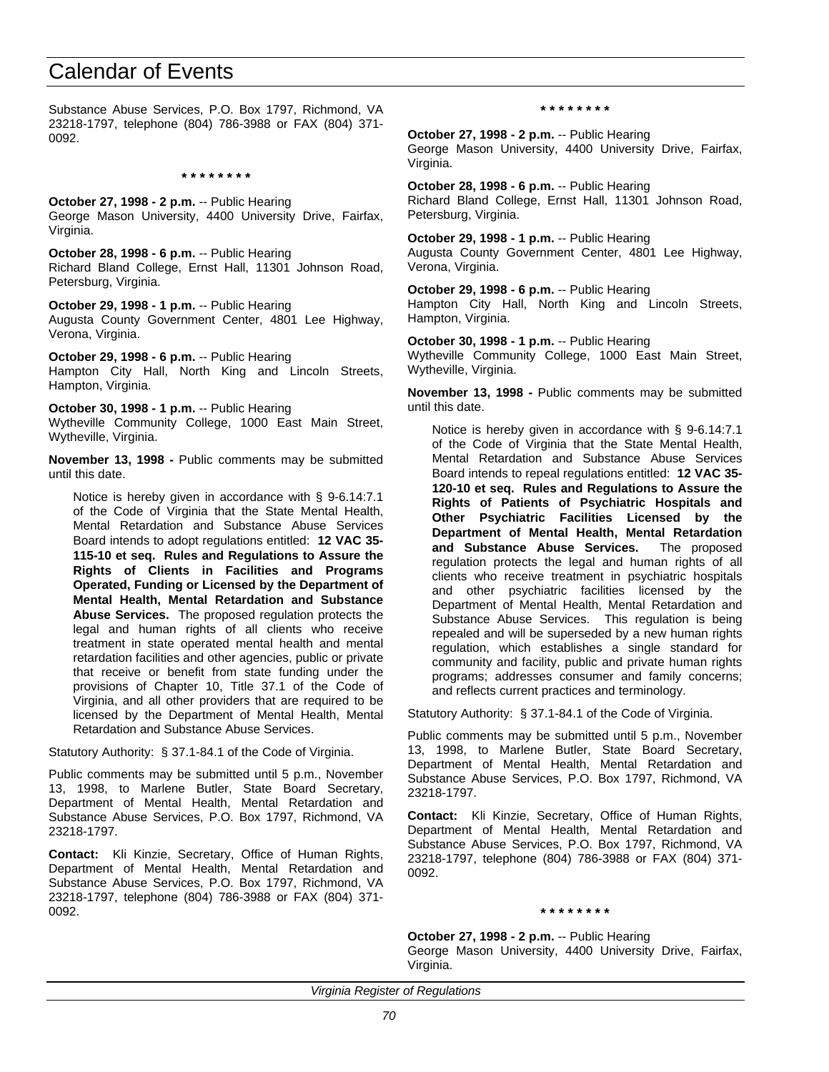Substance Abuse Services, P.O. Box 1797, Richmond, VA 23218-1797, telephone (804) 786-3988 or FAX (804) 371- 0092.

**\* \* \* \* \* \* \* \***

**October 27, 1998 - 2 p.m.** -- Public Hearing George Mason University, 4400 University Drive, Fairfax, Virginia.

**October 28, 1998 - 6 p.m.** -- Public Hearing Richard Bland College, Ernst Hall, 11301 Johnson Road, Petersburg, Virginia.

**October 29, 1998 - 1 p.m.** -- Public Hearing Augusta County Government Center, 4801 Lee Highway, Verona, Virginia.

**October 29, 1998 - 6 p.m.** -- Public Hearing Hampton City Hall, North King and Lincoln Streets, Hampton, Virginia.

**October 30, 1998 - 1 p.m.** -- Public Hearing Wytheville Community College, 1000 East Main Street, Wytheville, Virginia.

**November 13, 1998 -** Public comments may be submitted until this date.

Notice is hereby given in accordance with § 9-6.14:7.1 of the Code of Virginia that the State Mental Health, Mental Retardation and Substance Abuse Services Board intends to adopt regulations entitled: **12 VAC 35- 115-10 et seq. Rules and Regulations to Assure the Rights of Clients in Facilities and Programs Operated, Funding or Licensed by the Department of Mental Health, Mental Retardation and Substance Abuse Services.** The proposed regulation protects the legal and human rights of all clients who receive treatment in state operated mental health and mental retardation facilities and other agencies, public or private that receive or benefit from state funding under the provisions of Chapter 10, Title 37.1 of the Code of Virginia, and all other providers that are required to be licensed by the Department of Mental Health, Mental Retardation and Substance Abuse Services.

Statutory Authority: § 37.1-84.1 of the Code of Virginia.

Public comments may be submitted until 5 p.m., November 13, 1998, to Marlene Butler, State Board Secretary, Department of Mental Health, Mental Retardation and Substance Abuse Services, P.O. Box 1797, Richmond, VA 23218-1797.

**Contact:** Kli Kinzie, Secretary, Office of Human Rights, Department of Mental Health, Mental Retardation and Substance Abuse Services, P.O. Box 1797, Richmond, VA 23218-1797, telephone (804) 786-3988 or FAX (804) 371- 0092.

**\* \* \* \* \* \* \* \***

**October 27, 1998 - 2 p.m.** -- Public Hearing George Mason University, 4400 University Drive, Fairfax, Virginia.

**October 28, 1998 - 6 p.m.** -- Public Hearing Richard Bland College, Ernst Hall, 11301 Johnson Road, Petersburg, Virginia.

**October 29, 1998 - 1 p.m.** -- Public Hearing Augusta County Government Center, 4801 Lee Highway, Verona, Virginia.

**October 29, 1998 - 6 p.m.** -- Public Hearing Hampton City Hall, North King and Lincoln Streets, Hampton, Virginia.

**October 30, 1998 - 1 p.m.** -- Public Hearing Wytheville Community College, 1000 East Main Street, Wytheville, Virginia.

**November 13, 1998 -** Public comments may be submitted until this date.

Notice is hereby given in accordance with § 9-6.14:7.1 of the Code of Virginia that the State Mental Health, Mental Retardation and Substance Abuse Services Board intends to repeal regulations entitled: **12 VAC 35- 120-10 et seq. Rules and Regulations to Assure the Rights of Patients of Psychiatric Hospitals and Other Psychiatric Facilities Licensed by the Department of Mental Health, Mental Retardation and Substance Abuse Services.** The proposed regulation protects the legal and human rights of all clients who receive treatment in psychiatric hospitals and other psychiatric facilities licensed by the Department of Mental Health, Mental Retardation and Substance Abuse Services. This regulation is being repealed and will be superseded by a new human rights regulation, which establishes a single standard for community and facility, public and private human rights programs; addresses consumer and family concerns; and reflects current practices and terminology.

Statutory Authority: § 37.1-84.1 of the Code of Virginia.

Public comments may be submitted until 5 p.m., November 13, 1998, to Marlene Butler, State Board Secretary, Department of Mental Health, Mental Retardation and Substance Abuse Services, P.O. Box 1797, Richmond, VA 23218-1797.

**Contact:** Kli Kinzie, Secretary, Office of Human Rights, Department of Mental Health, Mental Retardation and Substance Abuse Services, P.O. Box 1797, Richmond, VA 23218-1797, telephone (804) 786-3988 or FAX (804) 371- 0092.

**\* \* \* \* \* \* \* \***

**October 27, 1998 - 2 p.m.** -- Public Hearing George Mason University, 4400 University Drive, Fairfax,

*Virginia Register of Regulations*

Virginia.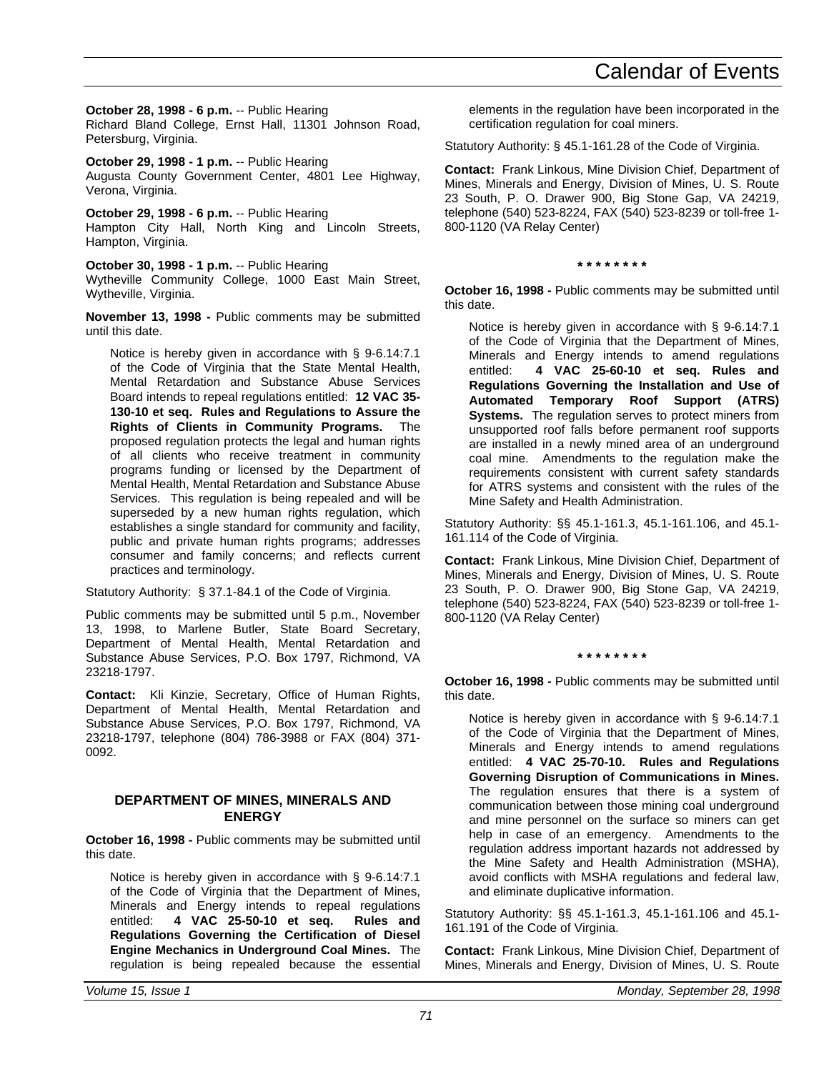**October 28, 1998 - 6 p.m.** -- Public Hearing Richard Bland College, Ernst Hall, 11301 Johnson Road, Petersburg, Virginia.

**October 29, 1998 - 1 p.m.** -- Public Hearing Augusta County Government Center, 4801 Lee Highway, Verona, Virginia.

**October 29, 1998 - 6 p.m.** -- Public Hearing Hampton City Hall, North King and Lincoln Streets, Hampton, Virginia.

**October 30, 1998 - 1 p.m.** -- Public Hearing Wytheville Community College, 1000 East Main Street, Wytheville, Virginia.

**November 13, 1998 -** Public comments may be submitted until this date.

Notice is hereby given in accordance with § 9-6.14:7.1 of the Code of Virginia that the State Mental Health, Mental Retardation and Substance Abuse Services Board intends to repeal regulations entitled: **12 VAC 35- 130-10 et seq. Rules and Regulations to Assure the Rights of Clients in Community Programs.** The proposed regulation protects the legal and human rights of all clients who receive treatment in community programs funding or licensed by the Department of Mental Health, Mental Retardation and Substance Abuse Services. This regulation is being repealed and will be superseded by a new human rights regulation, which establishes a single standard for community and facility, public and private human rights programs; addresses consumer and family concerns; and reflects current practices and terminology.

Statutory Authority: § 37.1-84.1 of the Code of Virginia.

Public comments may be submitted until 5 p.m., November 13, 1998, to Marlene Butler, State Board Secretary, Department of Mental Health, Mental Retardation and Substance Abuse Services, P.O. Box 1797, Richmond, VA 23218-1797.

**Contact:** Kli Kinzie, Secretary, Office of Human Rights, Department of Mental Health, Mental Retardation and Substance Abuse Services, P.O. Box 1797, Richmond, VA 23218-1797, telephone (804) 786-3988 or FAX (804) 371- 0092.

### **DEPARTMENT OF MINES, MINERALS AND ENERGY**

**October 16, 1998 -** Public comments may be submitted until this date.

Notice is hereby given in accordance with § 9-6.14:7.1 of the Code of Virginia that the Department of Mines, Minerals and Energy intends to repeal regulations entitled: **4 VAC 25-50-10 et seq. Rules and Regulations Governing the Certification of Diesel Engine Mechanics in Underground Coal Mines.** The regulation is being repealed because the essential elements in the regulation have been incorporated in the certification regulation for coal miners.

Statutory Authority: § 45.1-161.28 of the Code of Virginia.

**Contact:** Frank Linkous, Mine Division Chief, Department of Mines, Minerals and Energy, Division of Mines, U. S. Route 23 South, P. O. Drawer 900, Big Stone Gap, VA 24219, telephone (540) 523-8224, FAX (540) 523-8239 or toll-free 1- 800-1120 (VA Relay Center)

**\* \* \* \* \* \* \* \***

**October 16, 1998 -** Public comments may be submitted until this date.

Notice is hereby given in accordance with § 9-6.14:7.1 of the Code of Virginia that the Department of Mines, Minerals and Energy intends to amend regulations entitled: **4 VAC 25-60-10 et seq. Rules and Regulations Governing the Installation and Use of Automated Temporary Roof Support (ATRS) Systems.** The regulation serves to protect miners from unsupported roof falls before permanent roof supports are installed in a newly mined area of an underground coal mine. Amendments to the regulation make the requirements consistent with current safety standards for ATRS systems and consistent with the rules of the Mine Safety and Health Administration.

Statutory Authority: §§ 45.1-161.3, 45.1-161.106, and 45.1- 161.114 of the Code of Virginia.

**Contact:** Frank Linkous, Mine Division Chief, Department of Mines, Minerals and Energy, Division of Mines, U. S. Route 23 South, P. O. Drawer 900, Big Stone Gap, VA 24219, telephone (540) 523-8224, FAX (540) 523-8239 or toll-free 1- 800-1120 (VA Relay Center)

**\* \* \* \* \* \* \* \***

**October 16, 1998 -** Public comments may be submitted until this date.

Notice is hereby given in accordance with § 9-6.14:7.1 of the Code of Virginia that the Department of Mines, Minerals and Energy intends to amend regulations entitled: **4 VAC 25-70-10. Rules and Regulations Governing Disruption of Communications in Mines.** The regulation ensures that there is a system of communication between those mining coal underground and mine personnel on the surface so miners can get help in case of an emergency. Amendments to the regulation address important hazards not addressed by the Mine Safety and Health Administration (MSHA), avoid conflicts with MSHA regulations and federal law, and eliminate duplicative information.

Statutory Authority: §§ 45.1-161.3, 45.1-161.106 and 45.1- 161.191 of the Code of Virginia.

**Contact:** Frank Linkous, Mine Division Chief, Department of Mines, Minerals and Energy, Division of Mines, U. S. Route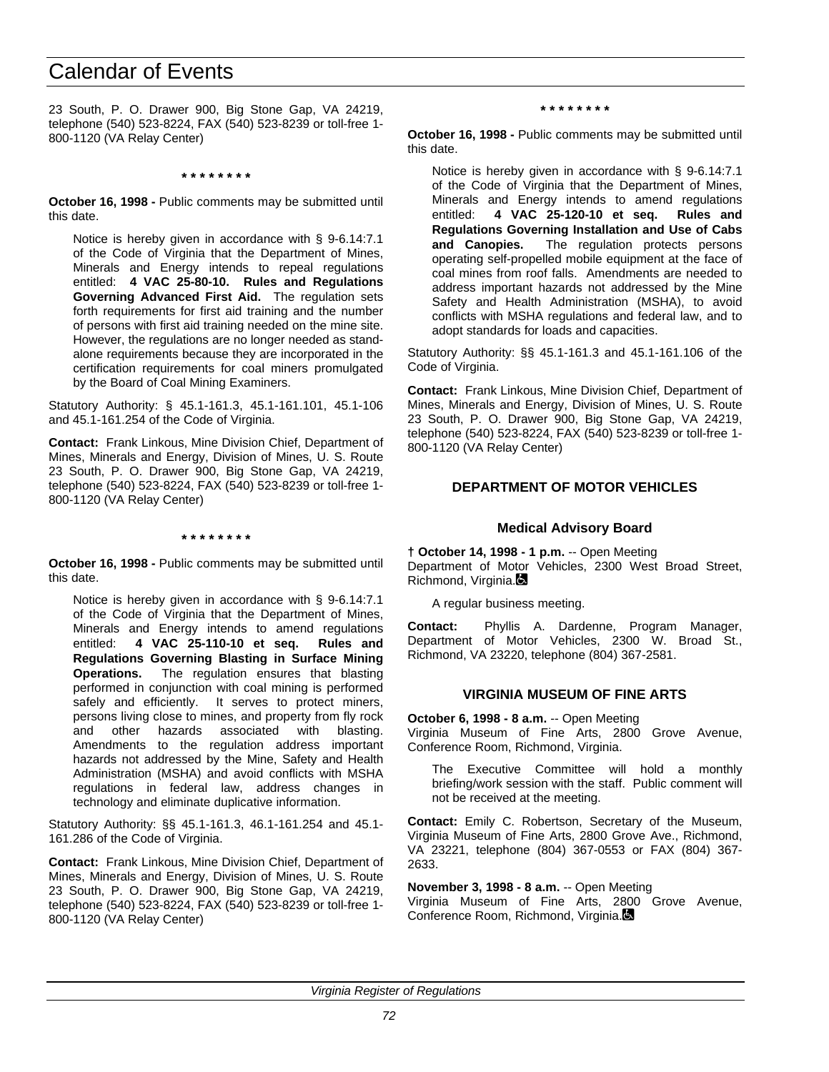23 South, P. O. Drawer 900, Big Stone Gap, VA 24219, telephone (540) 523-8224, FAX (540) 523-8239 or toll-free 1- 800-1120 (VA Relay Center)

**\* \* \* \* \* \* \* \***

**October 16, 1998 -** Public comments may be submitted until this date.

Notice is hereby given in accordance with § 9-6.14:7.1 of the Code of Virginia that the Department of Mines, Minerals and Energy intends to repeal regulations entitled: **4 VAC 25-80-10. Rules and Regulations Governing Advanced First Aid.** The regulation sets forth requirements for first aid training and the number of persons with first aid training needed on the mine site. However, the regulations are no longer needed as standalone requirements because they are incorporated in the certification requirements for coal miners promulgated by the Board of Coal Mining Examiners.

Statutory Authority: § 45.1-161.3, 45.1-161.101, 45.1-106 and 45.1-161.254 of the Code of Virginia.

**Contact:** Frank Linkous, Mine Division Chief, Department of Mines, Minerals and Energy, Division of Mines, U. S. Route 23 South, P. O. Drawer 900, Big Stone Gap, VA 24219, telephone (540) 523-8224, FAX (540) 523-8239 or toll-free 1- 800-1120 (VA Relay Center)

**\* \* \* \* \* \* \* \***

**October 16, 1998 -** Public comments may be submitted until this date.

Notice is hereby given in accordance with § 9-6.14:7.1 of the Code of Virginia that the Department of Mines, Minerals and Energy intends to amend regulations entitled: **4 VAC 25-110-10 et seq. Rules and Regulations Governing Blasting in Surface Mining Operations.** The regulation ensures that blasting performed in conjunction with coal mining is performed safely and efficiently. It serves to protect miners, persons living close to mines, and property from fly rock and other hazards associated with blasting. Amendments to the regulation address important hazards not addressed by the Mine, Safety and Health Administration (MSHA) and avoid conflicts with MSHA regulations in federal law, address changes in technology and eliminate duplicative information.

Statutory Authority: §§ 45.1-161.3, 46.1-161.254 and 45.1- 161.286 of the Code of Virginia.

**Contact:** Frank Linkous, Mine Division Chief, Department of Mines, Minerals and Energy, Division of Mines, U. S. Route 23 South, P. O. Drawer 900, Big Stone Gap, VA 24219, telephone (540) 523-8224, FAX (540) 523-8239 or toll-free 1- 800-1120 (VA Relay Center)

**\* \* \* \* \* \* \* \***

**October 16, 1998 -** Public comments may be submitted until this date.

Notice is hereby given in accordance with § 9-6.14:7.1 of the Code of Virginia that the Department of Mines, Minerals and Energy intends to amend regulations entitled: **4 VAC 25-120-10 et seq. Rules and Regulations Governing Installation and Use of Cabs** The regulation protects persons operating self-propelled mobile equipment at the face of coal mines from roof falls. Amendments are needed to address important hazards not addressed by the Mine Safety and Health Administration (MSHA), to avoid conflicts with MSHA regulations and federal law, and to adopt standards for loads and capacities.

Statutory Authority: §§ 45.1-161.3 and 45.1-161.106 of the Code of Virginia.

**Contact:** Frank Linkous, Mine Division Chief, Department of Mines, Minerals and Energy, Division of Mines, U. S. Route 23 South, P. O. Drawer 900, Big Stone Gap, VA 24219, telephone (540) 523-8224, FAX (540) 523-8239 or toll-free 1- 800-1120 (VA Relay Center)

#### **DEPARTMENT OF MOTOR VEHICLES**

#### **Medical Advisory Board**

**† October 14, 1998 - 1 p.m.** -- Open Meeting Department of Motor Vehicles, 2300 West Broad Street, Richmond, Virginia.

A regular business meeting.

**Contact:** Phyllis A. Dardenne, Program Manager, Department of Motor Vehicles, 2300 W. Broad St., Richmond, VA 23220, telephone (804) 367-2581.

#### **VIRGINIA MUSEUM OF FINE ARTS**

**October 6, 1998 - 8 a.m.** -- Open Meeting

Virginia Museum of Fine Arts, 2800 Grove Avenue, Conference Room, Richmond, Virginia.

The Executive Committee will hold a monthly briefing/work session with the staff. Public comment will not be received at the meeting.

**Contact:** Emily C. Robertson, Secretary of the Museum, Virginia Museum of Fine Arts, 2800 Grove Ave., Richmond, VA 23221, telephone (804) 367-0553 or FAX (804) 367- 2633.

**November 3, 1998 - 8 a.m.** -- Open Meeting

Virginia Museum of Fine Arts, 2800 Grove Avenue, Conference Room, Richmond, Virginia.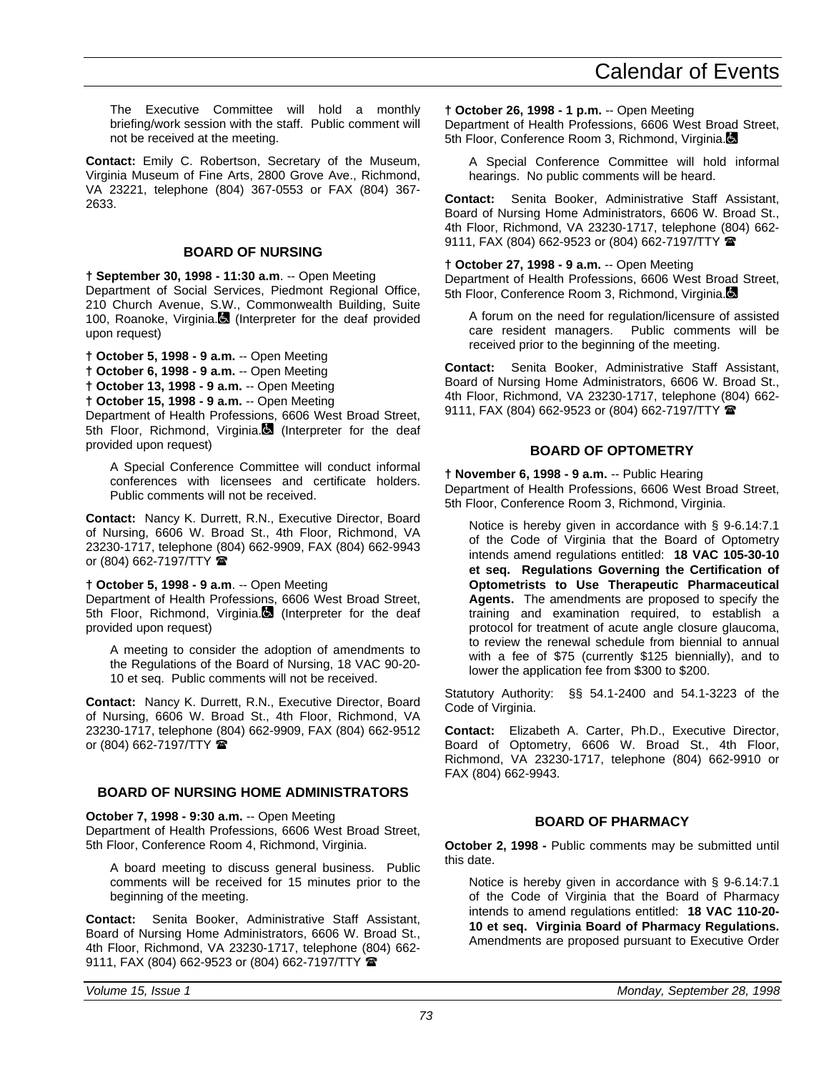The Executive Committee will hold a monthly briefing/work session with the staff. Public comment will not be received at the meeting.

**Contact:** Emily C. Robertson, Secretary of the Museum, Virginia Museum of Fine Arts, 2800 Grove Ave., Richmond, VA 23221, telephone (804) 367-0553 or FAX (804) 367- 2633.

#### **BOARD OF NURSING**

**† September 30, 1998 - 11:30 a.m**. -- Open Meeting Department of Social Services, Piedmont Regional Office, 210 Church Avenue, S.W., Commonwealth Building, Suite 100, Roanoke, Virginia. (Interpreter for the deaf provided upon request)

**† October 5, 1998 - 9 a.m.** -- Open Meeting

**† October 6, 1998 - 9 a.m.** -- Open Meeting

**† October 13, 1998 - 9 a.m.** -- Open Meeting

**† October 15, 1998 - 9 a.m.** -- Open Meeting

Department of Health Professions, 6606 West Broad Street, 5th Floor, Richmond, Virginia. (Interpreter for the deaf provided upon request)

A Special Conference Committee will conduct informal conferences with licensees and certificate holders. Public comments will not be received.

**Contact:** Nancy K. Durrett, R.N., Executive Director, Board of Nursing, 6606 W. Broad St., 4th Floor, Richmond, VA 23230-1717, telephone (804) 662-9909, FAX (804) 662-9943 or (804) 662-7197/TTY  $\mathbf{\mathcal{F}}$ 

#### **† October 5, 1998 - 9 a.m**. -- Open Meeting

Department of Health Professions, 6606 West Broad Street, 5th Floor, Richmond, Virginia. (Interpreter for the deaf provided upon request)

A meeting to consider the adoption of amendments to the Regulations of the Board of Nursing, 18 VAC 90-20- 10 et seq. Public comments will not be received.

**Contact:** Nancy K. Durrett, R.N., Executive Director, Board of Nursing, 6606 W. Broad St., 4th Floor, Richmond, VA 23230-1717, telephone (804) 662-9909, FAX (804) 662-9512 or (804) 662-7197/TTY

#### **BOARD OF NURSING HOME ADMINISTRATORS**

**October 7, 1998 - 9:30 a.m.** -- Open Meeting Department of Health Professions, 6606 West Broad Street, 5th Floor, Conference Room 4, Richmond, Virginia.

A board meeting to discuss general business. Public comments will be received for 15 minutes prior to the beginning of the meeting.

**Contact:** Senita Booker, Administrative Staff Assistant, Board of Nursing Home Administrators, 6606 W. Broad St., 4th Floor, Richmond, VA 23230-1717, telephone (804) 662- 9111, FAX (804) 662-9523 or (804) 662-7197/TTY  $\blacksquare$ 

**† October 26, 1998 - 1 p.m.** -- Open Meeting Department of Health Professions, 6606 West Broad Street, 5th Floor, Conference Room 3, Richmond, Virginia.

A Special Conference Committee will hold informal hearings. No public comments will be heard.

**Contact:** Senita Booker, Administrative Staff Assistant, Board of Nursing Home Administrators, 6606 W. Broad St., 4th Floor, Richmond, VA 23230-1717, telephone (804) 662- 9111, FAX (804) 662-9523 or (804) 662-7197/TTY 全

**† October 27, 1998 - 9 a.m.** -- Open Meeting Department of Health Professions, 6606 West Broad Street, 5th Floor, Conference Room 3, Richmond, Virginia.

A forum on the need for regulation/licensure of assisted care resident managers. Public comments will be received prior to the beginning of the meeting.

**Contact:** Senita Booker, Administrative Staff Assistant, Board of Nursing Home Administrators, 6606 W. Broad St., 4th Floor, Richmond, VA 23230-1717, telephone (804) 662- 9111, FAX (804) 662-9523 or (804) 662-7197/TTY <sup>金</sup>

#### **BOARD OF OPTOMETRY**

**† November 6, 1998 - 9 a.m.** -- Public Hearing Department of Health Professions, 6606 West Broad Street, 5th Floor, Conference Room 3, Richmond, Virginia.

Notice is hereby given in accordance with § 9-6.14:7.1 of the Code of Virginia that the Board of Optometry intends amend regulations entitled: **18 VAC 105-30-10 et seq. Regulations Governing the Certification of Optometrists to Use Therapeutic Pharmaceutical Agents.** The amendments are proposed to specify the training and examination required, to establish a protocol for treatment of acute angle closure glaucoma, to review the renewal schedule from biennial to annual with a fee of \$75 (currently \$125 biennially), and to lower the application fee from \$300 to \$200.

Statutory Authority: §§ 54.1-2400 and 54.1-3223 of the Code of Virginia.

**Contact:** Elizabeth A. Carter, Ph.D., Executive Director, Board of Optometry, 6606 W. Broad St., 4th Floor, Richmond, VA 23230-1717, telephone (804) 662-9910 or FAX (804) 662-9943.

#### **BOARD OF PHARMACY**

**October 2, 1998 -** Public comments may be submitted until this date.

Notice is hereby given in accordance with § 9-6.14:7.1 of the Code of Virginia that the Board of Pharmacy intends to amend regulations entitled: **18 VAC 110-20- 10 et seq. Virginia Board of Pharmacy Regulations.** Amendments are proposed pursuant to Executive Order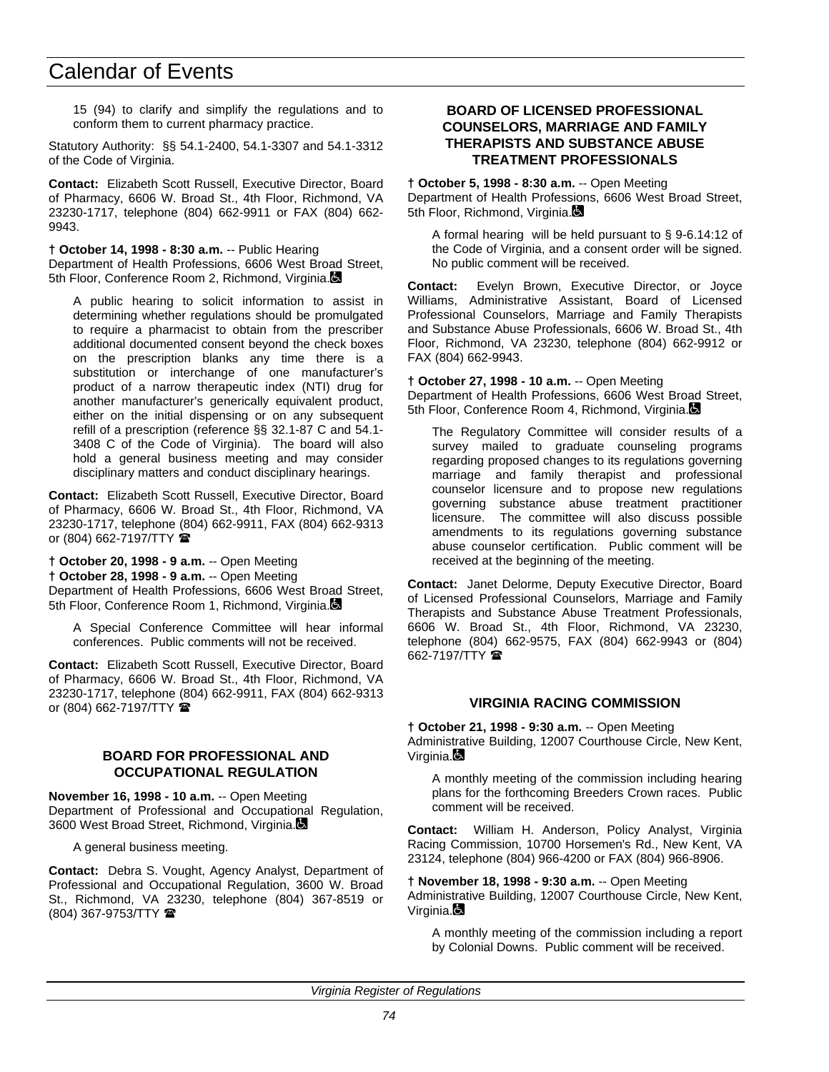15 (94) to clarify and simplify the regulations and to conform them to current pharmacy practice.

Statutory Authority: §§ 54.1-2400, 54.1-3307 and 54.1-3312 of the Code of Virginia.

**Contact:** Elizabeth Scott Russell, Executive Director, Board of Pharmacy, 6606 W. Broad St., 4th Floor, Richmond, VA 23230-1717, telephone (804) 662-9911 or FAX (804) 662- 9943.

**† October 14, 1998 - 8:30 a.m.** -- Public Hearing Department of Health Professions, 6606 West Broad Street, 5th Floor, Conference Room 2, Richmond, Virginia.

A public hearing to solicit information to assist in determining whether regulations should be promulgated to require a pharmacist to obtain from the prescriber additional documented consent beyond the check boxes on the prescription blanks any time there is a substitution or interchange of one manufacturer's product of a narrow therapeutic index (NTI) drug for another manufacturer's generically equivalent product, either on the initial dispensing or on any subsequent refill of a prescription (reference §§ 32.1-87 C and 54.1- 3408 C of the Code of Virginia). The board will also hold a general business meeting and may consider disciplinary matters and conduct disciplinary hearings.

**Contact:** Elizabeth Scott Russell, Executive Director, Board of Pharmacy, 6606 W. Broad St., 4th Floor, Richmond, VA 23230-1717, telephone (804) 662-9911, FAX (804) 662-9313 or (804) 662-7197/TTY  $\hat{\mathbf{z}}$ 

**† October 20, 1998 - 9 a.m.** -- Open Meeting

**† October 28, 1998 - 9 a.m.** -- Open Meeting

Department of Health Professions, 6606 West Broad Street, 5th Floor, Conference Room 1, Richmond, Virginia.

A Special Conference Committee will hear informal conferences. Public comments will not be received.

**Contact:** Elizabeth Scott Russell, Executive Director, Board of Pharmacy, 6606 W. Broad St., 4th Floor, Richmond, VA 23230-1717, telephone (804) 662-9911, FAX (804) 662-9313 or (804) 662-7197/TTY  $\blacksquare$ 

#### **BOARD FOR PROFESSIONAL AND OCCUPATIONAL REGULATION**

**November 16, 1998 - 10 a.m.** -- Open Meeting Department of Professional and Occupational Regulation, 3600 West Broad Street, Richmond, Virginia.

A general business meeting.

**Contact:** Debra S. Vought, Agency Analyst, Department of Professional and Occupational Regulation, 3600 W. Broad St., Richmond, VA 23230, telephone (804) 367-8519 or (804) 367-9753/TTY (

#### **BOARD OF LICENSED PROFESSIONAL COUNSELORS, MARRIAGE AND FAMILY THERAPISTS AND SUBSTANCE ABUSE TREATMENT PROFESSIONALS**

**† October 5, 1998 - 8:30 a.m.** -- Open Meeting Department of Health Professions, 6606 West Broad Street, 5th Floor, Richmond, Virginia.

A formal hearing will be held pursuant to § 9-6.14:12 of the Code of Virginia, and a consent order will be signed. No public comment will be received.

**Contact:** Evelyn Brown, Executive Director, or Joyce Williams, Administrative Assistant, Board of Licensed Professional Counselors, Marriage and Family Therapists and Substance Abuse Professionals, 6606 W. Broad St., 4th Floor, Richmond, VA 23230, telephone (804) 662-9912 or FAX (804) 662-9943.

**† October 27, 1998 - 10 a.m.** -- Open Meeting Department of Health Professions, 6606 West Broad Street, 5th Floor, Conference Room 4, Richmond, Virginia.

The Regulatory Committee will consider results of a survey mailed to graduate counseling programs regarding proposed changes to its regulations governing marriage and family therapist and professional counselor licensure and to propose new regulations governing substance abuse treatment practitioner licensure. The committee will also discuss possible amendments to its regulations governing substance abuse counselor certification. Public comment will be received at the beginning of the meeting.

**Contact:** Janet Delorme, Deputy Executive Director, Board of Licensed Professional Counselors, Marriage and Family Therapists and Substance Abuse Treatment Professionals, 6606 W. Broad St., 4th Floor, Richmond, VA 23230, telephone (804) 662-9575, FAX (804) 662-9943 or (804) 662-7197/TTY (

#### **VIRGINIA RACING COMMISSION**

**† October 21, 1998 - 9:30 a.m.** -- Open Meeting Administrative Building, 12007 Courthouse Circle, New Kent, Virginia.

A monthly meeting of the commission including hearing plans for the forthcoming Breeders Crown races. Public comment will be received.

**Contact:** William H. Anderson, Policy Analyst, Virginia Racing Commission, 10700 Horsemen's Rd., New Kent, VA 23124, telephone (804) 966-4200 or FAX (804) 966-8906.

**† November 18, 1998 - 9:30 a.m.** -- Open Meeting Administrative Building, 12007 Courthouse Circle, New Kent, Virginia.

A monthly meeting of the commission including a report by Colonial Downs. Public comment will be received.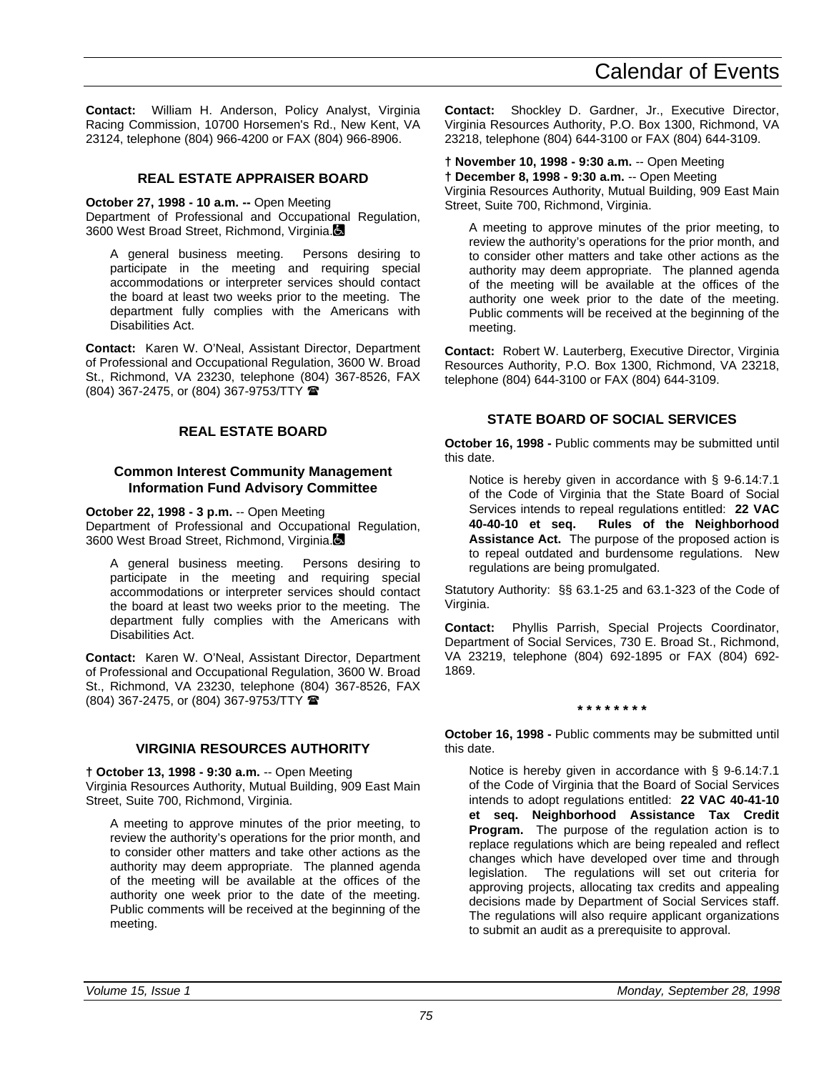**Contact:** William H. Anderson, Policy Analyst, Virginia Racing Commission, 10700 Horsemen's Rd., New Kent, VA 23124, telephone (804) 966-4200 or FAX (804) 966-8906.

### **REAL ESTATE APPRAISER BOARD**

**October 27, 1998 - 10 a.m. --** Open Meeting

Department of Professional and Occupational Regulation, 3600 West Broad Street, Richmond, Virginia.

A general business meeting. Persons desiring to participate in the meeting and requiring special accommodations or interpreter services should contact the board at least two weeks prior to the meeting. The department fully complies with the Americans with Disabilities Act.

**Contact:** Karen W. O'Neal, Assistant Director, Department of Professional and Occupational Regulation, 3600 W. Broad St., Richmond, VA 23230, telephone (804) 367-8526, FAX (804) 367-2475, or (804) 367-9753/TTY (

#### **REAL ESTATE BOARD**

#### **Common Interest Community Management Information Fund Advisory Committee**

#### **October 22, 1998 - 3 p.m.** -- Open Meeting

Department of Professional and Occupational Regulation, 3600 West Broad Street, Richmond, Virginia.

A general business meeting. Persons desiring to participate in the meeting and requiring special accommodations or interpreter services should contact the board at least two weeks prior to the meeting. The department fully complies with the Americans with Disabilities Act.

**Contact:** Karen W. O'Neal, Assistant Director, Department of Professional and Occupational Regulation, 3600 W. Broad St., Richmond, VA 23230, telephone (804) 367-8526, FAX (804) 367-2475, or (804) 367-9753/TTY (

#### **VIRGINIA RESOURCES AUTHORITY**

**† October 13, 1998 - 9:30 a.m.** -- Open Meeting Virginia Resources Authority, Mutual Building, 909 East Main Street, Suite 700, Richmond, Virginia.

A meeting to approve minutes of the prior meeting, to review the authority's operations for the prior month, and to consider other matters and take other actions as the authority may deem appropriate. The planned agenda of the meeting will be available at the offices of the authority one week prior to the date of the meeting. Public comments will be received at the beginning of the meeting.

**Contact:** Shockley D. Gardner, Jr., Executive Director, Virginia Resources Authority, P.O. Box 1300, Richmond, VA 23218, telephone (804) 644-3100 or FAX (804) 644-3109.

**† November 10, 1998 - 9:30 a.m.** -- Open Meeting **† December 8, 1998 - 9:30 a.m.** -- Open Meeting Virginia Resources Authority, Mutual Building, 909 East Main Street, Suite 700, Richmond, Virginia.

A meeting to approve minutes of the prior meeting, to review the authority's operations for the prior month, and to consider other matters and take other actions as the authority may deem appropriate. The planned agenda of the meeting will be available at the offices of the authority one week prior to the date of the meeting. Public comments will be received at the beginning of the meeting.

**Contact:** Robert W. Lauterberg, Executive Director, Virginia Resources Authority, P.O. Box 1300, Richmond, VA 23218, telephone (804) 644-3100 or FAX (804) 644-3109.

#### **STATE BOARD OF SOCIAL SERVICES**

**October 16, 1998 -** Public comments may be submitted until this date.

Notice is hereby given in accordance with § 9-6.14:7.1 of the Code of Virginia that the State Board of Social Services intends to repeal regulations entitled: **22 VAC Rules of the Neighborhood Assistance Act.** The purpose of the proposed action is to repeal outdated and burdensome regulations. New regulations are being promulgated.

Statutory Authority: §§ 63.1-25 and 63.1-323 of the Code of Virginia.

**Contact:** Phyllis Parrish, Special Projects Coordinator, Department of Social Services, 730 E. Broad St., Richmond, VA 23219, telephone (804) 692-1895 or FAX (804) 692- 1869.

#### **\* \* \* \* \* \* \* \***

**October 16, 1998 -** Public comments may be submitted until this date.

Notice is hereby given in accordance with § 9-6.14:7.1 of the Code of Virginia that the Board of Social Services intends to adopt regulations entitled: **22 VAC 40-41-10 et seq. Neighborhood Assistance Tax Credit Program.** The purpose of the regulation action is to replace regulations which are being repealed and reflect changes which have developed over time and through legislation. The regulations will set out criteria for approving projects, allocating tax credits and appealing decisions made by Department of Social Services staff. The regulations will also require applicant organizations to submit an audit as a prerequisite to approval.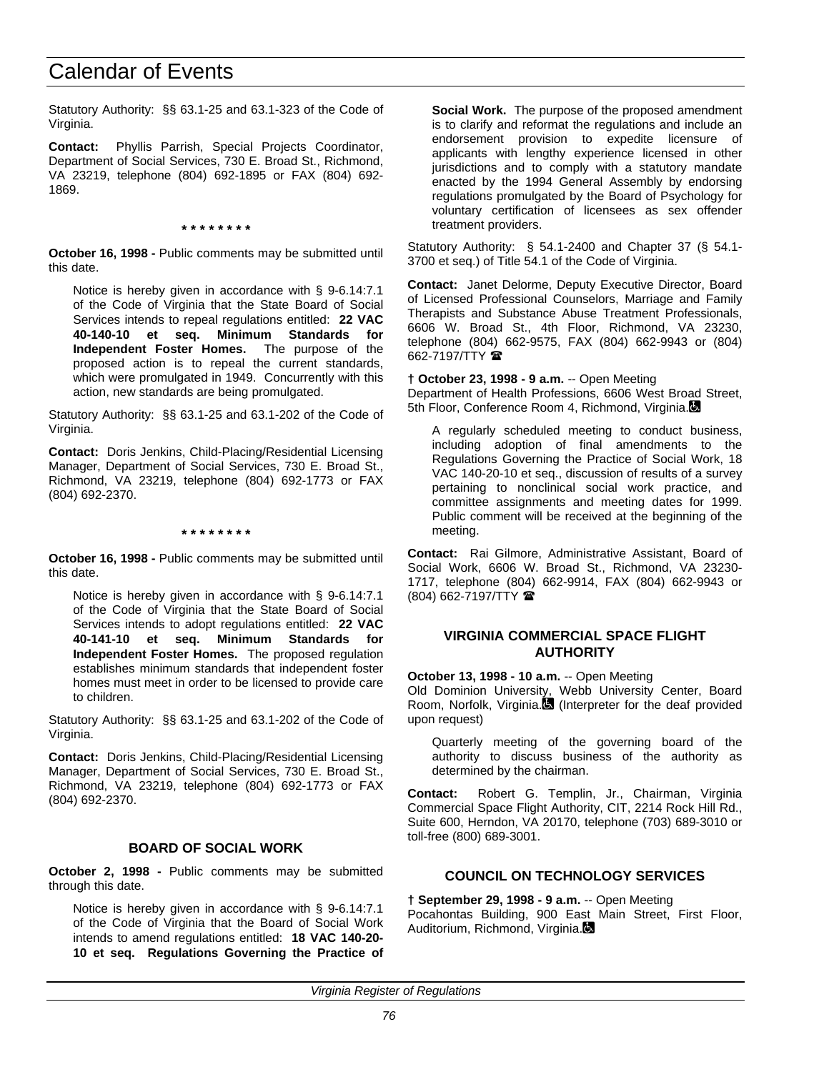Statutory Authority: §§ 63.1-25 and 63.1-323 of the Code of Virginia.

**Contact:** Phyllis Parrish, Special Projects Coordinator, Department of Social Services, 730 E. Broad St., Richmond, VA 23219, telephone (804) 692-1895 or FAX (804) 692- 1869.

**\* \* \* \* \* \* \* \***

**October 16, 1998 -** Public comments may be submitted until this date.

Notice is hereby given in accordance with § 9-6.14:7.1 of the Code of Virginia that the State Board of Social Services intends to repeal regulations entitled: **22 VAC 40-140-10 et seq. Minimum Standards for Independent Foster Homes.** proposed action is to repeal the current standards, which were promulgated in 1949. Concurrently with this action, new standards are being promulgated.

Statutory Authority: §§ 63.1-25 and 63.1-202 of the Code of Virginia.

**Contact:** Doris Jenkins, Child-Placing/Residential Licensing Manager, Department of Social Services, 730 E. Broad St., Richmond, VA 23219, telephone (804) 692-1773 or FAX (804) 692-2370.

**\* \* \* \* \* \* \* \***

**October 16, 1998 -** Public comments may be submitted until this date.

Notice is hereby given in accordance with § 9-6.14:7.1 of the Code of Virginia that the State Board of Social Services intends to adopt regulations entitled: **22 VAC 40-141-10 et seq. Minimum Standards for Independent Foster Homes.** The proposed regulation establishes minimum standards that independent foster homes must meet in order to be licensed to provide care to children.

Statutory Authority: §§ 63.1-25 and 63.1-202 of the Code of Virginia.

**Contact:** Doris Jenkins, Child-Placing/Residential Licensing Manager, Department of Social Services, 730 E. Broad St., Richmond, VA 23219, telephone (804) 692-1773 or FAX (804) 692-2370.

#### **BOARD OF SOCIAL WORK**

**October 2, 1998 -** Public comments may be submitted through this date.

Notice is hereby given in accordance with § 9-6.14:7.1 of the Code of Virginia that the Board of Social Work intends to amend regulations entitled: **18 VAC 140-20- 10 et seq. Regulations Governing the Practice of** **Social Work.** The purpose of the proposed amendment is to clarify and reformat the regulations and include an endorsement provision to expedite licensure of applicants with lengthy experience licensed in other jurisdictions and to comply with a statutory mandate enacted by the 1994 General Assembly by endorsing regulations promulgated by the Board of Psychology for voluntary certification of licensees as sex offender treatment providers.

Statutory Authority: § 54.1-2400 and Chapter 37 (§ 54.1- 3700 et seq.) of Title 54.1 of the Code of Virginia.

**Contact:** Janet Delorme, Deputy Executive Director, Board of Licensed Professional Counselors, Marriage and Family Therapists and Substance Abuse Treatment Professionals, 6606 W. Broad St., 4th Floor, Richmond, VA 23230, telephone (804) 662-9575, FAX (804) 662-9943 or (804) 662-7197/TTY <sup>全</sup>

**† October 23, 1998 - 9 a.m.** -- Open Meeting

Department of Health Professions, 6606 West Broad Street, 5th Floor, Conference Room 4, Richmond, Virginia.

A regularly scheduled meeting to conduct business, including adoption of final amendments to the Regulations Governing the Practice of Social Work, 18 VAC 140-20-10 et seq., discussion of results of a survey pertaining to nonclinical social work practice, and committee assignments and meeting dates for 1999. Public comment will be received at the beginning of the meeting.

**Contact:** Rai Gilmore, Administrative Assistant, Board of Social Work, 6606 W. Broad St., Richmond, VA 23230- 1717, telephone (804) 662-9914, FAX (804) 662-9943 or (804) 662-7197/TTY (

#### **VIRGINIA COMMERCIAL SPACE FLIGHT AUTHORITY**

**October 13, 1998 - 10 a.m.** -- Open Meeting Old Dominion University, Webb University Center, Board Room, Norfolk, Virginia. (Interpreter for the deaf provided upon request)

Quarterly meeting of the governing board of the authority to discuss business of the authority as determined by the chairman.

**Contact:** Robert G. Templin, Jr., Chairman, Virginia Commercial Space Flight Authority, CIT, 2214 Rock Hill Rd., Suite 600, Herndon, VA 20170, telephone (703) 689-3010 or toll-free (800) 689-3001.

#### **COUNCIL ON TECHNOLOGY SERVICES**

**† September 29, 1998 - 9 a.m.** -- Open Meeting Pocahontas Building, 900 East Main Street, First Floor, Auditorium, Richmond, Virginia.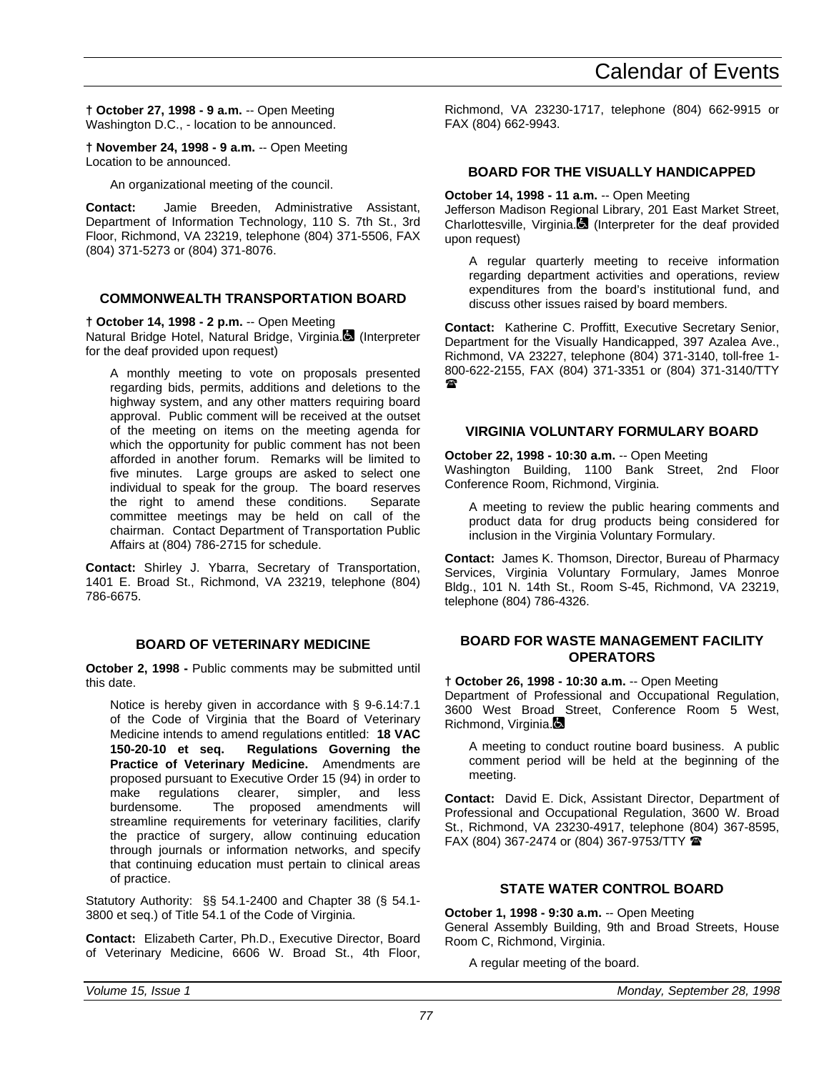**† October 27, 1998 - 9 a.m.** -- Open Meeting Washington D.C., - location to be announced.

**† November 24, 1998 - 9 a.m.** -- Open Meeting Location to be announced.

An organizational meeting of the council.

**Contact:** Jamie Breeden, Administrative Assistant, Department of Information Technology, 110 S. 7th St., 3rd Floor, Richmond, VA 23219, telephone (804) 371-5506, FAX (804) 371-5273 or (804) 371-8076.

### **COMMONWEALTH TRANSPORTATION BOARD**

**† October 14, 1998 - 2 p.m.** -- Open Meeting

Natural Bridge Hotel, Natural Bridge, Virginia. (Interpreter for the deaf provided upon request)

A monthly meeting to vote on proposals presented regarding bids, permits, additions and deletions to the highway system, and any other matters requiring board approval. Public comment will be received at the outset of the meeting on items on the meeting agenda for which the opportunity for public comment has not been afforded in another forum. Remarks will be limited to five minutes. Large groups are asked to select one individual to speak for the group. The board reserves<br>the right to amend these conditions. Separate the right to amend these conditions. committee meetings may be held on call of the chairman. Contact Department of Transportation Public Affairs at (804) 786-2715 for schedule.

**Contact:** Shirley J. Ybarra, Secretary of Transportation, 1401 E. Broad St., Richmond, VA 23219, telephone (804) 786-6675.

### **BOARD OF VETERINARY MEDICINE**

**October 2, 1998 -** Public comments may be submitted until this date.

Notice is hereby given in accordance with § 9-6.14:7.1 of the Code of Virginia that the Board of Veterinary Medicine intends to amend regulations entitled: **18 VAC 150-20-10 et seq. Regulations Governing the Practice of Veterinary Medicine.** Amendments are proposed pursuant to Executive Order 15 (94) in order to make regulations clearer, simpler, and less burdensome. The proposed amendments will streamline requirements for veterinary facilities, clarify the practice of surgery, allow continuing education through journals or information networks, and specify that continuing education must pertain to clinical areas of practice.

Statutory Authority: §§ 54.1-2400 and Chapter 38 (§ 54.1- 3800 et seq.) of Title 54.1 of the Code of Virginia.

**Contact:** Elizabeth Carter, Ph.D., Executive Director, Board of Veterinary Medicine, 6606 W. Broad St., 4th Floor, Richmond, VA 23230-1717, telephone (804) 662-9915 or FAX (804) 662-9943.

## **BOARD FOR THE VISUALLY HANDICAPPED**

### **October 14, 1998 - 11 a.m.** -- Open Meeting

Jefferson Madison Regional Library, 201 East Market Street, Charlottesville, Virginia. $\blacksquare$  (Interpreter for the deaf provided upon request)

A regular quarterly meeting to receive information regarding department activities and operations, review expenditures from the board's institutional fund, and discuss other issues raised by board members.

**Contact:** Katherine C. Proffitt, Executive Secretary Senior, Department for the Visually Handicapped, 397 Azalea Ave., Richmond, VA 23227, telephone (804) 371-3140, toll-free 1- 800-622-2155, FAX (804) 371-3351 or (804) 371-3140/TTY  $\mathbf{r}$ 

## **VIRGINIA VOLUNTARY FORMULARY BOARD**

**October 22, 1998 - 10:30 a.m.** -- Open Meeting Washington Building, 1100 Bank Street, 2nd Floor Conference Room, Richmond, Virginia.

A meeting to review the public hearing comments and product data for drug products being considered for inclusion in the Virginia Voluntary Formulary.

**Contact:** James K. Thomson, Director, Bureau of Pharmacy Services, Virginia Voluntary Formulary, James Monroe Bldg., 101 N. 14th St., Room S-45, Richmond, VA 23219, telephone (804) 786-4326.

#### **BOARD FOR WASTE MANAGEMENT FACILITY OPERATORS**

**† October 26, 1998 - 10:30 a.m.** -- Open Meeting

Department of Professional and Occupational Regulation, 3600 West Broad Street, Conference Room 5 West, Richmond, Virginia.

A meeting to conduct routine board business. A public comment period will be held at the beginning of the meeting.

**Contact:** David E. Dick, Assistant Director, Department of Professional and Occupational Regulation, 3600 W. Broad St., Richmond, VA 23230-4917, telephone (804) 367-8595, FAX (804) 367-2474 or (804) 367-9753/TTY  $\blacksquare$ 

## **STATE WATER CONTROL BOARD**

**October 1, 1998 - 9:30 a.m.** -- Open Meeting General Assembly Building, 9th and Broad Streets, House Room C, Richmond, Virginia.

A regular meeting of the board.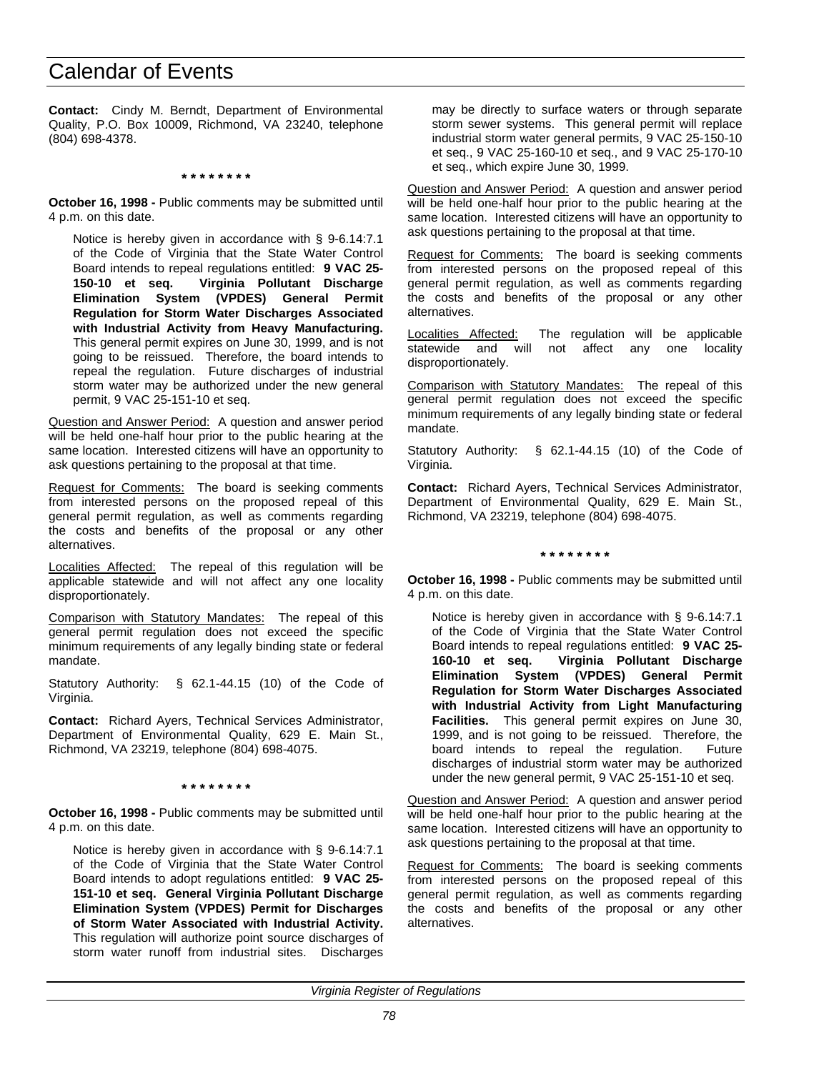**Contact:** Cindy M. Berndt, Department of Environmental Quality, P.O. Box 10009, Richmond, VA 23240, telephone (804) 698-4378.

**\* \* \* \* \* \* \* \***

**October 16, 1998 -** Public comments may be submitted until 4 p.m. on this date.

Notice is hereby given in accordance with § 9-6.14:7.1 of the Code of Virginia that the State Water Control Board intends to repeal regulations entitled: **9 VAC 25- 150-10 et seq. Virginia Pollutant Discharge Elimination System (VPDES) General Permit Regulation for Storm Water Discharges Associated with Industrial Activity from Heavy Manufacturing.** This general permit expires on June 30, 1999, and is not going to be reissued. Therefore, the board intends to repeal the regulation. Future discharges of industrial storm water may be authorized under the new general permit, 9 VAC 25-151-10 et seq.

Question and Answer Period: A question and answer period will be held one-half hour prior to the public hearing at the same location. Interested citizens will have an opportunity to ask questions pertaining to the proposal at that time.

Request for Comments: The board is seeking comments from interested persons on the proposed repeal of this general permit regulation, as well as comments regarding the costs and benefits of the proposal or any other alternatives.

Localities Affected: The repeal of this regulation will be applicable statewide and will not affect any one locality disproportionately.

Comparison with Statutory Mandates: The repeal of this general permit regulation does not exceed the specific minimum requirements of any legally binding state or federal mandate.

Statutory Authority: § 62.1-44.15 (10) of the Code of Virginia.

**Contact:** Richard Ayers, Technical Services Administrator, Department of Environmental Quality, 629 E. Main St., Richmond, VA 23219, telephone (804) 698-4075.

**\* \* \* \* \* \* \* \***

**October 16, 1998 -** Public comments may be submitted until 4 p.m. on this date.

Notice is hereby given in accordance with § 9-6.14:7.1 of the Code of Virginia that the State Water Control Board intends to adopt regulations entitled: **9 VAC 25- 151-10 et seq. General Virginia Pollutant Discharge Elimination System (VPDES) Permit for Discharges of Storm Water Associated with Industrial Activity.** This regulation will authorize point source discharges of storm water runoff from industrial sites. Discharges may be directly to surface waters or through separate storm sewer systems. This general permit will replace industrial storm water general permits, 9 VAC 25-150-10 et seq., 9 VAC 25-160-10 et seq., and 9 VAC 25-170-10 et seq., which expire June 30, 1999.

Question and Answer Period: A question and answer period will be held one-half hour prior to the public hearing at the same location. Interested citizens will have an opportunity to ask questions pertaining to the proposal at that time.

Request for Comments: The board is seeking comments from interested persons on the proposed repeal of this general permit regulation, as well as comments regarding the costs and benefits of the proposal or any other alternatives.

Localities Affected: The regulation will be applicable statewide and will not affect any one locality disproportionately.

Comparison with Statutory Mandates: The repeal of this general permit regulation does not exceed the specific minimum requirements of any legally binding state or federal mandate.

Statutory Authority: § 62.1-44.15 (10) of the Code of Virginia.

**Contact:** Richard Ayers, Technical Services Administrator, Department of Environmental Quality, 629 E. Main St., Richmond, VA 23219, telephone (804) 698-4075.

#### **\* \* \* \* \* \* \* \***

**October 16, 1998 -** Public comments may be submitted until 4 p.m. on this date.

Notice is hereby given in accordance with § 9-6.14:7.1 of the Code of Virginia that the State Water Control Board intends to repeal regulations entitled: **9 VAC 25- 160-10 et seq. Virginia Pollutant Discharge Elimination System (VPDES) General Permit Regulation for Storm Water Discharges Associated with Industrial Activity from Light Manufacturing Facilities.** This general permit expires on June 30, 1999, and is not going to be reissued. Therefore, the board intends to repeal the regulation. Future discharges of industrial storm water may be authorized under the new general permit, 9 VAC 25-151-10 et seq.

Question and Answer Period: A question and answer period will be held one-half hour prior to the public hearing at the same location. Interested citizens will have an opportunity to ask questions pertaining to the proposal at that time.

Request for Comments: The board is seeking comments from interested persons on the proposed repeal of this general permit regulation, as well as comments regarding the costs and benefits of the proposal or any other alternatives.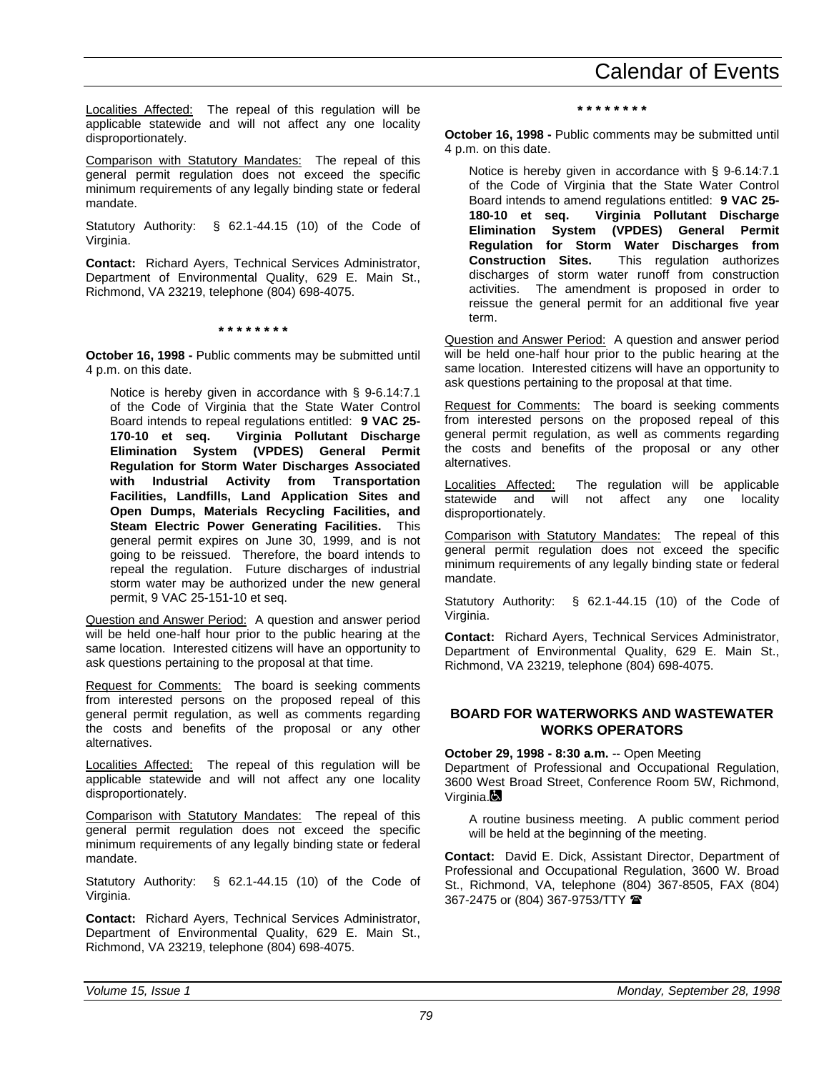Localities Affected: The repeal of this regulation will be applicable statewide and will not affect any one locality disproportionately.

Comparison with Statutory Mandates: The repeal of this general permit regulation does not exceed the specific minimum requirements of any legally binding state or federal mandate.

Statutory Authority: § 62.1-44.15 (10) of the Code of Virginia.

**Contact:** Richard Ayers, Technical Services Administrator, Department of Environmental Quality, 629 E. Main St., Richmond, VA 23219, telephone (804) 698-4075.

**\* \* \* \* \* \* \* \***

**October 16, 1998 -** Public comments may be submitted until 4 p.m. on this date.

Notice is hereby given in accordance with § 9-6.14:7.1 of the Code of Virginia that the State Water Control Board intends to repeal regulations entitled: **9 VAC 25- 170-10 et seq. Virginia Pollutant Discharge Elimination System (VPDES) General Permit Regulation for Storm Water Discharges Associated with Industrial Activity from Transportation Facilities, Landfills, Land Application Sites and Open Dumps, Materials Recycling Facilities, and Steam Electric Power Generating Facilities.** This general permit expires on June 30, 1999, and is not going to be reissued. Therefore, the board intends to repeal the regulation. Future discharges of industrial storm water may be authorized under the new general permit, 9 VAC 25-151-10 et seq.

Question and Answer Period: A question and answer period will be held one-half hour prior to the public hearing at the same location. Interested citizens will have an opportunity to ask questions pertaining to the proposal at that time.

Request for Comments: The board is seeking comments from interested persons on the proposed repeal of this general permit regulation, as well as comments regarding the costs and benefits of the proposal or any other alternatives.

Localities Affected: The repeal of this regulation will be applicable statewide and will not affect any one locality disproportionately.

Comparison with Statutory Mandates: The repeal of this general permit regulation does not exceed the specific minimum requirements of any legally binding state or federal mandate.

Statutory Authority: § 62.1-44.15 (10) of the Code of Virginia.

**Contact:** Richard Ayers, Technical Services Administrator, Department of Environmental Quality, 629 E. Main St., Richmond, VA 23219, telephone (804) 698-4075.

**\* \* \* \* \* \* \* \***

**October 16, 1998 -** Public comments may be submitted until 4 p.m. on this date.

Notice is hereby given in accordance with § 9-6.14:7.1 of the Code of Virginia that the State Water Control Board intends to amend regulations entitled: **9 VAC 25- 180-10 et seq. Virginia Pollutant Discharge Elimination System (VPDES) General Permit Regulation for Storm Water Discharges from Construction Sites.** This regulation authorizes discharges of storm water runoff from construction activities. The amendment is proposed in order to reissue the general permit for an additional five year term.

Question and Answer Period: A question and answer period will be held one-half hour prior to the public hearing at the same location. Interested citizens will have an opportunity to ask questions pertaining to the proposal at that time.

Request for Comments: The board is seeking comments from interested persons on the proposed repeal of this general permit regulation, as well as comments regarding the costs and benefits of the proposal or any other alternatives.

Localities Affected: The regulation will be applicable<br>statewide and will not affect any one locality will not affect any one locality disproportionately.

Comparison with Statutory Mandates: The repeal of this general permit regulation does not exceed the specific minimum requirements of any legally binding state or federal mandate.

Statutory Authority: § 62.1-44.15 (10) of the Code of Virginia.

**Contact:** Richard Ayers, Technical Services Administrator, Department of Environmental Quality, 629 E. Main St., Richmond, VA 23219, telephone (804) 698-4075.

#### **BOARD FOR WATERWORKS AND WASTEWATER WORKS OPERATORS**

**October 29, 1998 - 8:30 a.m.** -- Open Meeting

Department of Professional and Occupational Regulation, 3600 West Broad Street, Conference Room 5W, Richmond, Virginia.**Q** 

A routine business meeting. A public comment period will be held at the beginning of the meeting.

**Contact:** David E. Dick, Assistant Director, Department of Professional and Occupational Regulation, 3600 W. Broad St., Richmond, VA, telephone (804) 367-8505, FAX (804) 367-2475 or (804) 367-9753/TTY <sup>金</sup>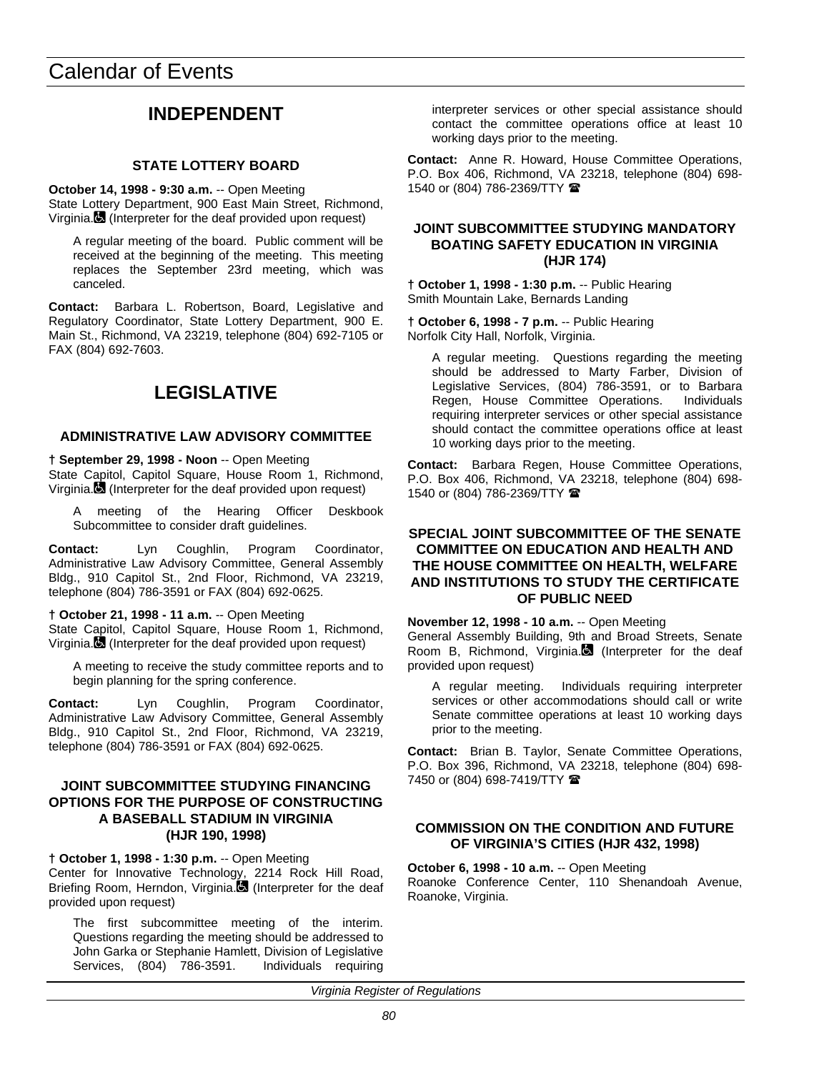# **INDEPENDENT**

#### **STATE LOTTERY BOARD**

**October 14, 1998 - 9:30 a.m.** -- Open Meeting State Lottery Department, 900 East Main Street, Richmond, Virginia. $\blacksquare$  (Interpreter for the deaf provided upon request)

A regular meeting of the board. Public comment will be received at the beginning of the meeting. This meeting replaces the September 23rd meeting, which was canceled.

**Contact:** Barbara L. Robertson, Board, Legislative and Regulatory Coordinator, State Lottery Department, 900 E. Main St., Richmond, VA 23219, telephone (804) 692-7105 or FAX (804) 692-7603.

# **LEGISLATIVE**

#### **ADMINISTRATIVE LAW ADVISORY COMMITTEE**

**† September 29, 1998 - Noon** -- Open Meeting State Capitol, Capitol Square, House Room 1, Richmond, Virginia. (Interpreter for the deaf provided upon request)

A meeting of the Hearing Officer Deskbook Subcommittee to consider draft guidelines.

**Contact:** Lyn Coughlin, Program Coordinator, Administrative Law Advisory Committee, General Assembly Bldg., 910 Capitol St., 2nd Floor, Richmond, VA 23219, telephone (804) 786-3591 or FAX (804) 692-0625.

**† October 21, 1998 - 11 a.m.** -- Open Meeting State Capitol, Capitol Square, House Room 1, Richmond, Virginia. (Interpreter for the deaf provided upon request)

A meeting to receive the study committee reports and to begin planning for the spring conference.

**Contact:** Lyn Coughlin, Program Coordinator, Administrative Law Advisory Committee, General Assembly Bldg., 910 Capitol St., 2nd Floor, Richmond, VA 23219, telephone (804) 786-3591 or FAX (804) 692-0625.

#### **JOINT SUBCOMMITTEE STUDYING FINANCING OPTIONS FOR THE PURPOSE OF CONSTRUCTING A BASEBALL STADIUM IN VIRGINIA (HJR 190, 1998)**

**† October 1, 1998 - 1:30 p.m.** -- Open Meeting

Center for Innovative Technology, 2214 Rock Hill Road, Briefing Room, Herndon, Virginia. (Interpreter for the deaf provided upon request)

The first subcommittee meeting of the interim. Questions regarding the meeting should be addressed to John Garka or Stephanie Hamlett, Division of Legislative Services, (804) 786-3591. Individuals requiring

interpreter services or other special assistance should contact the committee operations office at least 10 working days prior to the meeting.

**Contact:** Anne R. Howard, House Committee Operations, P.O. Box 406, Richmond, VA 23218, telephone (804) 698- 1540 or (804) 786-2369/TTY <sup>金</sup>

#### **JOINT SUBCOMMITTEE STUDYING MANDATORY BOATING SAFETY EDUCATION IN VIRGINIA (HJR 174)**

**† October 1, 1998 - 1:30 p.m.** -- Public Hearing Smith Mountain Lake, Bernards Landing

**† October 6, 1998 - 7 p.m.** -- Public Hearing Norfolk City Hall, Norfolk, Virginia.

A regular meeting. Questions regarding the meeting should be addressed to Marty Farber, Division of Legislative Services, (804) 786-3591, or to Barbara Regen, House Committee Operations. Individuals requiring interpreter services or other special assistance should contact the committee operations office at least 10 working days prior to the meeting.

**Contact:** Barbara Regen, House Committee Operations, P.O. Box 406, Richmond, VA 23218, telephone (804) 698- 1540 or (804) 786-2369/TTY <sup>金</sup>

#### **SPECIAL JOINT SUBCOMMITTEE OF THE SENATE COMMITTEE ON EDUCATION AND HEALTH AND THE HOUSE COMMITTEE ON HEALTH, WELFARE AND INSTITUTIONS TO STUDY THE CERTIFICATE OF PUBLIC NEED**

**November 12, 1998 - 10 a.m.** -- Open Meeting

General Assembly Building, 9th and Broad Streets, Senate Room B, Richmond, Virginia. (Interpreter for the deaf provided upon request)

A regular meeting. Individuals requiring interpreter services or other accommodations should call or write Senate committee operations at least 10 working days prior to the meeting.

**Contact:** Brian B. Taylor, Senate Committee Operations, P.O. Box 396, Richmond, VA 23218, telephone (804) 698- 7450 or (804) 698-7419/TTY <sup>金</sup>

#### **COMMISSION ON THE CONDITION AND FUTURE OF VIRGINIA'S CITIES (HJR 432, 1998)**

**October 6, 1998 - 10 a.m.** -- Open Meeting Roanoke Conference Center, 110 Shenandoah Avenue, Roanoke, Virginia.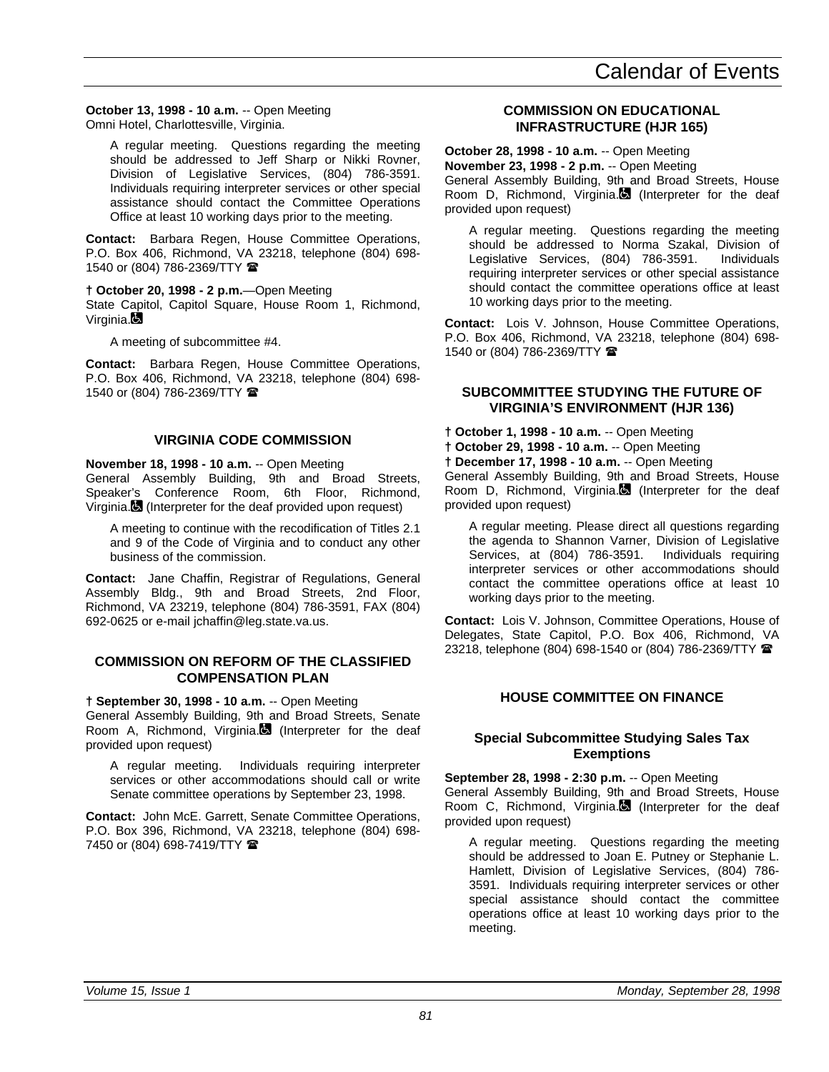**October 13, 1998 - 10 a.m.** -- Open Meeting Omni Hotel, Charlottesville, Virginia.

A regular meeting. Questions regarding the meeting should be addressed to Jeff Sharp or Nikki Rovner, Division of Legislative Services, (804) 786-3591. Individuals requiring interpreter services or other special assistance should contact the Committee Operations Office at least 10 working days prior to the meeting.

**Contact:** Barbara Regen, House Committee Operations, P.O. Box 406, Richmond, VA 23218, telephone (804) 698- 1540 or (804) 786-2369/TTY <sup>金</sup>

**† October 20, 1998 - 2 p.m.**—Open Meeting

State Capitol, Capitol Square, House Room 1, Richmond, Virginia.

A meeting of subcommittee #4.

**Contact:** Barbara Regen, House Committee Operations, P.O. Box 406, Richmond, VA 23218, telephone (804) 698- 1540 or (804) 786-2369/TTY <sup>2</sup>

#### **VIRGINIA CODE COMMISSION**

**November 18, 1998 - 10 a.m.** -- Open Meeting

General Assembly Building, 9th and Broad Streets, Speaker's Conference Room, 6th Floor, Richmond, Virginia. (Interpreter for the deaf provided upon request)

A meeting to continue with the recodification of Titles 2.1 and 9 of the Code of Virginia and to conduct any other business of the commission.

**Contact:** Jane Chaffin, Registrar of Regulations, General Assembly Bldg., 9th and Broad Streets, 2nd Floor, Richmond, VA 23219, telephone (804) 786-3591, FAX (804) 692-0625 or e-mail jchaffin@leg.state.va.us.

#### **COMMISSION ON REFORM OF THE CLASSIFIED COMPENSATION PLAN**

**† September 30, 1998 - 10 a.m.** -- Open Meeting General Assembly Building, 9th and Broad Streets, Senate Room A, Richmond, Virginia. (Interpreter for the deaf provided upon request)

A regular meeting. Individuals requiring interpreter services or other accommodations should call or write Senate committee operations by September 23, 1998.

**Contact:** John McE. Garrett, Senate Committee Operations, P.O. Box 396, Richmond, VA 23218, telephone (804) 698- 7450 or (804) 698-7419/TTY  $\blacksquare$ 

#### **COMMISSION ON EDUCATIONAL INFRASTRUCTURE (HJR 165)**

**October 28, 1998 - 10 a.m.** -- Open Meeting **November 23, 1998 - 2 p.m.** -- Open Meeting General Assembly Building, 9th and Broad Streets, House Room D, Richmond, Virginia.<sup>1</sup> (Interpreter for the deaf provided upon request)

A regular meeting. Questions regarding the meeting should be addressed to Norma Szakal, Division of Legislative Services, (804) 786-3591. Individuals requiring interpreter services or other special assistance should contact the committee operations office at least 10 working days prior to the meeting.

**Contact:** Lois V. Johnson, House Committee Operations, P.O. Box 406, Richmond, VA 23218, telephone (804) 698- 1540 or (804) 786-2369/TTY  $\blacksquare$ 

#### **SUBCOMMITTEE STUDYING THE FUTURE OF VIRGINIA'S ENVIRONMENT (HJR 136)**

**† October 1, 1998 - 10 a.m.** -- Open Meeting

**† October 29, 1998 - 10 a.m.** -- Open Meeting

**† December 17, 1998 - 10 a.m.** -- Open Meeting

General Assembly Building, 9th and Broad Streets, House Room D, Richmond, Virginia.<sup>1</sup> (Interpreter for the deaf provided upon request)

A regular meeting. Please direct all questions regarding the agenda to Shannon Varner, Division of Legislative Services, at (804) 786-3591. Individuals requiring interpreter services or other accommodations should contact the committee operations office at least 10 working days prior to the meeting.

**Contact:** Lois V. Johnson, Committee Operations, House of Delegates, State Capitol, P.O. Box 406, Richmond, VA 23218, telephone (804) 698-1540 or (804) 786-2369/TTY <sup>2</sup>

#### **HOUSE COMMITTEE ON FINANCE**

#### **Special Subcommittee Studying Sales Tax Exemptions**

**September 28, 1998 - 2:30 p.m.** -- Open Meeting General Assembly Building, 9th and Broad Streets, House Room C, Richmond, Virginia. (Interpreter for the deaf provided upon request)

A regular meeting. Questions regarding the meeting should be addressed to Joan E. Putney or Stephanie L. Hamlett, Division of Legislative Services, (804) 786- 3591. Individuals requiring interpreter services or other special assistance should contact the committee operations office at least 10 working days prior to the meeting.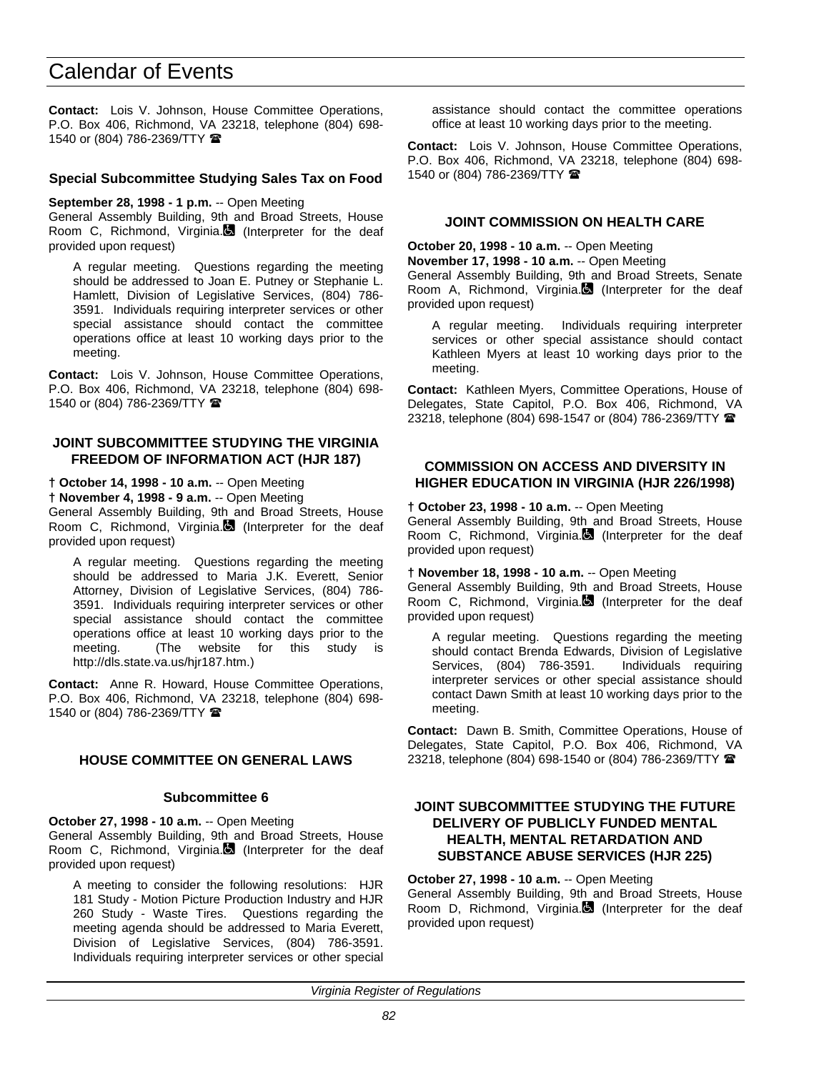**Contact:** Lois V. Johnson, House Committee Operations, P.O. Box 406, Richmond, VA 23218, telephone (804) 698- 1540 or (804) 786-2369/TTY <sup>金</sup>

#### **Special Subcommittee Studying Sales Tax on Food**

**September 28, 1998 - 1 p.m.** -- Open Meeting

General Assembly Building, 9th and Broad Streets, House Room C, Richmond, Virginia. (Interpreter for the deaf provided upon request)

A regular meeting. Questions regarding the meeting should be addressed to Joan E. Putney or Stephanie L. Hamlett, Division of Legislative Services, (804) 786- 3591. Individuals requiring interpreter services or other special assistance should contact the committee operations office at least 10 working days prior to the meeting.

**Contact:** Lois V. Johnson, House Committee Operations, P.O. Box 406, Richmond, VA 23218, telephone (804) 698- 1540 or (804) 786-2369/TTY  $\blacksquare$ 

#### **JOINT SUBCOMMITTEE STUDYING THE VIRGINIA FREEDOM OF INFORMATION ACT (HJR 187)**

#### **† October 14, 1998 - 10 a.m.** -- Open Meeting

**† November 4, 1998 - 9 a.m.** -- Open Meeting

General Assembly Building, 9th and Broad Streets, House Room C, Richmond, Virginia. (Interpreter for the deaf provided upon request)

A regular meeting. Questions regarding the meeting should be addressed to Maria J.K. Everett, Senior Attorney, Division of Legislative Services, (804) 786- 3591. Individuals requiring interpreter services or other special assistance should contact the committee operations office at least 10 working days prior to the meeting. (The website for this study is http://dls.state.va.us/hjr187.htm.)

**Contact:** Anne R. Howard, House Committee Operations, P.O. Box 406, Richmond, VA 23218, telephone (804) 698- 1540 or (804) 786-2369/TTY <sup>金</sup>

#### **HOUSE COMMITTEE ON GENERAL LAWS**

#### **Subcommittee 6**

**October 27, 1998 - 10 a.m.** -- Open Meeting General Assembly Building, 9th and Broad Streets, House Room C, Richmond, Virginia.<sup>1</sup> (Interpreter for the deaf provided upon request)

A meeting to consider the following resolutions: HJR 181 Study - Motion Picture Production Industry and HJR 260 Study - Waste Tires. Questions regarding the meeting agenda should be addressed to Maria Everett, Division of Legislative Services, (804) 786-3591. Individuals requiring interpreter services or other special assistance should contact the committee operations office at least 10 working days prior to the meeting.

**Contact:** Lois V. Johnson, House Committee Operations, P.O. Box 406, Richmond, VA 23218, telephone (804) 698- 1540 or (804) 786-2369/TTY <sup>金</sup>

#### **JOINT COMMISSION ON HEALTH CARE**

**October 20, 1998 - 10 a.m.** -- Open Meeting

**November 17, 1998 - 10 a.m.** -- Open Meeting

General Assembly Building, 9th and Broad Streets, Senate Room A, Richmond, Virginia. (Interpreter for the deaf provided upon request)

A regular meeting. Individuals requiring interpreter services or other special assistance should contact Kathleen Myers at least 10 working days prior to the meeting.

**Contact:** Kathleen Myers, Committee Operations, House of Delegates, State Capitol, P.O. Box 406, Richmond, VA 23218, telephone (804) 698-1547 or (804) 786-2369/TTY <sup>金</sup>

#### **COMMISSION ON ACCESS AND DIVERSITY IN HIGHER EDUCATION IN VIRGINIA (HJR 226/1998)**

**† October 23, 1998 - 10 a.m.** -- Open Meeting General Assembly Building, 9th and Broad Streets, House Room C, Richmond, Virginia. (Interpreter for the deaf provided upon request)

**† November 18, 1998 - 10 a.m.** -- Open Meeting

General Assembly Building, 9th and Broad Streets, House Room C, Richmond, Virginia. (Interpreter for the deaf provided upon request)

A regular meeting. Questions regarding the meeting should contact Brenda Edwards, Division of Legislative Services, (804) 786-3591. Individuals requiring interpreter services or other special assistance should contact Dawn Smith at least 10 working days prior to the meeting.

**Contact:** Dawn B. Smith, Committee Operations, House of Delegates, State Capitol, P.O. Box 406, Richmond, VA 23218, telephone (804) 698-1540 or (804) 786-2369/TTY <sup>2</sup>

#### **JOINT SUBCOMMITTEE STUDYING THE FUTURE DELIVERY OF PUBLICLY FUNDED MENTAL HEALTH, MENTAL RETARDATION AND SUBSTANCE ABUSE SERVICES (HJR 225)**

**October 27, 1998 - 10 a.m.** -- Open Meeting General Assembly Building, 9th and Broad Streets, House Room D, Richmond, Virginia.<sup>1</sup> (Interpreter for the deaf provided upon request)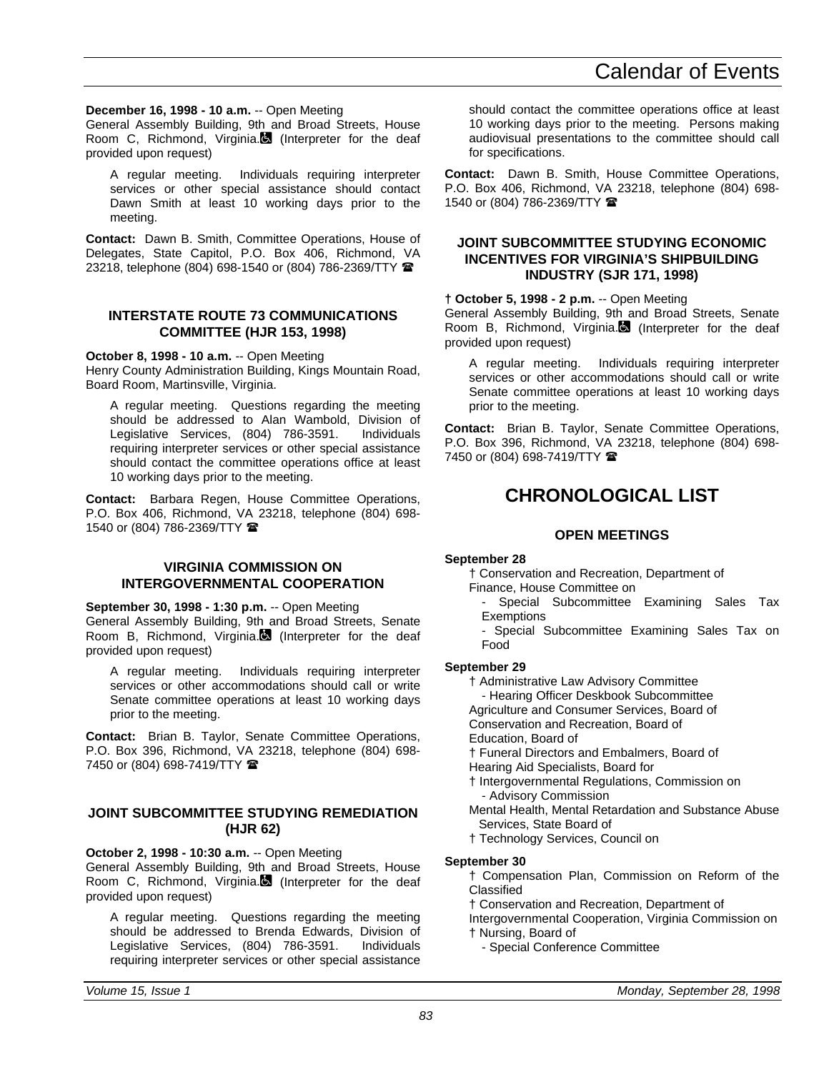#### **December 16, 1998 - 10 a.m.** -- Open Meeting

General Assembly Building, 9th and Broad Streets, House Room C, Richmond, Virginia. (Interpreter for the deaf provided upon request)

A regular meeting. Individuals requiring interpreter services or other special assistance should contact Dawn Smith at least 10 working days prior to the meeting.

**Contact:** Dawn B. Smith, Committee Operations, House of Delegates, State Capitol, P.O. Box 406, Richmond, VA 23218, telephone (804) 698-1540 or (804) 786-2369/TTY 2

#### **INTERSTATE ROUTE 73 COMMUNICATIONS COMMITTEE (HJR 153, 1998)**

**October 8, 1998 - 10 a.m.** -- Open Meeting

Henry County Administration Building, Kings Mountain Road, Board Room, Martinsville, Virginia.

A regular meeting. Questions regarding the meeting should be addressed to Alan Wambold, Division of Legislative Services, (804) 786-3591. Individuals requiring interpreter services or other special assistance should contact the committee operations office at least 10 working days prior to the meeting.

**Contact:** Barbara Regen, House Committee Operations, P.O. Box 406, Richmond, VA 23218, telephone (804) 698- 1540 or (804) 786-2369/TTY  $\blacksquare$ 

#### **VIRGINIA COMMISSION ON INTERGOVERNMENTAL COOPERATION**

**September 30, 1998 - 1:30 p.m.** -- Open Meeting General Assembly Building, 9th and Broad Streets, Senate Room B, Richmond, Virginia. (Interpreter for the deaf provided upon request)

A regular meeting. Individuals requiring interpreter services or other accommodations should call or write Senate committee operations at least 10 working days prior to the meeting.

**Contact:** Brian B. Taylor, Senate Committee Operations, P.O. Box 396, Richmond, VA 23218, telephone (804) 698- 7450 or (804) 698-7419/TTY 2

#### **JOINT SUBCOMMITTEE STUDYING REMEDIATION (HJR 62)**

#### **October 2, 1998 - 10:30 a.m.** -- Open Meeting

General Assembly Building, 9th and Broad Streets, House Room C, Richmond, Virginia. (Interpreter for the deaf provided upon request)

A regular meeting. Questions regarding the meeting should be addressed to Brenda Edwards, Division of Legislative Services, (804) 786-3591. requiring interpreter services or other special assistance should contact the committee operations office at least 10 working days prior to the meeting. Persons making audiovisual presentations to the committee should call for specifications.

**Contact:** Dawn B. Smith, House Committee Operations, P.O. Box 406, Richmond, VA 23218, telephone (804) 698- 1540 or (804) 786-2369/TTY <sup>金</sup>

#### **JOINT SUBCOMMITTEE STUDYING ECONOMIC INCENTIVES FOR VIRGINIA'S SHIPBUILDING INDUSTRY (SJR 171, 1998)**

#### **† October 5, 1998 - 2 p.m.** -- Open Meeting

General Assembly Building, 9th and Broad Streets, Senate Room B, Richmond, Virginia. (Interpreter for the deaf provided upon request)

A regular meeting. Individuals requiring interpreter services or other accommodations should call or write Senate committee operations at least 10 working days prior to the meeting.

**Contact:** Brian B. Taylor, Senate Committee Operations, P.O. Box 396, Richmond, VA 23218, telephone (804) 698- 7450 or (804) 698-7419/TTY <sup>金</sup>

# **CHRONOLOGICAL LIST**

#### **OPEN MEETINGS**

#### **September 28**

† Conservation and Recreation, Department of Finance, House Committee on

- Special Subcommittee Examining Sales Tax **Exemptions** 

- Special Subcommittee Examining Sales Tax on Food

#### **September 29**

† Administrative Law Advisory Committee

- Hearing Officer Deskbook Subcommittee

Agriculture and Consumer Services, Board of

Conservation and Recreation, Board of

Education, Board of

† Funeral Directors and Embalmers, Board of

- Hearing Aid Specialists, Board for
- † Intergovernmental Regulations, Commission on - Advisory Commission
- Mental Health, Mental Retardation and Substance Abuse Services, State Board of
- † Technology Services, Council on

#### **September 30**

† Compensation Plan, Commission on Reform of the Classified

† Conservation and Recreation, Department of

Intergovernmental Cooperation, Virginia Commission on † Nursing, Board of

- Special Conference Committee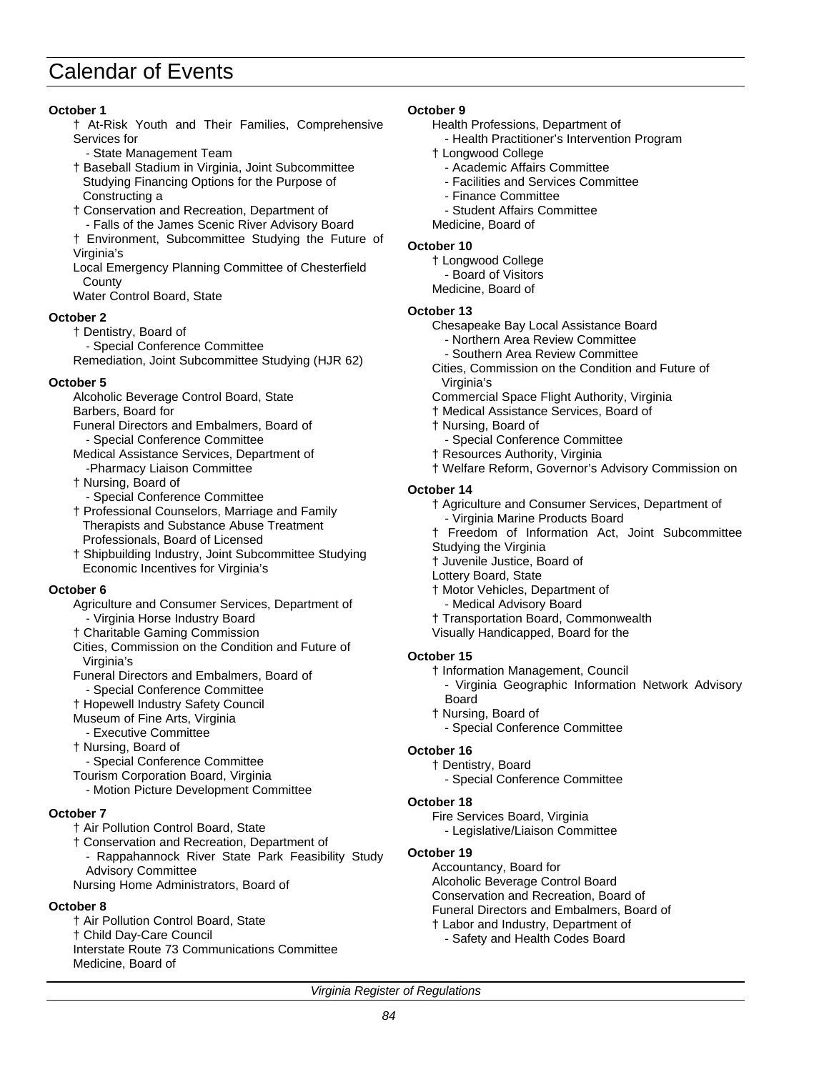#### **October 1**

- † At-Risk Youth and Their Families, Comprehensive Services for
	- State Management Team
- † Baseball Stadium in Virginia, Joint Subcommittee Studying Financing Options for the Purpose of Constructing a
- † Conservation and Recreation, Department of - Falls of the James Scenic River Advisory Board
- † Environment, Subcommittee Studying the Future of Virginia's
- Local Emergency Planning Committee of Chesterfield **County**
- Water Control Board, State

#### **October 2**

- † Dentistry, Board of
- Special Conference Committee
- Remediation, Joint Subcommittee Studying (HJR 62)

#### **October 5**

- Alcoholic Beverage Control Board, State Barbers, Board for
- Funeral Directors and Embalmers, Board of - Special Conference Committee
- Medical Assistance Services, Department of -Pharmacy Liaison Committee
- † Nursing, Board of
	- Special Conference Committee
- † Professional Counselors, Marriage and Family Therapists and Substance Abuse Treatment Professionals, Board of Licensed
- † Shipbuilding Industry, Joint Subcommittee Studying Economic Incentives for Virginia's

#### **October 6**

- Agriculture and Consumer Services, Department of - Virginia Horse Industry Board
- † Charitable Gaming Commission
- Cities, Commission on the Condition and Future of Virginia's
- Funeral Directors and Embalmers, Board of - Special Conference Committee
- 
- † Hopewell Industry Safety Council Museum of Fine Arts, Virginia
- Executive Committee
- † Nursing, Board of
- Special Conference Committee
- Tourism Corporation Board, Virginia
	- Motion Picture Development Committee

#### **October 7**

- † Air Pollution Control Board, State
- † Conservation and Recreation, Department of
- Rappahannock River State Park Feasibility Study Advisory Committee
- Nursing Home Administrators, Board of

#### **October 8**

† Air Pollution Control Board, State † Child Day-Care Council Interstate Route 73 Communications Committee Medicine, Board of

#### **October 9**

- Health Professions, Department of
	- Health Practitioner's Intervention Program
- † Longwood College
	- Academic Affairs Committee
	- Facilities and Services Committee
	- Finance Committee
	- Student Affairs Committee
- Medicine, Board of

#### **October 10**

- † Longwood College
- Board of Visitors
- Medicine, Board of

#### **October 13**

- Chesapeake Bay Local Assistance Board
	- Northern Area Review Committee
	- Southern Area Review Committee
- Cities, Commission on the Condition and Future of Virginia's
- Commercial Space Flight Authority, Virginia
- † Medical Assistance Services, Board of
- † Nursing, Board of
- Special Conference Committee
- † Resources Authority, Virginia
- † Welfare Reform, Governor's Advisory Commission on

#### **October 14**

- † Agriculture and Consumer Services, Department of - Virginia Marine Products Board
- † Freedom of Information Act, Joint Subcommittee
- Studying the Virginia
- † Juvenile Justice, Board of
- Lottery Board, State
- † Motor Vehicles, Department of
	- Medical Advisory Board
- † Transportation Board, Commonwealth
- Visually Handicapped, Board for the

#### **October 15**

- † Information Management, Council
- Virginia Geographic Information Network Advisory Board
- † Nursing, Board of
	- Special Conference Committee

#### **October 16**

† Dentistry, Board

- Special Conference Committee

#### **October 18**

- Fire Services Board, Virginia
- Legislative/Liaison Committee

## **October 19**

Accountancy, Board for Alcoholic Beverage Control Board Conservation and Recreation, Board of Funeral Directors and Embalmers, Board of † Labor and Industry, Department of - Safety and Health Codes Board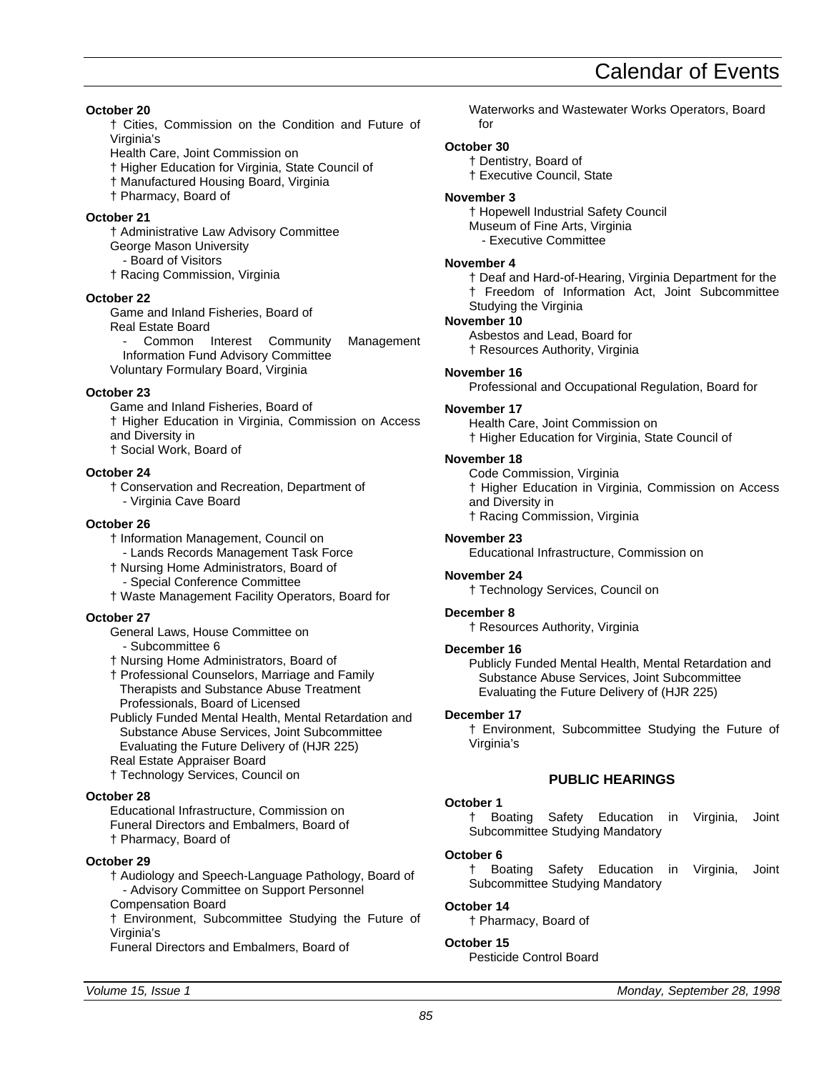**October 20**

- † Cities, Commission on the Condition and Future of Virginia's
- Health Care, Joint Commission on
- † Higher Education for Virginia, State Council of
- † Manufactured Housing Board, Virginia
- † Pharmacy, Board of

## **October 21**

- † Administrative Law Advisory Committee George Mason University - Board of Visitors
- † Racing Commission, Virginia

#### **October 22**

Game and Inland Fisheries, Board of Real Estate Board

Common Interest Community Management Information Fund Advisory Committee Voluntary Formulary Board, Virginia

#### **October 23**

Game and Inland Fisheries, Board of † Higher Education in Virginia, Commission on Access and Diversity in † Social Work, Board of

#### **October 24**

† Conservation and Recreation, Department of - Virginia Cave Board

#### **October 26**

- † Information Management, Council on
- Lands Records Management Task Force
- † Nursing Home Administrators, Board of Special Conference Committee
- † Waste Management Facility Operators, Board for

#### **October 27**

- General Laws, House Committee on
	- Subcommittee 6
- † Nursing Home Administrators, Board of
- † Professional Counselors, Marriage and Family Therapists and Substance Abuse Treatment Professionals, Board of Licensed
- Publicly Funded Mental Health, Mental Retardation and Substance Abuse Services, Joint Subcommittee Evaluating the Future Delivery of (HJR 225) Real Estate Appraiser Board
- † Technology Services, Council on

#### **October 28**

Educational Infrastructure, Commission on Funeral Directors and Embalmers, Board of † Pharmacy, Board of

#### **October 29**

† Audiology and Speech-Language Pathology, Board of - Advisory Committee on Support Personnel Compensation Board

† Environment, Subcommittee Studying the Future of Virginia's

Funeral Directors and Embalmers, Board of

Waterworks and Wastewater Works Operators, Board for

#### **October 30**

† Dentistry, Board of

† Executive Council, State

#### **November 3**

† Hopewell Industrial Safety Council

- Museum of Fine Arts, Virginia
- Executive Committee

#### **November 4**

† Deaf and Hard-of-Hearing, Virginia Department for the † Freedom of Information Act, Joint Subcommittee Studying the Virginia

#### **November 10**

Asbestos and Lead, Board for † Resources Authority, Virginia

#### **November 16**

Professional and Occupational Regulation, Board for

#### **November 17**

Health Care, Joint Commission on † Higher Education for Virginia, State Council of

#### **November 18**

Code Commission, Virginia † Higher Education in Virginia, Commission on Access and Diversity in † Racing Commission, Virginia

#### **November 23**

Educational Infrastructure, Commission on

#### **November 24**

† Technology Services, Council on

#### **December 8**

† Resources Authority, Virginia

#### **December 16**

Publicly Funded Mental Health, Mental Retardation and Substance Abuse Services, Joint Subcommittee Evaluating the Future Delivery of (HJR 225)

#### **December 17**

† Environment, Subcommittee Studying the Future of Virginia's

### **PUBLIC HEARINGS**

#### **October 1**

† Boating Safety Education in Virginia, Joint Subcommittee Studying Mandatory

#### **October 6**

† Boating Safety Education in Virginia, Joint Subcommittee Studying Mandatory

#### **October 14**

† Pharmacy, Board of

#### **October 15**

Pesticide Control Board